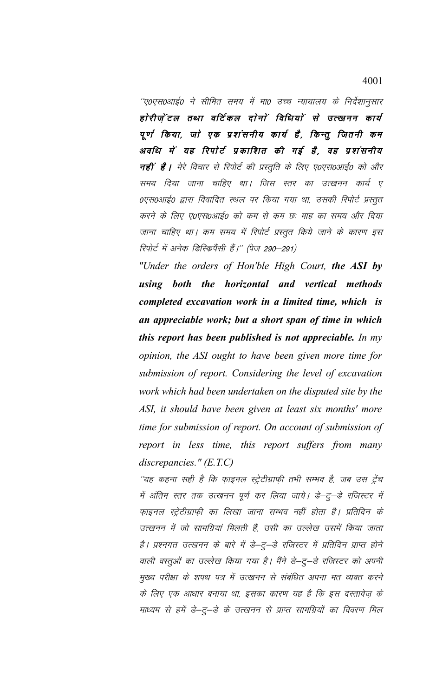''ए0एस0आई0 ने सीमित समय में मा0 उच्च न्यायालय के निर्देशानुसार होरीज़ेंटल तथा वर्टिकल दोनों विधियों से उत्खनन कार्य पूर्ण किया, जो एक प्रशंसनीय कार्य है, किन्तु जितनी कम अवधि में यह रिपोर्ट प्रकाशित की गई है, वह प्रशंसनीय **नहीं है।** मेरे विचार से रिपोर्ट की प्रस्तुति के लिए ए0एस0आई0 को और समय दिया जाना चाहिए था। जिस स्तर का उत्खनन कार्य ए ०एस०आई० द्वारा विवादित स्थल पर किया गया था, उसकी रिपोर्ट प्रस्तुत करने के लिए ए०एस०आई० को कम से कम छः माह का समय और दिया जाना चाहिए था। कम समय में रिपोर्ट प्रस्तुत किये जाने के कारण इस रिपोर्ट में अनेक डिस्क्रिपैंसी हैं।'' (पेज 290–291)

"Under the orders of Hon'ble High Court, the ASI by using both the horizontal and vertical methods completed excavation work in a limited time, which is an appreciable work; but a short span of time in which this report has been published is not appreciable. In my opinion, the ASI ought to have been given more time for submission of report. Considering the level of excavation work which had been undertaken on the disputed site by the ASI, it should have been given at least six months' more time for submission of report. On account of submission of report in less time, this report suffers from many discrepancies."  $(E.T.C)$ 

''यह कहना सही है कि फ़ाइनल स्ट्रेटीग्राफ़ी तभी सम्भव है, जब उस ट्रेंच में अंतिम स्तर तक उत्खनन पूर्ण कर लिया जाये। डे–ट्–डे रजिस्टर में फाइनल स्ट्रेटीग्राफी का लिखा जाना सम्भव नहीं होता है। प्रतिदिन के उत्खनन में जो सामग्रियां मिलती हैं, उसी का उल्लेख उसमें किया जाता है। प्रश्नगत उत्खनन के बारे में डे–ट्–डे रजिस्टर में प्रतिदिन प्राप्त होने वाली वस्तुओं का उल्लेख किया गया है। मैंने डे–टु–डे रजिस्टर को अपनी मुख्य परीक्षा के शपथ पत्र में उत्खनन से संबंधित अपना मत व्यक्त करने के लिए एक आधार बनाया था, इसका कारण यह है कि इस दस्तावेज़ के माध्यम से हमें डे–टु–डे के उत्खनन से प्राप्त सामग्रियों का विवरण मिल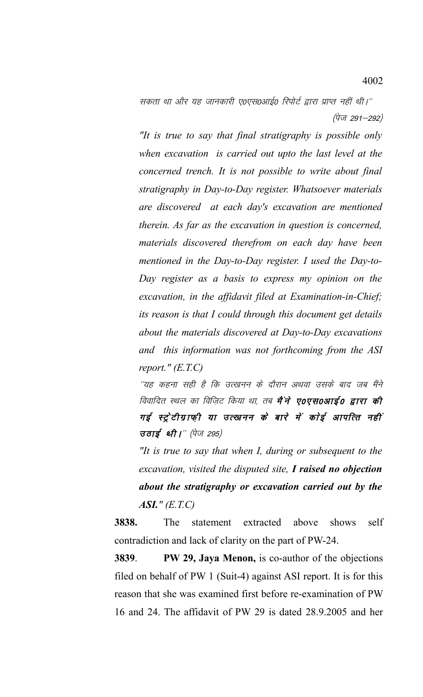सकता था और यह जानकारी ए०एस०आई० रिपोर्ट द्वारा प्राप्त नहीं थी।'' (पेज 291–292)

*"It is true to say that final stratigraphy is possible only when excavation is carried out upto the last level at the concerned trench. It is not possible to write about final stratigraphy in Day-to-Day register. Whatsoever materials are discovered at each day's excavation are mentioned therein. As far as the excavation in question is concerned, materials discovered therefrom on each day have been mentioned in the Day-to-Day register. I used the Day-to-Day register as a basis to express my opinion on the excavation, in the affidavit filed at Examination-in-Chief; its reason is that I could through this document get details about the materials discovered at Day-to-Day excavations and this information was not forthcoming from the ASI report." (E.T.C)*

´´यह कहना सही है कि उत्खनन के दौरान अथवा उसके बाद जब मैंने विवादित स्थल का विजिट किया था, तब **मैं ने ए०एस०आई० द्वारा की** गई स्ट्रेटीग्राफ़ी या उत्खनन के बारे में कोई आपत्ति नहीं उठाई थी।"  $(\vec{q} \sigma$  295)

*"It is true to say that when I, during or subsequent to the excavation, visited the disputed site, I raised no objection about the stratigraphy or excavation carried out by the ASI." (E.T.C)*

**3838.** The statement extracted above shows self contradiction and lack of clarity on the part of PW-24.

**3839**. **PW 29, Jaya Menon,** is co-author of the objections filed on behalf of PW 1 (Suit-4) against ASI report. It is for this reason that she was examined first before re-examination of PW 16 and 24. The affidavit of PW 29 is dated 28.9.2005 and her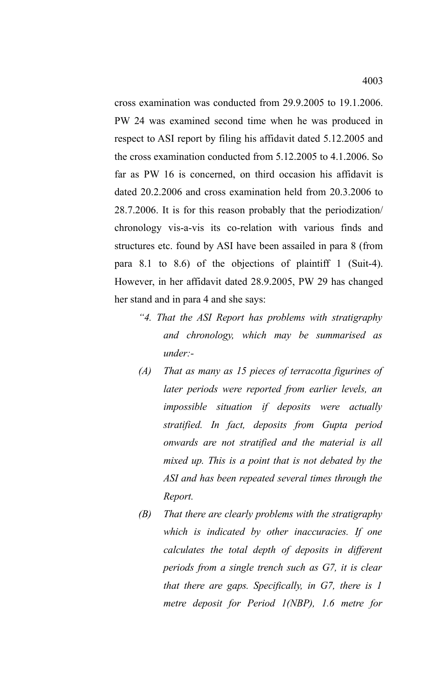cross examination was conducted from 29.9.2005 to 19.1.2006. PW 24 was examined second time when he was produced in respect to ASI report by filing his affidavit dated 5.12.2005 and the cross examination conducted from 5.12.2005 to 4.1.2006. So far as PW 16 is concerned, on third occasion his affidavit is dated 20.2.2006 and cross examination held from 20.3.2006 to 28.7.2006. It is for this reason probably that the periodization/ chronology vis-a-vis its co-relation with various finds and structures etc. found by ASI have been assailed in para 8 (from para 8.1 to 8.6) of the objections of plaintiff 1 (Suit-4). However, in her affidavit dated 28.9.2005, PW 29 has changed

*"4. That the ASI Report has problems with stratigraphy and chronology, which may be summarised as under:-* 

her stand and in para 4 and she says:

- *(A) That as many as 15 pieces of terracotta figurines of later periods were reported from earlier levels, an impossible situation if deposits were actually stratified. In fact, deposits from Gupta period onwards are not stratified and the material is all mixed up. This is a point that is not debated by the ASI and has been repeated several times through the Report.*
- *(B) That there are clearly problems with the stratigraphy which is indicated by other inaccuracies. If one calculates the total depth of deposits in different periods from a single trench such as G7, it is clear that there are gaps. Specifically, in G7, there is 1 metre deposit for Period 1(NBP), 1.6 metre for*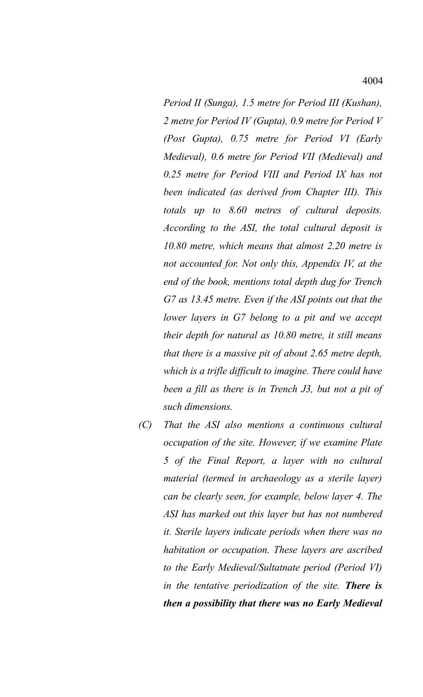*Period II (Sunga), 1.5 metre for Period III (Kushan), 2 metre for Period IV (Gupta), 0.9 metre for Period V (Post Gupta), 0.75 metre for Period VI (Early Medieval), 0.6 metre for Period VII (Medieval) and 0.25 metre for Period VIII and Period IX has not been indicated (as derived from Chapter III). This totals up to 8.60 metres of cultural deposits. According to the ASI, the total cultural deposit is 10.80 metre, which means that almost 2.20 metre is not accounted for. Not only this, Appendix IV, at the end of the book, mentions total depth dug for Trench G7 as 13.45 metre. Even if the ASI points out that the lower layers in G7 belong to a pit and we accept their depth for natural as 10.80 metre, it still means that there is a massive pit of about 2.65 metre depth, which is a trifle difficult to imagine. There could have been a fill as there is in Trench J3, but not a pit of such dimensions.*

*(C) That the ASI also mentions a continuous cultural occupation of the site. However, if we examine Plate 5 of the Final Report, a layer with no cultural material (termed in archaeology as a sterile layer) can be clearly seen, for example, below layer 4. The ASI has marked out this layer but has not numbered it. Sterile layers indicate periods when there was no habitation or occupation. These layers are ascribed to the Early Medieval/Sultatnate period (Period VI) in the tentative periodization of the site. There is then a possibility that there was no Early Medieval*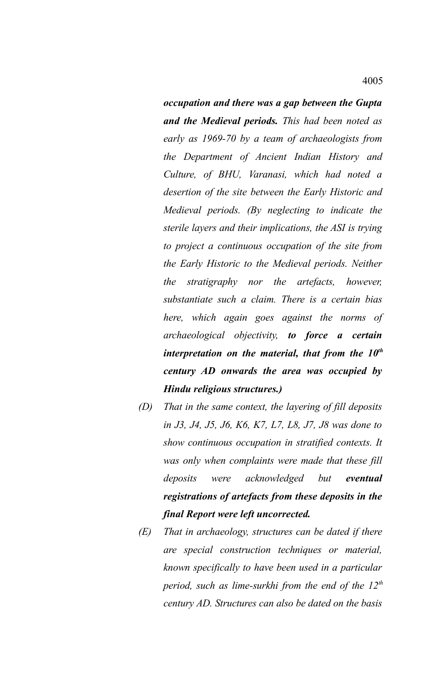*occupation and there was a gap between the Gupta and the Medieval periods. This had been noted as early as 1969-70 by a team of archaeologists from the Department of Ancient Indian History and Culture, of BHU, Varanasi, which had noted a desertion of the site between the Early Historic and Medieval periods. (By neglecting to indicate the sterile layers and their implications, the ASI is trying to project a continuous occupation of the site from the Early Historic to the Medieval periods. Neither the stratigraphy nor the artefacts, however, substantiate such a claim. There is a certain bias here, which again goes against the norms of archaeological objectivity, to force a certain interpretation on the material, that from the 10th century AD onwards the area was occupied by Hindu religious structures.)*

- *(D) That in the same context, the layering of fill deposits in J3, J4, J5, J6, K6, K7, L7, L8, J7, J8 was done to show continuous occupation in stratified contexts. It was only when complaints were made that these fill deposits were acknowledged but eventual registrations of artefacts from these deposits in the final Report were left uncorrected.*
- *(E) That in archaeology, structures can be dated if there are special construction techniques or material, known specifically to have been used in a particular period, such as lime-surkhi from the end of the 12th century AD. Structures can also be dated on the basis*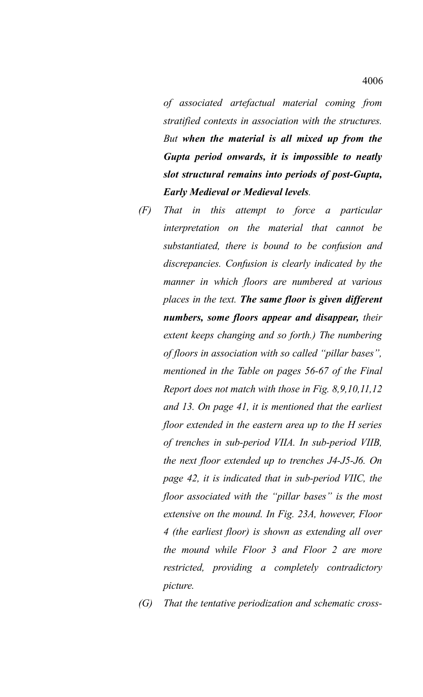*of associated artefactual material coming from stratified contexts in association with the structures. But when the material is all mixed up from the Gupta period onwards, it is impossible to neatly slot structural remains into periods of post-Gupta, Early Medieval or Medieval levels.*

- *(F) That in this attempt to force a particular interpretation on the material that cannot be substantiated, there is bound to be confusion and discrepancies. Confusion is clearly indicated by the manner in which floors are numbered at various places in the text. The same floor is given different numbers, some floors appear and disappear, their extent keeps changing and so forth.) The numbering of floors in association with so called "pillar bases", mentioned in the Table on pages 56-67 of the Final Report does not match with those in Fig. 8,9,10,11,12 and 13. On page 41, it is mentioned that the earliest floor extended in the eastern area up to the H series of trenches in sub-period VIIA. In sub-period VIIB, the next floor extended up to trenches J4-J5-J6. On page 42, it is indicated that in sub-period VIIC, the floor associated with the "pillar bases" is the most extensive on the mound. In Fig. 23A, however, Floor 4 (the earliest floor) is shown as extending all over the mound while Floor 3 and Floor 2 are more restricted, providing a completely contradictory picture.*
- *(G) That the tentative periodization and schematic cross-*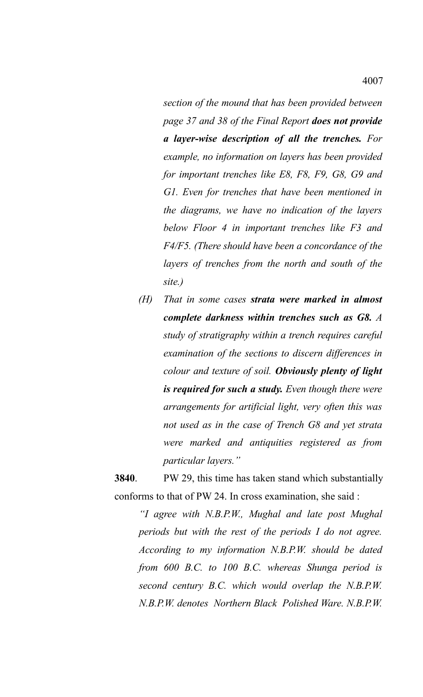*section of the mound that has been provided between page 37 and 38 of the Final Report does not provide a layer-wise description of all the trenches. For example, no information on layers has been provided for important trenches like E8, F8, F9, G8, G9 and G1. Even for trenches that have been mentioned in the diagrams, we have no indication of the layers below Floor 4 in important trenches like F3 and F4/F5. (There should have been a concordance of the layers of trenches from the north and south of the site.)*

*(H) That in some cases strata were marked in almost complete darkness within trenches such as G8. A study of stratigraphy within a trench requires careful examination of the sections to discern differences in colour and texture of soil. Obviously plenty of light is required for such a study. Even though there were arrangements for artificial light, very often this was not used as in the case of Trench G8 and yet strata were marked and antiquities registered as from particular layers."*

**3840**. PW 29, this time has taken stand which substantially conforms to that of PW 24. In cross examination, she said :

*"I agree with N.B.P.W., Mughal and late post Mughal periods but with the rest of the periods I do not agree. According to my information N.B.P.W. should be dated from 600 B.C. to 100 B.C. whereas Shunga period is second century B.C. which would overlap the N.B.P.W. N.B.P.W. denotes Northern Black Polished Ware. N.B.P.W.*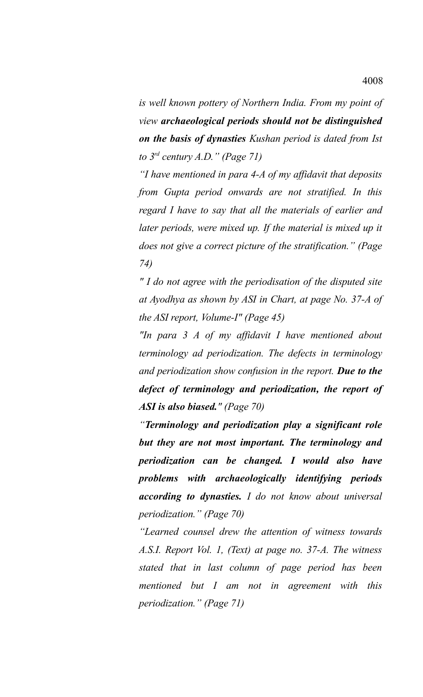*is well known pottery of Northern India. From my point of view archaeological periods should not be distinguished on the basis of dynasties Kushan period is dated from Ist to 3rd century A.D." (Page 71)*

*"I have mentioned in para 4-A of my affidavit that deposits from Gupta period onwards are not stratified. In this regard I have to say that all the materials of earlier and later periods, were mixed up. If the material is mixed up it does not give a correct picture of the stratification." (Page 74)*

*" I do not agree with the periodisation of the disputed site at Ayodhya as shown by ASI in Chart, at page No. 37-A of the ASI report, Volume-I" (Page 45)*

*"In para 3 A of my affidavit I have mentioned about terminology ad periodization. The defects in terminology and periodization show confusion in the report. Due to the defect of terminology and periodization, the report of ASI is also biased." (Page 70)*

*"Terminology and periodization play a significant role but they are not most important. The terminology and periodization can be changed. I would also have problems with archaeologically identifying periods according to dynasties. I do not know about universal periodization." (Page 70)*

*"Learned counsel drew the attention of witness towards A.S.I. Report Vol. 1, (Text) at page no. 37-A. The witness stated that in last column of page period has been mentioned but I am not in agreement with this periodization." (Page 71)*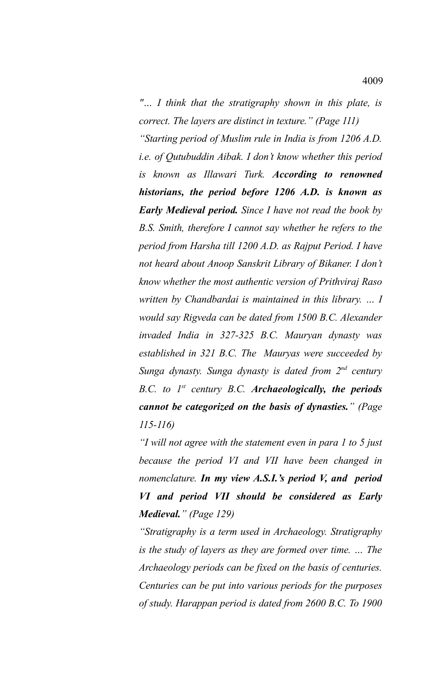*"… I think that the stratigraphy shown in this plate, is correct. The layers are distinct in texture." (Page 111)*

*"Starting period of Muslim rule in India is from 1206 A.D. i.e. of Qutubuddin Aibak. I don't know whether this period is known as Illawari Turk. According to renowned historians, the period before 1206 A.D. is known as Early Medieval period. Since I have not read the book by B.S. Smith, therefore I cannot say whether he refers to the period from Harsha till 1200 A.D. as Rajput Period. I have not heard about Anoop Sanskrit Library of Bikaner. I don't know whether the most authentic version of Prithviraj Raso written by Chandbardai is maintained in this library. … I would say Rigveda can be dated from 1500 B.C. Alexander invaded India in 327-325 B.C. Mauryan dynasty was established in 321 B.C. The Mauryas were succeeded by Sunga dynasty. Sunga dynasty is dated from 2nd century B.C. to 1st century B.C. Archaeologically, the periods cannot be categorized on the basis of dynasties." (Page 115-116)*

*"I will not agree with the statement even in para 1 to 5 just because the period VI and VII have been changed in nomenclature. In my view A.S.I.'s period V, and period VI and period VII should be considered as Early Medieval." (Page 129)*

*"Stratigraphy is a term used in Archaeology. Stratigraphy is the study of layers as they are formed over time. … The Archaeology periods can be fixed on the basis of centuries. Centuries can be put into various periods for the purposes of study. Harappan period is dated from 2600 B.C. To 1900*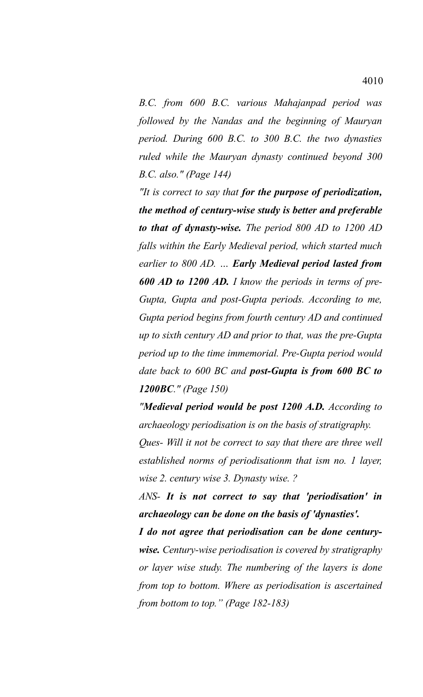*B.C. from 600 B.C. various Mahajanpad period was followed by the Nandas and the beginning of Mauryan period. During 600 B.C. to 300 B.C. the two dynasties ruled while the Mauryan dynasty continued beyond 300 B.C. also." (Page 144)*

*"It is correct to say that for the purpose of periodization, the method of century-wise study is better and preferable to that of dynasty-wise. The period 800 AD to 1200 AD falls within the Early Medieval period, which started much earlier to 800 AD. … Early Medieval period lasted from 600 AD to 1200 AD. I know the periods in terms of pre-Gupta, Gupta and post-Gupta periods. According to me, Gupta period begins from fourth century AD and continued up to sixth century AD and prior to that, was the pre-Gupta period up to the time immemorial. Pre-Gupta period would date back to 600 BC and post-Gupta is from 600 BC to 1200BC." (Page 150)*

*"Medieval period would be post 1200 A.D. According to archaeology periodisation is on the basis of stratigraphy.*

*Ques- Will it not be correct to say that there are three well established norms of periodisationm that ism no. 1 layer, wise 2. century wise 3. Dynasty wise. ?*

*ANS- It is not correct to say that 'periodisation' in archaeology can be done on the basis of 'dynasties'.*

*I do not agree that periodisation can be done centurywise. Century-wise periodisation is covered by stratigraphy or layer wise study. The numbering of the layers is done from top to bottom. Where as periodisation is ascertained from bottom to top." (Page 182-183)*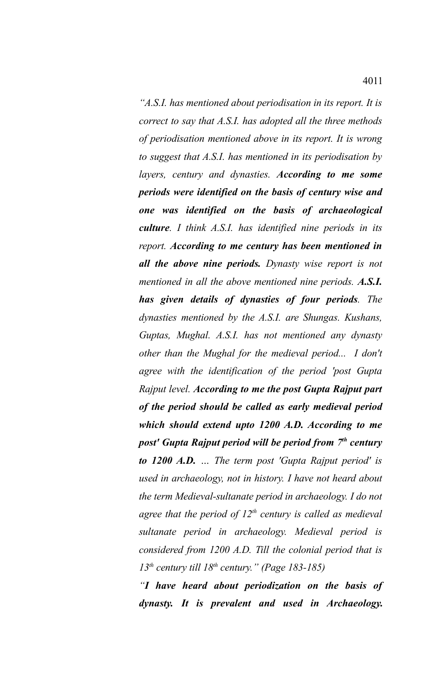*"A.S.I. has mentioned about periodisation in its report. It is correct to say that A.S.I. has adopted all the three methods of periodisation mentioned above in its report. It is wrong to suggest that A.S.I. has mentioned in its periodisation by layers, century and dynasties. According to me some periods were identified on the basis of century wise and one was identified on the basis of archaeological culture. I think A.S.I. has identified nine periods in its report. According to me century has been mentioned in all the above nine periods. Dynasty wise report is not mentioned in all the above mentioned nine periods. A.S.I. has given details of dynasties of four periods. The dynasties mentioned by the A.S.I. are Shungas. Kushans, Guptas, Mughal. A.S.I. has not mentioned any dynasty other than the Mughal for the medieval period... I don't agree with the identification of the period 'post Gupta Rajput level. According to me the post Gupta Rajput part of the period should be called as early medieval period which should extend upto 1200 A.D. According to me post' Gupta Rajput period will be period from 7th century to 1200 A.D. … The term post 'Gupta Rajput period' is used in archaeology, not in history. I have not heard about the term Medieval-sultanate period in archaeology. I do not agree that the period of 12th century is called as medieval sultanate period in archaeology. Medieval period is considered from 1200 A.D. Till the colonial period that is 13th century till 18th century." (Page 183-185)*

*"I have heard about periodization on the basis of dynasty. It is prevalent and used in Archaeology.*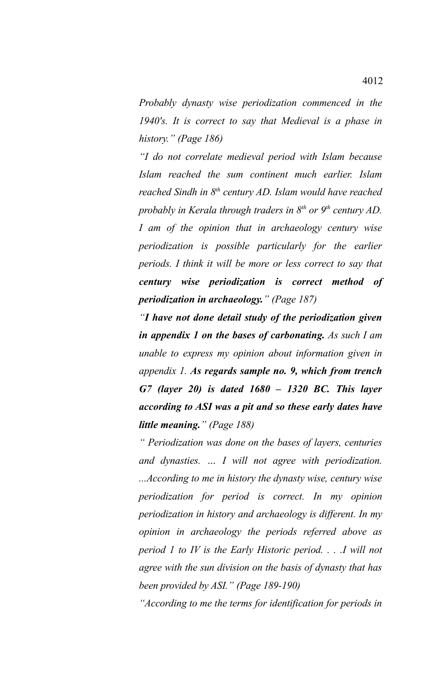*Probably dynasty wise periodization commenced in the 1940's. It is correct to say that Medieval is a phase in history." (Page 186)*

*"I do not correlate medieval period with Islam because Islam reached the sum continent much earlier. Islam reached Sindh in 8th century AD. Islam would have reached probably in Kerala through traders in 8th or 9th century AD. I am of the opinion that in archaeology century wise periodization is possible particularly for the earlier periods. I think it will be more or less correct to say that century wise periodization is correct method of periodization in archaeology." (Page 187)*

*"I have not done detail study of the periodization given in appendix 1 on the bases of carbonating. As such I am unable to express my opinion about information given in appendix 1. As regards sample no. 9, which from trench G7 (layer 20) is dated 1680 – 1320 BC. This layer according to ASI was a pit and so these early dates have little meaning." (Page 188)*

*" Periodization was done on the bases of layers, centuries and dynasties. … I will not agree with periodization. ...According to me in history the dynasty wise, century wise periodization for period is correct. In my opinion periodization in history and archaeology is different. In my opinion in archaeology the periods referred above as period 1 to IV is the Early Historic period. . . .I will not agree with the sun division on the basis of dynasty that has been provided by ASI." (Page 189-190)*

*"According to me the terms for identification for periods in*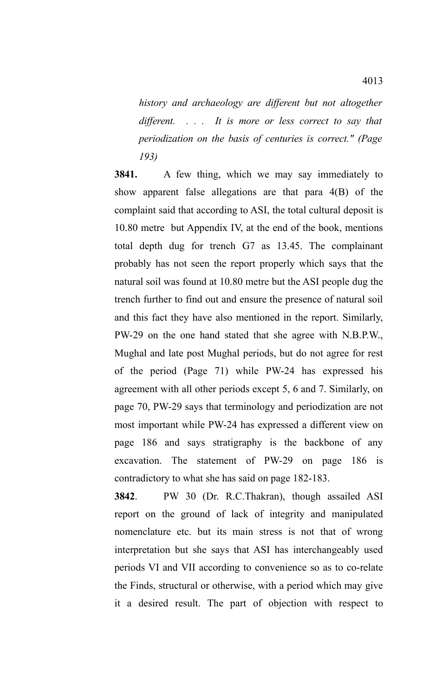*history and archaeology are different but not altogether different. . . . It is more or less correct to say that periodization on the basis of centuries is correct." (Page 193)*

**3841.** A few thing, which we may say immediately to show apparent false allegations are that para 4(B) of the complaint said that according to ASI, the total cultural deposit is 10.80 metre but Appendix IV, at the end of the book, mentions total depth dug for trench G7 as 13.45. The complainant probably has not seen the report properly which says that the natural soil was found at 10.80 metre but the ASI people dug the trench further to find out and ensure the presence of natural soil and this fact they have also mentioned in the report. Similarly, PW-29 on the one hand stated that she agree with N.B.P.W., Mughal and late post Mughal periods, but do not agree for rest of the period (Page 71) while PW-24 has expressed his agreement with all other periods except 5, 6 and 7. Similarly, on page 70, PW-29 says that terminology and periodization are not most important while PW-24 has expressed a different view on page 186 and says stratigraphy is the backbone of any excavation. The statement of PW-29 on page 186 is contradictory to what she has said on page 182-183.

**3842**. PW 30 (Dr. R.C.Thakran), though assailed ASI report on the ground of lack of integrity and manipulated nomenclature etc. but its main stress is not that of wrong interpretation but she says that ASI has interchangeably used periods VI and VII according to convenience so as to co-relate the Finds, structural or otherwise, with a period which may give it a desired result. The part of objection with respect to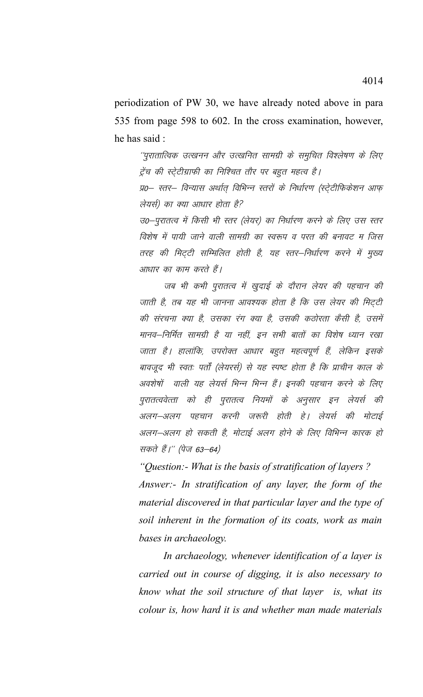periodization of PW 30, we have already noted above in para 535 from page 598 to 602. In the cross examination, however, he has said:

''पुरातात्विक उत्खनन और उत्खनित सामग्री के समुचित विश्लेषण के लिए ट्रेंच की स्ट्रेटीग्राफी का निश्चित तौर पर बहुत महत्व है।

प्र0– स्तर– विन्यास अर्थात् विभिन्न स्तरों के निर्धारण (स्ट्रेटीफिकेशन आफ् लेयर्स) का क्या आधार होता है?

उ0–पुरातत्व में किसी भी स्तर (लेयर) का निर्धारण करने के लिए उस स्तर विशेष में पायी जाने वाली सामग्री का स्वरूप व परत की बनावट म जिस तरह की मिट्टी सम्मिलित होती है, यह स्तर–निर्धारण करने में मुख्य आधार का काम करते हैं।

जब भी कभी पुरातत्व में खुदाई के दौरान लेयर की पहचान की जाती है, तब यह भी जानना आवश्यक होता है कि उस लेयर की मिट्टी की संरचना क्या है, उसका रंग क्या है, उसकी कठोरता कैसी है, उसमें मानव–निर्मित सामग्री है या नहीं, इन सभी बातों का विशेष ध्यान रखा जाता है। हालांकि, उपरोक्त आधार बहुत महत्वपूर्ण हैं, लेकिन इसके बावजूद भी स्वतः पर्तौ (लेयरर्स) से यह स्पष्ट होता है कि प्राचीन काल के अवशेषों वाली यह लेयर्स भिन्न भिन्न हैं। इनकी पहचान करने के लिए पुरातत्ववेत्ता को ही पुरातत्व नियमों के अनुसार इन लेयर्स की अलग–अलग पहचान करनी जरूरी होती हे। लेयर्स की मोटाई अलग-अलग हो सकती है, मोटाई अलग होने के लिए विभिन्न कारक हो सकते हैं।'' (पेज 63–64)

"Question:- What is the basis of stratification of layers? Answer:- In stratification of any layer, the form of the material discovered in that particular layer and the type of soil inherent in the formation of its coats, work as main bases in archaeology.

In archaeology, whenever identification of a layer is carried out in course of digging, it is also necessary to know what the soil structure of that layer is, what its colour is, how hard it is and whether man made materials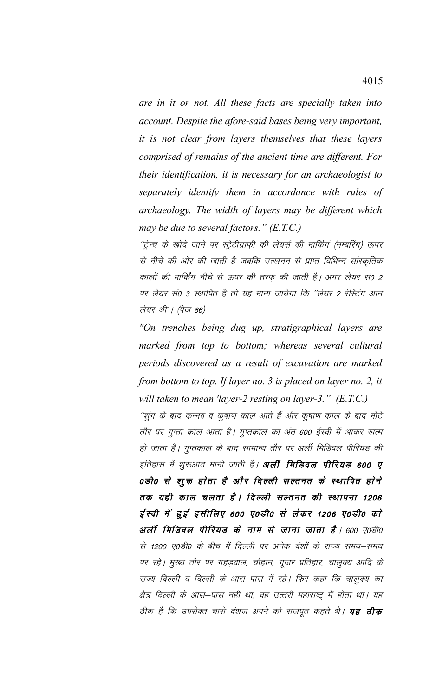*are in it or not. All these facts are specially taken into account. Despite the afore-said bases being very important, it is not clear from layers themselves that these layers comprised of remains of the ancient time are different. For their identification, it is necessary for an archaeologist to separately identify them in accordance with rules of archaeology. The width of layers may be different which may be due to several factors." (E.T.C.)*

''ट्रेन्च के खोदे जाने पर स्ट्रेटीग्राफ़ी की लेयर्स की मार्किगं (नम्बरिंग) ऊपर से नीचे की ओर की जाती है जबकि उत्खनन से प्राप्त विभिन्न सांस्कृतिक कालों की मार्किंग नीचे से ऊपर की तरफ की जाती है। अगर लेयर सं0 2 पर लेयर सं0 3 स्थापित है तो यह माना जायेगा कि ''लेयर 2 रेस्टिंग आन लेयर थी'। (पेज 66)

*"On trenches being dug up, stratigraphical layers are marked from top to bottom; whereas several cultural periods discovered as a result of excavation are marked from bottom to top. If layer no. 3 is placed on layer no. 2, it will taken to mean 'layer-2 resting on layer-3." (E.T.C.)*

''शूंग के बाद कन्नव व कुषाण काल आते हैं और कुषाण काल के बाद मोटे तौर पर गुप्ता काल आता है। गुप्तकाल का अंत 600 ईस्वी में आकर खत्म हो जाता है। गुप्तकाल के बाद सामान्य तौर पर अर्ली मिडिवल पीरियड की इतिहास में शुरूआत मानी जाती है। **अर्ली मिडिवल पीरियड 600 ए** 0डी0 से शुरू होता है और दिल्ली सल्तनत के स्थापित होने तक यही काल चलता है। दिल्ली सल्तनत की स्थापना 1206 ईस्वी में हुई इसीलिए 600 ए0डी0 से लेकर 1206 ए0डी0 को अर्ली मिडिवल पीरियड के नाम से जाना जाता है। 600 ए0डी0 से 1200 ए0डी0 के बीच में दिल्ली पर अनेक वंशों के राज्य समय–समय पर रहे। मुख्य तौर पर गहड़वाल, चौहान, गूजर प्रतिहार, चालुक्य आदि के राज्य दिल्ली व दिल्ली के आस पास में रहे। फिर कहा कि चालुक्य का क्षेत्र दिल्ली के आस–पास नहीं था, वह उत्तरी महाराष्ट् में होता था। यह ठीक है कि उपरोक्त चारो वंशज अपने को राजपूत कहते थे। **यह ठीक**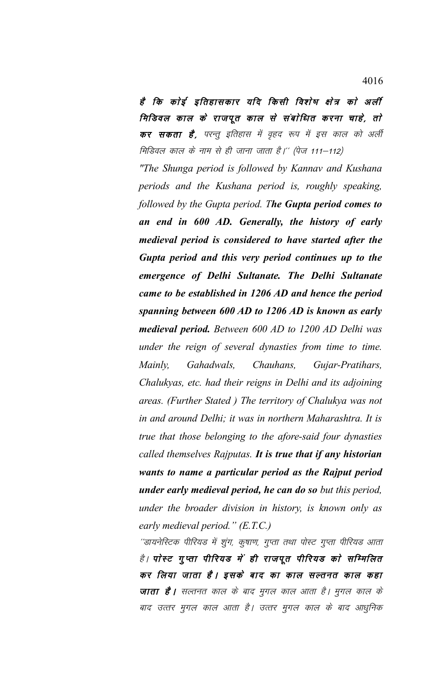है कि कोई इतिहासकार यदि किसी विशेष क्षेत्र को अर्ली मिडिवल काल के राजपूत काल से संबोधित करना चाहे, तो कर सकता है, परन्तु इतिहास में वृहद रूप में इस काल को अर्ली मिडिवल काल के नाम से ही जाना जाता है।'' (पेज 111–112)

*"The Shunga period is followed by Kannav and Kushana periods and the Kushana period is, roughly speaking, followed by the Gupta period. The Gupta period comes to an end in 600 AD. Generally, the history of early medieval period is considered to have started after the Gupta period and this very period continues up to the emergence of Delhi Sultanate. The Delhi Sultanate came to be established in 1206 AD and hence the period spanning between 600 AD to 1206 AD is known as early medieval period. Between 600 AD to 1200 AD Delhi was under the reign of several dynasties from time to time. Mainly, Gahadwals, Chauhans, Gujar-Pratihars, Chalukyas, etc. had their reigns in Delhi and its adjoining areas. (Further Stated ) The territory of Chalukya was not in and around Delhi; it was in northern Maharashtra. It is true that those belonging to the afore-said four dynasties called themselves Rajputas. It is true that if any historian wants to name a particular period as the Rajput period under early medieval period, he can do so but this period, under the broader division in history, is known only as early medieval period." (E.T.C.)*

''डायनेस्टिक पीरियड में शुंग, कुषाण, गुप्ता तथा पोस्ट गुप्ता पीरियड आता है। पोस्ट गुप्ता पीरियड में ही राजपूत पीरियड को सम्मिलित कर लिया जाता है। इसके बाद का काल सल्तनत काल कहा **जाता है।** सल्तनत काल के बाद मुगल काल आता है। मुगल काल के बाद उत्तर मुगल काल आता है। उत्तर मुगल काल के बाद आधुनिक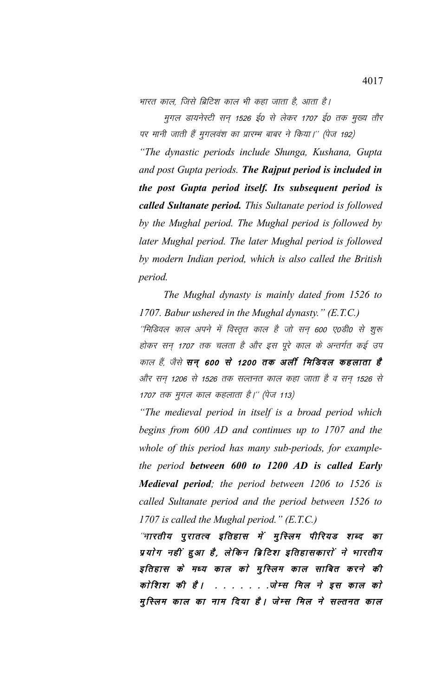भारत काल. जिसे ब्रिटिश काल भी कहा जाता है. आता है।

मुगल डायनेस्टी सन् 1526 ई0 से लेकर 1707 ई0 तक मुख्य तौर पर मानी जाती हैं मुगलवंश का प्रारम्भ बाबर ने किया।'' (पेज 192) "The dynastic periods include Shunga, Kushana, Gupta and post Gupta periods. The Rajput period is included in the post Gupta period itself. Its subsequent period is called Sultanate period. This Sultanate period is followed by the Mughal period. The Mughal period is followed by later Mughal period. The later Mughal period is followed by modern Indian period, which is also called the British

The Mughal dynasty is mainly dated from 1526 to 1707. Babur ushered in the Mughal dynasty."  $(E.T.C.)$ 

period.

''मिडिवल काल अपने में विस्तृत काल है जो सन् 600 ए0डी0 से शुरू होकर सन् 1707 तक चलता है और इस पूरे काल के अन्तर्गत कई उप काल हैं, जैसे सन् 600 से 1200 तक अर्ली मिडिवल कहलाता है और सन् 1206 से 1526 तक सल्तनत काल कहा जाता है व सन् 1526 से 1707 तक मुगल काल कहलाता है।'' (पेज 113)

"The medieval period in itself is a broad period which begins from 600 AD and continues up to 1707 and the whole of this period has many sub-periods, for examplethe period between 600 to 1200 AD is called Early **Medieval period**; the period between 1206 to 1526 is called Sultanate period and the period between 1526 to 1707 is called the Mughal period."  $(E.T.C.)$ 

"भारतीय पुरातत्व इतिहास में मुस्लिम पीरियड शब्द का प्रयोग नहीं हुआ है, लेकिन ब्रिटिश इतिहासकारों ने भारतीय इतिहास के मध्य काल को मुस्लिम काल साबित करने की कोशिश की है। . . . . . . ज़ेम्स मिल ने इस काल को मुस्लिम काल का नाम दिया है। जेम्स मिल ने सल्तनत काल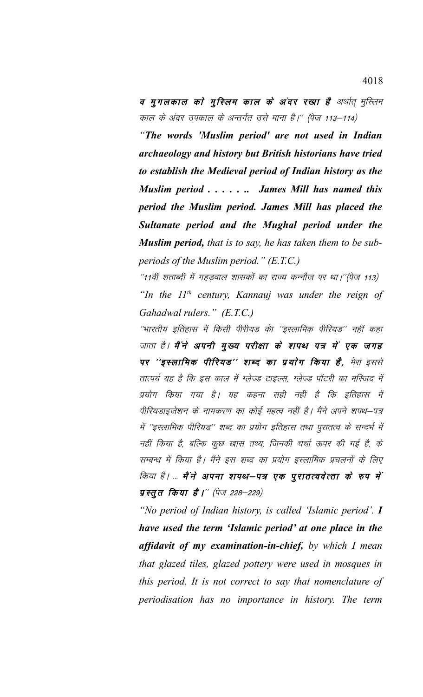व मुगलकाल को मुस्लिम काल के अंदर रखा है अर्थात् मुस्लिम काल के अंदर उपकाल के अन्तर्गत उसे माना है।'' (पेज 113–114)

"The words 'Muslim period' are not used in Indian archaeology and history but British historians have tried to establish the Medieval period of Indian history as the Muslim period . . . . . . James Mill has named this period the Muslim period. James Mill has placed the Sultanate period and the Mughal period under the **Muslim period,** that is to say, he has taken them to be subperiods of the Muslim period."  $(E.T.C.)$ 

"11वीं शताब्दी में गहड़वाल शासकों का राज्य कन्नौज पर था।"(पेज 113) "In the  $II<sup>th</sup>$  century, Kannauj was under the reign of Gahadwal rulers." (E.T.C.)

''भारतीय इतिहास में किसी पीरीयड केा ''इस्लामिक पीरियड'' नहीं कहा जाता है। मैं ने अपनी मुख्य परीक्षा के शपथ पत्र में एक जगह पर ''इस्लामिक पीरियड'' शब्द का प्रयोग किया है, मेरा इससे तात्पर्य यह है कि इस काल में ग्लेज्ड टाइल्स, ग्लेज्ड पॉटरी का मस्जिद में प्रयोग किया गया है। यह कहना सही नहीं है कि इतिहास में पीरियडाइजेशन के नामकरण का कोई महत्व नहीं है। मैंने अपने शपथ–पत्र में ''इस्लामिक पीरियड'' शब्द का प्रयोग इतिहास तथा पुरातत्व के सन्दर्भ में नहीं किया है, बल्कि कुछ खास तथ्य, जिनकी चर्चा ऊपर की गई है, के सम्बन्ध में किया है। मैंने इस शब्द का प्रयोग इस्लामिक प्रचलनों के लिए किया है। ... मैं ने अपना शपथ–पत्र एक पुरातत्ववेत्ता के रुप में प्रस्तुत किया है।'' (पेज 228–229)

"No period of Indian history, is called 'Islamic period'. I have used the term 'Islamic period' at one place in the affidavit of my examination-in-chief, by which I mean that glazed tiles, glazed pottery were used in mosques in this period. It is not correct to say that nomenclature of periodisation has no importance in history. The term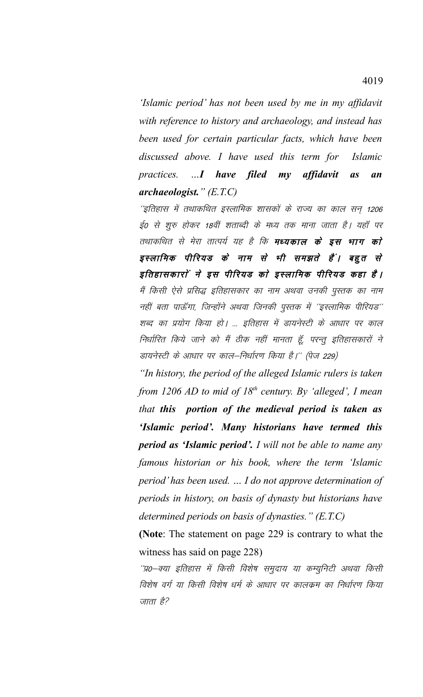'Islamic period' has not been used by me in my affidavit with reference to history and archaeology, and instead has been used for certain particular facts, which have been discussed above. I have used this term for *Islamic* practices. ...I have filed my affidavit  $a<sub>S</sub>$ an  $$ 

''इतिहास में तथाकथित इस्लामिक शासकों के राज्य का काल सन् 1206 ई0 से शुरु होकर 18वीं शताब्दी के मध्य तक माना जाता है। यहाँ पर तथाकथित से मेरा तात्पर्य यह है कि **मध्यकाल के इस भाग को** इस्लामिक पीरियड के नाम से भी समझते हैं। बहुत से इतिहासकारों ने इस पीरियड को इस्लामिक पीरियड कहा है। मैं किसी ऐसे प्रसिद्ध इतिहासकार का नाम अथवा उनकी पुस्तक का नाम नहीं बता पाऊँगा, जिन्होंने अथवा जिनकी पुस्तक में ''इस्लामिक पीरियड'' शब्द का प्रयोग किया हो। ... इतिहास में डायनेस्टी के आधार पर काल निर्धारित किये जाने को मैं ठीक नहीं मानता हूँ, परन्तु इतिहासकारों ने डायनेस्टी के आधार पर काल–निर्धारण किया है।'' (पेज 229)

"In history, the period of the alleged Islamic rulers is taken from 1206 AD to mid of  $18<sup>th</sup>$  century. By 'alleged', I mean that this portion of the medieval period is taken as 'Islamic period'. Many historians have termed this **period as 'Islamic period'.** I will not be able to name any famous historian or his book, where the term 'Islamic' period' has been used. ... I do not approve determination of periods in history, on basis of dynasty but historians have determined periods on basis of dynasties."  $(E.T.C)$ 

(Note: The statement on page 229 is contrary to what the witness has said on page 228)

''प्र0–क्या इतिहास में किसी विशेष समुदाय या कम्युनिटी अथवा किसी विशेष वर्ग या किसी विशेष धर्म के आधार पर कालकम का निर्धारण किया जाता है?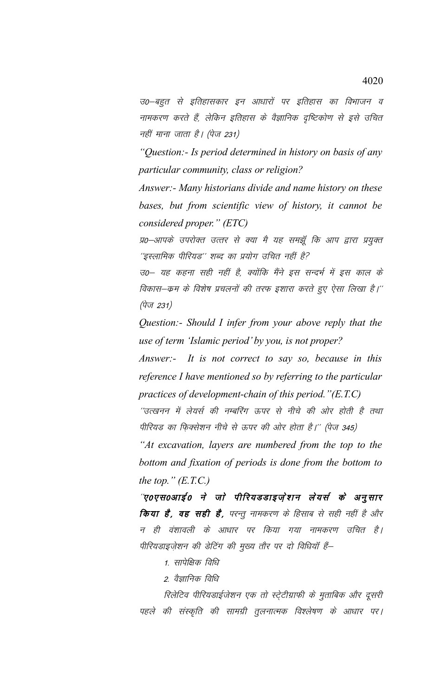उ0–बहुत से इतिहासकार इन आधारों पर इतिहास का विभाजन व नामकरण करते हैं, लेकिन इतिहास के वैज्ञानिक दृष्टिकोण से इसे उचित नहीं माना जाता है। (पेज 231)

"Question:- Is period determined in history on basis of any particular community, class or religion?

Answer:- Many historians divide and name history on these bases, but from scientific view of history, it cannot be considered proper." (ETC)

प्र0–आपके उपरोक्त उत्तर से क्या मै यह समझूँ कि आप द्वारा प्रयुक्त ''इस्लामिक पीरियड'' शब्द का प्रयोग उचित नहीं है?

उ0– यह कहना सही नहीं है, क्योंकि मैंने इस सन्दर्भ में इस काल के विकास–कम के विशेष प्रचलनों की तरफ इशारा करते हुए ऐसा लिखा है।'' (पेज 231)

Question:- Should I infer from your above reply that the use of term 'Islamic period' by you, is not proper?

Answer:- It is not correct to say so, because in this reference I have mentioned so by referring to the particular practices of development-chain of this period." $(E.T.C)$ 

''उत्खनन में लेयर्स की नम्बरिंग ऊपर से नीचे की ओर होती है तथा पीरियड का फ़िक्सेशन नीचे से ऊपर की ओर होता है।'' (पेज 345)

"At excavation, layers are numbered from the top to the bottom and fixation of periods is done from the bottom to the top."  $(E.T.C.)$ 

'ए०एस०आई० ने जो पीरियडडाइजे़शन लेयर्स के अनुसार किया है, वह सही है, परन्तु नामकरण के हिसाब से सही नहीं है और न ही वंशावली के आधार पर किया गया नामकरण उचित है। पीरियडाइजेशन की डेटिंग की मुख्य तौर पर दो विधियाँ हैं–

1. सापेक्षिक विधि

2. वैज्ञानिक विधि

रिलेटिव पीरियडाईजेशन एक तो स्टे्टीग्राफी के मुताबिक और दूसरी पहले की संस्कृति की सामग्री तुलनात्मक विश्लेषण के आधार पर।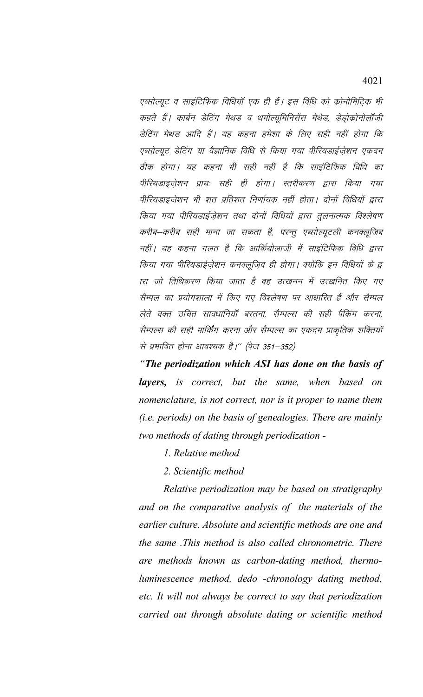एब्सोल्यूट व साइंटिफिक विधियॉ एक ही हैं। इस विधि को कोनोमिटिक भी कहते हैं। कार्बन डेटिंग मेथड व थमोल्यूमिनिसेंस मेथेड, डेड़ोक्रोनोलॉजी डेटिंग मेथड आदि हैं। यह कहना हमेशा के लिए सही नहीं होगा कि एब्सोल्यूट डेटिंग या वैज्ञानिक विधि से किया गया पीरियडाईज़ेशन एकदम ठीक होगा। यह कहना भी सही नहीं है कि साइंटिफिक विधि का पीरियडाइजेशन प्रायः सही ही होगा। स्तरीकरण द्वारा किया गया पीरियडाइजेशन भी शत प्रतिशत निर्णायक नहीं होता। दोनों विधियों द्वारा किया गया पीरियडाईज़ेशन तथा दोनों विधियों द्वारा तुलनात्मक विश्लेषण करीब–करीब सही माना जा सकता है, परन्तू एब्सोल्यूटली कनक्लूजिब नहीं। यह कहना गलत है कि आर्कियोलाजी में साइंटिफिक विधि द्वारा किया गया पीरियडाईजेशन कनक्लुजिव ही होगा। क्योंकि इन विधियों के द्व ारा जो तिथिकरण किया जाता है वह उत्खनन में उत्खनित किए गए सैम्पल का प्रयोगशाला में किए गए विश्लेषण पर आधारित हैं और सैम्पल लेते वक्त उचित सावधानियाँ बरतना, सैम्पल्स की सही पैंकिंग करना, सैम्पल्स की सही मार्किंग करना और सैम्पल्स का एकदम प्राकृतिक शक्तियों से प्रभावित होना आवश्यक है।'' (पेज 351–352)

"The periodization which ASI has done on the basis of **layers,** is correct, but the same, when based on nomenclature, is not correct, nor is it proper to name them (i.e. periods) on the basis of genealogies. There are mainly two methods of dating through periodization -

- 1. Relative method
- 2. Scientific method

Relative periodization may be based on stratigraphy and on the comparative analysis of the materials of the earlier culture. Absolute and scientific methods are one and the same This method is also called chronometric. There are methods known as carbon-dating method, thermoluminescence method, dedo -chronology dating method, etc. It will not always be correct to say that periodization carried out through absolute dating or scientific method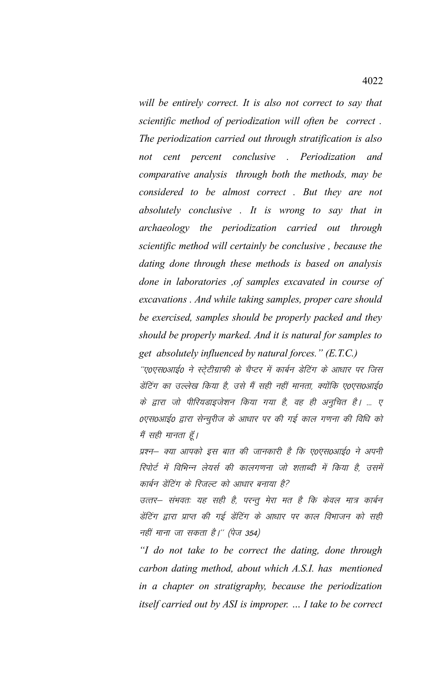will be entirely correct. It is also not correct to say that scientific method of periodization will often be correct. The periodization carried out through stratification is also not cent percent conclusive . Periodization and comparative analysis through both the methods, may be considered to be almost correct. But they are not absolutely conclusive . It is wrong to say that in archaeology the periodization carried out through scientific method will certainly be conclusive, because the dating done through these methods is based on analysis done in laboratories , of samples excavated in course of excavations. And while taking samples, proper care should be exercised, samples should be properly packed and they should be properly marked. And it is natural for samples to get absolutely influenced by natural forces." (E.T.C.)

''ए०एस०आई० ने स्ट्रेटीग्राफी के चैप्टर में कार्बन डेटिंग के आधार पर जिस डेंटिंग का उल्लेख किया है, उसे मैं सही नहीं मानता, क्योंकि ए०एस०आई० के द्वारा जो पीरियडाइजेशन किया गया है, वह ही अनुचित है। ... ए 0एस0आई0 द्वारा सेन्चुरीज के आधार पर की गई काल गणना की विधि को मैं सही मानता हूँ।

प्रश्न– क्या आपको इस बात की जानकारी है कि ए०एस०आई० ने अपनी रिपोर्ट में विभिन्न लेयर्स की कालगणना जो शताब्दी में किया है, उसमें कार्बन डेंटिंग के रिजल्ट को आधार बनाया है?

उत्तर– संभवतः यह सही है, परन्तू मेरा मत है कि केवल मात्र कार्बन डेंटिंग द्वारा प्राप्त की गई डेंटिंग के आधार पर काल विभाजन को सही नहीं माना जा सकता है।'' (पेज 354)

"I do not take to be correct the dating, done through carbon dating method, about which A.S.I. has mentioned in a chapter on stratigraphy, because the periodization itself carried out by ASI is improper. ... I take to be correct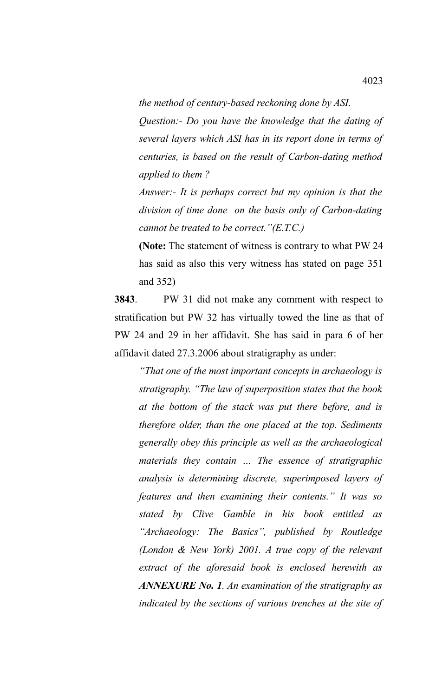*the method of century-based reckoning done by ASI.*

*Question:- Do you have the knowledge that the dating of several layers which ASI has in its report done in terms of centuries, is based on the result of Carbon-dating method applied to them ?*

*Answer:- It is perhaps correct but my opinion is that the division of time done on the basis only of Carbon-dating cannot be treated to be correct."(E.T.C.)*

**(Note:** The statement of witness is contrary to what PW 24 has said as also this very witness has stated on page 351 and 352)

**3843**. PW 31 did not make any comment with respect to stratification but PW 32 has virtually towed the line as that of PW 24 and 29 in her affidavit. She has said in para 6 of her affidavit dated 27.3.2006 about stratigraphy as under:

*"That one of the most important concepts in archaeology is stratigraphy. "The law of superposition states that the book at the bottom of the stack was put there before, and is therefore older, than the one placed at the top. Sediments generally obey this principle as well as the archaeological materials they contain … The essence of stratigraphic analysis is determining discrete, superimposed layers of features and then examining their contents." It was so stated by Clive Gamble in his book entitled as "Archaeology: The Basics", published by Routledge (London & New York) 2001. A true copy of the relevant extract of the aforesaid book is enclosed herewith as ANNEXURE No. 1. An examination of the stratigraphy as indicated by the sections of various trenches at the site of*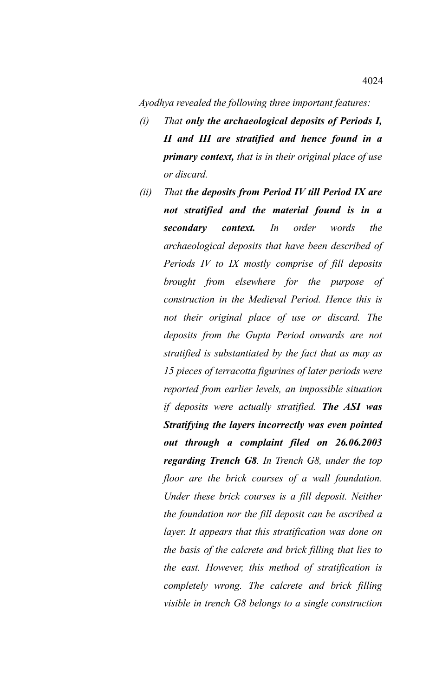*Ayodhya revealed the following three important features:*

- *(i) That only the archaeological deposits of Periods I, II and III are stratified and hence found in a primary context, that is in their original place of use or discard.*
- *(ii) That the deposits from Period IV till Period IX are not stratified and the material found is in a secondary context. In order words the archaeological deposits that have been described of Periods IV to IX mostly comprise of fill deposits brought from elsewhere for the purpose of construction in the Medieval Period. Hence this is not their original place of use or discard. The deposits from the Gupta Period onwards are not stratified is substantiated by the fact that as may as 15 pieces of terracotta figurines of later periods were reported from earlier levels, an impossible situation if deposits were actually stratified. The ASI was Stratifying the layers incorrectly was even pointed out through a complaint filed on 26.06.2003 regarding Trench G8. In Trench G8, under the top floor are the brick courses of a wall foundation. Under these brick courses is a fill deposit. Neither the foundation nor the fill deposit can be ascribed a layer. It appears that this stratification was done on the basis of the calcrete and brick filling that lies to the east. However, this method of stratification is completely wrong. The calcrete and brick filling visible in trench G8 belongs to a single construction*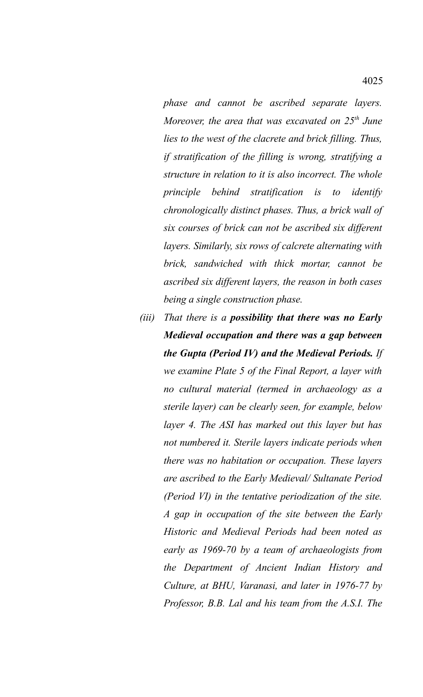*phase and cannot be ascribed separate layers. Moreover, the area that was excavated on 25th June lies to the west of the clacrete and brick filling. Thus, if stratification of the filling is wrong, stratifying a structure in relation to it is also incorrect. The whole principle behind stratification is to identify chronologically distinct phases. Thus, a brick wall of six courses of brick can not be ascribed six different layers. Similarly, six rows of calcrete alternating with brick, sandwiched with thick mortar, cannot be ascribed six different layers, the reason in both cases being a single construction phase.*

*(iii) That there is a possibility that there was no Early Medieval occupation and there was a gap between the Gupta (Period IV) and the Medieval Periods. If we examine Plate 5 of the Final Report, a layer with no cultural material (termed in archaeology as a sterile layer) can be clearly seen, for example, below layer 4. The ASI has marked out this layer but has not numbered it. Sterile layers indicate periods when there was no habitation or occupation. These layers are ascribed to the Early Medieval/ Sultanate Period (Period VI) in the tentative periodization of the site. A gap in occupation of the site between the Early Historic and Medieval Periods had been noted as early as 1969-70 by a team of archaeologists from the Department of Ancient Indian History and Culture, at BHU, Varanasi, and later in 1976-77 by Professor, B.B. Lal and his team from the A.S.I. The*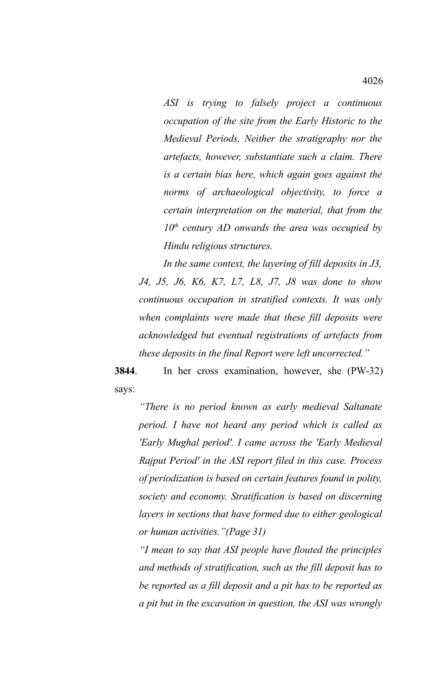*ASI is trying to falsely project a continuous occupation of the site from the Early Historic to the Medieval Periods. Neither the stratigraphy nor the artefacts, however, substantiate such a claim. There is a certain bias here, which again goes against the norms of archaeological objectivity, to force a certain interpretation on the material, that from the 10th century AD onwards the area was occupied by Hindu religious structures.*

*In the same context, the layering of fill deposits in J3, J4, J5, J6, K6, K7, L7, L8, J7, J8 was done to show continuous occupation in stratified contexts. It was only when complaints were made that these fill deposits were acknowledged but eventual registrations of artefacts from these deposits in the final Report were left uncorrected."*

**3844**. In her cross examination, however, she (PW-32) says:

*"There is no period known as early medieval Saltanate period. I have not heard any period which is called as 'Early Mughal period'. I came across the 'Early Medieval Rajput Period' in the ASI report filed in this case. Process of periodization is based on certain features found in polity, society and economy. Stratification is based on discerning layers in sections that have formed due to either geological or human activities."(Page 31)*

*"I mean to say that ASI people have flouted the principles and methods of stratification, such as the fill deposit has to be reported as a fill deposit and a pit has to be reported as a pit but in the excavation in question, the ASI was wrongly*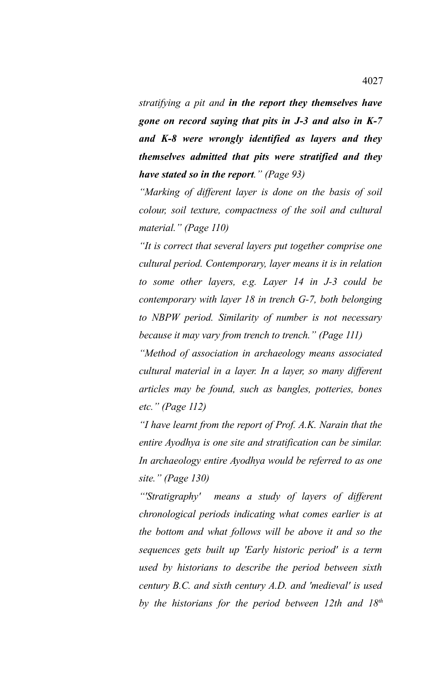*stratifying a pit and in the report they themselves have gone on record saying that pits in J-3 and also in K-7 and K-8 were wrongly identified as layers and they themselves admitted that pits were stratified and they have stated so in the report." (Page 93)*

*"Marking of different layer is done on the basis of soil colour, soil texture, compactness of the soil and cultural material." (Page 110)*

*"It is correct that several layers put together comprise one cultural period. Contemporary, layer means it is in relation to some other layers, e.g. Layer 14 in J-3 could be contemporary with layer 18 in trench G-7, both belonging to NBPW period. Similarity of number is not necessary because it may vary from trench to trench." (Page 111)*

*"Method of association in archaeology means associated cultural material in a layer. In a layer, so many different articles may be found, such as bangles, potteries, bones etc." (Page 112)*

*"I have learnt from the report of Prof. A.K. Narain that the entire Ayodhya is one site and stratification can be similar. In archaeology entire Ayodhya would be referred to as one site." (Page 130)*

*"'Stratigraphy' means a study of layers of different chronological periods indicating what comes earlier is at the bottom and what follows will be above it and so the sequences gets built up 'Early historic period' is a term used by historians to describe the period between sixth century B.C. and sixth century A.D. and 'medieval' is used by the historians for the period between 12th and 18th*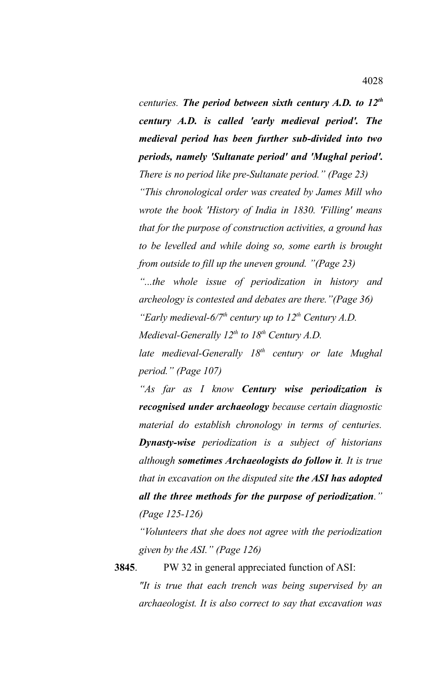*centuries. The period between sixth century A.D. to 12th century A.D. is called 'early medieval period'. The medieval period has been further sub-divided into two periods, namely 'Sultanate period' and 'Mughal period'. There is no period like pre-Sultanate period." (Page 23) "This chronological order was created by James Mill who wrote the book 'History of India in 1830. 'Filling' means that for the purpose of construction activities, a ground has to be levelled and while doing so, some earth is brought from outside to fill up the uneven ground. "(Page 23) "...the whole issue of periodization in history and archeology is contested and debates are there."(Page 36) "Early medieval-6/7th century up to 12th Century A.D. Medieval-Generally 12th to 18th Century A.D. late medieval-Generally 18th century or late Mughal period." (Page 107)*

*"As far as I know Century wise periodization is recognised under archaeology because certain diagnostic material do establish chronology in terms of centuries. Dynasty-wise periodization is a subject of historians although sometimes Archaeologists do follow it. It is true that in excavation on the disputed site the ASI has adopted all the three methods for the purpose of periodization." (Page 125-126)*

*"Volunteers that she does not agree with the periodization given by the ASI." (Page 126)*

**3845**. PW 32 in general appreciated function of ASI: *"It is true that each trench was being supervised by an archaeologist. It is also correct to say that excavation was*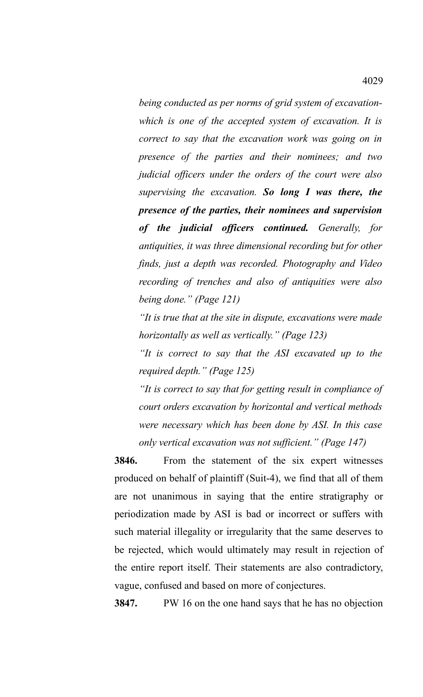*being conducted as per norms of grid system of excavationwhich is one of the accepted system of excavation. It is correct to say that the excavation work was going on in presence of the parties and their nominees; and two judicial officers under the orders of the court were also supervising the excavation. So long I was there, the presence of the parties, their nominees and supervision of the judicial officers continued. Generally, for antiquities, it was three dimensional recording but for other finds, just a depth was recorded. Photography and Video recording of trenches and also of antiquities were also being done." (Page 121)*

*"It is true that at the site in dispute, excavations were made horizontally as well as vertically." (Page 123)*

*"It is correct to say that the ASI excavated up to the required depth." (Page 125)*

*"It is correct to say that for getting result in compliance of court orders excavation by horizontal and vertical methods were necessary which has been done by ASI. In this case only vertical excavation was not sufficient." (Page 147)*

**3846.** From the statement of the six expert witnesses produced on behalf of plaintiff (Suit-4), we find that all of them are not unanimous in saying that the entire stratigraphy or periodization made by ASI is bad or incorrect or suffers with such material illegality or irregularity that the same deserves to be rejected, which would ultimately may result in rejection of the entire report itself. Their statements are also contradictory, vague, confused and based on more of conjectures.

**3847.** PW 16 on the one hand says that he has no objection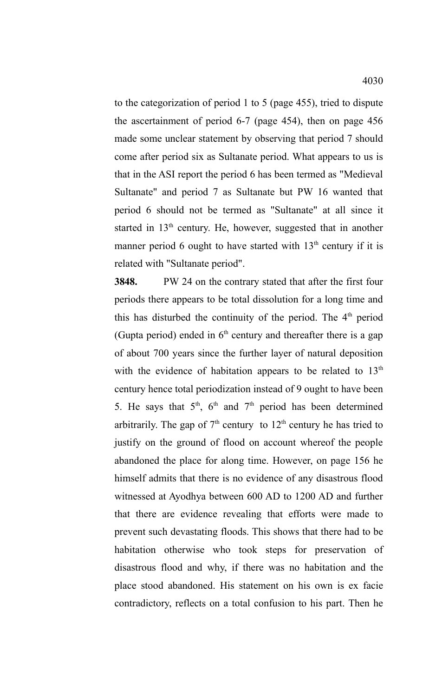to the categorization of period 1 to 5 (page 455), tried to dispute the ascertainment of period 6-7 (page 454), then on page 456 made some unclear statement by observing that period 7 should come after period six as Sultanate period. What appears to us is that in the ASI report the period 6 has been termed as "Medieval Sultanate" and period 7 as Sultanate but PW 16 wanted that period 6 should not be termed as "Sultanate" at all since it started in 13<sup>th</sup> century. He, however, suggested that in another manner period 6 ought to have started with  $13<sup>th</sup>$  century if it is related with "Sultanate period".

**3848.** PW 24 on the contrary stated that after the first four periods there appears to be total dissolution for a long time and this has disturbed the continuity of the period. The  $4<sup>th</sup>$  period (Gupta period) ended in  $6<sup>th</sup>$  century and thereafter there is a gap of about 700 years since the further layer of natural deposition with the evidence of habitation appears to be related to  $13<sup>th</sup>$ century hence total periodization instead of 9 ought to have been 5. He says that  $5<sup>th</sup>$ ,  $6<sup>th</sup>$  and  $7<sup>th</sup>$  period has been determined arbitrarily. The gap of  $7<sup>th</sup>$  century to  $12<sup>th</sup>$  century he has tried to justify on the ground of flood on account whereof the people abandoned the place for along time. However, on page 156 he himself admits that there is no evidence of any disastrous flood witnessed at Ayodhya between 600 AD to 1200 AD and further that there are evidence revealing that efforts were made to prevent such devastating floods. This shows that there had to be habitation otherwise who took steps for preservation of disastrous flood and why, if there was no habitation and the place stood abandoned. His statement on his own is ex facie contradictory, reflects on a total confusion to his part. Then he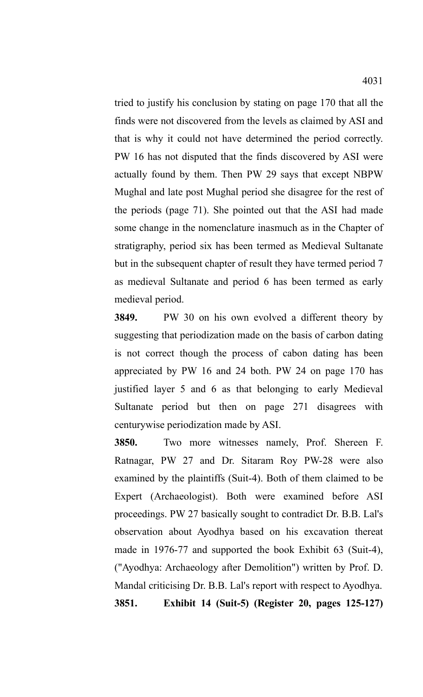tried to justify his conclusion by stating on page 170 that all the finds were not discovered from the levels as claimed by ASI and that is why it could not have determined the period correctly. PW 16 has not disputed that the finds discovered by ASI were actually found by them. Then PW 29 says that except NBPW Mughal and late post Mughal period she disagree for the rest of the periods (page 71). She pointed out that the ASI had made some change in the nomenclature inasmuch as in the Chapter of stratigraphy, period six has been termed as Medieval Sultanate but in the subsequent chapter of result they have termed period 7 as medieval Sultanate and period 6 has been termed as early medieval period.

**3849.** PW 30 on his own evolved a different theory by suggesting that periodization made on the basis of carbon dating is not correct though the process of cabon dating has been appreciated by PW 16 and 24 both. PW 24 on page 170 has justified layer 5 and 6 as that belonging to early Medieval Sultanate period but then on page 271 disagrees with centurywise periodization made by ASI.

**3850.** Two more witnesses namely, Prof. Shereen F. Ratnagar, PW 27 and Dr. Sitaram Roy PW-28 were also examined by the plaintiffs (Suit-4). Both of them claimed to be Expert (Archaeologist). Both were examined before ASI proceedings. PW 27 basically sought to contradict Dr. B.B. Lal's observation about Ayodhya based on his excavation thereat made in 1976-77 and supported the book Exhibit 63 (Suit-4), ("Ayodhya: Archaeology after Demolition") written by Prof. D. Mandal criticising Dr. B.B. Lal's report with respect to Ayodhya. **3851. Exhibit 14 (Suit-5) (Register 20, pages 125-127)**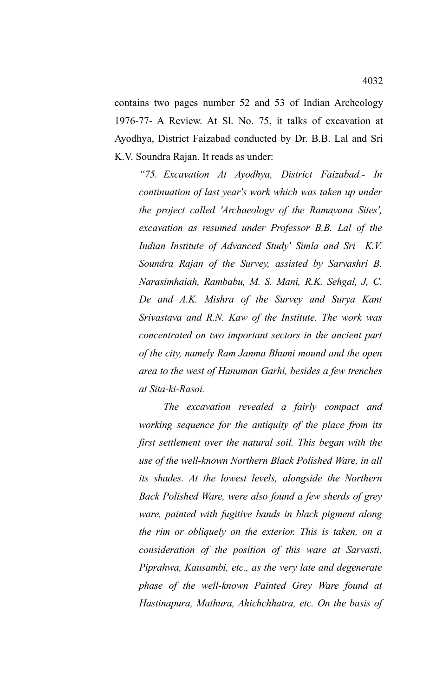contains two pages number 52 and 53 of Indian Archeology 1976-77- A Review. At Sl. No. 75, it talks of excavation at Ayodhya, District Faizabad conducted by Dr. B.B. Lal and Sri K.V. Soundra Rajan. It reads as under:

*"75. Excavation At Ayodhya, District Faizabad.- In continuation of last year's work which was taken up under the project called 'Archaeology of the Ramayana Sites', excavation as resumed under Professor B.B. Lal of the Indian Institute of Advanced Study' Simla and Sri K.V. Soundra Rajan of the Survey, assisted by Sarvashri B. Narasimhaiah, Rambabu, M. S. Mani, R.K. Sehgal, J, C. De and A.K. Mishra of the Survey and Surya Kant Srivastava and R.N. Kaw of the Institute. The work was concentrated on two important sectors in the ancient part of the city, namely Ram Janma Bhumi mound and the open area to the west of Hanuman Garhi, besides a few trenches at Sita-ki-Rasoi.*

*The excavation revealed a fairly compact and working sequence for the antiquity of the place from its first settlement over the natural soil. This began with the use of the well-known Northern Black Polished Ware, in all its shades. At the lowest levels, alongside the Northern Back Polished Ware, were also found a few sherds of grey ware, painted with fugitive bands in black pigment along the rim or obliquely on the exterior. This is taken, on a consideration of the position of this ware at Sarvasti, Piprahwa, Kausambi, etc., as the very late and degenerate phase of the well-known Painted Grey Ware found at Hastinapura, Mathura, Ahichchhatra, etc. On the basis of*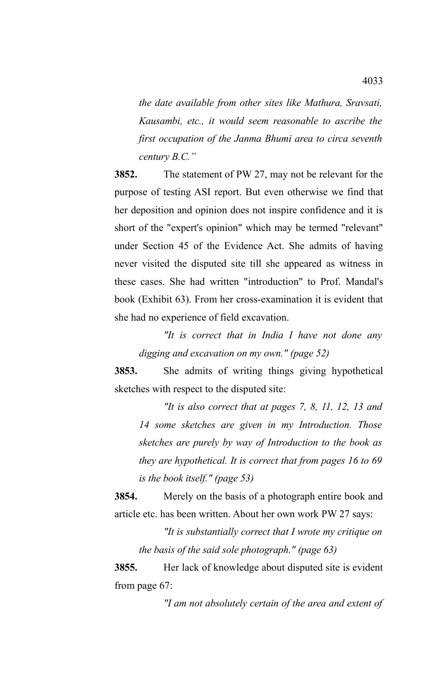*the date available from other sites like Mathura, Sravsati, Kausambi, etc., it would seem reasonable to ascribe the first occupation of the Janma Bhumi area to circa seventh century B.C."*

**3852.** The statement of PW 27, may not be relevant for the purpose of testing ASI report. But even otherwise we find that her deposition and opinion does not inspire confidence and it is short of the "expert's opinion" which may be termed "relevant" under Section 45 of the Evidence Act. She admits of having never visited the disputed site till she appeared as witness in these cases. She had written "introduction" to Prof. Mandal's book (Exhibit 63). From her cross-examination it is evident that she had no experience of field excavation.

*"It is correct that in India I have not done any digging and excavation on my own." (page 52)*

**3853.** She admits of writing things giving hypothetical sketches with respect to the disputed site:

*"It is also correct that at pages 7, 8, 11, 12, 13 and 14 some sketches are given in my Introduction. Those sketches are purely by way of Introduction to the book as they are hypothetical. It is correct that from pages 16 to 69 is the book itself." (page 53)*

**3854.** Merely on the basis of a photograph entire book and article etc. has been written. About her own work PW 27 says:

*"It is substantially correct that I wrote my critique on the basis of the said sole photograph." (page 63)*

**3855.** Her lack of knowledge about disputed site is evident from page 67:

*"I am not absolutely certain of the area and extent of*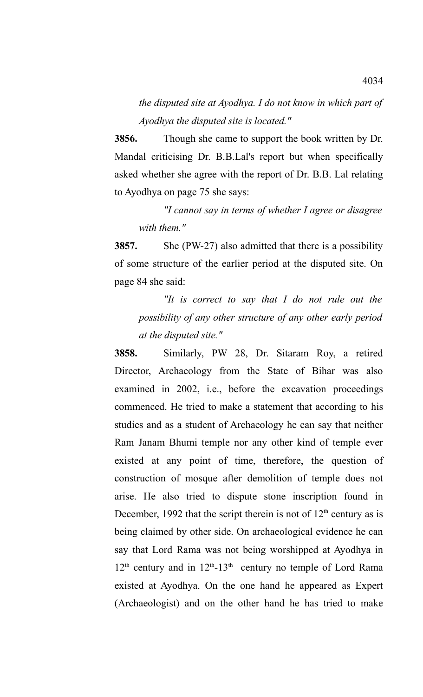*the disputed site at Ayodhya. I do not know in which part of Ayodhya the disputed site is located."* 

**3856.** Though she came to support the book written by Dr. Mandal criticising Dr. B.B.Lal's report but when specifically asked whether she agree with the report of Dr. B.B. Lal relating to Ayodhya on page 75 she says:

*"I cannot say in terms of whether I agree or disagree with them."*

**3857.** She (PW-27) also admitted that there is a possibility of some structure of the earlier period at the disputed site. On page 84 she said:

*"It is correct to say that I do not rule out the possibility of any other structure of any other early period at the disputed site."*

**3858.** Similarly, PW 28, Dr. Sitaram Roy, a retired Director, Archaeology from the State of Bihar was also examined in 2002, i.e., before the excavation proceedings commenced. He tried to make a statement that according to his studies and as a student of Archaeology he can say that neither Ram Janam Bhumi temple nor any other kind of temple ever existed at any point of time, therefore, the question of construction of mosque after demolition of temple does not arise. He also tried to dispute stone inscription found in December, 1992 that the script therein is not of  $12<sup>th</sup>$  century as is being claimed by other side. On archaeological evidence he can say that Lord Rama was not being worshipped at Ayodhya in  $12<sup>th</sup>$  century and in  $12<sup>th</sup>$ -13<sup>th</sup> century no temple of Lord Rama existed at Ayodhya. On the one hand he appeared as Expert (Archaeologist) and on the other hand he has tried to make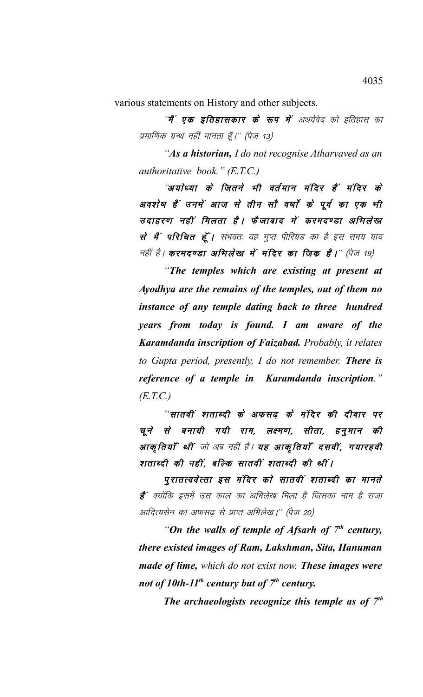various statements on History and other subjects.

''**मैं' एक इतिहासकार के रूप में** अथर्ववेद को इतिहास का प्रमाणिक ग्रन्थ नहीं मानता हूँ।'' (पेज 13)

*"As a historian, I do not recognise Atharvaved as an authoritative book." (E.T.C.)*

"अयोध्या के जितने भी वर्तमान मंदिर हैं मंदिर के अवशेष हैं उनमें आज से तीन सौ वर्षों के पूर्व का एक भी उदाहरण नहीं मिलता है। फैजाबाद में करमदण्डा अभिलेख से मैं परिचित हूँ। संभवतः यह गुप्त पीरियड का है इस समय याद नहीं है। करमदण्डा अभिलेख में मंदिर का जिक है।'' (पेज 19)

*"The temples which are existing at present at Ayodhya are the remains of the temples, out of them no instance of any temple dating back to three hundred years from today is found. I am aware of the Karamdanda inscription of Faizabad. Probably, it relates to Gupta period, presently, I do not remember. There is reference of a temple in Karamdanda inscription." (E.T.C.)*

"सातवीं शताब्दी के अफसढ़ के मंदिर की दीवार पर चूने से बनायी गयी राम, लक्ष्मण, सीता, हनूमान की आकृतियाँ थीं जो अब नहीं हैं। यह आकृतियाँ दसवीं, गयारहवी शताब्दी की नहीं, बल्कि सातवीं शताब्दी की थीं।

पुरातत्ववेत्ता इस मंदिर को सातवीं शताब्दी का मानते **है**' क्योंकि इसमें उस काल का अभिलेख मिला है जिसका नाम है राजा आदित्यसेन का अफसढ़ से प्राप्त अभिलेख।'' (पेज 20)

*"On the walls of temple of Afsarh of 7th century, there existed images of Ram, Lakshman, Sita, Hanuman made of lime, which do not exist now. These images were not of 10th-11th century but of 7th century.*

*The archaeologists recognize this temple as of 7th*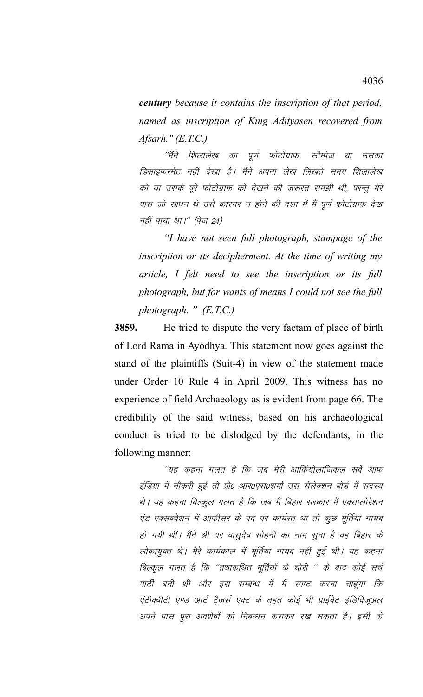*century because it contains the inscription of that period, named as inscription of King Adityasen recovered from Afsarh." (E.T.C.)*

''मैंने शिलालेख का पूर्ण फोटोग्राफ, स्टैम्पेज या उसका डिसाइफरमेंट नहीं देखा है। मैंने अपना लेख लिखते समय शिलालेख को या उसके पूरे फोटोग्राफ को देखने की जरूरत समझी थी, परन्तु मेरे पास जो साधन थे उसे कारगर न होने की दशा में मैं पूर्ण फोटोग्राफ देख नहीं पाया था।'' (पेज 24)

*"I have not seen full photograph, stampage of the inscription or its decipherment. At the time of writing my article, I felt need to see the inscription or its full photograph, but for wants of means I could not see the full photograph. " (E.T.C.)* 

**3859.** He tried to dispute the very factam of place of birth of Lord Rama in Ayodhya. This statement now goes against the stand of the plaintiffs (Suit-4) in view of the statement made under Order 10 Rule 4 in April 2009. This witness has no experience of field Archaeology as is evident from page 66. The credibility of the said witness, based on his archaeological conduct is tried to be dislodged by the defendants, in the following manner:

"यह कहना गलत है कि जब मेरी आर्कियोलाजिकल सर्वे आफ इंडिया में नौकरी हुई तो प्रो0 आर0एस0शर्मा उस सेलेक्शन बोर्ड में सदस्य थे। यह कहना बिल्कुल गलत है कि जब मैं बिहार सरकार में एक्सप्लोरेशन एंड एक्सक्वेशन में आफीसर के पद पर कार्यरत था तो कुछ मूर्तिया गायब हो गयी थीं। मैंने श्री धर वासुदेव सोहनी का नाम सुना है वह बिहार के लोकायुक्त थे। मेरे कार्यकाल में मूर्तिया गायब नहीं हुई थी। यह कहना बिल्कुल गलत है कि ''तथाकथित मूर्तियों के चोरी '' के बाद कोई सर्च पार्टी बनी थी और इस सम्बन्ध में मैं स्पष्ट करना चाहूंगा कि एंटीक्वीटी एण्ड आर्ट टैजर्स एक्ट के तहत कोई भी प्राईवेट इंडिविजुअल अपने पास पूरा अवशेषों को निबन्धन कराकर रख सकता है। इसी के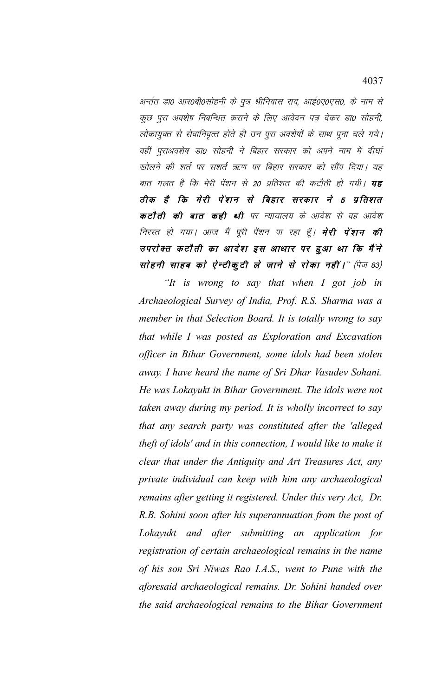अर्न्तत डा० आर०बी०सोहनी के पुत्र श्रीनिवास राव, आई०ए०एस०, के नाम से कुछ पुरा अवशेष निबन्धित कराने के लिए आवेदन पत्र देकर डा0 सोहनी, लोकायुक्त से सेवानिवृत्त्त होते ही उन पुरा अवशेषों के साथ पूना चले गये। वहीं पुराअवशेष डा0 सोहनी ने बिहार सरकार को अपने नाम में दीर्घा खोलने की शर्त पर सशर्त ऋण पर बिहार सरकार को सौंप दिया। यह बात गलत है कि मेरी पेंशन से 20 प्रतिशत की कटौती हो गयी। **यह** ठीक है कि मेरी पेंशन से बिहार सरकार ने 5 प्रतिशत कटौती की बात कही थी पर न्यायालय के आदेश से वह आदेश निरस्त हो गया। आज मैं पूरी पेंशन पा रहा हूँ। **मेरी पेंशन की** उपरोक्त कटौती का आदेश इस आधार पर हुआ था कि मैंने सोहनी साहब को ऐन्टीकुटी ले जाने से रोका नहीं।" (पेज 83)

*"It is wrong to say that when I got job in Archaeological Survey of India, Prof. R.S. Sharma was a member in that Selection Board. It is totally wrong to say that while I was posted as Exploration and Excavation officer in Bihar Government, some idols had been stolen away. I have heard the name of Sri Dhar Vasudev Sohani. He was Lokayukt in Bihar Government. The idols were not taken away during my period. It is wholly incorrect to say that any search party was constituted after the 'alleged theft of idols' and in this connection, I would like to make it clear that under the Antiquity and Art Treasures Act, any private individual can keep with him any archaeological remains after getting it registered. Under this very Act, Dr. R.B. Sohini soon after his superannuation from the post of Lokayukt and after submitting an application for registration of certain archaeological remains in the name of his son Sri Niwas Rao I.A.S., went to Pune with the aforesaid archaeological remains. Dr. Sohini handed over the said archaeological remains to the Bihar Government*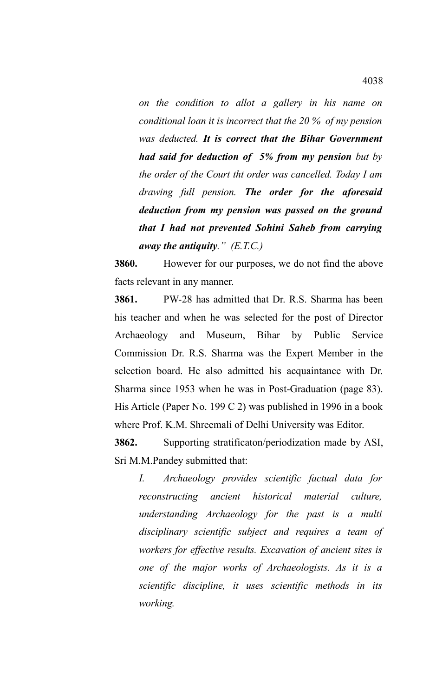*on the condition to allot a gallery in his name on conditional loan it is incorrect that the 20 % of my pension was deducted. It is correct that the Bihar Government had said for deduction of 5% from my pension but by the order of the Court tht order was cancelled. Today I am drawing full pension. The order for the aforesaid deduction from my pension was passed on the ground that I had not prevented Sohini Saheb from carrying away the antiquity." (E.T.C.)* 

**3860.** However for our purposes, we do not find the above facts relevant in any manner.

**3861.** PW-28 has admitted that Dr. R.S. Sharma has been his teacher and when he was selected for the post of Director Archaeology and Museum, Bihar by Public Service Commission Dr. R.S. Sharma was the Expert Member in the selection board. He also admitted his acquaintance with Dr. Sharma since 1953 when he was in Post-Graduation (page 83). His Article (Paper No. 199 C 2) was published in 1996 in a book where Prof. K.M. Shreemali of Delhi University was Editor.

**3862.** Supporting stratificaton/periodization made by ASI, Sri M.M.Pandey submitted that:

*I. Archaeology provides scientific factual data for reconstructing ancient historical material culture, understanding Archaeology for the past is a multi disciplinary scientific subject and requires a team of workers for effective results. Excavation of ancient sites is one of the major works of Archaeologists. As it is a scientific discipline, it uses scientific methods in its working.*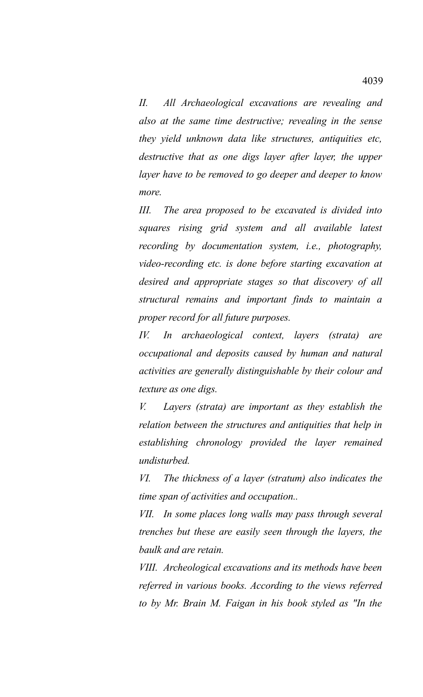*II. All Archaeological excavations are revealing and also at the same time destructive; revealing in the sense they yield unknown data like structures, antiquities etc, destructive that as one digs layer after layer, the upper layer have to be removed to go deeper and deeper to know more.*

*III. The area proposed to be excavated is divided into squares rising grid system and all available latest recording by documentation system, i.e., photography, video-recording etc. is done before starting excavation at desired and appropriate stages so that discovery of all structural remains and important finds to maintain a proper record for all future purposes.*

*IV. In archaeological context, layers (strata) are occupational and deposits caused by human and natural activities are generally distinguishable by their colour and texture as one digs.*

*V. Layers (strata) are important as they establish the relation between the structures and antiquities that help in establishing chronology provided the layer remained undisturbed.* 

*VI. The thickness of a layer (stratum) also indicates the time span of activities and occupation..*

*VII. In some places long walls may pass through several trenches but these are easily seen through the layers, the baulk and are retain.*

*VIII. Archeological excavations and its methods have been referred in various books. According to the views referred to by Mr. Brain M. Faigan in his book styled as "In the*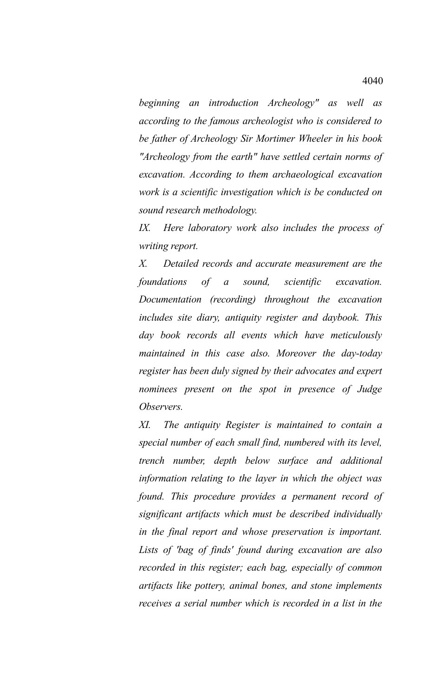*beginning an introduction Archeology" as well as according to the famous archeologist who is considered to be father of Archeology Sir Mortimer Wheeler in his book "Archeology from the earth" have settled certain norms of excavation. According to them archaeological excavation work is a scientific investigation which is be conducted on sound research methodology.* 

*IX. Here laboratory work also includes the process of writing report.*

*X. Detailed records and accurate measurement are the foundations of a sound, scientific excavation. Documentation (recording) throughout the excavation includes site diary, antiquity register and daybook. This day book records all events which have meticulously maintained in this case also. Moreover the day-today register has been duly signed by their advocates and expert nominees present on the spot in presence of Judge Observers.*

*XI. The antiquity Register is maintained to contain a special number of each small find, numbered with its level, trench number, depth below surface and additional information relating to the layer in which the object was found. This procedure provides a permanent record of significant artifacts which must be described individually in the final report and whose preservation is important. Lists of 'bag of finds' found during excavation are also recorded in this register; each bag, especially of common artifacts like pottery, animal bones, and stone implements receives a serial number which is recorded in a list in the*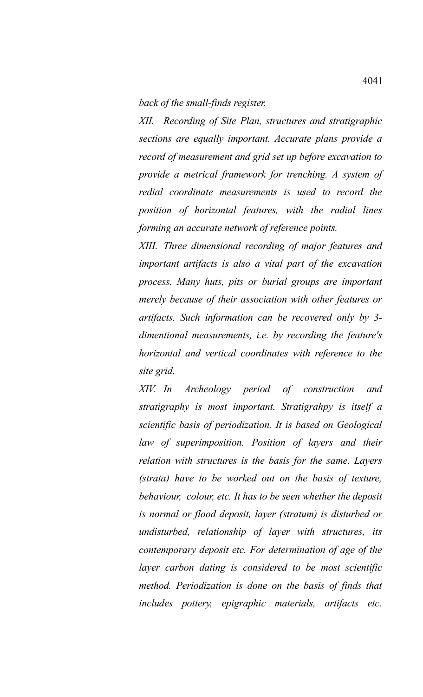*back of the small-finds register.*

*XII. Recording of Site Plan, structures and stratigraphic sections are equally important. Accurate plans provide a record of measurement and grid set up before excavation to provide a metrical framework for trenching. A system of redial coordinate measurements is used to record the position of horizontal features, with the radial lines forming an accurate network of reference points.*

*XIII. Three dimensional recording of major features and important artifacts is also a vital part of the excavation process. Many huts, pits or burial groups are important merely because of their association with other features or artifacts. Such information can be recovered only by 3 dimentional measurements, i.e. by recording the feature's horizontal and vertical coordinates with reference to the site grid.*

*XIV. In Archeology period of construction and stratigraphy is most important. Stratigrahpy is itself a scientific basis of periodization. It is based on Geological law of superimposition. Position of layers and their relation with structures is the basis for the same. Layers (strata) have to be worked out on the basis of texture, behaviour, colour, etc. It has to be seen whether the deposit is normal or flood deposit, layer (stratum) is disturbed or undisturbed, relationship of layer with structures, its contemporary deposit etc. For determination of age of the layer carbon dating is considered to be most scientific method. Periodization is done on the basis of finds that includes pottery, epigraphic materials, artifacts etc.*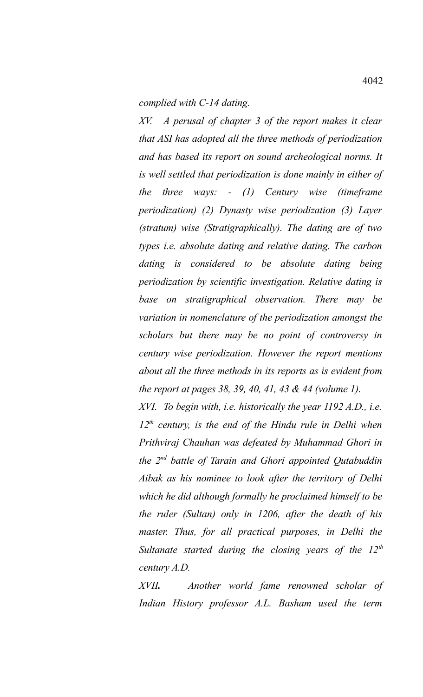*complied with C-14 dating.*

*XV. A perusal of chapter 3 of the report makes it clear that ASI has adopted all the three methods of periodization and has based its report on sound archeological norms. It is well settled that periodization is done mainly in either of the three ways: - (1) Century wise (timeframe periodization) (2) Dynasty wise periodization (3) Layer (stratum) wise (Stratigraphically). The dating are of two types i.e. absolute dating and relative dating. The carbon dating is considered to be absolute dating being periodization by scientific investigation. Relative dating is base on stratigraphical observation. There may be variation in nomenclature of the periodization amongst the scholars but there may be no point of controversy in century wise periodization. However the report mentions about all the three methods in its reports as is evident from the report at pages 38, 39, 40, 41, 43 & 44 (volume 1).*

*XVI. To begin with, i.e. historically the year 1192 A.D., i.e. 12th century, is the end of the Hindu rule in Delhi when Prithviraj Chauhan was defeated by Muhammad Ghori in the 2nd battle of Tarain and Ghori appointed Qutabuddin Aibak as his nominee to look after the territory of Delhi which he did although formally he proclaimed himself to be the ruler (Sultan) only in 1206, after the death of his master. Thus, for all practical purposes, in Delhi the Sultanate started during the closing years of the 12th century A.D.*

*XVII. Another world fame renowned scholar of Indian History professor A.L. Basham used the term*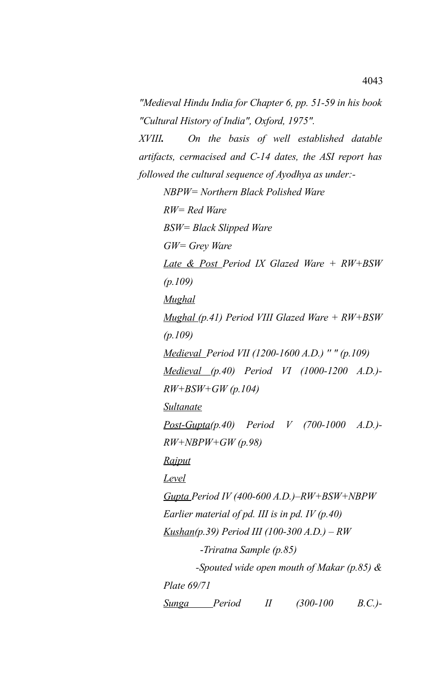*"Medieval Hindu India for Chapter 6, pp. 51-59 in his book "Cultural History of India", Oxford, 1975". XVIII. On the basis of well established datable artifacts, cermacised and C-14 dates, the ASI report has followed the cultural sequence of Ayodhya as under:- NBPW= Northern Black Polished Ware RW= Red Ware BSW= Black Slipped Ware GW= Grey Ware Late & Post Period IX Glazed Ware + RW+BSW (p.109) Mughal Mughal (p.41) Period VIII Glazed Ware + RW+BSW (p.109) Medieval Period VII (1200-1600 A.D.) '' " (p.109) Medieval (p.40) Period VI (1000-1200 A.D.)- RW+BSW+GW (p.104) Sultanate Post-Gupta(p.40) Period V (700-1000 A.D.)- RW+NBPW+GW (p.98) Rajput Level Gupta Period IV (400-600 A.D.)–RW+BSW+NBPW Earlier material of pd. III is in pd. IV (p.40) Kushan(p.39) Period III (100-300 A.D.) – RW* -*Triratna Sample (p.85) -Spouted wide open mouth of Makar (p.85) & Plate 69/71 Sunga Period II (300-100 B.C.)-*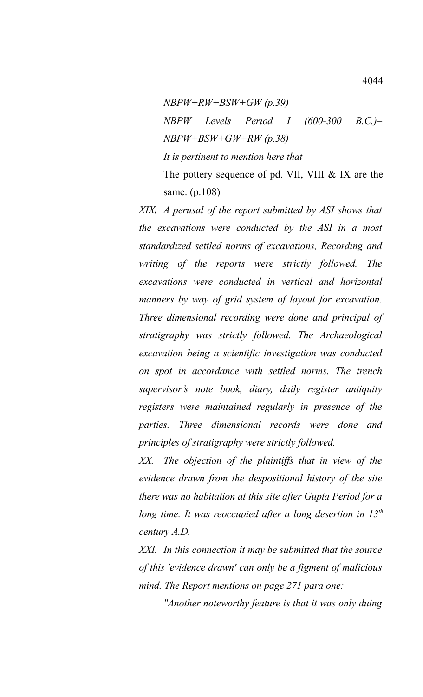*NBPW+RW+BSW+GW (p.39) NBPW Levels Period I (600-300 B.C.)– NBPW+BSW+GW+RW (p.38) It is pertinent to mention here that*  The pottery sequence of pd. VII, VIII & IX are the same. (p.108)

*XIX. A perusal of the report submitted by ASI shows that the excavations were conducted by the ASI in a most standardized settled norms of excavations, Recording and writing of the reports were strictly followed. The excavations were conducted in vertical and horizontal manners by way of grid system of layout for excavation. Three dimensional recording were done and principal of stratigraphy was strictly followed. The Archaeological excavation being a scientific investigation was conducted on spot in accordance with settled norms. The trench supervisor's note book, diary, daily register antiquity registers were maintained regularly in presence of the parties. Three dimensional records were done and principles of stratigraphy were strictly followed.*

*XX. The objection of the plaintiffs that in view of the evidence drawn from the despositional history of the site there was no habitation at this site after Gupta Period for a long time. It was reoccupied after a long desertion in 13th century A.D.*

*XXI. In this connection it may be submitted that the source of this 'evidence drawn' can only be a figment of malicious mind. The Report mentions on page 271 para one:*

*"Another noteworthy feature is that it was only duing*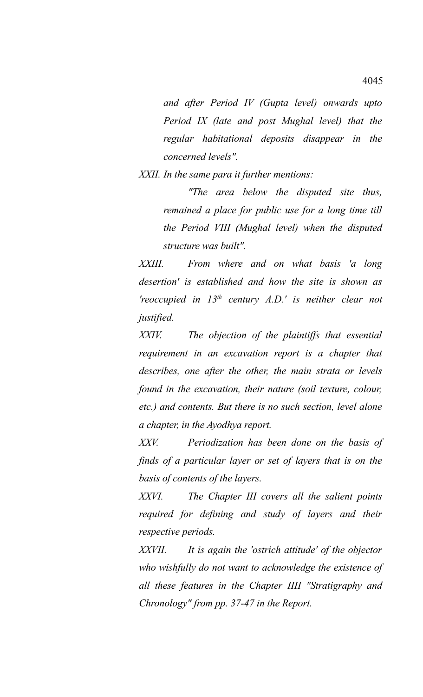*and after Period IV (Gupta level) onwards upto Period IX (late and post Mughal level) that the regular habitational deposits disappear in the concerned levels".*

*XXII. In the same para it further mentions:*

*"The area below the disputed site thus, remained a place for public use for a long time till the Period VIII (Mughal level) when the disputed structure was built".*

*XXIII. From where and on what basis 'a long desertion' is established and how the site is shown as 'reoccupied in 13th century A.D.' is neither clear not justified.*

*XXIV. The objection of the plaintiffs that essential requirement in an excavation report is a chapter that describes, one after the other, the main strata or levels found in the excavation, their nature (soil texture, colour, etc.) and contents. But there is no such section, level alone a chapter, in the Ayodhya report.*

*XXV. Periodization has been done on the basis of finds of a particular layer or set of layers that is on the basis of contents of the layers.*

*XXVI. The Chapter III covers all the salient points required for defining and study of layers and their respective periods.*

*XXVII. It is again the 'ostrich attitude' of the objector who wishfully do not want to acknowledge the existence of all these features in the Chapter IIII "Stratigraphy and Chronology" from pp. 37-47 in the Report.*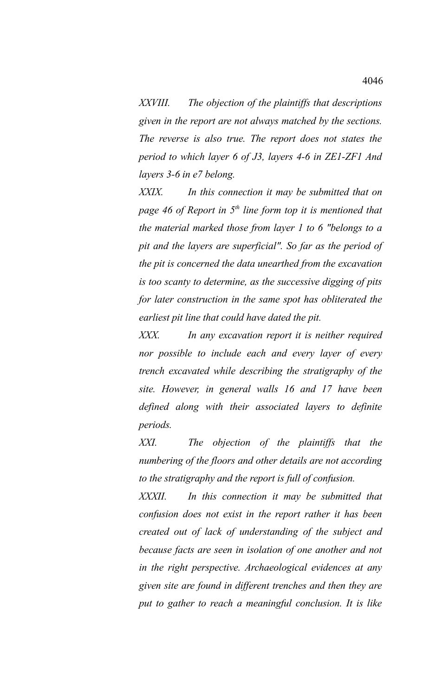*XXVIII. The objection of the plaintiffs that descriptions given in the report are not always matched by the sections. The reverse is also true. The report does not states the period to which layer 6 of J3, layers 4-6 in ZE1-ZF1 And layers 3-6 in e7 belong.*

*XXIX. In this connection it may be submitted that on page 46 of Report in 5th line form top it is mentioned that the material marked those from layer 1 to 6 "belongs to a pit and the layers are superficial". So far as the period of the pit is concerned the data unearthed from the excavation is too scanty to determine, as the successive digging of pits for later construction in the same spot has obliterated the earliest pit line that could have dated the pit.*

*XXX. In any excavation report it is neither required nor possible to include each and every layer of every trench excavated while describing the stratigraphy of the site. However, in general walls 16 and 17 have been defined along with their associated layers to definite periods.* 

*XXI. The objection of the plaintiffs that the numbering of the floors and other details are not according to the stratigraphy and the report is full of confusion.*

*XXXII. In this connection it may be submitted that confusion does not exist in the report rather it has been created out of lack of understanding of the subject and because facts are seen in isolation of one another and not in the right perspective. Archaeological evidences at any given site are found in different trenches and then they are put to gather to reach a meaningful conclusion. It is like*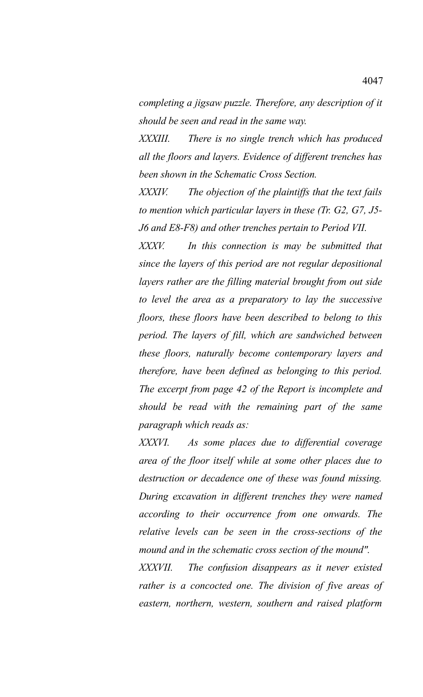*completing a jigsaw puzzle. Therefore, any description of it should be seen and read in the same way.*

*XXXIII. There is no single trench which has produced all the floors and layers. Evidence of different trenches has been shown in the Schematic Cross Section.*

*XXXIV. The objection of the plaintiffs that the text fails to mention which particular layers in these (Tr. G2, G7, J5- J6 and E8-F8) and other trenches pertain to Period VII.*

*XXXV. In this connection is may be submitted that since the layers of this period are not regular depositional layers rather are the filling material brought from out side to level the area as a preparatory to lay the successive floors, these floors have been described to belong to this period. The layers of fill, which are sandwiched between these floors, naturally become contemporary layers and therefore, have been defined as belonging to this period. The excerpt from page 42 of the Report is incomplete and should be read with the remaining part of the same paragraph which reads as:*

*XXXVI. As some places due to differential coverage area of the floor itself while at some other places due to destruction or decadence one of these was found missing. During excavation in different trenches they were named according to their occurrence from one onwards. The relative levels can be seen in the cross-sections of the mound and in the schematic cross section of the mound".*

*XXXVII. The confusion disappears as it never existed rather is a concocted one. The division of five areas of eastern, northern, western, southern and raised platform*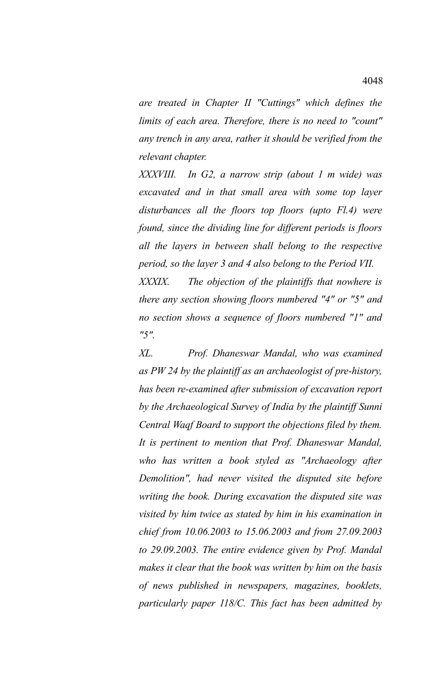*are treated in Chapter II "Cuttings" which defines the limits of each area. Therefore, there is no need to "count" any trench in any area, rather it should be verified from the relevant chapter.*

*XXXVIII. In G2, a narrow strip (about 1 m wide) was excavated and in that small area with some top layer disturbances all the floors top floors (upto Fl.4) were found, since the dividing line for different periods is floors all the layers in between shall belong to the respective period, so the layer 3 and 4 also belong to the Period VII.*

*XXXIX. The objection of the plaintiffs that nowhere is there any section showing floors numbered "4" or "5" and no section shows a sequence of floors numbered "1" and "5".*

*XL. Prof. Dhaneswar Mandal, who was examined as PW 24 by the plaintiff as an archaeologist of pre-history, has been re-examined after submission of excavation report by the Archaeological Survey of India by the plaintiff Sunni Central Waqf Board to support the objections filed by them. It is pertinent to mention that Prof. Dhaneswar Mandal, who has written a book styled as "Archaeology after Demolition", had never visited the disputed site before writing the book. During excavation the disputed site was visited by him twice as stated by him in his examination in chief from 10.06.2003 to 15.06.2003 and from 27.09.2003 to 29.09.2003. The entire evidence given by Prof. Mandal makes it clear that the book was written by him on the basis of news published in newspapers, magazines, booklets, particularly paper 118/C. This fact has been admitted by*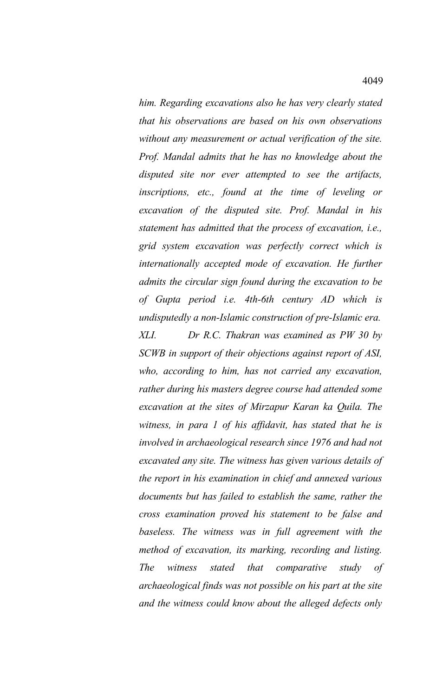*him. Regarding excavations also he has very clearly stated that his observations are based on his own observations without any measurement or actual verification of the site. Prof. Mandal admits that he has no knowledge about the disputed site nor ever attempted to see the artifacts, inscriptions, etc., found at the time of leveling or excavation of the disputed site. Prof. Mandal in his statement has admitted that the process of excavation, i.e., grid system excavation was perfectly correct which is internationally accepted mode of excavation. He further admits the circular sign found during the excavation to be of Gupta period i.e. 4th-6th century AD which is undisputedly a non-Islamic construction of pre-Islamic era. XLI. Dr R.C. Thakran was examined as PW 30 by SCWB in support of their objections against report of ASI, who, according to him, has not carried any excavation, rather during his masters degree course had attended some excavation at the sites of Mirzapur Karan ka Quila. The witness, in para 1 of his affidavit, has stated that he is involved in archaeological research since 1976 and had not excavated any site. The witness has given various details of the report in his examination in chief and annexed various documents but has failed to establish the same, rather the cross examination proved his statement to be false and baseless. The witness was in full agreement with the method of excavation, its marking, recording and listing. The witness stated that comparative study of archaeological finds was not possible on his part at the site and the witness could know about the alleged defects only*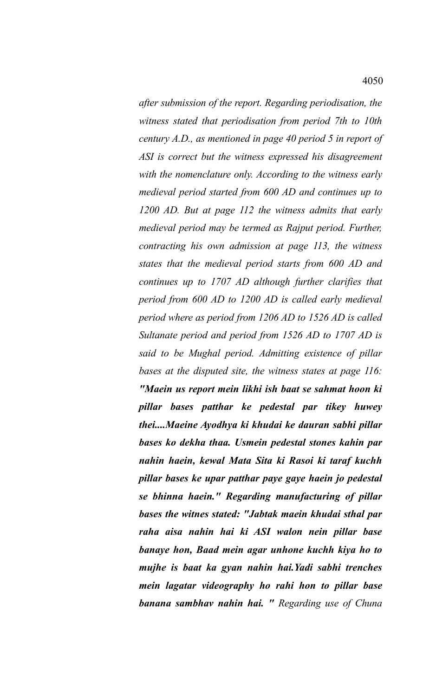*after submission of the report. Regarding periodisation, the witness stated that periodisation from period 7th to 10th century A.D., as mentioned in page 40 period 5 in report of ASI is correct but the witness expressed his disagreement with the nomenclature only. According to the witness early medieval period started from 600 AD and continues up to 1200 AD. But at page 112 the witness admits that early medieval period may be termed as Rajput period. Further, contracting his own admission at page 113, the witness states that the medieval period starts from 600 AD and continues up to 1707 AD although further clarifies that period from 600 AD to 1200 AD is called early medieval period where as period from 1206 AD to 1526 AD is called Sultanate period and period from 1526 AD to 1707 AD is said to be Mughal period. Admitting existence of pillar bases at the disputed site, the witness states at page 116: "Maein us report mein likhi ish baat se sahmat hoon ki pillar bases patthar ke pedestal par tikey huwey thei....Maeine Ayodhya ki khudai ke dauran sabhi pillar bases ko dekha thaa. Usmein pedestal stones kahin par nahin haein, kewal Mata Sita ki Rasoi ki taraf kuchh pillar bases ke upar patthar paye gaye haein jo pedestal se bhinna haein." Regarding manufacturing of pillar bases the witnes stated: "Jabtak maein khudai sthal par raha aisa nahin hai ki ASI walon nein pillar base banaye hon, Baad mein agar unhone kuchh kiya ho to mujhe is baat ka gyan nahin hai.Yadi sabhi trenches mein lagatar videography ho rahi hon to pillar base banana sambhav nahin hai. " Regarding use of Chuna*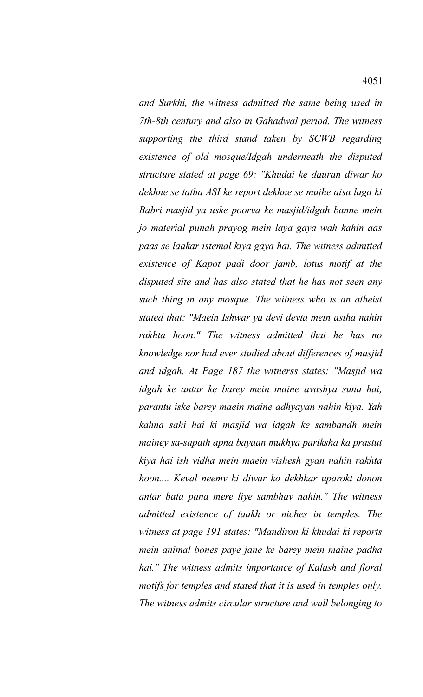*and Surkhi, the witness admitted the same being used in 7th-8th century and also in Gahadwal period. The witness supporting the third stand taken by SCWB regarding existence of old mosque/Idgah underneath the disputed structure stated at page 69: "Khudai ke dauran diwar ko dekhne se tatha ASI ke report dekhne se mujhe aisa laga ki Babri masjid ya uske poorva ke masjid/idgah banne mein jo material punah prayog mein laya gaya wah kahin aas paas se laakar istemal kiya gaya hai. The witness admitted existence of Kapot padi door jamb, lotus motif at the disputed site and has also stated that he has not seen any such thing in any mosque. The witness who is an atheist stated that: "Maein Ishwar ya devi devta mein astha nahin rakhta hoon." The witness admitted that he has no knowledge nor had ever studied about differences of masjid and idgah. At Page 187 the witnerss states: "Masjid wa idgah ke antar ke barey mein maine avashya suna hai, parantu iske barey maein maine adhyayan nahin kiya. Yah kahna sahi hai ki masjid wa idgah ke sambandh mein mainey sa-sapath apna bayaan mukhya pariksha ka prastut kiya hai ish vidha mein maein vishesh gyan nahin rakhta hoon.... Keval neemv ki diwar ko dekhkar uparokt donon antar bata pana mere liye sambhav nahin." The witness admitted existence of taakh or niches in temples. The witness at page 191 states: "Mandiron ki khudai ki reports mein animal bones paye jane ke barey mein maine padha hai." The witness admits importance of Kalash and floral motifs for temples and stated that it is used in temples only. The witness admits circular structure and wall belonging to*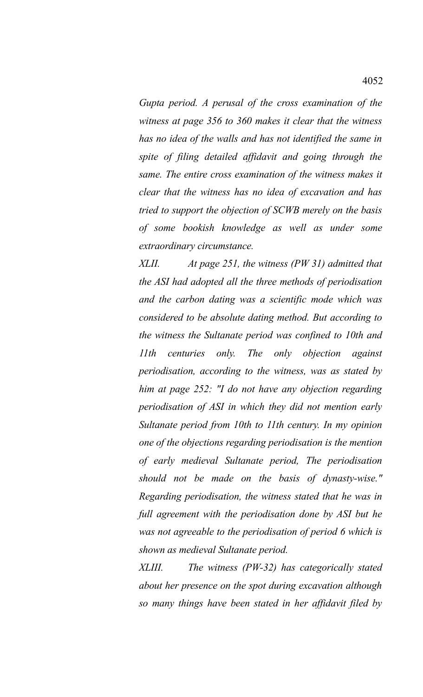*Gupta period. A perusal of the cross examination of the witness at page 356 to 360 makes it clear that the witness has no idea of the walls and has not identified the same in spite of filing detailed affidavit and going through the same. The entire cross examination of the witness makes it clear that the witness has no idea of excavation and has tried to support the objection of SCWB merely on the basis of some bookish knowledge as well as under some extraordinary circumstance.*

*XLII. At page 251, the witness (PW 31) admitted that the ASI had adopted all the three methods of periodisation and the carbon dating was a scientific mode which was considered to be absolute dating method. But according to the witness the Sultanate period was confined to 10th and 11th centuries only. The only objection against periodisation, according to the witness, was as stated by him at page 252: "I do not have any objection regarding periodisation of ASI in which they did not mention early Sultanate period from 10th to 11th century. In my opinion one of the objections regarding periodisation is the mention of early medieval Sultanate period, The periodisation should not be made on the basis of dynasty-wise." Regarding periodisation, the witness stated that he was in full agreement with the periodisation done by ASI but he was not agreeable to the periodisation of period 6 which is shown as medieval Sultanate period.*

*XLIII. The witness (PW-32) has categorically stated about her presence on the spot during excavation although so many things have been stated in her affidavit filed by*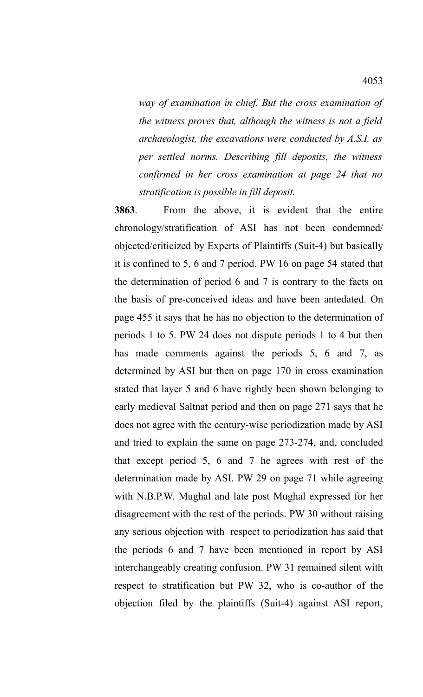*way of examination in chief. But the cross examination of the witness proves that, although the witness is not a field archaeologist, the excavations were conducted by A.S.I. as per settled norms. Describing fill deposits, the witness confirmed in her cross examination at page 24 that no stratification is possible in fill deposit.*

**3863**. From the above, it is evident that the entire chronology/stratification of ASI has not been condemned/ objected/criticized by Experts of Plaintiffs (Suit-4) but basically it is confined to 5, 6 and 7 period. PW 16 on page 54 stated that the determination of period 6 and 7 is contrary to the facts on the basis of pre-conceived ideas and have been antedated. On page 455 it says that he has no objection to the determination of periods 1 to 5. PW 24 does not dispute periods 1 to 4 but then has made comments against the periods 5, 6 and 7, as determined by ASI but then on page 170 in cross examination stated that layer 5 and 6 have rightly been shown belonging to early medieval Saltnat period and then on page 271 says that he does not agree with the century-wise periodization made by ASI and tried to explain the same on page 273-274, and, concluded that except period 5, 6 and 7 he agrees with rest of the determination made by ASI. PW 29 on page 71 while agreeing with N.B.P.W. Mughal and late post Mughal expressed for her disagreement with the rest of the periods. PW 30 without raising any serious objection with respect to periodization has said that the periods 6 and 7 have been mentioned in report by ASI interchangeably creating confusion. PW 31 remained silent with respect to stratification but PW 32, who is co-author of the objection filed by the plaintiffs (Suit-4) against ASI report,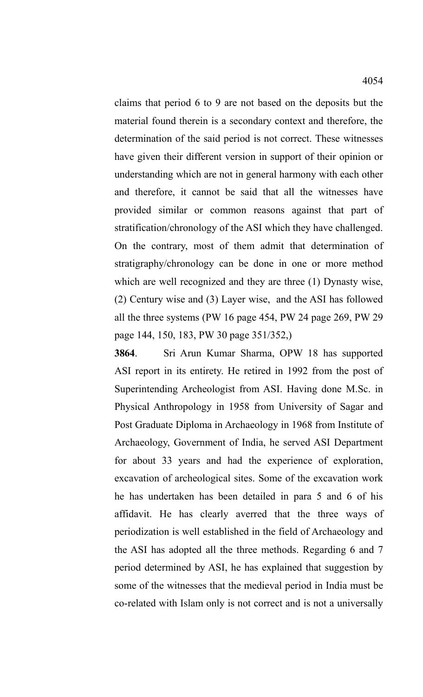claims that period 6 to 9 are not based on the deposits but the material found therein is a secondary context and therefore, the determination of the said period is not correct. These witnesses have given their different version in support of their opinion or understanding which are not in general harmony with each other and therefore, it cannot be said that all the witnesses have provided similar or common reasons against that part of stratification/chronology of the ASI which they have challenged. On the contrary, most of them admit that determination of stratigraphy/chronology can be done in one or more method which are well recognized and they are three (1) Dynasty wise, (2) Century wise and (3) Layer wise, and the ASI has followed all the three systems (PW 16 page 454, PW 24 page 269, PW 29 page 144, 150, 183, PW 30 page 351/352,)

**3864**. Sri Arun Kumar Sharma, OPW 18 has supported ASI report in its entirety. He retired in 1992 from the post of Superintending Archeologist from ASI. Having done M.Sc. in Physical Anthropology in 1958 from University of Sagar and Post Graduate Diploma in Archaeology in 1968 from Institute of Archaeology, Government of India, he served ASI Department for about 33 years and had the experience of exploration, excavation of archeological sites. Some of the excavation work he has undertaken has been detailed in para 5 and 6 of his affidavit. He has clearly averred that the three ways of periodization is well established in the field of Archaeology and the ASI has adopted all the three methods. Regarding 6 and 7 period determined by ASI, he has explained that suggestion by some of the witnesses that the medieval period in India must be co-related with Islam only is not correct and is not a universally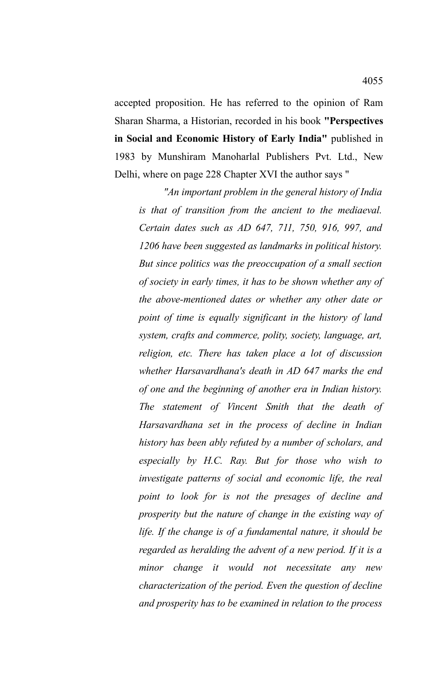accepted proposition. He has referred to the opinion of Ram Sharan Sharma, a Historian, recorded in his book **"Perspectives in Social and Economic History of Early India"** published in 1983 by Munshiram Manoharlal Publishers Pvt. Ltd., New Delhi, where on page 228 Chapter XVI the author says "

*"An important problem in the general history of India is that of transition from the ancient to the mediaeval. Certain dates such as AD 647, 711, 750, 916, 997, and 1206 have been suggested as landmarks in political history. But since politics was the preoccupation of a small section of society in early times, it has to be shown whether any of the above-mentioned dates or whether any other date or point of time is equally significant in the history of land system, crafts and commerce, polity, society, language, art, religion, etc. There has taken place a lot of discussion whether Harsavardhana's death in AD 647 marks the end of one and the beginning of another era in Indian history. The statement of Vincent Smith that the death of Harsavardhana set in the process of decline in Indian history has been ably refuted by a number of scholars, and especially by H.C. Ray. But for those who wish to investigate patterns of social and economic life, the real point to look for is not the presages of decline and prosperity but the nature of change in the existing way of life. If the change is of a fundamental nature, it should be regarded as heralding the advent of a new period. If it is a minor change it would not necessitate any new characterization of the period. Even the question of decline and prosperity has to be examined in relation to the process*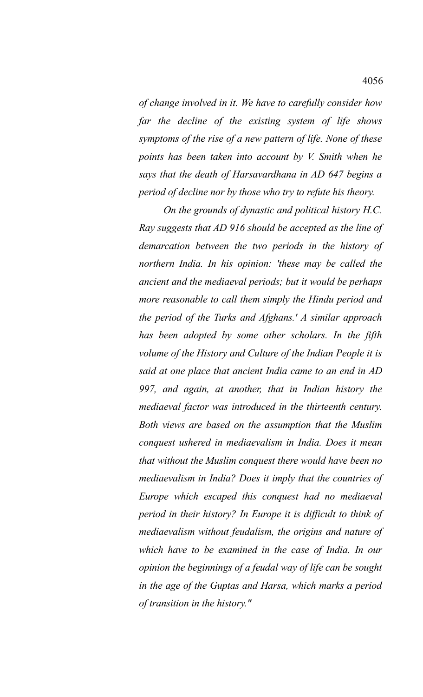*of change involved in it. We have to carefully consider how far the decline of the existing system of life shows symptoms of the rise of a new pattern of life. None of these points has been taken into account by V. Smith when he says that the death of Harsavardhana in AD 647 begins a period of decline nor by those who try to refute his theory.*

*On the grounds of dynastic and political history H.C. Ray suggests that AD 916 should be accepted as the line of demarcation between the two periods in the history of northern India. In his opinion: 'these may be called the ancient and the mediaeval periods; but it would be perhaps more reasonable to call them simply the Hindu period and the period of the Turks and Afghans.' A similar approach has been adopted by some other scholars. In the fifth volume of the History and Culture of the Indian People it is said at one place that ancient India came to an end in AD 997, and again, at another, that in Indian history the mediaeval factor was introduced in the thirteenth century. Both views are based on the assumption that the Muslim conquest ushered in mediaevalism in India. Does it mean that without the Muslim conquest there would have been no mediaevalism in India? Does it imply that the countries of Europe which escaped this conquest had no mediaeval period in their history? In Europe it is difficult to think of mediaevalism without feudalism, the origins and nature of which have to be examined in the case of India. In our opinion the beginnings of a feudal way of life can be sought in the age of the Guptas and Harsa, which marks a period of transition in the history."*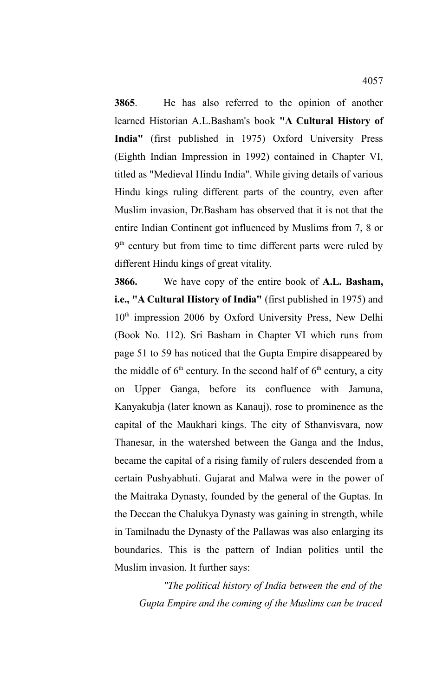**3865**. He has also referred to the opinion of another learned Historian A.L.Basham's book **"A Cultural History of India"** (first published in 1975) Oxford University Press (Eighth Indian Impression in 1992) contained in Chapter VI, titled as "Medieval Hindu India". While giving details of various Hindu kings ruling different parts of the country, even after Muslim invasion, Dr.Basham has observed that it is not that the entire Indian Continent got influenced by Muslims from 7, 8 or 9<sup>th</sup> century but from time to time different parts were ruled by different Hindu kings of great vitality.

**3866.** We have copy of the entire book of **A.L. Basham, i.e., "A Cultural History of India"** (first published in 1975) and  $10<sup>th</sup>$  impression 2006 by Oxford University Press, New Delhi (Book No. 112). Sri Basham in Chapter VI which runs from page 51 to 59 has noticed that the Gupta Empire disappeared by the middle of  $6<sup>th</sup>$  century. In the second half of  $6<sup>th</sup>$  century, a city on Upper Ganga, before its confluence with Jamuna, Kanyakubja (later known as Kanauj), rose to prominence as the capital of the Maukhari kings. The city of Sthanvisvara, now Thanesar, in the watershed between the Ganga and the Indus, became the capital of a rising family of rulers descended from a certain Pushyabhuti. Gujarat and Malwa were in the power of the Maitraka Dynasty, founded by the general of the Guptas. In the Deccan the Chalukya Dynasty was gaining in strength, while in Tamilnadu the Dynasty of the Pallawas was also enlarging its boundaries. This is the pattern of Indian politics until the Muslim invasion. It further says:

*"The political history of India between the end of the Gupta Empire and the coming of the Muslims can be traced*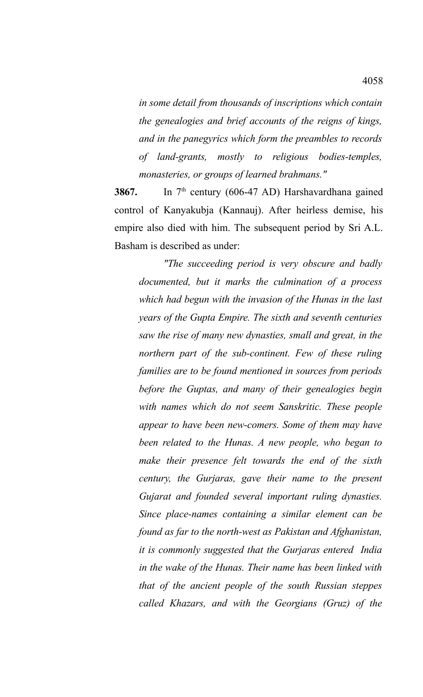*in some detail from thousands of inscriptions which contain the genealogies and brief accounts of the reigns of kings, and in the panegyrics which form the preambles to records of land-grants, mostly to religious bodies-temples, monasteries, or groups of learned brahmans."*

**3867.** In 7<sup>th</sup> century (606-47 AD) Harshavardhana gained control of Kanyakubja (Kannauj). After heirless demise, his empire also died with him. The subsequent period by Sri A.L. Basham is described as under:

*"The succeeding period is very obscure and badly documented, but it marks the culmination of a process which had begun with the invasion of the Hunas in the last years of the Gupta Empire. The sixth and seventh centuries saw the rise of many new dynasties, small and great, in the northern part of the sub-continent. Few of these ruling families are to be found mentioned in sources from periods before the Guptas, and many of their genealogies begin with names which do not seem Sanskritic. These people appear to have been new-comers. Some of them may have been related to the Hunas. A new people, who began to make their presence felt towards the end of the sixth century, the Gurjaras, gave their name to the present Gujarat and founded several important ruling dynasties. Since place-names containing a similar element can be found as far to the north-west as Pakistan and Afghanistan, it is commonly suggested that the Gurjaras entered India in the wake of the Hunas. Their name has been linked with that of the ancient people of the south Russian steppes called Khazars, and with the Georgians (Gruz) of the*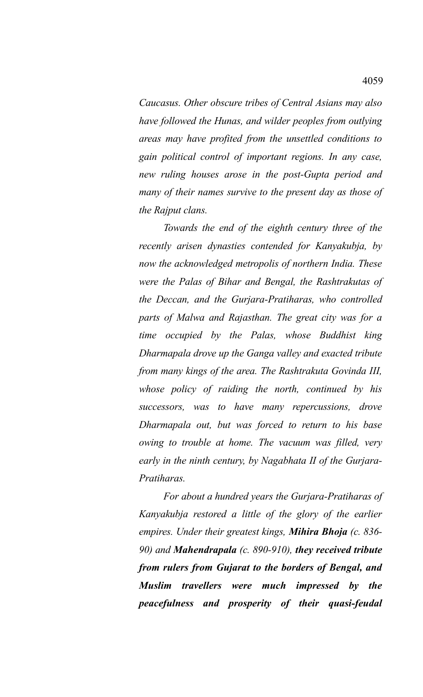*Caucasus. Other obscure tribes of Central Asians may also have followed the Hunas, and wilder peoples from outlying areas may have profited from the unsettled conditions to gain political control of important regions. In any case, new ruling houses arose in the post-Gupta period and many of their names survive to the present day as those of the Rajput clans.*

*Towards the end of the eighth century three of the recently arisen dynasties contended for Kanyakubja, by now the acknowledged metropolis of northern India. These were the Palas of Bihar and Bengal, the Rashtrakutas of the Deccan, and the Gurjara-Pratiharas, who controlled parts of Malwa and Rajasthan. The great city was for a time occupied by the Palas, whose Buddhist king Dharmapala drove up the Ganga valley and exacted tribute from many kings of the area. The Rashtrakuta Govinda III, whose policy of raiding the north, continued by his successors, was to have many repercussions, drove Dharmapala out, but was forced to return to his base owing to trouble at home. The vacuum was filled, very early in the ninth century, by Nagabhata II of the Gurjara-Pratiharas.*

*For about a hundred years the Gurjara-Pratiharas of Kanyakubja restored a little of the glory of the earlier empires. Under their greatest kings, Mihira Bhoja (c. 836- 90) and Mahendrapala (c. 890-910), they received tribute from rulers from Gujarat to the borders of Bengal, and Muslim travellers were much impressed by the peacefulness and prosperity of their quasi-feudal*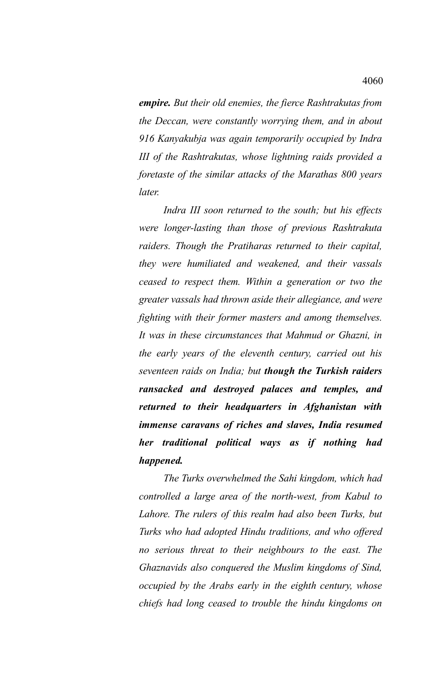*empire. But their old enemies, the fierce Rashtrakutas from the Deccan, were constantly worrying them, and in about 916 Kanyakubja was again temporarily occupied by Indra III of the Rashtrakutas, whose lightning raids provided a foretaste of the similar attacks of the Marathas 800 years later.* 

*Indra III soon returned to the south; but his effects were longer-lasting than those of previous Rashtrakuta raiders. Though the Pratiharas returned to their capital, they were humiliated and weakened, and their vassals ceased to respect them. Within a generation or two the greater vassals had thrown aside their allegiance, and were fighting with their former masters and among themselves. It was in these circumstances that Mahmud or Ghazni, in the early years of the eleventh century, carried out his seventeen raids on India; but though the Turkish raiders ransacked and destroyed palaces and temples, and returned to their headquarters in Afghanistan with immense caravans of riches and slaves, India resumed her traditional political ways as if nothing had happened.*

*The Turks overwhelmed the Sahi kingdom, which had controlled a large area of the north-west, from Kabul to Lahore. The rulers of this realm had also been Turks, but Turks who had adopted Hindu traditions, and who offered no serious threat to their neighbours to the east. The Ghaznavids also conquered the Muslim kingdoms of Sind, occupied by the Arabs early in the eighth century, whose chiefs had long ceased to trouble the hindu kingdoms on*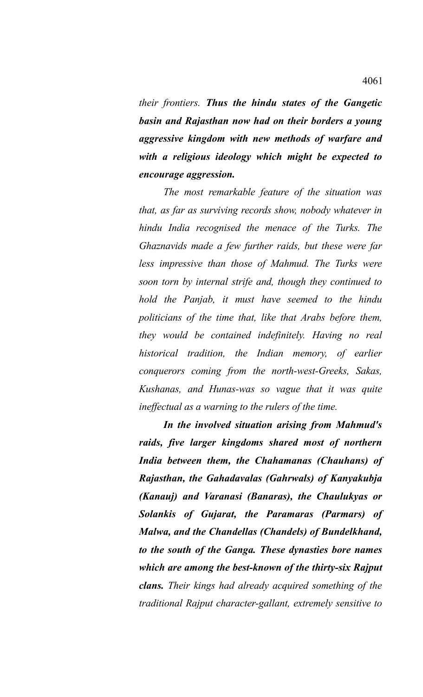*their frontiers. Thus the hindu states of the Gangetic basin and Rajasthan now had on their borders a young aggressive kingdom with new methods of warfare and with a religious ideology which might be expected to encourage aggression.*

*The most remarkable feature of the situation was that, as far as surviving records show, nobody whatever in hindu India recognised the menace of the Turks. The Ghaznavids made a few further raids, but these were far less impressive than those of Mahmud. The Turks were soon torn by internal strife and, though they continued to hold the Panjab, it must have seemed to the hindu politicians of the time that, like that Arabs before them, they would be contained indefinitely. Having no real historical tradition, the Indian memory, of earlier conquerors coming from the north-west-Greeks, Sakas, Kushanas, and Hunas-was so vague that it was quite ineffectual as a warning to the rulers of the time.*

*In the involved situation arising from Mahmud's raids, five larger kingdoms shared most of northern India between them, the Chahamanas (Chauhans) of Rajasthan, the Gahadavalas (Gahrwals) of Kanyakubja (Kanauj) and Varanasi (Banaras), the Chaulukyas or Solankis of Gujarat, the Paramaras (Parmars) of Malwa, and the Chandellas (Chandels) of Bundelkhand, to the south of the Ganga. These dynasties bore names which are among the best-known of the thirty-six Rajput clans. Their kings had already acquired something of the traditional Rajput character-gallant, extremely sensitive to*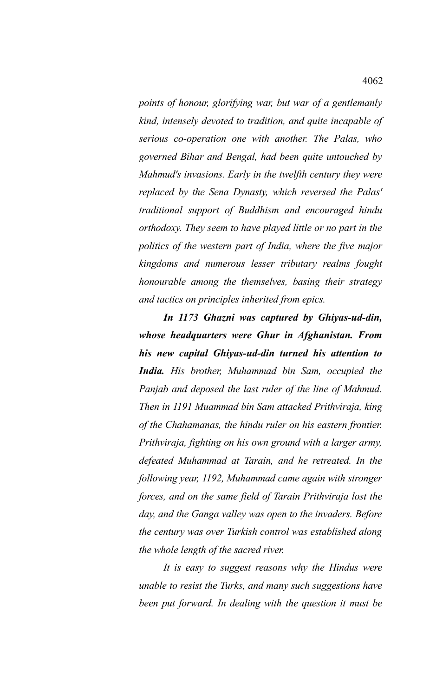*points of honour, glorifying war, but war of a gentlemanly kind, intensely devoted to tradition, and quite incapable of serious co-operation one with another. The Palas, who governed Bihar and Bengal, had been quite untouched by Mahmud's invasions. Early in the twelfth century they were replaced by the Sena Dynasty, which reversed the Palas' traditional support of Buddhism and encouraged hindu orthodoxy. They seem to have played little or no part in the politics of the western part of India, where the five major kingdoms and numerous lesser tributary realms fought honourable among the themselves, basing their strategy and tactics on principles inherited from epics.*

*In 1173 Ghazni was captured by Ghiyas-ud-din, whose headquarters were Ghur in Afghanistan. From his new capital Ghiyas-ud-din turned his attention to India. His brother, Muhammad bin Sam, occupied the Panjab and deposed the last ruler of the line of Mahmud. Then in 1191 Muammad bin Sam attacked Prithviraja, king of the Chahamanas, the hindu ruler on his eastern frontier. Prithviraja, fighting on his own ground with a larger army, defeated Muhammad at Tarain, and he retreated. In the following year, 1192, Muhammad came again with stronger forces, and on the same field of Tarain Prithviraja lost the day, and the Ganga valley was open to the invaders. Before the century was over Turkish control was established along the whole length of the sacred river.*

*It is easy to suggest reasons why the Hindus were unable to resist the Turks, and many such suggestions have been put forward. In dealing with the question it must be*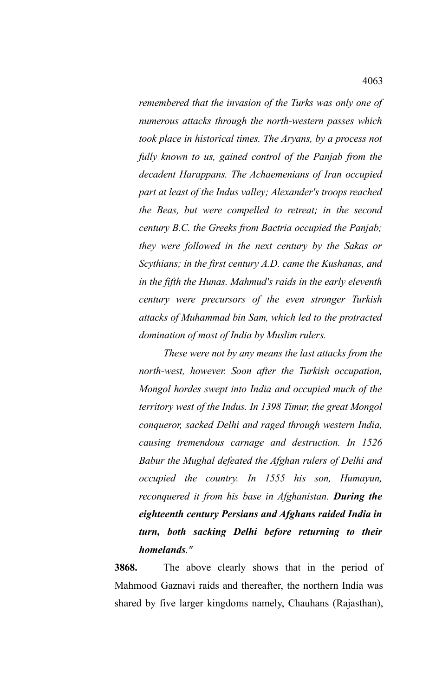*remembered that the invasion of the Turks was only one of numerous attacks through the north-western passes which took place in historical times. The Aryans, by a process not fully known to us, gained control of the Panjab from the decadent Harappans. The Achaemenians of Iran occupied part at least of the Indus valley; Alexander's troops reached the Beas, but were compelled to retreat; in the second century B.C. the Greeks from Bactria occupied the Panjab; they were followed in the next century by the Sakas or Scythians; in the first century A.D. came the Kushanas, and in the fifth the Hunas. Mahmud's raids in the early eleventh century were precursors of the even stronger Turkish attacks of Muhammad bin Sam, which led to the protracted domination of most of India by Muslim rulers.*

*These were not by any means the last attacks from the north-west, however. Soon after the Turkish occupation, Mongol hordes swept into India and occupied much of the territory west of the Indus. In 1398 Timur, the great Mongol conqueror, sacked Delhi and raged through western India, causing tremendous carnage and destruction. In 1526 Babur the Mughal defeated the Afghan rulers of Delhi and occupied the country. In 1555 his son, Humayun, reconquered it from his base in Afghanistan. During the eighteenth century Persians and Afghans raided India in turn, both sacking Delhi before returning to their homelands."*

**3868.** The above clearly shows that in the period of Mahmood Gaznavi raids and thereafter, the northern India was shared by five larger kingdoms namely, Chauhans (Rajasthan),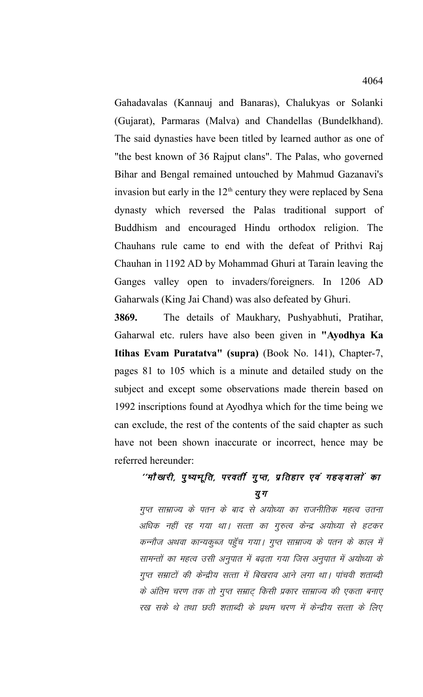Gahadavalas (Kannauj and Banaras), Chalukyas or Solanki (Gujarat), Parmaras (Malva) and Chandellas (Bundelkhand). The said dynasties have been titled by learned author as one of "the best known of 36 Rajput clans". The Palas, who governed Bihar and Bengal remained untouched by Mahmud Gazanavi's invasion but early in the  $12<sup>th</sup>$  century they were replaced by Sena dynasty which reversed the Palas traditional support of Buddhism and encouraged Hindu orthodox religion. The Chauhans rule came to end with the defeat of Prithvi Raj Chauhan in 1192 AD by Mohammad Ghuri at Tarain leaving the Ganges valley open to invaders/foreigners. In 1206 AD Gaharwals (King Jai Chand) was also defeated by Ghuri.

**3869.** The details of Maukhary, Pushyabhuti, Pratihar, Gaharwal etc. rulers have also been given in **"Ayodhya Ka Itihas Evam Puratatva" (supra)** (Book No. 141), Chapter-7, pages 81 to 105 which is a minute and detailed study on the subject and except some observations made therein based on 1992 inscriptions found at Ayodhya which for the time being we can exclude, the rest of the contents of the said chapter as such have not been shown inaccurate or incorrect, hence may be referred hereunder:

## ''मौखारी, पुष्यभूति, परवर्ती गुप्त, प्रतिहार एवं गहड़वालों का य ग

गुप्त साम्राज्य के पतन के बाद से अयोध्या का राजनीतिक महत्व उतना अधिक नहीं रह गया था। सत्ता का गुरुत्व केन्द्र अयोध्या से हटकर कन्नौज अथवा कान्यकूब्ज पहुँच गया। गुप्त साम्राज्य के पतन के काल में सामन्तों का महत्व उसी अनुपात में बढ़ता गया जिस अनुपात में अयोध्या के गुप्त सम्राटों की केन्द्रीय सत्ता में बिखराव आने लगा था। पांचवी शताब्दी के अंतिम चरण तक तो गुप्त सम्राट् किसी प्रकार साम्राज्य की एकता बनाए रख सके थे तथा छठी शताब्दी के प्रथम चरण में केन्द्रीय सत्ता के लिए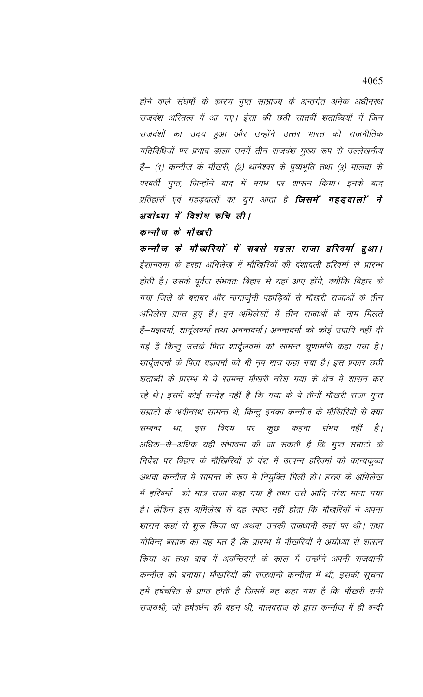होने वाले संघर्षों के कारण गुप्त साम्राज्य के अन्तर्गत अनेक अधीनस्थ राजवंश अस्तित्व में आ गए। ईसा की छठी–सातवीं शताब्दियों में जिन राजवंशों का उदय हुआ और उन्होंने उत्तर भारत की राजनीतिक गतिविधियों पर प्रभाव डाला उनमें तीन राजवंश मुख्य रूप से उल्लेखनीय हैं— (1) कन्नौज के मौखरी, (2) थानेश्वर के पुष्यभूति तथा (3) मालवा के परवर्ती गुप्त, जिन्होंने बाद में मगध पर शासन किया। इनके बाद प्रतिहारों एवं गहड़वालों का युग आता है **जिसमें गहड़वालों ने** अयोध्या में विशेष रुचि ली।

## कन्नौज़ के मौखरी

कन्नौज के मौखरियों में सबसे पहला राजा हरिवर्मा हुआ। ईशानवर्मा के हरहा अभिलेख में मौखिरियों की वंशावली हरिवर्मा से प्रारम्भ होती है। उसके पूर्वज संभवतः बिहार से यहां आए होंगे, क्योंकि बिहार के गया जिले के बराबर और नागार्जुनी पहाड़ियों से मौखरी राजाओं के तीन अभिलेख प्राप्त हुए हैं। इन अभिलेखों में तीन राजाओं के नाम मिलते हैं–यज्ञवर्मा, शार्दूलवर्मा तथा अनन्तवर्मा। अनन्तवर्मा को कोई उपाधि नहीं दी गई है किन्तु उसके पिता शार्दूलवर्मा को सामन्त चूणामणि कहा गया है। शार्दूलवर्मा के पिता यज्ञवर्मा को भी नृप मात्र कहा गया है। इस प्रकार छठी शताब्दी के प्रारम्भ में ये सामन्त मौखरी नरेश गया के क्षेत्र में शासन कर रहे थे। इसमें कोई सन्देह नहीं है कि गया के ये तीनों मौखरी राजा गुप्त सम्राटों के अधीनस्थ सामन्त थे, किन्तु इनका कन्नौज के मौखिरियों से क्या इस विषय पर कुछ कहना संभव है । सम्बन्ध था, नहीं अधिक–से–अधिक यही संभावना की जा सकती है कि गुप्त सम्राटों के निर्देश पर बिहार के मौखिरियों के वंश में उत्पन्न हरिवर्मा को कान्यकुब्ज अथवा कन्नौज में सामन्त के रूप में नियुक्ति मिली हो। हरहा के अभिलेख में हरिवर्मा को मात्र राजा कहा गया है तथा उसे आदि नरेश माना गया है। लेकिन इस अभिलेख से यह स्पष्ट नहीं होता कि मौखरियों ने अपना शासन कहां से शुरू किया था अथवा उनकी राजधानी कहां पर थी। राधा गोविन्द बसाक का यह मत है कि प्रारम्भ में मौखरियों ने अयोध्या से शासन किया था तथा बाद में अवन्तिवर्मा के काल में उन्होंने अपनी राजधानी कन्नौज को बनाया। मौखरियों की राजधानी कन्नौज में थी, इसकी सूचना हमें हर्षचरित से प्राप्त होती है जिसमें यह कहा गया है कि मौखरी रानी राजयश्री, जो हर्षवर्धन की बहन थी, मालवराज के द्वारा कन्नौज में ही बन्दी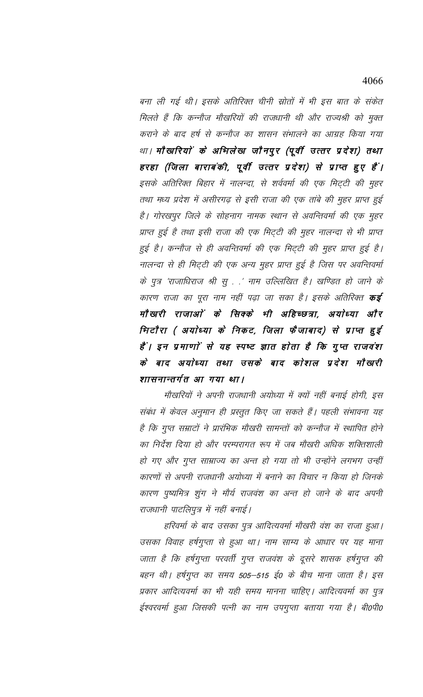बना ली गई थी। इसके अतिरिक्त चीनी स्रोतों में भी इस बात के संकेत मिलते हैं कि कन्नौज मौखरियों की राजधानी थी और राज्यश्री को मुक्त कराने के बाद हर्ष से कन्नौज का शासन संभालने का आग्रह किया गया था। मौखरियों के अभिलेख जौनपुर (पूर्वी उत्तर प्रदेश) तथा हरहा (जिला बाराबंकी, पूर्वी उत्तर प्रदेश) से प्राप्त हुए हैं। इसके अतिरिक्त बिहार में नालन्दा, से शर्ववर्मा की एक मिट्टी की मुहर तथा मध्य प्रदेश में असीरगढ़ से इसी राजा की एक तांबे की मुहर प्राप्त हुई है। गोरखपुर जिले के सोहनाग नामक स्थान से अवन्तिवर्मा की एक मुहर प्राप्त हुई है तथा इसी राजा की एक मिट्टी की मुहर नालन्दा से भी प्राप्त हुई है। कन्नौज से ही अवन्तिवर्मा की एक मिट्टी की मुहर प्राप्त हुई है। नालन्दा से ही मिट्टी की एक अन्य मुहर प्राप्त हुई है जिस पर अवन्तिवर्मा के पुत्र 'राजाधिराज श्री सु . . ' नाम उल्लिखित है। खण्डित हो जाने के कारण राजा का पूरा नाम नहीं पढ़ा जा सका है। इसके अतिरिक्त **कई** मौखारी राजाओं के सिक्के भी अहिच्छत्रा, अयोध्या और भिटौरा (अयोध्या के निकट, जिला फैजाबाद) से प्राप्त हुई हैं। इन प्रमाणों से यह स्पष्ट ज्ञात होता है कि गुप्त राजवंश के बाद अयोध्या तथा उसके बाद कोशल प्रदेश मौखरी शासनान्तर्गत आ गया था।

मौखरियों ने अपनी राजधानी अयोध्या में क्यों नहीं बनाई होगी, इस संबंध में केवल अनुमान ही प्रस्तुत किए जा सकते हैं। पहली संभावना यह है कि गुप्त सम्राटों ने प्रारंभिक मौखरी सामन्तों को कन्नौज में स्थापित होने का निर्देश दिया हो और परम्परागत रूप में जब मौखरी अधिक शक्तिशाली हो गए और गुप्त साम्राज्य का अन्त हो गया तो भी उन्होंने लगभग उन्हीं कारणों से अपनी राजधानी अयोध्या में बनाने का विचार न किया हो जिनके कारण पुष्यमित्र शुंग ने मौर्य राजवंश का अन्त हो जाने के बाद अपनी राजधानी पाटलिपुत्र में नहीं बनाई।

हरिवर्मा के बाद उसका पुत्र आदित्यवर्मा मौखरी वंश का राजा हुआ। उसका विवाह हर्षगुप्ता से हुआ था। नाम साम्य के आधार पर यह माना जाता है कि हर्षगुप्ता परवर्ती गुप्त राजवंश के दूसरे शासक हर्षगुप्त की बहन थी। हर्षगुप्त का समय 505–515 ई0 के बीच माना जाता है। इस प्रकार आदित्यवर्मा का भी यही समय मानना चाहिए। आदित्यवर्मा का पुत्र ईश्वरवर्मा हुआ जिसकी पत्नी का नाम उपगुप्ता बताया गया है। बी0पी0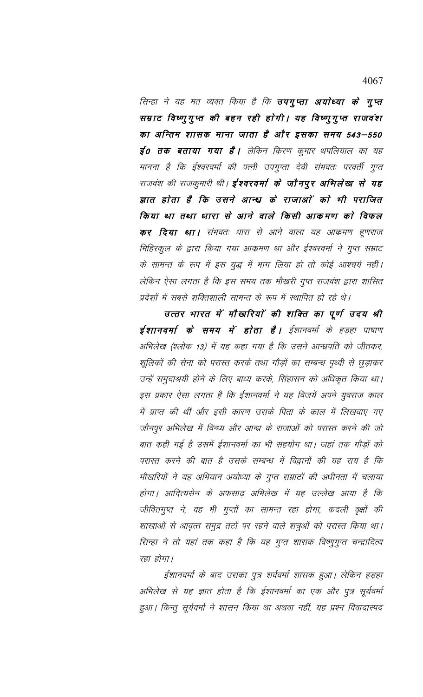सिन्हा ने यह मत व्यक्त किया है कि **उपगुप्ता अयोध्या के गुप्त** सम्राट विष्णुगुप्त की बहन रही होगी। यह विष्णुगुप्त राजवंश का अन्तिम शासक माना जाता है और इसका समय 543—550 **ई0 तक बताया गया है।** लेकिन किरण कुमार थपलियाल का यह मानना है कि ईश्वरवर्मा की पत्नी उपगुप्ता देवी संभवतः परवर्ती गुप्त राजवंश की राजकुमारी थी। **ईश्वरवर्मा के जौनपुर अभिलेख से यह** ज्ञात होता है कि उसने आन्ध्र के राजाओं को भी पराजित किया था तथा धारा से आने वाले किसी आकमण को विफल **कर दिया था।** संभवतः धारा से आने वाला यह आक्रमण हूणराज मिहिरकुल के द्वारा किया गया आक्रमण था और ईश्वरवर्मा ने गुप्त सम्राट के सामन्त के रूप में इस युद्ध में भाग लिया हो तो कोई आश्चर्य नहीं। लेकिन ऐसा लगता है कि इस समय तक मौखरी गुप्त राजवंश द्वारा शासित प्रदेशों में सबसे शक्तिशाली सामन्त के रूप में स्थापित हो रहे थे।

उत्तर भारत में मौखरियों की शक्ति का पूर्ण उदय श्री ईशानवर्मा के समय में होता है। ईशानवर्मा के हड़हा पाषाण अभिलेख (श्लोक 13) में यह कहा गया है कि उसने आन्ध्रपति को जीतकर, शूलिकों की सेना को परास्त करके तथा गौड़ों का सम्बन्ध पृथ्वी से छुड़ाकर उन्हें समुदाश्रयी होने के लिए बाध्य करके, सिंहासन को अधिकृत किया था। इस प्रकार ऐसा लगता है कि ईशानवर्मा ने यह विजयें अपने युवराज काल में प्राप्त की थीं और इसी कारण उसके पिता के काल में लिखवाए गए जौनपुर अभिलेख में विन्ध्य और आन्ध्र के राजाओं को परास्त करने की जो बात कही गई है उसमें ईशानवर्मा का भी सहयोग था। जहां तक गौड़ों को परास्त करने की बात है उसके सम्बन्ध में विद्वानों की यह राय है कि मौखरियों ने यह अभियान अयोध्या के गुप्त सम्राटों की अधीनता में चलाया होगा। आदित्यसेन के अफसाढ़ अभिलेख में यह उल्लेख आया है कि जीवितगुप्त ने, वह भी गुप्तों का सामन्त रहा होगा, कदली वृक्षों की शाखाओं से आवृत्त समुद्र तटों पर रहने वाले शत्रुओं को परास्त किया था। सिन्हा ने तो यहां तक कहा है कि यह गुप्त शासक विष्णुगुप्त चन्द्रादित्य रहा होगा।

ईशानवर्मा के बाद उसका पुत्र शर्ववर्मा शासक हुआ। लेकिन हड़हा अभिलेख से यह ज्ञात होता है कि ईशानवर्मा का एक और पुत्र सूर्यवर्मा हुआ। किन्तु सूर्यवर्मा ने शासन किया था अथवा नहीं, यह प्रश्न विवादास्पद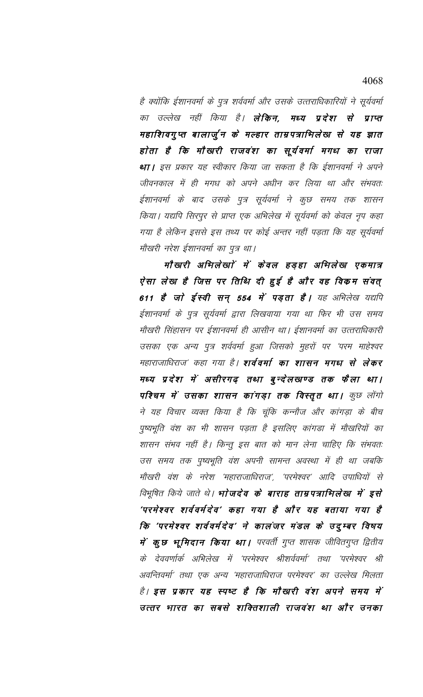है क्योंकि ईशानवर्मा के पुत्र शर्ववर्मा और उसके उत्तराधिकारियों ने सूर्यवर्मा का उल्लेख नहीं किया है। **लेकिन, मध्य प्रदेश से प्राप्त** महाशिवगुप्त बालार्जुन के मल्हार ताम्रपत्राभिलेख से यह ज्ञात होता है कि मौखरी राजवंश का सूर्यवर्मा मगध का राजा था। इस प्रकार यह स्वीकार किया जा सकता है कि ईशानवर्मा ने अपने जीवनकाल में ही मगध को अपने अधीन कर लिया था और संभवतः ईशानवर्मा के बाद उसके पुत्र सूर्यवर्मा ने कुछ समय तक शासन किया। यद्यपि सिरपुर से प्राप्त एक अभिलेख में सूर्यवर्मा को केवल नृप कहा गया है लेकिन इससे इस तथ्य पर कोई अन्तर नहीं पड़ता कि यह सूर्यवर्मा मौखरी नरेश ईशानवर्मा का पुत्र था।

मौखरी अभिलेखाों में केवल हड़हा अभिलेख एकमात्र ऐसा लेख है जिस पर तिथि दी हुई है और वह विकम संवत् 611 है जो ईस्वी सन् 554 में पड़ता है। यह अभिलेख यद्यपि ईशानवर्मा के पुत्र सूर्यवर्मा द्वारा लिखवाया गया था फिर भी उस समय मौखरी सिंहासन पर ईशानवर्मा ही आसीन था। ईशानवर्मा का उत्तराधिकारी उसका एक अन्य पुत्र शर्ववर्मा हुआ जिसको मुहरों पर 'परम माहेश्वर महाराजाधिराज′ कहा गया है। **शर्ववर्मा का शासन मगध से लेकर** मध्य प्रदेश में असीरगढ़ तथा बुन्देलखण्ड तक फैला था। पश्चिम में उसका शासन कांगड़ा तक विस्तृत था। कुछ लोंगो ने यह विचार व्यक्त किया है कि चूंकि कन्नौज और कांगड़ा के बीच पुष्यभूति वंश का भी शासन पड़ता है इसलिए कांगडा में मौखरियों का शासन संभव नहीं है। किन्तु इस बात को मान लेना चाहिए कि संभवतः उस समय तक पुष्यभूति वंश अपनी सामन्त अवस्था में ही था जबकि मौखरी वंश के नरेश 'महाराजाधिराज', 'परमेश्वर' आदि उपाधियों से *विभूषित किये जाते थे। भाेजदेव के बाराह ताम्रपत्राभिलेख में इसे* 'परमेश्वर शर्ववर्मदेव' कहा गया है और यह बताया गया है कि 'परमेश्वर शर्ववर्मदेव' ने कालंजर मंडल के उदुम्बर विषय में कुछ भूमिदान किया था। परवर्ती गुप्त शासक जीवितगुप्त द्वितीय के देववर्णार्क अभिलेख में 'परमेश्वर श्रीशर्ववर्मा' तथा 'परमेश्वर श्री अवन्तिवर्मा' तथा एक अन्य 'महाराजाधिराज परमेश्वर' का उल्लेख मिलता है। इस प्रकार यह स्पष्ट है कि मौखारी वंश अपने समय में उत्तर भारत का सबसे शक्तिशाली राजवंश था और उनका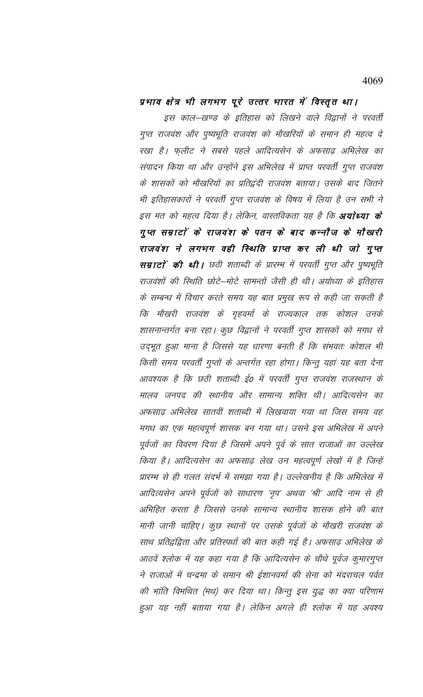## प्रभाव क्षेत्र भी लगभग पूरे उत्तर भारत में विस्तृत था।

इस काल–खण्ड के इतिहास को लिखने वाले विद्वानों ने परवर्ती गुप्त राजवंश और पुष्यभूति राजवंश को मौखरियों के समान ही महत्व दे रखा है। फ़्लीट ने सबसे पहले आदित्यसेन के अफसाढ़ अभिलेख का संपादन किया था और उन्होंने इस अभिलेख में प्राप्त परवर्ती गुप्त राजवंश के शासकों को मौखरियों का प्रतिद्वंदी राजवंश बताया। उसके बाद जितने भी इतिहासकारों ने परवर्ती गुप्त राजवंश के विषय में लिया है उन सभी ने इस मत को महत्व दिया है। लेकिन, वास्तविकता यह है कि **अयोध्या के** गुप्त सम्राटों के राजवंश के पतन के बाद कन्नौज के मौखारी राजवंश ने लगभग वही स्थिति प्राप्त कर ली थी जो गुप्त सम्राटों की थी। छठी शताब्दी के प्रारम्भ में परवर्ती गुप्त और पुष्यभूति राजवंशों की स्थिति छोटे–मोटे सामन्तों जैसी ही थी। अयोध्या के इतिहास के सम्बन्ध में विचार करते समय यह बात प्रमुख रूप से कही जा सकती है कि मौखरी राजवंश के गृहवर्मा के राज्यकाल तक कोशल उनके शासनान्तर्गत बना रहा। कुछ विद्वानों ने परवर्ती गुप्त शासकों को मगध से उद्भूत हुआ माना है जिससे यह धारणा बनती है कि संभवतः कोशल भी किसी समय परवर्ती गुप्तों के अन्तर्गत रहा होगा। किन्तु यहां यह बता देना आवश्यक है कि छठी शताब्दी ई० में परवर्ती गुप्त राजवंश राजस्थान के मालव जनपद की स्थानीय और सामान्य शक्ति थी। आदित्यसेन का अफसाढ़ अभिलेख सातवीं शताब्दी में लिखवाया गया था जिस समय वह मगध का एक महत्वपूर्ण शासक बन गया था। उसने इस अभिलेख में अपने पूर्वजों का विवरण दिया है जिसमें अपने पूर्व के सात राजाओं का उल्लेख किया है। आदित्यसेन का अफसाढ़ लेख उन महत्वपूर्ण लेखों में है जिन्हें प्रारम्भ से ही गलत संदर्भ में समझा गया है। उल्लेखनीय है कि अभिलेख में आदित्यसेन अपने पूर्वजों को साधारण 'नृप' अथवा 'श्री' आदि नाम से ही अभिहित करता है जिससे उनके सामान्य स्थानीय शासक होने की बात मानी जानी चाहिए। कुछ स्थानों पर उसके पूर्वजों के मौखरी राजवंश के साथ प्रतिद्वंद्विता और प्रतिस्पर्धा की बात कही गई है। अफसाढ़ अभिलेख के आठवें श्लोक में यह कहा गया है कि आदित्यसेन के चौथे पूर्वज कुमारगुप्त ने राजाओं में चन्द्रमा के समान श्री ईशानवर्मा की सेना को मंदराचल पर्वत की भांति विमथित (मथ) कर दिया था। किन्तु इस युद्ध का क्या परिणाम हुआ यह नहीं बताया गया है। लेकिन अगले ही श्लोक में यह अवश्य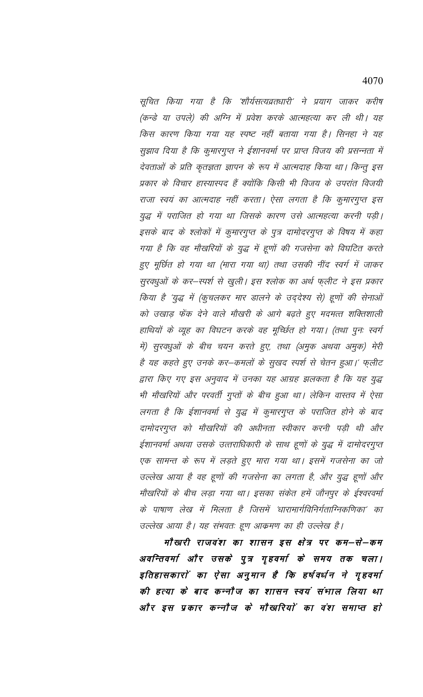सूचित किया गया है कि 'शौर्यसत्यव्रतधारी' ने प्रयाग जाकर करीष (कन्डे या उपले) की अग्नि में प्रवेश करके आत्महत्या कर ली थी। यह किस कारण किया गया यह स्पष्ट नहीं बताया गया है। सिनहा ने यह सुझाव दिया है कि कुमारगुप्त ने ईशानवर्मा पर प्राप्त विजय की प्रसन्नता में देवताओं के प्रति कृतज्ञता ज्ञापन के रूप में आत्मदाह किया था। किन्तु इस प्रकार के विचार हास्यास्पद हैं क्योंकि किसी भी विजय के उपरांत विजयी राजा स्वयं का आत्मदाह नहीं करता। ऐसा लगता है कि कुमारगुप्त इस युद्ध में पराजित हो गया था जिसके कारण उसे आत्महत्या करनी पड़ी। इसके बाद के श्लोकों में कुमारगुप्त के पुत्र दामोदरगुप्त के विषय में कहा गया है कि वह मौखरियों के युद्ध में हूणों की गजसेना को विघटित करते हुए मूर्छित हो गया था (मारा गया था) तथा उसकी नींद स्वर्ग में जाकर सुरवधुओं के कर-स्पर्श से खुली। इस श्लोक का अर्थ फ्लीट ने इस प्रकार किया है 'युद्ध में (कुचलकर मार डालने के उद्देश्य से) हूणों की सेनाओं को उखाड़ फेंक देने वाले मौखरी के आगे बढ़ते हुए मदमत्त शक्तिशाली हाथियों के व्यूह का विघटन करके वह मूच्छित हो गया। (तथा पुनः स्वर्ग में) सुरवधुओं के बीच चयन करते हुए, तथा (अमुक अथवा अमुक) मेरी है यह कहते हुए उनके कर—कमलों के सुखद स्पर्श से चेतन हुआ।' फ्लीट द्वारा किए गए इस अनुवाद में उनका यह आग्रह झलकता है कि यह युद्ध भी मौखरियों और परवर्ती गुप्तों के बीच हुआ था। लेकिन वास्तव में ऐसा लगता है कि ईशानवर्मा से युद्ध में कुमारगुप्त के पराजित होने के बाद दामोदरगुप्त को मौखरियों की अधीनता स्वीकार करनी पड़ी थी और ईशानवर्मा अथवा उसके उत्तराधिकारी के साथ हूणों के युद्ध में दामोदरगुप्त एक सामन्त के रूप में लड़ते हुए मारा गया था। इसमें गजसेना का जो उल्लेख आया है वह हूणों की गजसेना का लगता है, और युद्ध हूणों और मौखरियों के बीच लड़ा गया था। इसका संकेत हमें जौनपुर के ईश्वरवर्मा के पाषाण लेख में मिलता है जिसमें 'धारामार्गविनिर्गताग्निकणिका' का उल्लेख आया है। यह संभवतः हूण आक्रमण का ही उल्लेख है।

मौखरी राजवंश का शासन इस क्षेत्र पर कम–से–कम अवन्तिवर्मा और उसके पुत्र गृहवर्मा के समय तक चला। इतिहासकारों का ऐसा अनुमान है कि हर्षवर्धन ने गृहवर्मा की हत्या के बाद कन्नौज का शासन स्वयं संभाल लिया था और इस प्रकार कन्नौज के मौखरियों का वंश समाप्त हो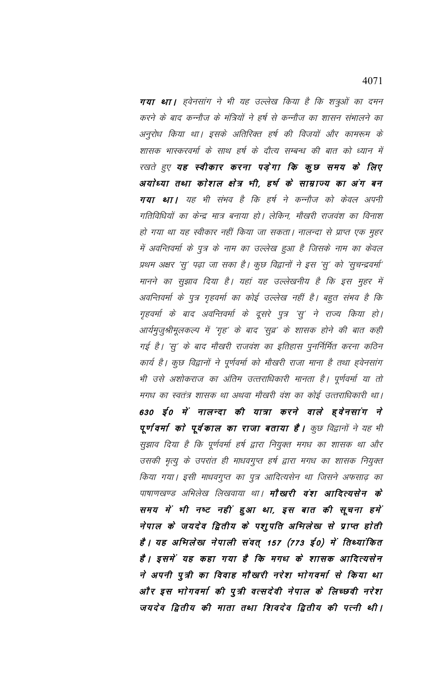गया था। हवेनसांग ने भी यह उल्लेख किया है कि शत्रुओं का दमन करने के बाद कन्नौज के मंत्रियों ने हर्ष से कन्नौज का शासन संभालने का अनुरोध किया था। इसके अतिरिक्त हर्ष की विजयों और कामरूम के शासक भास्करवर्मा के साथ हर्ष के दौत्य सम्बन्ध की बात को ध्यान में रखते हुए यह स्वीकार करना पड़ेगा कि कुछ समय के लिए अयोध्या तथा कोशल क्षेत्र भी, हर्ष के साम्राज्य का अंग बन गया था। यह भी संभव है कि हर्ष ने कन्नौज को केवल अपनी गतिविधियों का केन्द्र मात्र बनाया हो। लेकिन, मौखरी राजवंश का विनाश हो गया था यह स्वीकार नहीं किया जा सकता। नालन्दा से प्राप्त एक मुहर में अवन्तिवर्मा के पुत्र के नाम का उल्लेख हुआ है जिसके नाम का केवल प्रथम अक्षर 'सु' पढ़ा जा सका है। कुछ विद्वानों ने इस 'सु' को 'सुचन्द्रवर्मा' मानने का सुझाव दिया है। यहां यह उल्लेखनीय है कि इस मुहर में अवन्तिवर्मा के पुत्र गृहवर्मा का कोई उल्लेख नहीं है। बहुत संभव है कि गृहवर्मा के बाद अवन्तिवर्मा के दूसरे पुत्र 'सु' ने राज्य किया हो। आर्यमुजुश्रीमूलकल्प में 'गृह' के बाद 'सुव्र' के शासक होने की बात कही गई है। 'सु' के बाद मौखरी राजवंश का इतिहास पुनर्निर्मित करना कठिन कार्य है। कुछ विद्वानों ने पूर्णवर्मा को मौखरी राजा माना है तथा ह्वेनसांग भी उसे अशोकराज का अंतिम उत्तराधिकारी मानता है। पूर्णवर्मा या तो मगध का स्वतंत्र शासक था अथवा मौखरी वंश का कोई उत्तराधिकारी था। 630 ई0 में नालन्दा की यात्रा करने वाले ह्वेनसांग ने पूर्ण वर्मा को पूर्वकाल का राजा बताया है। कुछ विद्वानों ने यह भी सुझाव दिया है कि पूर्णवर्मा हर्ष द्वारा नियुक्त मगध का शासक था और उसकी मृत्यु के उपरांत ही माधवगुप्त हर्ष द्वारा मगध का शासक नियुक्त किया गया। इसी माधवगुप्त का पुत्र आदित्यसेन था जिसने अफसाढ़ का पाषाणखण्ड अभिलेख लिखवाया था। **मौखारी वंश आदित्यसेन के** समय में भी नष्ट नहीं हुआ था, इस बात की सूचना हमें नेपाल के जयदेव द्वितीय के पशुपति अभिलेख से प्राप्त होती हैं । यह अभिलेख नेपाली संवत् 157 (773 ई0) में तिथ्यांकित हैं। इसमें यह कहा गया है कि मगध के शासक आदित्यसेन ने अपनी पुत्री का विवाह मौखरी नरेश भाेगवर्मा से किया था और इस भोगवर्मा की पुत्री वत्सदेवी नेपाल के लिच्छवी नरेश जयदेव द्वितीय की माता तथा शिवदेव द्वितीय की पत्नी थी।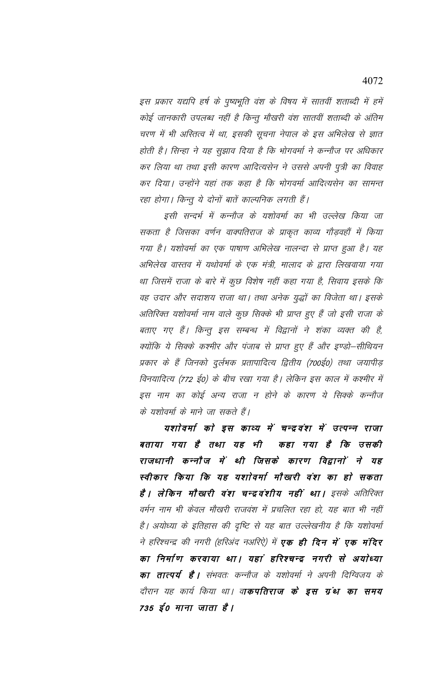इस प्रकार यद्यपि हर्ष के पुष्यभूति वंश के विषय में सातवीं शताब्दी में हमें कोई जानकारी उपलब्ध नहीं है किन्तु मौखरी वंश सातवीं शताब्दी के अंतिम चरण में भी अस्तित्व में था, इसकी सूचना नेपाल के इस अभिलेख से ज्ञात होती है। सिन्हा ने यह सुझाव दिया है कि भोगवर्मा ने कन्नौज पर अधिकार कर लिया था तथा इसी कारण आदित्यसेन ने उससे अपनी पुत्री का विवाह कर दिया। उन्होंने यहां तक कहा है कि भोगवर्मा आदित्यसेन का सामन्त रहा होगा। किन्तु ये दोनों बातें काल्पनिक लगती हैं।

इसी सन्दर्भ में कन्नौज के यशोवर्मा का भी उल्लेख किया जा सकता है जिसका वर्णन वाक्पतिराज के प्राकृत काव्य गौड़वहों में किया गया है। यशोवर्मा का एक पाषाण अभिलेख नालन्दा से प्राप्त हुआ है। यह अभिलेख वास्तव में यथोवर्मा के एक मंत्री, मालाद के द्वारा लिखवाया गया था जिसमें राजा के बारे में कुछ विशेष नहीं कहा गया है, सिवाय इसके कि वह उदार और सदाशय राजा था। तथा अनेक युद्धों का विजेता था। इसके अतिरिक्त यशोवर्मा नाम वाले कुछ सिक्के भी प्राप्त हुए हैं जो इसी राजा के बताए गए हैं। किन्तु इस सम्बन्ध में विद्वानों ने शंका व्यक्त की है, क्योंकि ये सिक्के कश्मीर और पंजाब से प्राप्त हुए हैं और इण्डो–सीथियन प्रकार के हैं जिनको दुर्लभक प्रतापादित्य द्वितीय (700ई0) तथा जयापीड़ विनयादित्य (772 ई0) के बीच रखा गया है। लेकिन इस काल में कश्मीर में इस नाम का कोई अन्य राजा न होने के कारण ये सिक्के कन्नौज के यशोवर्मा के माने जा सकते हैं।

यशोवर्मा को इस काव्य में चन्द्रवंश में उत्पन्न राजा बताया गया है तथा यह भी कहा गया है कि उसकी राजधानी कन्नौज में थी जिसके कारण विद्वानों ने यह स्वीकार किया कि यह यशोवर्मा मौखरी वंश का हो सकता **है । लेकिन मौखरी वंश चन्द्रवंशीय नहीं था ।** इसके अतिरिक्त वर्मन नाम भी केवल मौखरी राजवंश में प्रचलित रहा हो, यह बात भी नहीं है। अयोध्या के इतिहास की दृष्टि से यह बात उल्लेखनीय है कि यशोवर्मा ने हरिश्चन्द्र की नगरी (हरिअंद नअरिऐ) में **एक ही दिन में एक मंदिर** का निर्माण करवाया था। यहां हरिश्चन्द्र नगरी से अयोध्या **का तात्पर्य है |** संभवतः कन्नौज के यशोवर्मा ने अपनी दिग्विजय के दौरान यह कार्य किया था। वा**कपतिराज के इस ग्रंथ का समय** 735 ई0 माना जाता है।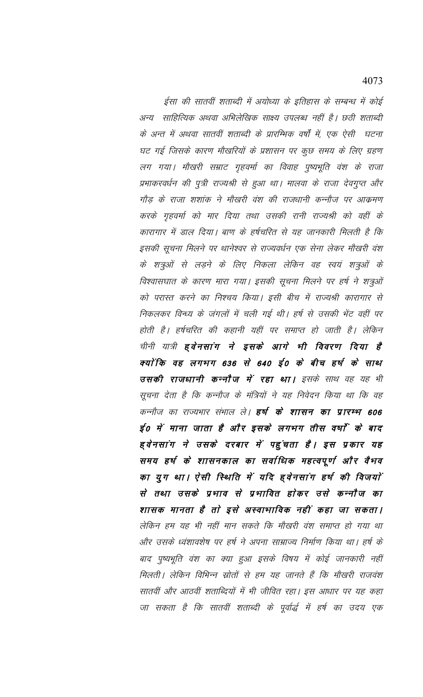ईसा की सातवीं शताब्दी में अयोध्या के इतिहास के सम्बन्ध में कोई अन्य साहित्यिक अथवा अभिलेखिक साक्ष्य उपलब्ध नहीं है। छठी शताब्दी के अन्त में अथवा सातवीं शताब्दी के प्रारम्भिक वर्षों में, एक ऐसी घटना घट गई जिसके कारण मौखरियों के प्रशासन पर कुछ समय के लिए ग्रहण लग गया। मौखरी सम्राट गृहवर्मा का विवाह पुष्यभूति वंश के राजा प्रभाकरवर्धन की पुत्री राज्यश्री से हुआ था। मालवा के राजा देवगुप्त और गौड़ के राजा शशांक ने मौखरी वंश की राजधानी कन्नौज पर आक्रमण करके गृहवर्मा को मार दिया तथा उसकी रानी राज्यश्री को वहीं के कारागार में डाल दिया। बाण के हर्षचरित से यह जानकारी मिलती है कि इसकी सूचना मिलने पर थानेश्वर से राज्यवर्धन एक सेना लेकर मौखरी वंश के शत्रुओं से लड़ने के लिए निकला लेकिन वह स्वयं शत्रुओं के विश्वासघात के कारण मारा गया। इसकी सूचना मिलने पर हर्ष ने शत्रुओं को परास्त करने का निश्चय किया। इसी बीच में राज्यश्री कारागार से निकलकर विन्ध्य के जंगलों में चली गई थी। हर्ष से उसकी भेंट वहीं पर होती है। हर्षचरित की कहानी यहीं पर समाप्त हो जाती है। लेकिन चीनी यात्री **हवेनसांग ने इसके आगे भी विवरण दिया है** क्यों कि वह लगभग 636 से 640 ई0 के बीच हर्ष के साथ उसकी राजधानी कन्नौज में रहा था। इसके साथ वह यह भी सूचना देता है कि कन्नौज के मंत्रियों ने यह निवेदन किया था कि वह कन्नौज का राज्यभार संभाल ले। **हर्ष के शासन का प्रारम्भ 606** ई० में माना जाता है और इसके लगभग तीस वर्षों के बाद ह्वेनसांग ने उसके दरबार में पहुंचता है। इस प्रकार यह समय हर्ष के शासनकाल का सर्वाधिक महत्वपूर्ण और वैभव का युग था। ऐसी स्थिति में यदि हवेनसांग हर्ष की विजयों से तथा उसके प्रभाव से प्रभावित होकर उसे कन्नौज का शासक मानता है तो इसे अस्वाभाविक नहीं कहा जा सकता। लेकिन हम यह भी नहीं मान सकते कि मौखरी वंश समाप्त हो गया था और उसके ध्वंशावशेष पर हर्ष ने अपना साम्राज्य निर्माण किया था। हर्ष के बाद पुष्यभूति वंश का क्या हुआ इसके विषय में कोई जानकारी नहीं मिलती | लेकिन विभिन्न स्रोतों से हम यह जानते हैं कि मौखरी राजवंश सातवीं और आठवीं शताब्दियों में भी जीवित रहा। इस आधार पर यह कहा जा सकता है कि सातवीं शताब्दी के पूर्वार्द्ध में हर्ष का उदय एक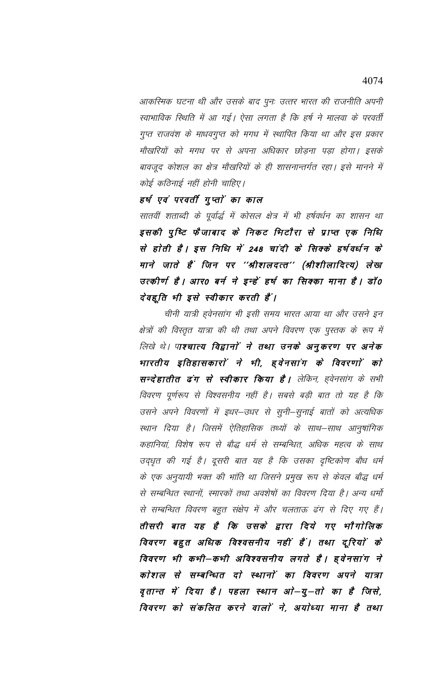आकस्मिक घटना थी और उसके बाद पुनः उत्तर भारत की राजनीति अपनी स्वाभाविक स्थिति में आ गई। ऐसा लगता है कि हर्ष ने मालवा के परवर्ती गुप्त राजवंश के माधवगुप्त को मगध में स्थापित किया था और इस प्रकार मौखरियों को मगध पर से अपना अधिकार छोड़ना पड़ा होगा। इसके बावजूद कोशल का क्षेत्र मौखरियों के ही शासनान्तर्गत रहा। इसे मानने में कोई कठिनाई नहीं होनी चाहिए।

हर्ष एवं परवर्ती गुप्तों का काल

सातवीं शताब्दी के पूर्वार्द्ध में कोसल क्षेत्र में भी हर्षवर्धन का शासन था इसकी पुष्टि फैजाबाद के निकट भिटौरा से प्राप्त एक निधि से होती है। इस निधि में 248 चांदी के सिक्के हर्षवर्धन के माने जाते हैं जिन पर ''श्रीशलदत्त'' (श्रीशीलादित्य) लेख उत्कीर्ण है। आर0 बर्न ने इन्हें हर्ष का सिक्का माना है। डॉ0 देवहूति भी इसे स्वीकार करती हैं।

चीनी यात्री हुवेनसांग भी इसी समय भारत आया था और उसने इन क्षेत्रों की विस्तृत यात्रा की थी तथा अपने विवरण एक पुस्तक के रूप में लिखे थे। पाश्चात्य विद्वानों ने तथा उनके अनुकरण पर अनेक भारतीय इतिहासकारों ने भी, हवेनसांग के विवरणों को सन्देहातीत ढंग से स्वीकार किया है। लेकिन, इवेनसांग के सभी विवरण पूर्णरूप से विश्वसनीय नहीं है। सबसे बड़ी बात तो यह है कि उसने अपने विवरणों में इधर–उधर से सुनी–सुनाई बातों को अत्यधिक स्थान दिया है। जिसमें ऐतिहासिक तथ्यों के साथ–साथ आनुषांगिक कहानियां, विशेष रूप से बौद्ध धर्म से सम्बन्धित, अधिक महत्व के साथ उद्धृत की गई है। दूसरी बात यह है कि उसका दृष्टिकोण बौध धर्म के एक अनुयायी भक्त की भांति था जिसने प्रमुख रूप से केवल बौद्ध धर्म से सम्बन्धित स्थानों, स्मारकों तथा अवशेषों का विवरण दिया है। अन्य धर्मो से सम्बन्धित विवरण बहुत संक्षेप में और चलताऊ ढंग से दिए गए हैं। तीसरी बात यह है कि उसके द्वारा दिये गए भौगोलिक विवरण बहुत अधिक विश्वसनीय नहीं हैं। तथा दूरियों के विवरण भी कभी—कभी अविश्वसनीय लगते हैं। हुवेनसांग ने कोशल से सम्बन्धित दो स्थानों का विवरण अपने यात्रा वृतान्त में दिया है। पहला स्थान ओ–यु–तो का है जिसे, विवरण को संकलित करने वालों ने, अयोध्या माना है तथा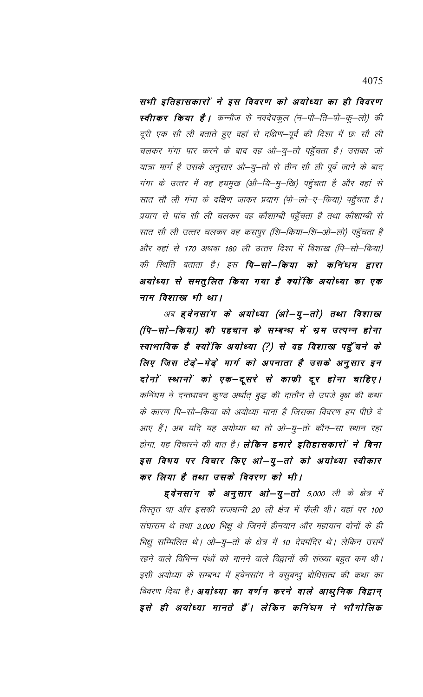4075

सभी इतिहासकारों ने इस विवरण को अयोध्या का ही विवरण स्वीाकर किया है। कन्नौज से नवदेवकुल (न–पो–ति–पो–कु–लो) की दूरी एक सौ ली बताते हुए वहां से दक्षिण–पूर्व की दिशा में छः सौ ली चलकर गंगा पार करने के बाद वह ओ–यु–तो पहुँचता है। उसका जो यात्रा मार्ग है उसके अनुसार ओ–यु–तो से तीन सौ ली पूर्व जाने के बाद गंगा के उत्तर में वह हयमुख (औ–यि–मु–खि) पहुँचता है और वहां से सात सौ ली गंगा के दक्षिण जाकर प्रयाग (पो–लो–ए–किया) पहुँचता है। प्रयाग से पांच सौ ली चलकर वह कौशाम्बी पहुँचता है तथा कौशाम्बी से सात सौ ली उत्तर चलकर वह कसपुर (शि—किया—शि—ओ—लो) पहुँचता है और वहां से 170 अथवा 180 ली उत्तर दिशा में विशाख (पि–सो–किया) की स्थिति बताता है। इस **पि–सो–किया को कनिंधम द्वारा** अयोध्या से समतुलित किया गया है क्योंकि अयोध्या का एक नाम विशाख भी था।

अब हुवेनसांग के अयोध्या (ओ–यू–तो) तथा विशाख (पि–सो–किया) की पहचान के सम्बन्ध में भ्रम उत्पन्न होना स्वाभाविक है क्योंकि अयोध्या (?) से वह विशाख पहुँचने के लिए जिस टेढ़ें-मेढ़े मार्ग को अपनाता है उसके अनुसार इन दोनों स्थानों को एक-दूसरे से काफी दूर होना चाहिए। कनिंघम ने दन्तधावन कुण्ड अर्थात् बुद्ध की दातौन से उपजे वृक्ष की कथा के कारण पि–सो–किया को अयोध्या माना है जिसका विवरण हम पीछे दे आए हैं। अब यदि यह अयोध्या था तो ओ–यु–तो कौन–सा स्थान रहा होगा, यह विचारने की बात है। **लेकिन हमारे इतिहासकारों ने बिना** इस विषय पर विचार किए ओ–यु–तो को अयोध्या स्वीकार कर लिया है तथा उसके विवरण को भी।

ह्वेनसांग के अनुसार ओ-यू-तो 5,000 ली के क्षेत्र में विस्तृत था और इसकी राजधानी 20 ली क्षेत्र में फैली थी। यहां पर 100 संघाराम थे तथा 3,000 भिक्षु थे जिनमें हीनयान और महायान दोनों के ही भिक्षु सम्मिलित थे। ओ–यु–तो के क्षेत्र में 10 देवमंदिर थे। लेकिन उसमें रहने वाले विभिन्न पंथों को मानने वाले विद्वानों की संख्या बहुत कम थी। इसी अयोध्या के सम्बन्ध में हवेनसांग ने वसूबन्धू बोधिसत्व की कथा का विवरण दिया है। **अयोध्या का वर्णन करने वाले आधुनिक विद्वान्** इसे ही अयोध्या मानते हैं। लेकिन कनिंधम ने भौगोलिक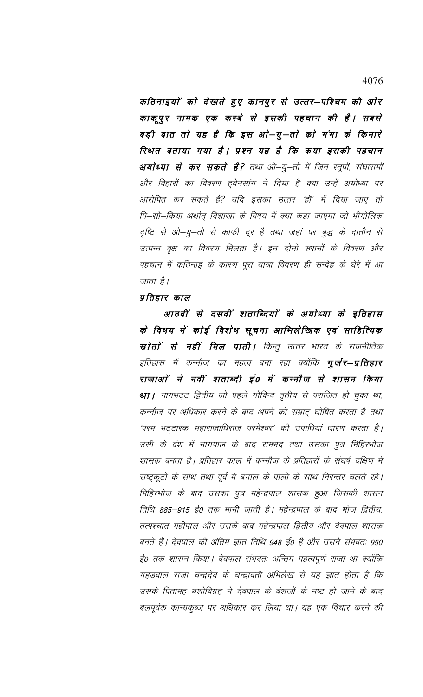कठिनाइयों को देखाते हुए कानपुर से उत्तर—पश्चिम की ओर काकूपुर नामक एक कस्बे से इसकी पहचान की है। सबसे बड़ी बात तो यह है कि इस ओ–यू–तो को गंगा के किनारे स्थित बताया गया है। प्रश्न यह है कि कया इसकी पहचान अयोध्या से कर सकते है? तथा ओ–यु–तो में जिन स्तूपों, संघारामों और विहारों का विवरण हुवेनसांग ने दिया है क्या उन्हें अयोध्या पर आरोपित कर सकते हैं? यदि इसका उत्तर 'हॉ' में दिया जाए तो पि–सो–किया अर्थात् विशाखा के विषय में क्या कहा जाएगा जो भौगोलिक दृष्टि से ओ–यु–तो से काफी दूर है तथा जहां पर बुद्ध के दातौन से उत्पन्न वृक्ष का विवरण मिलता है। इन दोनों स्थानों के विवरण और पहचान में कठिनाई के कारण पूरा यात्रा विवरण ही सन्देह के घेरे में आ जाता है।

# प्रतिहार काल

आठवीं से दसवीं शताब्दियों के अयोध्या के इतिहास के विषय में कोई विशेष सूचना आभिलेखिक एवं साहित्यिक स्रोतों से नहीं मिल पाती। किन्तु उत्तर भारत के राजनीतिक इतिहास में कन्नौज का महत्व बना रहा क्योंकि **गुर्जर—प्रतिहार** राजाओं ने नवीं शताब्दी ई0 में कन्नौज से शासन किया था । नागभट्ट द्वितीय जो पहले गोविन्द तृतीय से पराजित हो चुका था, कन्नौज पर अधिकार करने के बाद अपने को सम्राट् घोषित करता है तथा 'परम भट्टारक महाराजाधिराज परमेश्वर' की उपाधियां धारण करता है। उसी के वंश में नागपाल के बाद रामभद्र तथा उसका पुत्र मिहिरभोज शासक बनता है। प्रतिहार काल में कन्नौज के प्रतिहारों के संघर्ष दक्षिण मे राष्ट्कूटों के साथ तथा पूर्व में बंगाल के पालों के साथ निरन्तर चलते रहे। मिहिरभोज के बाद उसका पुत्र महेन्द्रपाल शासक हुआ जिसकी शासन तिथि 885–915 ई0 तक मानी जाती है। महेन्द्रपाल के बाद भोज द्वितीय, तत्पश्चात महीपाल और उसके बाद महेन्द्रपाल द्वितीय और देवपाल शासक बनते हैं। देवपाल की अंतिम ज्ञात तिथि 948 ई0 है और उसने संभवतः 950 ई० तक शासन किया। देवपाल संभवतः अन्तिम महत्वपूर्ण राजा था क्योंकि गहड़वाल राजा चन्द्रदेव के चन्द्रावती अभिलेख से यह ज्ञात होता है कि उसके पितामह यशोविग्रह ने देवपाल के वंशजों के नष्ट हो जाने के बाद बलपूर्वक कान्यकुब्ज पर अधिकार कर लिया था। यह एक विचार करने की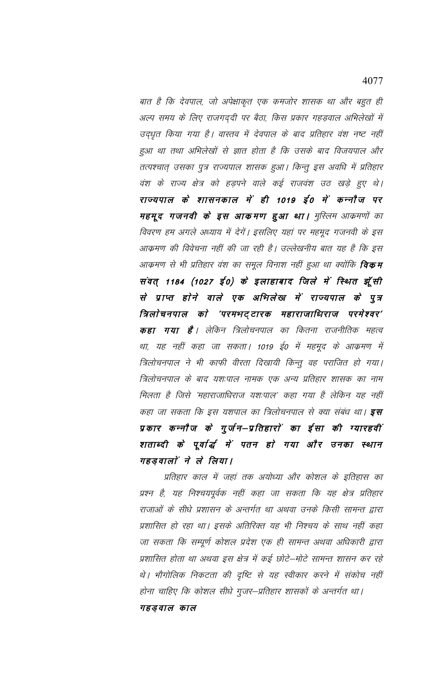बात है कि देवपाल, जो अपेक्षाकृत एक कमजोर शासक था और बहुत ही अल्प समय के लिए राजगद्दी पर बैठा, किस प्रकार गहड़वाल अभिलेखों में उद्धृत किया गया है। वास्तव में देवपाल के बाद प्रतिहार वंश नष्ट नहीं हुआ था तथा अभिलेखों से ज्ञात होता है कि उसके बाद विजयपाल और तत्पश्चात् उसका पुत्र राज्यपाल शासक हुआ। किन्तु इस अवधि में प्रतिहार वंश के राज्य क्षेत्र को हड़पने वाले कई राजवंश उठ खड़े हुए थे। राज्यपाल के शासनकाल में ही 1019 ई0 में कन्नौज पर महमूद गजनवी के इस आकमण हुआ था। मुस्लिम आक्रमणों का विवरण हम अगले अध्याय में देगें। इसलिए यहां पर महमूद गजनवी के इस आक्रमण की विवेचना नहीं की जा रही है। उल्लेखनीय बात यह है कि इस आक्रमण से भी प्रतिहार वंश का समूल विनाश नहीं हुआ था क्योंकि **विकम** संवत् 1184 (1027 ई0) के इलाहाबाद जिले में स्थित झूँसी से प्राप्त होने वाले एक अभिलेख में राज्यपाल के पुत्र त्रिलोचनपाल को 'परमभट्टारक महाराजाधिराज परमेश्वर' **कहा गया है**। लेकिन त्रिलोचनपाल का कितना राजनीतिक महत्व था, यह नहीं कहा जा सकता। 1019 ई0 में महमूद के आक्रमण में त्रिलोचनपाल ने भी काफी वीरता दिखायी किन्तु वह पराजित हो गया। त्रिलोचनपाल के बाद यशःपाल नामक एक अन्य प्रतिहार शासक का नाम मिलता है जिसे 'महाराजाधिराज यशःपाल' कहा गया है लेकिन यह नहीं कहा जा सकता कि इस यशपाल का त्रिलोचनपाल से क्या संबंध था। **इस** प्रकार कन्नौज के गुर्जन–प्रतिहारों का ईसा की ग्यारहवीं शताब्दी के पूर्वार्द्ध में पतन हो गया और उनका स्थान गहड़वालों ने ले लिया।

प्रतिहार काल में जहां तक अयोध्या और कोशल के इतिहास का प्रश्न है, यह निश्चयपूर्वक नहीं कहा जा सकता कि यह क्षेत्र प्रतिहार राजाओं के सीधे प्रशासन के अन्तर्गत था अथवा उनके किसी सामन्त द्वारा प्रशासित हो रहा था। इसके अतिरिक्त यह भी निश्चय के साथ नहीं कहा जा सकता कि सम्पूर्ण कोशल प्रदेश एक ही सामन्त अथवा अधिकारी द्वारा प्रशासित होता था अथवा इस क्षेत्र में कई छोटे—मोटे सामन्त शासन कर रहे थे। भौगोलिक निकटता की दृष्टि से यह स्वीकार करने में संकोच नहीं होना चाहिए कि कोशल सीधे गुजर–प्रतिहार शासकों के अन्तर्गत था। गहड़वाल काल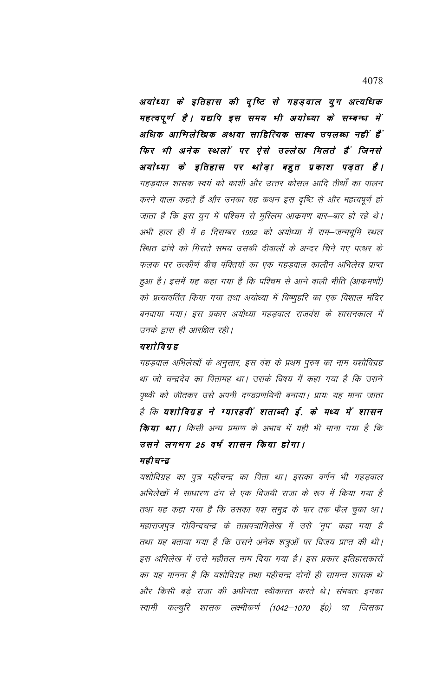अयोध्या के इतिहास की दृष्टि से गहड़वाल युग अत्यधिक महत्वपूर्ण है। यद्यपि इस समय भी अयोध्या के सम्बन्ध में अधिक आभिलेखिक अथवा साहित्यिक साक्ष्य उपलब्ध नहीं हैं फिर भी अनेक स्थलों पर ऐसे उल्लेख मिलते हैं जिनसे अयोध्या के इतिहास पर थोड़ा बहुत प्रकाश पड़ता है। गहड़वाल शासक स्वयं को काशी और उत्तर कोसल आदि तीर्थों का पालन करने वाला कहते हैं और उनका यह कथन इस दृष्टि से और महत्वपूर्ण हो जाता है कि इस युग में पश्चिम से मुस्लिम आक्रमण बार–बार हो रहे थे। अभी हाल ही में 6 दिसम्बर 1992 को अयोध्या में राम—जन्मभूमि स्थल स्थित ढांचे को गिराते समय उसकी दीवालों के अन्दर चिने गए पत्थर के फलक पर उत्कीर्ण बीच पंक्तियों का एक गहड़वाल कालीन अभिलेख प्राप्त हुआ है। इसमें यह कहा गया है कि पश्चिम से आने वाली भीति (आक्रमणों) को प्रत्यावर्तित किया गया तथा अयोध्या में विष्णुहरि का एक विशाल मंदिर बनवाया गया। इस प्रकार अयोध्या गहड़वाल राजवंश के शासनकाल में उनके द्वारा ही आरक्षित रही।

# यशाेविग्रह

गहड़वाल अभिलेखों के अनुसार, इस वंश के प्रथम पुरुष का नाम यशोविग्रह था जो चन्द्रदेव का पितामह था। उसके विषय में कहा गया है कि उसने पृथ्वी को जीतकर उसे अपनी दण्डप्रणयिनी बनाया। प्रायः यह माना जाता है कि यशोविग्रह ने ग्यारहवीं शताब्दी ई. के मध्य में शासन **किया था।** किसी अन्य प्रमाण के अभाव में यही भी माना गया है कि उसने लगभग 25 वर्ष शासन किया होगा।

### महीचन्द्र

यशोविग्रह का पुत्र महीचन्द्र का पिता था। इसका वर्णन भी गहड़वाल अभिलेखों में साधारण ढंग से एक विजयी राजा के रूप में किया गया है तथा यह कहा गया है कि उसका यश समुद्र के पार तक फैल चुका था। महाराजपुत्र गोविन्दचन्द्र के ताम्रपत्राभिलेख में उसे 'नृप' कहा गया है तथा यह बताया गया है कि उसने अनेक शत्रुओं पर विजय प्राप्त की थी। इस अभिलेख में उसे महीतल नाम दिया गया है। इस प्रकार इतिहासकारों का यह मानना है कि यशोविग्रह तथा महीचन्द्र दोनों ही सामन्त शासक थे और किसी बड़े राजा की अधीनता स्वीकारत करते थे। संभवतः इनका स्वामी कल्चुरि शासक लक्ष्मीकर्ण (1042—1070 ई0) था जिसका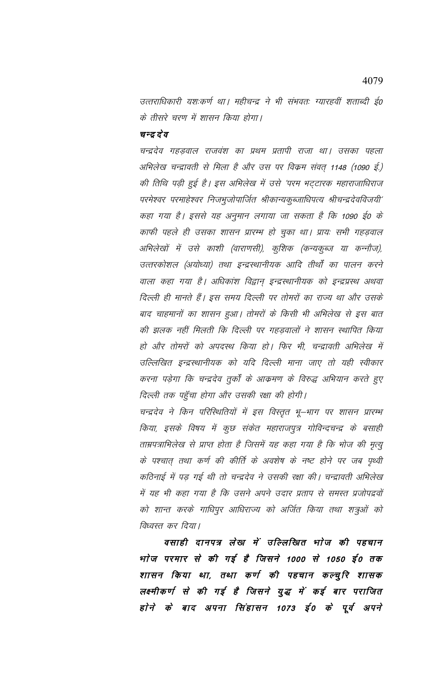उत्तराधिकारी यशःकर्ण था। महीचन्द्र ने भी संभवतः ग्यारहवीं शताब्दी ई0 के तीसरे चरण में शासन किया होगा।

# चन्द्र देव

चन्द्रदेव गहड़वाल राजवंश का प्रथम प्रतापी राजा था। उसका पहला अभिलेख चन्द्रावती से मिला है और उस पर विक्रम संवत् 1148 (1090 ई.) की तिथि पड़ी हुई है। इस अभिलेख में उसे 'परम भट्टारक महाराजाधिराज परमेश्वर परमाहेश्वर निजभुजोपार्जित श्रीकान्यकुब्जाधिपत्य श्रीचन्द्रदेवविजयी' कहा गया है। इससे यह अनुमान लगाया जा सकता है कि 1090 ई0 के काफी पहले ही उसका शासन प्रारम्भ हो चुका था। प्रायः सभी गहड़वाल अभिलेखों में उसे काशी (वाराणसी), कुशिक (कन्यकुब्ज या कन्नौज), उत्तरकोशल (अयोध्या) तथा इन्द्रस्थानीयक आदि तीर्थों का पालन करने वाला कहा गया है। अधिकांश विद्वान् इन्द्रस्थानीयक को इन्द्रप्रस्थ अथवा दिल्ली ही मानते हैं। इस समय दिल्ली पर तोमरों का राज्य था और उसके बाद चाहमानों का शासन हुआ। तोमरों के किसी भी अभिलेख से इस बात की झलक नहीं मिलती कि दिल्ली पर गहडवालों ने शासन स्थापित किया हो और तोमरों को अपदस्थ किया हो। फिर भी, चन्द्रावती अभिलेख में उल्लिखित इन्द्रस्थानीयक को यदि दिल्ली माना जाए तो यही स्वीकार करना पड़ेगा कि चन्द्रदेव तुर्कों के आक्रमण के विरुद्ध अभियान करते हुए दिल्ली तक पहुँचा होगा और उसकी रक्षा की होगी।

चन्द्रदेव ने किन परिस्थितियों में इस विस्तृत भू–भाग पर शासन प्रारम्भ किया, इसके विषय में कुछ संकेत महाराजपुत्र गोविन्दचन्द्र के बसाही ताम्रपत्राभिलेख से प्राप्त होता है जिसमें यह कहा गया है कि भोज की मृत्यु के पश्चात् तथा कर्ण की कीर्ति के अवशेष के नष्ट होने पर जब पृथ्वी कठिनाई में पड़ गई थी तो चन्द्रदेव ने उसकी रक्षा की। चन्द्रावती अभिलेख में यह भी कहा गया है कि उसने अपने उदार प्रताप से समस्त प्रजोपद्रवों को शान्त करके गाधिपुर आधिराज्य को अर्जित किया तथा शत्रुओं को विध्वस्त कर दिया।

वसाही दानपत्र लेख में उल्लिखित भाेज की पहचान भाेज परमार से की गई है जिसने 1000 से 1050 ई0 तक शासन किया था, तथा कर्ण की पहचान कल्चुरि शासक लक्ष्मीकर्ण से की गई है जिसने युद्ध में कई बार पराजित होने के बाद अपना सिंहासन 1073 ई0 के पूर्व अपने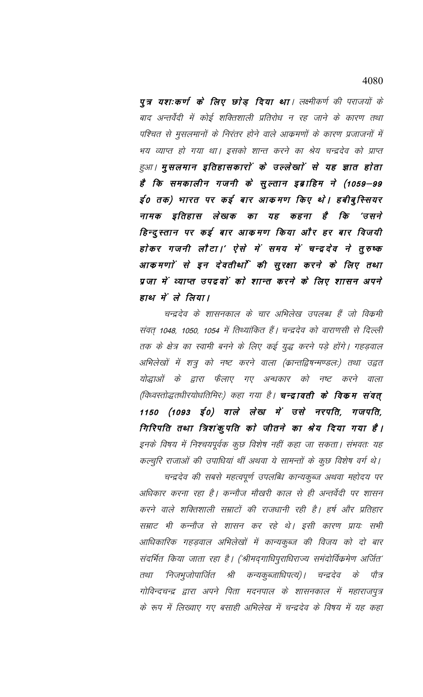# 4080

पुत्र यशःकर्ण के लिए छोड़ दिया था। लक्ष्मीकर्ण की पराजयों के बाद अन्तर्वेदी में कोई शक्तिशाली प्रतिरोध न रह जाने के कारण तथा पश्चित से मुसलमानों के निरंतर होने वाले आक्रमणों के कारण प्रजाजनों में भय व्याप्त हो गया था। इसको शान्त करने का श्रेय चन्द्रदेव को प्राप्त हुआ। मुसलमान इतिहासकारों के उल्लेखाों से यह ज्ञात होता है कि समकालीन गजनी के सुल्तान इब्राहिम ने (1059–99 ई० तक) भारत पर कई बार आकमण किए थे। हबीबुस्सियर नामक इतिहास लेखक का यह कहना है कि 'ਰसने हिन्दुस्तान पर कई बार आकमण किया और हर बार विजयी होकर गजनी लौटा।' ऐसे में समय में चन्द्रदेव ने तुरुष्क आकमणों से इन देवतीर्था की सुरक्षा करने के लिए तथा प्रजा में व्याप्त उपद्रवों को शान्त करने के लिए शासन अपने हाथ में ले लिया।

चन्द्रदेव के शासनकाल के चार अभिलेख उपलब्ध हैं जो विक्रमी संवत् 1048, 1050, 1054 में तिथ्यांकित हैं। चन्द्रदेव को वाराणसी से दिल्ली तक के क्षेत्र का स्वामी बनने के लिए कई युद्ध करने पड़े होंगे। गहड़वाल अभिलेखों में शत्रु को नष्ट करने वाला (क्रान्तद्विषन्मण्डलः) तथा उद्वत योद्धाओं के द्वारा फैलाए गए अन्धकार को नष्ट करने वाला (विध्वस्तोद्धतधीरयोधतिमिरः) कहा गया है। **चन्द्रावती के विकम संवत्** 1150 (1093 ई0) वाले लेख में उसे नरपति, गजपति, गिरिपति तथा त्रिशंकुपति को जीतने का श्रेय दिया गया है। इनके विषय में निश्चयपूर्वक कुछ विशेष नहीं कहा जा सकता। संभवतः यह कल्चुरि राजाओं की उपाधियां थीं अथवा ये सामन्तों के कुछ विशेष वर्ग थे।

चन्द्रदेव की सबसे महत्वपूर्ण उपलब्धि कान्यकुब्ज अथवा महोदय पर अधिकार करना रहा है। कन्नौज मौखरी काल से ही अन्तर्वेदी पर शासन करने वाले शक्तिशाली सम्राटों की राजधानी रही है। हर्ष और प्रतिहार सम्राट भी कन्नौज से शासन कर रहे थे। इसी कारण प्रायः सभी आधिकारिक गहड़वाल अभिलेखों में कान्यकुब्ज की विजय को दो बार संदर्भित किया जाता रहा है। ('श्रीमद्गाधिपुराधिराज्य समंदोर्विक्रमेण अर्जित' 'निजभुजोपार्जित श्री कन्यकुब्जाधिपत्यं)। चन्द्रदेव के पौत्र तथा गोविन्दचन्द्र द्वारा अपने पिता मदनपाल के शासनकाल में महाराजपुत्र के रूप में लिख्वाए गए बसाही अभिलेख में चन्द्रदेव के विषय में यह कहा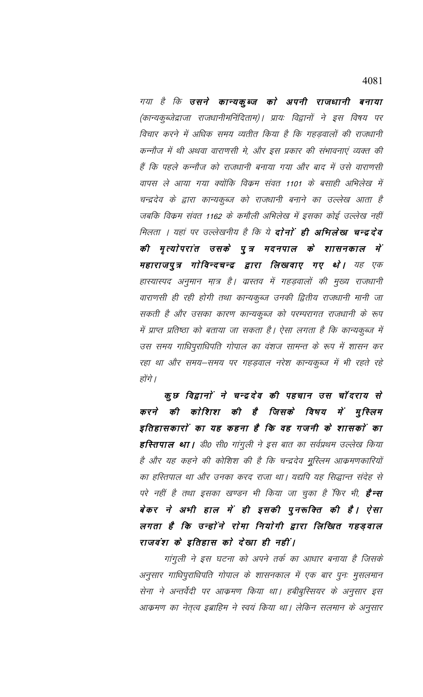4081

गया है कि उसने कान्यकुब्ज को अपनी राजधानी बनाया (कान्यकुब्जेद्राजा राजधानीमनिंदिताम)। प्रायः विद्वानों ने इस विषय पर विचार करने में अधिक समय व्यतीत किया है कि गहड़वालों की राजधानी कन्नौज में थी अथवा वाराणसी मे, और इस प्रकार की संभावनाएं व्यक्त की हैं कि पहले कन्नौज को राजधानी बनाया गया और बाद में उसे वाराणसी वापस ले आया गया क्योंकि विक्रम संवत 1101 के बसाही अभिलेख में चन्द्रदेव के द्वारा कान्यकुब्ज को राजधानी बनाने का उल्लेख आता है जबकि विक्रम संवत 1162 के कमौली अभिलेख में इसका कोई उल्लेख नहीं मिलता । यहां पर उल्लेखनीय है कि ये **दोनों ही अभिलेख चन्द्रदेव** की मृत्योपरांत उसके पुत्र मदनपाल के शासनकाल में महाराजपुत्र गोविन्दचन्द्र द्वारा लिखवाए गए थे। यह एक हास्यास्पद अनुमान मात्र है। वास्तव में गहड़वालों की मुख्य राजधानी वाराणसी ही रही होगी तथा कान्यकुब्ज उनकी द्वितीय राजधानी मानी जा सकती है और उसका कारण कान्यकुब्ज को परम्परागत राजधानी के रूप में प्राप्त प्रतिष्ठा को बताया जा सकता है। ऐसा लगता है कि कान्यकुब्ज में उस समय गाधिपुराधिपति गोपाल का वंशज सामन्त के रूप में शासन कर रहा था और समय–समय पर गहड़वाल नरेश कान्यकुब्ज में भी रहते रहे होंगे ।

कुछ विद्वानों ने चन्द्रदेव की पहचान उस चॉदराय से करने की कोशिश की है जिसके विषय में मुस्लिम इतिहासकारों का यह कहना है कि वह गजनी के शासकों का हरितपाल था। डी० सी० गांगुली ने इस बात का सर्वप्रथम उल्लेख किया है और यह कहने की कोशिश की है कि चन्द्रदेव मुस्लिम आक्रमणकारियों का हस्तिपाल था और उनका करद राजा था। यद्यपि यह सिद्धान्त संदेह से परे नहीं है तथा इसका खण्डन भी किया जा चुका है फिर भी, **है-स** बेकर ने अभी हाल में ही इसकी पुनरूक्ति की है। ऐसा लगता है कि उन्होंने रोमा नियोगी द्वारा लिखित गहड़वाल राजवंश के इतिहास को देखा ही नहीं।

गांगुली ने इस घटना को अपने तर्क का आधार बनाया है जिसके अनुसार गाधिपुराधिपति गोपाल के शासनकाल में एक बार पुनः मुसलमान सेना ने अन्तर्वेदी पर आक्रमण किया था। हबीबुस्सियर के अनुसार इस आक्रमण का नेतृत्व इब्राहिम ने स्वयं किया था। लेकिन सलमान के अनुसार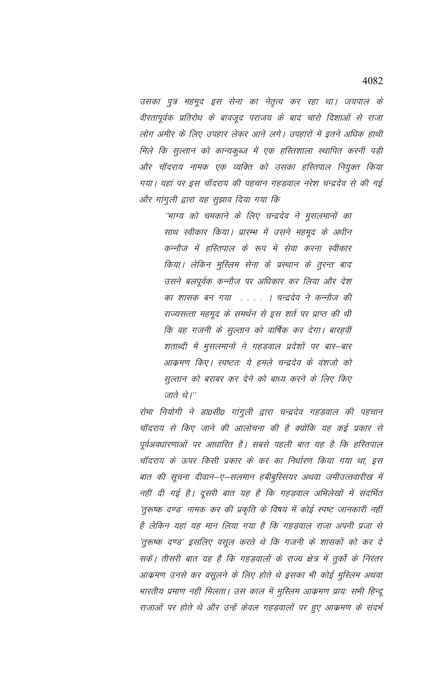उसका पुत्र महमूद इस सेना का नेतृत्व कर रहा था। जयपाल के वीरतापूर्वक प्रतिरोध के बावजूद पराजय के बाद चारो दिशाओं से राजा लोग अमीर के लिए उपहार लेकर आने लगे। उपहारों में इतने अधिक हाथी मिले कि सुल्तान को कान्यकुब्ज में एक हरितशाला स्थापित करनी पड़ी और चॉंदराय नामक एक व्यक्ति को उसका हरितपाल नियुक्त किया गया। यहां पर इस चॉदराय की पहचान गहड़वाल नरेश चन्द्रदेव से की गई और गांगुली द्वारा यह सुझाव दिया गया कि

''भाग्य को चमकाने के लिए चन्द्रदेव ने मुसलमानों का साथ स्वीकार किया। प्रारम्भ में उसने महमूद के अधीन कन्नौज में हस्तिपाल के रूप में सेवा करना स्वीकार किया। लेकिन मुस्लिम सेना के प्रस्थान के तुरन्त बाद उसने बलपूर्वक कन्नौज पर अधिकार कर लिया और देश का शासक बन गया . . . . । चन्द्रदेव ने कन्नौज की राज्यसत्ता महमूद के समर्थन से इस शर्त पर प्राप्त की थी कि वह गजनी के सुल्तान को वार्षिक कर देगा। बारहवीं शताब्दी में मुसलमानों ने गहड़वाल प्रदेशों पर बार–बार आक्रमण किए। स्पष्टतः ये हमले चन्द्रदेव के वंशजो को सुल्तान को बराबर कर देने को बाध्य करने के लिए किए जाते थे।''

रोमा नियोगी ने डा0सी0 गांगुली द्वारा चन्द्रदेव गहड़वाल की पहचान चॉदराय से किए जाने की आलोचना की है क्योंकि यह कई प्रकार से पूर्वअवधारणाओं पर आधारित है। सबसे पहली बात यह है कि हस्तिपाल चॉदराय के ऊपर किसी प्रकार के कर का निर्धारण किया गया था, इस बात की सूचना दीवान–ए–सलमान हबीबुस्सियर अथवा जमीउत्तवारीख में नहीं दी गई है। दूसरी बात यह है कि गहड़वाल अभिलेखों में संदर्भित 'तुरूष्क दण्ड' नामक कर की प्रकृति के विषय में कोई स्पष्ट जानकारी नहीं है लेकिन यहां यह मान लिया गया है कि गहड़वाल राजा अपनी प्रजा से 'तुरूष्क दण्ड' इसलिए वसूल करते थे कि गजनी के शासकों को कर दे सकें। तीसरी बात यह है कि गहड़वालों के राज्य क्षेत्र में तुर्को के निरंतर आक्रमण उनसे कर वसूलने के लिए होते थे इसका भी कोई मुस्लिम अथवा भारतीय प्रमाण नहीं मिलता। उस काल में मुस्लिम आक्रमण प्रायः सभी हिन्दू राजाओं पर होते थे और उन्हें केवल गहड़वालों पर हुए आक्रमण के संदर्भ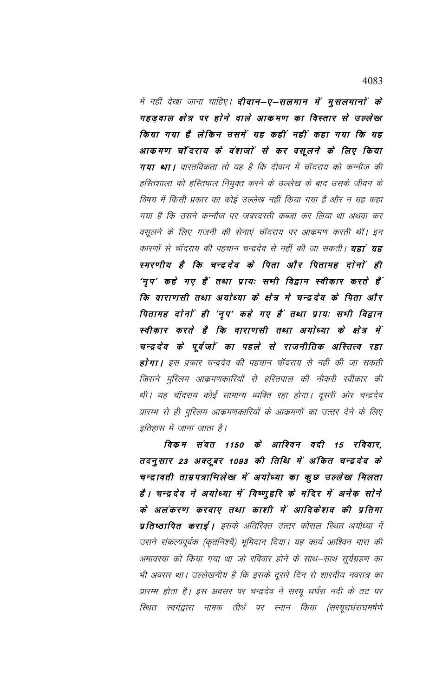में नहीं देखा जाना चाहिए। **दीवान–ए–सलमान में मुसलमानों के** गहड़वाल क्षेत्र पर होने वाले आकमण का विस्तार से उल्लेख किया गया है लेकिन उसमें यह कहीं नहीं कहा गया कि यह आकमण चाँदराय के वंशजों से कर वसूलने के लिए किया गया था। वास्तविकता तो यह है कि दीवान में चॉदराय को कन्नौज की हस्तिशाला को हस्तिपाल नियुक्त करने के उल्लेख के बाद उसके जीवन के विषय में किसी प्रकार का कोई उल्लेख नहीं किया गया है और न यह कहा गया है कि उसने कन्नौज पर जबरदस्ती कब्जा कर लिया था अथवा कर वसूलने के लिए गजनी की सेनाएं चॉदराय पर आक्रमण करती थीं। इन कारणों से चॉदराय की पहचान चन्द्रदेव से नहीं की जा सकती। **यहां यह** स्मरणीय है कि चन्द्रदेव के पिता और पितामह दोनों ही 'नृप' कहे गए हैं तथा प्रायः सभी विद्वान स्वीकार करते हैं ' कि वाराणसी तथा अयोध्या के क्षेत्र मे चन्द्रदेव के पिता और पितामह दोनों ही 'नृप' कहे गए हैं तथा प्रायः सभी विद्वान स्वीकार करते है कि वाराणसी तथा अयोध्या के क्षेत्र में चन्द्रदेव के पूर्वजों का पहले से राजनीतिक अस्तित्व रहा **होगा।** इस प्रकार चन्द्रदेव की पहचान चॉदराय से नहीं की जा सकती जिसने मुस्लिम आक्रमणकारियों से हस्तिपाल की नौकरी स्वीकार की थी। यह चॉदराय कोई सामान्य व्यक्ति रहा होगा। दूसरी ओर चन्द्रदेव प्रारम्भ से ही मुस्लिम आक्रमणकारियों के आक्रमणों का उत्तर देने के लिए इतिहास में जाना जाता है।

विकम संवत 1150 के आश्विन वदी 15 रविवार, तदनुसार 23 अक्टूबर 1093 की तिथि में अंकित चन्द्रदेव के चन्द्रावती ताम्रपत्राभिलेख में अयोध्या का कुछ उल्लेख मिलता हैं। चन्द्रदेव ने अयोध्या में विष्णुहरि के मंदिर में अनेक सोने के अलंकरण करवाए तथा काशी में आदिकेशव की प्रतिमा **प्रतिष्ठापित कराई।** इसके अतिरिक्त उत्तर कोसल स्थित अयोध्या में उसने संकल्पपूर्वक (कृतनिश्चै) भूमिदान दिया। यह कार्य आश्विन मास की अमावस्या को किया गया था जो रविवार होने के साथ–साथ सूर्यग्रहण का भी अवसर था। उल्लेखनीय है कि इसके दूसरे दिन से शारदीय नवरात्र का प्रारम्भ होता है। इस अवसर पर चन्द्रदेव ने सरयू घर्घरा नदी के तट पर स्थित स्वर्गद्वारा नामक तीर्थ पर स्नान किया (सरयूघर्घराघमर्षणे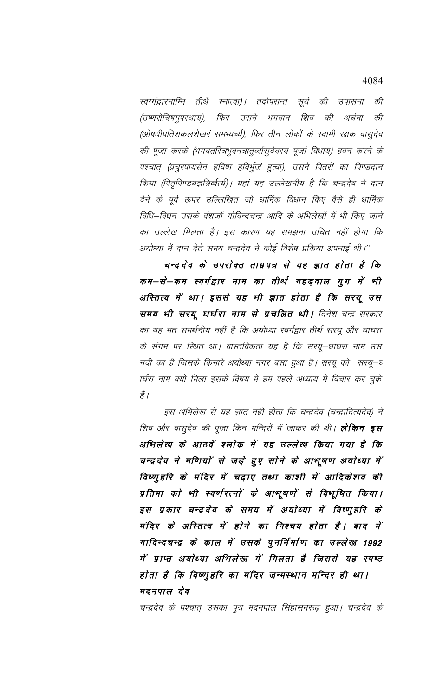स्वर्ग्गद्वारनाम्नि तीर्थे स्नात्वा)। तदोपरान्त सूर्य की उपासना की (उष्णरोचिषमुपस्थाय), फिर उसने भगवान शिव की अर्चना की (ओषधीपतिशकलशेखरं समभ्यच्चं), फिर तीन लोकों के स्वामी रक्षक वासुदेव की पूजा करके (भगवतस्त्रिभुवनत्रातुर्व्वासुदेवस्य पूजां विधाय) हवन करने के पश्चात् (प्रचुरपायसेन हविषा हविर्भुजं हुत्वा), उसने पितरों का पिण्डदान किया (पितृपिण्डयज्ञत्रिर्व्वत्यं)। यहां यह उल्लेखनीय है कि चन्द्रदेव ने दान देने के पूर्व ऊपर उल्लिखित जो धार्मिक विधान किए वैसे ही धार्मिक विधि–विधन उसके वंशजों गोविन्दचन्द्र आदि के अभिलेखों में भी किए जाने का उल्लेख मिलता है। इस कारण यह समझना उचित नहीं होगा कि अयोध्या में दान देते समय चन्द्रदेव ने कोई विशेष प्रक्रिया अपनाई थी।''

चन्द्रदेव के उपरोक्त ताम्रपत्र से यह ज्ञात होता है कि कम–से–कम स्वर्गद्वार नाम का तीर्थ गहड़वाल युग में भी अस्तित्व में था। इससे यह भी ज्ञात होता है कि सरयू उस समय भी सरयू घर्घरा नाम से प्रचलित थी। दिनेश चन्द्र सरकार का यह मत समर्थनीय नहीं है कि अयोध्या स्वर्गद्वार तीर्थ सरयू और घाघरा के संगम पर स्थित था। वास्तविकता यह है कि सरयू–घाघरा नाम उस नदी का है जिसके किनारे अयोध्या नगर बसा हुआ है। सरयू को सरयू—घ ार्घरा नाम क्यों मिला इसके विषय में हम पहले अध्याय में विचार कर चुके हैं |

इस अभिलेख से यह ज्ञात नहीं होता कि चन्द्रदेव (चन्द्रादित्यदेव) ने शिव और वासुदेव की पूजा किन मन्दिरों में जाकर की थी। **लेकिन इस** अभिलेख के आठवें श्लोक में यह उल्लेख किया गया है कि चन्द्र देव ने मणियों से जड़े हुए सोने के आभूषण अयोध्या में विष्णुहरि के मंदिर में चढ़ाए तथा काशी में आदिकेशव की प्रतिमा को भी स्वर्णरत्नों के आभूषणें से विभूषित किया। इस प्रकार चन्द्रदेव के समय में अयोध्या में विष्णुहरि के मंदिर के अस्तित्व में होने का निश्चय होता है। बाद में गाविन्दचन्द्र के काल में उसके पुनर्निर्माण का उल्लेख 1992 में प्राप्त अयोध्या अभिलेख में मिलता है जिससे यह स्पष्ट होता है कि विष्णुहरि का मंदिर जन्मस्थान मन्दिर ही था। मदनपाल देव

चन्द्रदेव के पश्चात् उसका पुत्र मदनपाल सिंहासनरूढ़ हुआ। चन्द्रदेव के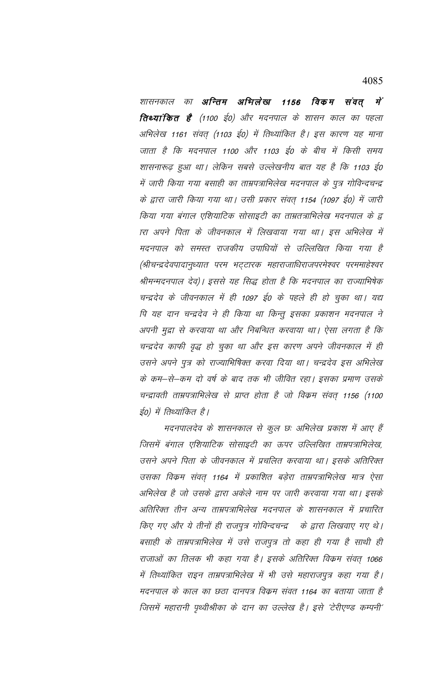4085

शासनकाल का **अन्तिम अभिलेख 1156 विकम संवत मे**ं **तिथ्यांकित है** (1100 ई0) और मदनपाल के शासन काल का पहला अभिलेख 1161 संवत् (1103 ई0) में तिथ्यांकित है। इस कारण यह माना जाता है कि मदनपाल 1100 और 1103 ई0 के बीच में किसी समय शासनारूढ़ हुआ था। लेकिन सबसे उल्लेखनीय बात यह है कि 1103 ई0 में जारी किया गया बसाही का ताम्रपत्राभिलेख मदनपाल के पुत्र गोविन्दचन्द्र के द्वारा जारी किया गया था। उसी प्रकार संवत् 1154 (1097 ई0) में जारी किया गया बंगाल एशियाटिक सोसाइटी का ताम्रतत्राभिलेख मदनपाल के द्व ारा अपने पिता के जीवनकाल में लिखवाया गया था। इस अभिलेख में मदनपाल को समस्त राजकीय उपाधियों से उल्लिखित किया गया है (श्रीचन्द्रदेवपादानृध्यात परम भट्टारक महाराजाधिराजपरमेश्वर परममाहेश्वर श्रीमन्मदनपाल देव)। इससे यह सिद्ध होता है कि मदनपाल का राज्याभिषेक चन्द्रदेव के जीवनकाल में ही 1097 ई0 के पहले ही हो चुका था। यद्य पि यह दान चन्द्रदेव ने ही किया था किन्तु इसका प्रकाशन मदनपाल ने अपनी मुद्रा से करवाया था और निबन्धित करवाया था। ऐसा लगता है कि चन्द्रदेव काफी वृद्ध हो चुका था और इस कारण अपने जीवनकाल में ही उसने अपने पुत्र को राज्याभिषिक्त करवा दिया था। चन्द्रदेव इस अभिलेख के कम–से–कम दो वर्ष के बाद तक भी जीवित रहा। इसका प्रमाण उसके चन्द्रावती ताम्रपत्राभिलेख से प्राप्त होता है जो विकम संवत् 1156 (1100 ईo) में तिथ्यांकित है।

मदनपालदेव के शासनकाल से कुल छः अभिलेख प्रकाश में आए हैं जिसमें बंगाल एशियाटिक सोसाइटी का ऊपर उल्लिखित ताम्रपत्राभिलेख, उसने अपने पिता के जीवनकाल में प्रचलित करवाया था। इसके अतिरिक्त उसका विक्रम संवत् 1164 में प्रकाशित बड़ेरा ताम्रपत्राभिलेख मात्र ऐसा अभिलेख है जो उसके द्वारा अकेले नाम पर जारी करवाया गया था। इसके अतिरिक्त तीन अन्य ताम्रपत्राभिलेख मदनपाल के शासनकाल में प्रचारित किए गए और ये तीनों ही राजपूत्र गोविन्दचन्द्र के द्वारा लिखवाए गए थे। बसाही के ताम्रपत्राभिलेख में उसे राजपुत्र तो कहा ही गया है साथी ही राजाओं का तिलक भी कहा गया है। इसके अतिरिक्त विक्रम संवत् 1066 में तिथ्यांकित राइन ताम्रपत्राभिलेख में भी उसे महाराजपूत्र कहा गया है। मदनपाल के काल का छठा दानपत्र विकम संवत 1164 का बताया जाता है जिसमें महारानी पृथ्वीश्रीका के दान का उल्लेख है। इसे 'टेरीएण्ड कम्पनी'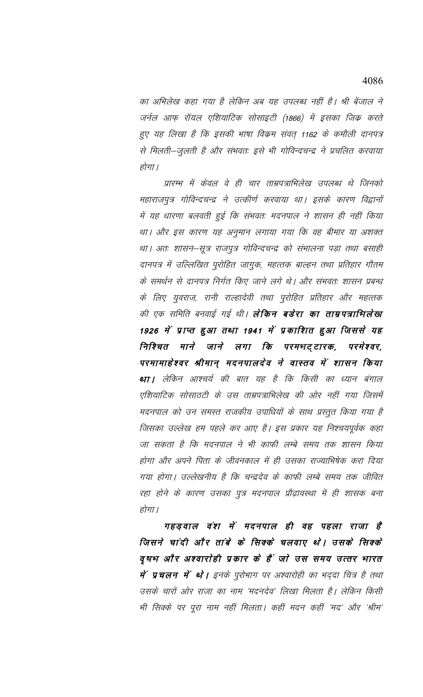का अभिलेख कहा गया है लेकिन अब यह उपलब्ध नहीं है। श्री बेंजाल ने जर्नल आफ़ रॉयल एशियाटिक सोसाइटी (1866) में इसका जिंक करते हुए यह लिखा है कि इसकी भाषा विक्रम संवत् 1162 के कमौली दानपत्र से मिलती-जुलती है और संभवतः इसे भी गोविन्दचन्द्र ने प्रचलित करवाया होगा।

प्रारम्भ में केवल वे ही चार ताम्रपत्राभिलेख उपलब्ध थे जिनको महाराजपुत्र गोविन्दचन्द्र ने उत्कीर्ण करवाया था। इसके कारण विद्वानों में यह धारणा बलवती हुई कि संभवतः मदनपाल ने शासन ही नहीं किया था। और इस कारण यह अनुमान लगाया गया कि वह बीमार या अशक्त था। अतः शासन–सूत्र राजपुत्र गोविन्दचन्द्र को संभालना पड़ा तथा बसाही दानपत्र में उल्लिखित पुरोहित जागुक, महत्तक बाल्हन तथा प्रतिहार गौतम के समर्थन से दानपत्र निर्गत किए जाने लगे थे। और संभवतः शासन प्रबन्ध के लिए युवराज, रानी राल्हादेवी तथा पुरोहित प्रतिहार और महत्तक की एक समिति बनवाई गई थी। **लेकिन बडेरा का ताम्रपत्राभिलेखा** 1926 में प्राप्त हुआ तथा 1941 में प्रकाशित हुआ जिससे यह निश्चित माने जाने लगा कि परमभट्टारक, परमेश्वर, परमामाहेश्वर श्रीमान् मदनपालदेव ने वास्तव में शासन किया था। लेकिन आश्चर्य की बात यह है कि किसी का ध्यान बंगाल एशियाटिक सोसाठटी के उस ताम्रपत्राभिलेख की ओर नहीं गया जिसमें मदनपाल को उन समस्त राजकीय उपाधियों के साथ प्रस्तुत किया गया है जिसका उल्लेख हम पहले कर आए है। इस प्रकार यह निश्चयपूर्वक कहा जा सकता है कि मदनपाल ने भी काफी लम्बे समय तक शासन किया होगा और अपने पिता के जीवनकाल में ही उसका राज्याभिषेक करा दिया गया होगा। उल्लेखनीय है कि चन्द्रदेव के काफी लम्बे समय तक जीवित रहा होने के कारण उसका पुत्र मदनपाल प्रौढ़ावस्था में ही शासक बना होगा।

गहड़वाल वंश में मदनपाल ही वह पहला राजा है जिसने चांदी और तांबे के सिक्के चलवाए थे। उसके सिक्के वृषभ और अश्वारोही प्रकार के हैं जो उस समय उत्तर भारत **में प्रचलन में थो।** इनके पुरोभाग पर अश्वारोही का भददा चित्र है तथा उसके चारों ओर राजा का नाम 'मदनदेव' लिखा मिलता है। लेकिन किसी भी सिक्के पर पूरा नाम नहीं मिलता। कहीं मदन कहीं 'मद' और 'श्रीम'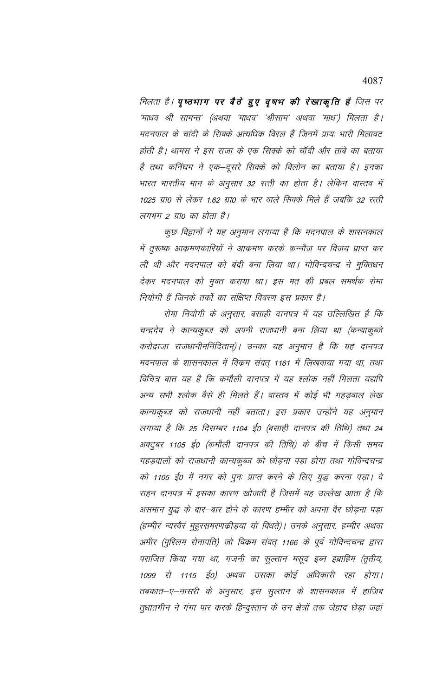मिलता है। पृष्ठभाग पर बैठे हुए वृषभ की रेखाकृति है जिस पर 'माधव श्री सामन्त' (अथवा 'माधव' 'श्रीसाम' अथवा 'माध') मिलता है। मदनपाल के चांदी के सिक्के अत्यधिक विरल हैं जिनमें प्रायः भारी मिलावट होती है। थामस ने इस राजा के एक सिक्के को चॉदी और तांबे का बताया है तथा कनिंघम ने एक–दूसरे सिक्के को विलोन का बताया है। इनका भारत भारतीय मान के अनुसार 32 रत्ती का होता है। लेकिन वास्तव में 1025 ग्रा0 से लेकर 1.62 ग्रा0 के भार वाले सिक्के मिले हैं जबकि 32 रत्ती लगभग 2 ग्रा0 का होता है।

कुछ विद्वानों ने यह अनुमान लगाया है कि मदनपाल के शासनकाल में तुरूष्क आक्रमणकारियों ने आक्रमण करके कन्नौज पर विजय प्राप्त कर ली थी और मदनपाल को बंदी बना लिया था। गोविन्दचन्द्र ने मुक्तिधन देकर मदनपाल को मुक्त कराया था। इस मत की प्रबल समर्थक रोमा नियोगी हैं जिनके तर्कों का संक्षिप्त विवरण इस प्रकार है।

रोमा नियोगी के अनुसार, बसाही दानपत्र में यह उल्लिखित है कि चन्द्रदेव ने कान्यकुब्ज को अपनी राजधानी बना लिया था (कन्याकुब्जे करोद्राजा राजधानीमनिंदिताम्)। उनका यह अनुमान है कि यह दानपत्र मदनपाल के शासनकाल में विक्रम संवत् 1161 में लिखवाया गया था, तथा विचित्र बात यह है कि कमौली दानपत्र में यह श्लोक नहीं मिलता यद्यपि अन्य सभी श्लोक वैसे ही मिलते हैं। वास्तव में कोई भी गहड़वाल लेख कान्यकुब्ज को राजधानी नहीं बताता। इस प्रकार उन्होंने यह अनुमान लगाया है कि 25 दिसम्बर 1104 ई0 (बसाही दानपत्र की तिथि) तथा 24 अक्टुबर 1105 ई0 (कमौली दानपत्र की तिथि) के बीच में किसी समय गहड़वालों को राजधानी कान्यकुब्ज को छोड़ना पड़ा होगा तथा गोविन्दचन्द्र को 1105 ई0 में नगर को पुनः प्राप्त करने के लिए युद्ध करना पड़ा। वे राहन दानपत्र में इसका कारण खोजती है जिसमें यह उल्लेख आता है कि असमान युद्ध के बार—बार होने के कारण हम्मीर को अपना वैर छोड़ना पड़ा (हम्मीरं न्यस्वैरं मुहुरसमरणक्रीड़या यो विधते)। उनके अनुसार, हम्मीर अथवा अमीर (मुस्लिम सेनापति) जो विक्रम संवत् 1166 के पूर्व गोविन्दचन्द्र द्वारा पराजित किया गया था, गजनी का सुल्तान मसूद इब्न इब्राहिम (तृतीय, 1099 से 1115 ई0) अथवा उसका कोई अधिकारी रहा होगा। तबकात–ए–नासरी के अनुसार, इस सुल्तान के शासनकाल में हाजिब तुधातगीन ने गंगा पार करके हिन्दुस्तान के उन क्षेत्रों तक जेहाद छेड़ा जहां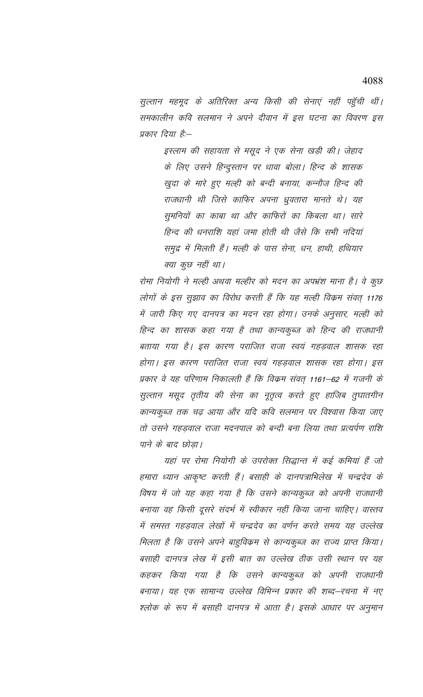सुल्तान महमूद के अतिरिक्त अन्य किसी की सेनाएं नहीं पहुँची थीं। समकालीन कवि सलमान ने अपने दीवान में इस घटना का विवरण इस प्रकार दिया है:—

> इस्लाम की सहायता से मसूद ने एक सेना खड़ी की। जेहाद के लिए उसने हिन्दुस्तान पर धावा बोला। हिन्द के शासक खुदा के मारे हुए मल्ही को बन्दी बनाया, कन्नौज हिन्द की राजधानी थी जिसे काफिर अपना धुवतारा मानते थे। यह सुमनियों का काबा था और काफिरों का किबला था। सारे हिन्द की धनराशि यहां जमा होती थी जैसे कि सभी नदियां समुद्र में मिलती हैं। मल्ही के पास सेना, धन, हाथी, हथियार क्या कुछ नहीं था।

रोमा नियोगी ने मल्ही अथवा मल्हीर को मदन का अपभ्रंश माना है। वे कुछ लोगों के इस सुझाव का विरोध करती हैं कि यह मल्ही विक्रम संवत् 1176 में जारी किए गए दानपत्र का मदन रहा होगा। उनके अनुसार, मल्ही को हिन्द का शासक कहा गया है तथा कान्यकुब्ज को हिन्द की राजधानी बताया गया है। इस कारण पराजित राजा स्वयं गहड़वाल शासक रहा होगा। इस कारण पराजित राजा स्वयं गहड़वाल शासक रहा होगा। इस प्रकार वे यह परिणाम निकालती हैं कि विक्रम संवत् 1161–62 में गजनी के सुल्तान मसूद तृतीय की सेना का नूतृत्व करते हुए हाजिब तुघातगीन कान्यकुब्ज तक चढ़ आया और यदि कवि सलमान पर विश्वास किया जाए तो उसने गहड़वाल राजा मदनपाल को बन्दी बना लिया तथा प्रत्यर्पण राशि पाने के बाद छोड़ा।

यहां पर रोमा नियोगी के उपरोक्त सिद्धान्त में कई कमियां हैं जो हमारा ध्यान आकृष्ट करती हैं। बसाही के दानपत्राभिलेख में चन्द्रदेव के विषय में जो यह कहा गया है कि उसने कान्यकुब्ज को अपनी राजधानी बनाया वह किसी दूसरे संदर्भ में स्वीकार नहीं किया जाना चाहिए। वास्तव में समस्त गहड़वाल लेखों में चन्द्रदेव का वर्णन करते समय यह उल्लेख मिलता है कि उसने अपने बाहुविकम से कान्यकुब्ज का राज्य प्राप्त किया। बसाही दानपत्र लेख में इसी बात का उल्लेख ठीक उसी स्थान पर यह कहकर किया गया है कि उसने कान्यकूब्ज को अपनी राजधानी बनाया। यह एक सामान्य उल्लेख विभिन्न प्रकार की शब्द–रचना में नए श्लोक के रूप में बसाही दानपत्र में आता है। इसके आधार पर अनुमान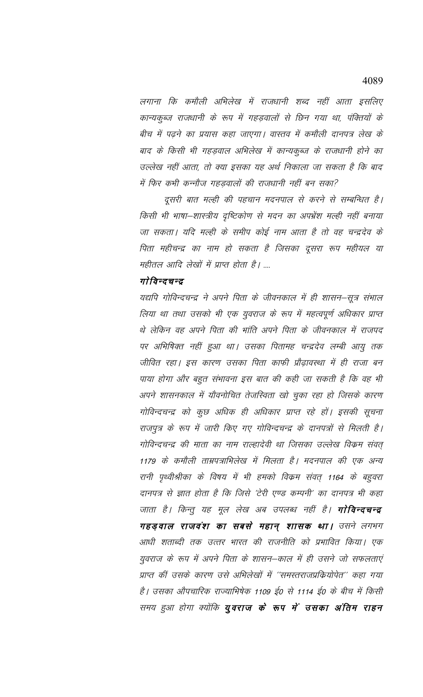लगाना कि कमौली अभिलेख में राजधानी शब्द नहीं आता इसलिए कान्यकुब्ज राजधानी के रूप में गहड़वालों से छिन गया था, पंक्तियों के बीच में पढ़ने का प्रयास कहा जाएगा। वास्तव में कमौली दानपत्र लेख के बाद के किसी भी गहड़वाल अभिलेख में कान्यकुब्ज के राजधानी होने का उल्लेख नहीं आता, तो क्या इसका यह अर्थ निकाला जा सकता है कि बाद में फिर कभी कन्नौज गहड़वालों की राजधानी नहीं बन सका?

दूसरी बात मल्ही की पहचान मदनपाल से करने से सम्बन्धित है। किसी भी भाषा–शास्त्रीय दृष्टिकोण से मदन का अपभ्रेंश मल्ही नहीं बनाया जा सकता। यदि मल्ही के समीप कोई नाम आता है तो वह चन्द्रदेव के पिता महीचन्द्र का नाम हो सकता है जिसका दूसरा रूप महीयल या महीतल आदि लेखों में प्राप्त होता है। ....

# गोविन्दचन्द्र

यद्यपि गोविन्दचन्द्र ने अपने पिता के जीवनकाल में ही शासन–सूत्र संभाल लिया था तथा उसको भी एक युवराज के रूप में महत्वपूर्ण अधिकार प्राप्त थे लेकिन वह अपने पिता की भांति अपने पिता के जीवनकाल में राजपद पर अभिषिक्त नहीं हुआ था। उसका पितामह चन्द्रदेव लम्बी आयु तक जीवित रहा। इस कारण उसका पिता काफी प्रौढ़ावस्था में ही राजा बन पाया होगा और बहुत संभावना इस बात की कही जा सकती है कि वह भी अपने शासनकाल में यौवनोचित तेजस्विता खो चुका रहा हो जिसके कारण गोविन्दचन्द्र को कुछ अधिक ही अधिकार प्राप्त रहे हों। इसकी सूचना राजपुत्र के रूप में जारी किए गए गोविन्दचन्द्र के दानपत्रों से मिलती है। गोविन्दचन्द्र की माता का नाम राल्हादेवी था जिसका उल्लेख विक्रम संवत् 1179 के कमौली ताम्रपत्राभिलेख में मिलता है। मदनपाल की एक अन्य रानी पृथ्वीश्रीका के विषय में भी हमको विक्रम संवत् 1164 के बहुवरा दानपत्र से ज्ञात होता है कि जिसे 'टेरी एण्ड कम्पनी' का दानपत्र भी कहा जाता है। किन्तु यह मूल लेख अब उपलब्ध नहीं है। **गोविन्दचन्द्र** गहड़वाल राजवंश का सबसे महान् शासक था। उसने लगभग आधी शताब्दी तक उत्तर भारत की राजनीति को प्रभावित किया। एक युवराज के रूप में अपने पिता के शासन–काल में ही उसने जो सफलताएं प्राप्त कीं उसके कारण उसे अभिलेखों में ''समस्तराजप्रकियोपेत'' कहा गया है। उसका औपचारिक राज्याभिषेक 1109 ई0 से 1114 ई0 के बीच में किसी समय हुआ होगा क्योंकि **युवराज के रूप में उसका अंतिम राहन**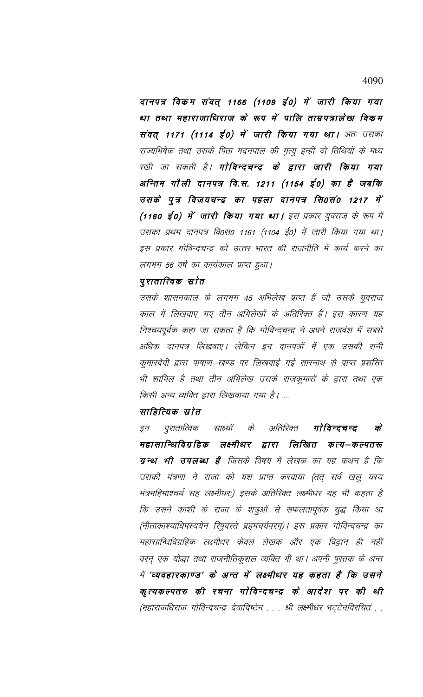दानपत्र विकम संवत् 1166 (1109 ई0) में जारी किया गया था तथा महाराजाधिराज के रूप में पालि ताम्रपत्रालेख विकम संवत् 1171 (1114 ई0) में जारी किया गया था। अतः उसका राज्यभिषेक तथा उसके पिता मदनपाल की मृत्यु इन्हीं दो तिथियों के मध्य रखी जा सकती है। **गोविन्दचन्द्र के द्वारा जारी किया गया** अन्तिम गौली दानपत्र वि.स. 1211 (1154 ई०) का है जबकि उसके पुत्र विजयचन्द्र का पहला दानपत्र सि0सं0 1217 में (1160 ई0) में जारी किया गया था। इस प्रकार युवराज के रूप में उसका प्रथम दानपत्र वि0स0 1161 (1104 ई0) में जारी किया गया था। इस प्रकार गोविन्दचन्द्र को उत्तर भारत की राजनीति में कार्य करने का लगभग 56 वर्ष का कार्यकाल प्राप्त हुआ।

### पुरातात्विक स्रोत

उसके शासनकाल के लगभग 45 अभिलेख प्राप्त हैं जो उसके युवराज काल में लिखवाए गए तीन अभिलेखों के अतिरिक्त हैं। इस कारण यह निश्चयपूर्वक कहा जा सकता है कि गोविन्दचन्द्र ने अपने राजवंश में सबसे अधिक दानपत्र लिखवाए। लेकिन इन दानपत्रों में एक उसकी रानी कुमारदेवी द्वारा पाषाण–खण्ड पर लिखवाई गई सारनाथ से प्राप्त प्रशस्ति भी शामिल है तथा तीन अभिलेख उसके राजकुमारों के द्वारा तथा एक किसी अन्य व्यक्ति द्वारा लिखवाया गया है। ....

# साहित्यिक स्रोत

के अतिरिक्त गोविन्दचन्द्र  $\vec{\sigma}$ इन पुरातात्विक साक्ष्यों महासान्धिविग्रहिक लक्ष्मीधर द्वारा लिखित कत्य–कल्पतरू **ग्रन्थ भी उपलब्ध है** जिसके विषय में लेखक का यह कथन है कि उसकी मंत्रणा ने राजा को यश प्राप्त करवाया (तत् सर्व खलु यस्य मंत्रमहिमाश्चर्य सह लक्ष्मीधरः) इसके अतिरिक्त लक्ष्मीधर यह भी कहता है कि उसने काशी के राजा के शत्रुओं से सफलतापूर्वक युद्ध किया था (नीताकाश्याधिपस्ययेन रिपुवस्ते ब्रह्मचर्यपरम्)। इस प्रकार गोविन्दचन्द्र का महासान्धिविग्रहिक लक्ष्मीधर केवल लेखक और एक विद्वान ही नहीं वरन् एक योद्धा तथा राजनीतिकुशल व्यक्ति भी था। अपनी पुस्तक के अन्त में 'व्यवहारकाण्ड' के अन्त में लक्ष्मीधर यह कहता है कि उसने कृत्यकल्पतरु की रचना गोविन्दचन्द्र के आदेश पर की थी (महाराजधिराज गोविन्दचन्द्र देवादिष्टेन . . . श्री लक्ष्मीधर भट्टेनविरचितं . .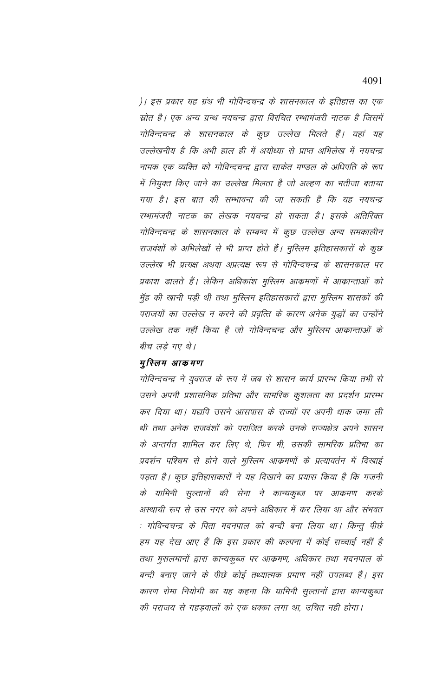)। इस प्रकार यह ग्रंथ भी गोविन्दचन्द्र के शासनकाल के इतिहास का एक स्रोत है। एक अन्य ग्रन्थ नयचन्द्र द्वारा विरचित रम्भामंजरी नाटक है जिसमें गोविन्दचन्द्र के शासनकाल के कुछ उल्लेख मिलते हैं। यहां यह उल्लेखनीय है कि अभी हाल ही में अयोध्या से प्राप्त अभिलेख में नयचन्द्र नामक एक व्यक्ति को गोविन्दचन्द्र द्वारा साकेत मण्डल के अधिपति के रूप में नियुक्त किए जाने का उल्लेख मिलता है जो अल्हण का भतीजा बताया गया है। इस बात की सम्भावना की जा सकती है कि यह नयचन्द्र रम्भामंजरी नाटक का लेखक नयचन्द्र हो सकता है। इसके अतिरिक्त गोविन्दचन्द्र के शासनकाल के सम्बन्ध में कुछ उल्लेख अन्य समकालीन राजवंशों के अभिलेखों से भी प्राप्त होते हैं। मुस्लिम इतिहासकारों के कुछ उल्लेख भी प्रत्यक्ष अथवा अप्रत्यक्ष रूप से गोविन्दचन्द्र के शासनकाल पर प्रकाश डालते हैं। लेकिन अधिकांश मुस्लिम आक्रमणों में आक्रान्ताओं को मुँह की खानी पड़ी थी तथा मुस्लिम इतिहासकारों द्वारा मुस्लिम शासकों की पराजयों का उल्लेख न करने की प्रवृत्ति के कारण अनेक युद्धों का उन्होंने उल्लेख तक नहीं किया है जो गोविन्दचन्द्र और मुस्लिम आक्रान्ताओं के बीच लड़े गए थे।

### मुस्लिम आकमण

गोविन्दचन्द्र ने युवराज के रूप में जब से शासन कार्य प्रारम्भ किया तभी से उसने अपनी प्रशासनिक प्रतिभा और सामरिक कुशलता का प्रदर्शन प्रारम्भ कर दिया था। यद्यपि उसने आसपास के राज्यों पर अपनी धाक जमा ली थी तथा अनेक राजवंशों को पराजित करके उनके राज्यक्षेत्र अपने शासन के अन्तर्गत शामिल कर लिए थे, फिर भी, उसकी सामरिक प्रतिभा का प्रदर्शन पश्चिम से होने वाले मुस्लिम आक्रमणों के प्रत्यावर्तन में दिखाई पड़ता है। कुछ इतिहासकारों ने यह दिखाने का प्रयास किया है कि गजनी के यामिनी सुल्तानों की सेना ने कान्यकूब्ज पर आक्रमण करके अस्थायी रूप से उस नगर को अपने अधिकार में कर लिया था और संभवत : गोविन्दचन्द्र के पिता मदनपाल को बन्दी बना लिया था। किन्तु पीछे हम यह देख आए हैं कि इस प्रकार की कल्पना में कोई सच्चाई नहीं है तथा मुसलमानों द्वारा कान्यकुब्ज पर आक्रमण, अधिकार तथा मदनपाल के बन्दी बनाए जाने के पीछे कोई तथ्यात्मक प्रमाण नहीं उपलब्ध हैं। इस कारण रोमा नियोगी का यह कहना कि यामिनी सुल्तानों द्वारा कान्यकुब्ज की पराजय से गहड़वालों को एक धक्का लगा था, उचित नही होगा।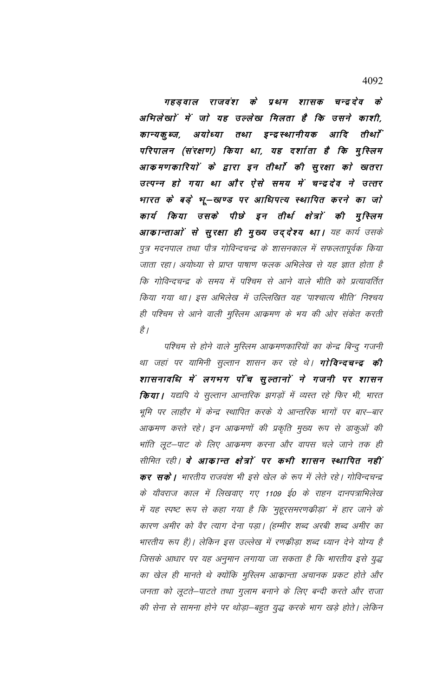गहड़वाल राजवंश के प्रथम शासक चन्द्रदेव के अभिलेखां में जाे यह उल्लेख मिलता है कि उसने काशी, अयोध्या तथा इन्द्रस्थानीयक आदि कान्यकू ब्ज, तीर्था परिपालन (संरक्षण) किया था, यह दर्शाता है कि मुस्लिम आकमणकारियों के द्वारा इन तीर्था की सुरक्षा को खतरा उत्पन्न हो गया था और ऐसे समय में चन्द्रदेव ने उत्तर भारत के बड़े भू—खण्ड पर आधिपत्य स्थापित करने का जो कार्य किया उसके पीछे इन तीर्थ क्षेत्रों की मुस्लिम आकान्ताओं से सुरक्षा ही मुख्य उद्देश्य था। यह कार्य उसके पुत्र मदनपाल तथा पौत्र गोविन्दचन्द्र के शासनकाल में सफलतापूर्वक किया जाता रहा। अयोध्या से प्राप्त पाषाण फलक अभिलेख से यह ज्ञात होता है कि गोविन्दचन्द्र के समय में पश्चिम से आने वाले भीति को प्रत्यावर्तित किया गया था। इस अभिलेख में उल्लिखित यह 'पाश्चात्य भीति' निश्चय ही पश्चिम से आने वाली मुस्लिम आक्रमण के भय की ओर संकेत करती है |

पश्चिम से होने वाले मुस्लिम आक्रमणकारियों का केन्द्र बिन्दु गजनी था जहां पर यामिनी सुल्तान शासन कर रहे थे। **गोविन्दचन्द्र की** शासनावधि में लगभग पाँच सुल्तानों ने गजनी पर शासन **किया।** यद्यपि ये सुल्तान आन्तरिक झगड़ों में व्यस्त रहे फिर भी, भारत भूमि पर लाहौर में केन्द्र स्थापित करके ये आन्तरिक भागों पर बार—बार आक्रमण करते रहे। इन आक्रमणों की प्रकृति मुख्य रूप से डाकुओं की भांति लूट–पाट के लिए आक्रमण करना और वापस चले जाने तक ही सीमित रही। **वे आकान्त क्षेत्रों पर कभी शासन स्थापित नहीं कर सकें।** भारतीय राजवंश भी इसे खेल के रूप में लेते रहे। गोविन्दचन्द्र के यौवराज काल में लिखवाए गए 1109 ई0 के राहन दानपत्राभिलेख में यह स्पष्ट रूप से कहा गया है कि 'मुहूरसमरणक्रीड़ा' में हार जाने के कारण अमीर को वैर त्याग देना पड़ा। (हम्मीर शब्द अरबी शब्द अमीर का भारतीय रूप है)। लेकिन इस उल्लेख में रणक्रीड़ा शब्द ध्यान देने योग्य है जिसके आधार पर यह अनुमान लगाया जा सकता है कि भारतीय इसे युद्ध का खेल ही मानते थे क्योंकि मुस्लिम आक्रान्ता अचानक प्रकट होते और जनता को लूटते—पाटते तथा गुलाम बनाने के लिए बन्दी करते और राजा की सेना से सामना होने पर थोड़ा—बहुत युद्ध करके भाग खड़े होते। लेकिन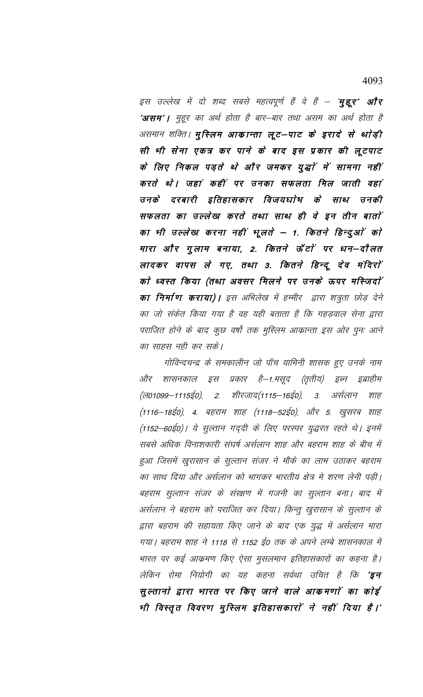इस उल्लेख में दो शब्द सबसे महत्वपूर्ण हैं वे हैं – **मुद्दूर' और 'असम'।** मुहूर का अर्थ होता है बार–बार तथा असम का अर्थ होता है असमान शक्ति। **मुस्लिम आकान्ता लूट—पाट के इरादे से थोड़ी** सी भी सेना एकत्र कर पाने के बाद इस प्रकार की लूटपाट के लिए निकल पड़ते थे और जमकर युद्धों में सामना नहीं करते थे। जहां कहीं पर उनका सफलता मिल जाती वहां उनके दरबारी इतिहासकार विजयघाेष के साथ उनकी सफलता का उल्लेख करते तथा साथ ही वे इन तीन बातों का भी उल्लेख करना नहीं भूलते – 1. कितने हिन्दुओं को मारा और गुलाम बनाया, 2. कितने ऊँटों पर धन–दौलत लादकर वापस ले गए, तथा 3. कितने हिन्दू देव मंदिरों को ध्वस्त किया (तथा अवसर मिलने पर उनके ऊपर मस्जिदों **का निर्माण कराया)।** इस अभिलेख में हम्मीर द्वारा शत्रुता छोड़ देने का जो संकेत किया गया है वह यही बताता है कि गहड़वाल सेना द्वारा पराजित होने के बाद कुछ वर्षो तक मुस्लिम आक्रान्ता इस ओर पुनः आने का साहस नही कर सके।

गोविन्दचन्द्र के समकालीन जो पॉच यामिनी शासक हुए उनके नाम और शासनकाल इस प्रकार है–1.मसूद (तृतीय) इब्न इब्राहीम शीरजाद(1115—16ई0), (ল০1099—1115ईo), 2. 3. अर्सलान शाह (1116—18ई0), 4. बहराम शाह (1118—52ई0), और 5. खुसरब शाह (1152–60ई0)। ये सुल्तान गद्दी के लिए परस्पर युद्धरत रहते थे। इनमें सबसे अधिक विनाशकारी संघर्ष अर्सलान शाह और बहराम शाह के बीच में हुआ जिसमें खुरासान के सुल्तान संजर ने मौके का लाभ उठाकर बहराम का साथ दिया और अर्सलान को भागकर भारतीय क्षेत्र मे शरण लेनी पड़ी। बहराम सुल्तान संजर के संरक्षण में गजनी का सुल्तान बना। बाद में अर्सलान ने बहराम को पराजित कर दिया। किन्तु खुरासान के सुल्तान के द्वारा बहराम की सहायता किए जाने के बाद एक युद्ध में अर्सलान मारा गया। बहराम शाह ने 1118 से 1152 ई0 तक के अपने लम्बे शासनकाल में भारत पर कई आक्रमण किए ऐसा मुसलमान इतिहासकारों का कहना है। लेकिन रोमा नियोगी का यह कहना सर्वथा उचित है कि **'इन** सुल्तानो द्वारा भारत पर किए जाने वाले आकमणों का कोई भी विस्तृत विवरण मुस्लिम इतिहासकारों ने नहीं दिया है।'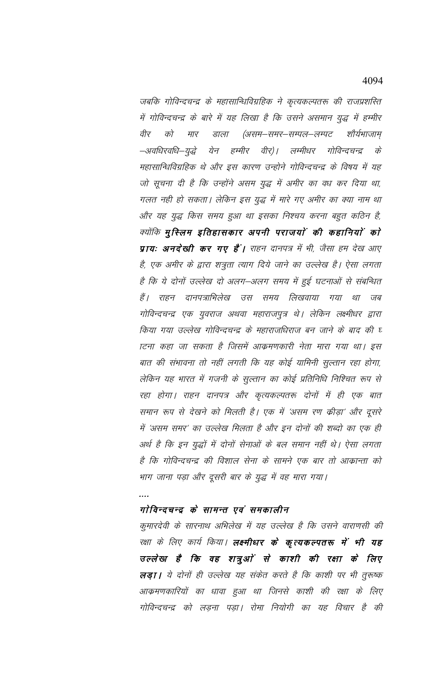जबकि गोविन्दचन्द्र के महासान्धिविग्रहिक ने कृत्यकल्पतरू की राजप्रशस्ति में गोविन्दचन्द्र के बारे में यह लिखा है कि उसने असमान युद्ध में हम्मीर वीर को मार डाला (असम–समर–सम्पल–लम्पट शौर्यभाजाम –अवधिरवधि–युद्धे येन हम्मीर वीर)। लम्मीधर गोविन्दचन्द्र के महासान्धिविग्रहिक थे और इस कारण उन्होने गोविन्दचन्द्र के विषय में यह जो सूचना दी है कि उन्होंने असम युद्ध में अमीर का वध कर दिया था, गलत नही हो सकता। लेकिन इस युद्ध में मारे गए अमीर का क्या नाम था और यह युद्ध किस समय हुआ था इसका निश्चय करना बहुत कठिन है, क्योंकि मुस्लिम इतिहासकार अपनी पराजयों की कहानियों को प्रायः अनदेखी कर गए हैं। राहन दानपत्र में भी, जैसा हम देख आए है, एक अमीर के द्वारा शत्रुता त्याग दिये जाने का उल्लेख है। ऐसा लगता है कि ये दोनों उल्लेख दो अलग-अलग समय में हुई घटनाओं से संबन्धित हैं। राहन दानपत्राभिलेख उस समय लिखवाया गया था जब गोविन्दचन्द्र एक युवराज अथवा महाराजपुत्र थे। लेकिन लक्ष्मीधर द्वारा किया गया उल्लेख गोविन्दचन्द्र के महाराजधिराज बन जाने के बाद की घ ाटना कहा जा सकता है जिसमें आक्रमणकारी नेता मारा गया था। इस बात की संभावना तो नहीं लगती कि यह कोई यामिनी सुल्तान रहा होगा, लेकिन यह भारत में गजनी के सुल्तान का कोई प्रतिनिधि निश्चित रूप से रहा होगा। राहन दानपत्र और कृत्यकल्पतरू दोनों में ही एक बात समान रूप से देखने को मिलती है। एक में 'असम रण क्रीड़ा' और दूसरे में 'असम समर' का उल्लेख मिलता है और इन दोनों की शब्दो का एक ही अर्थ है कि इन युद्धों में दोनों सेनाओं के बल समान नहीं थे। ऐसा लगता है कि गोविन्दचन्द्र की विशाल सेना के सामने एक बार तो आक्रान्ता को भाग जाना पड़ा और दूसरी बार के युद्ध में वह मारा गया।

### गोविन्दचन्द्र के सामन्त एवं समकालीन

कुमारदेवी के सारनाथ अभिलेख में यह उल्लेख है कि उसने वाराणसी की रक्षा के लिए कार्य किया। **लक्ष्मीधर के कृत्यकल्पतरू में भी यह** उल्लेख है कि वह शत्रुओं से काशी की रक्षा के लिए लड़ा। ये दोनों ही उल्लेख यह संकेत करते है कि काशी पर भी तुरूष्क आक्रमणकारियों का धावा हुआ था जिनसे काशी की रक्षा के लिए गोविन्दचन्द्र को लड़ना पड़ा। रोमा नियोगी का यह विचार है की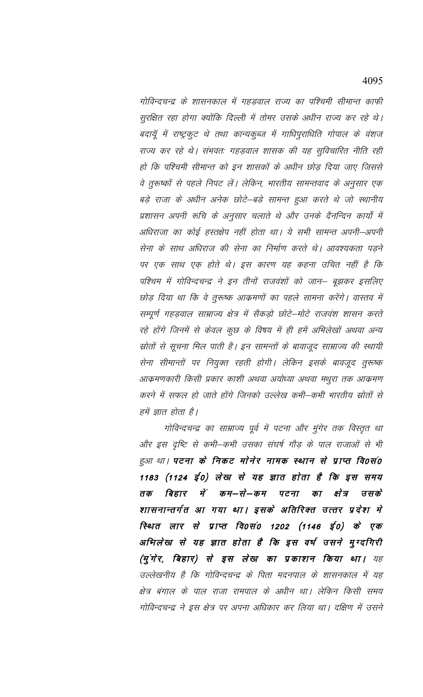गोविन्दचन्द्र के शासनकाल में गहडवाल राज्य का पश्चिमी सीमान्त काफी सुरक्षित रहा होगा क्योंकि दिल्ली में तोमर उसके अधीन राज्य कर रहे थे। बदायूँ में राष्ट्रकुट थे तथा कान्यकुब्ज में गाधिपुराधिति गोपाल के वंशज राज्य कर रहे थे। संभवतः गहड़वाल शासक की यह सुविचारित नीति रही हो कि पश्चिमी सीमान्त को इन शासकों के अधीन छोड़ दिया जाए जिससे वे तुरूष्कों से पहले निपट लें। लेकिन, भारतीय सामन्तवाद के अनुसार एक बड़े राजा के अधीन अनेक छोटे–बड़े सामन्त हुआ करते थे जो स्थानीय प्रशासन अपनी रूचि के अनुसार चलाते थे और उनके दैनन्दिन कार्यो में अधिराजा का कोई हस्तक्षेप नहीं होता था। ये सभी सामन्त अपनी–अपनी सेना के साथ अधिराज की सेना का निर्माण करते थे। आवश्यकता पड़ने पर एक साथ एक होते थे। इस कारण यह कहना उचित नहीं है कि पश्चिम में गोविन्दचन्द्र ने इन तीनों राजवंशों को जान– बूझकर इसलिए छोड़ दिया था कि वे तुरूष्क आक्रमणों का पहले सामना करेंगे। वास्तव में सम्पूर्ण गहड़वाल साम्राज्य क्षेत्र में सैकड़ो छोटे–मोटे राजवंश शासन करते रहे होंगे जिनमें से केवल कुछ के विषय में ही हमें अभिलेखों अथवा अन्य म्रोतों से सूचना मिल पाती है। इन सामन्तों के बावाजूद साम्राज्य की स्थायी सेना सीमान्तों पर नियुक्त रहती होगी। लेकिन इसके बावजूद तुरूष्क आक्रमणकारी किसी प्रकार काशी अथवा अयोध्या अथवा मथुरा तक आक्रमण करने में सफल हो जाते होंगे जिनको उल्लेख कभी–कभी भारतीय स्रोतों से हमें ज्ञात होता है।

गोविन्दचन्द्र का साम्राज्य पूर्व में पटना और मुंगेर तक विस्तृत था और इस दृष्टि से कभी–कभी उसका संघर्ष गौड़ के पाल राजाओं से भी हुआ था। पटना के निकट मोनेर नामक स्थान से प्राप्त वि0सं0 1183 (1124 ई0) लेख से यह ज्ञात होता है कि इस समय तक बिहार में कम–से–कम पटना का क्षेत्र उसके शासनान्तर्गत आ गया था। इसके अतिरिक्त उत्तर प्रदेश मे स्थित लार से प्राप्त वि0सं0 1202 (1146 ई0) के एक अभिलेख से यह ज्ञात होता है कि इस वर्ष उसने मुग्दगिरी (मुंगेर, बिहार) से इस लेख का प्रकाशन किया था। यह उल्लेखनीय है कि गोविन्दचन्द्र के पिता मदनपाल के शासनकाल में यह क्षेत्र बंगाल के पाल राजा रामपाल के अधीन था। लेकिन किसी समय गोविन्दचन्द्र ने इस क्षेत्र पर अपना अधिकार कर लिया था। दक्षिण में उसने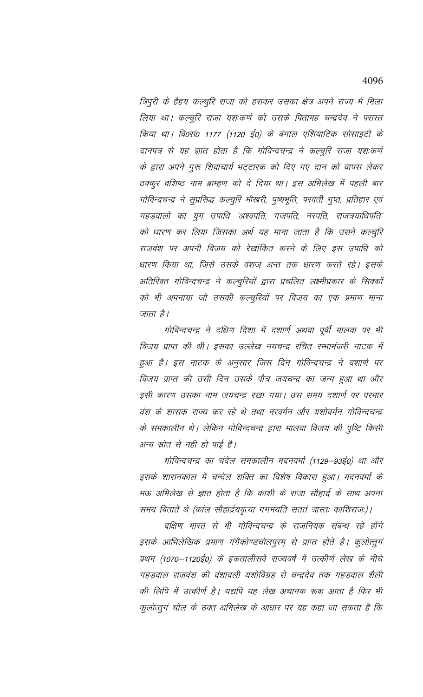त्रिपुरी के हैहय कल्चुरि राजा को हराकर उसका क्षेत्र अपने राज्य में मिला लिया था। कल्चुरि राजा यशःकर्ण को उसके पितामह चन्द्रदेव ने परास्त किया था। वि0सं0 1177 (1120 ई0) के बंगाल एशियाटिक सोसाइटी के दानपत्र से यह ज्ञात होता है कि गोविन्दचन्द्र ने कल्चुरि राजा यशःकर्ण के द्वारा अपने गुरू शिवाचार्य भट्टारक को दिए गए दान को वापस लेकर ठक्कुर वशिष्ठ नाम ब्राम्हण को दे दिया था। इस अभिलेख में पहली बार गोविन्दचन्द्र ने सुप्रसिद्ध कल्चुरि मौखरी, पुष्यभूति, परवर्ती गुप्त, प्रतिहार एवं गहड़वालों का युग उपाधि 'अश्वपति, गजपति, नरपति, राजत्रयाधिपति' को धारण कर लिया जिसका अर्थ यह माना जाता है कि उसने कल्चुरि राजवंश पर अपनी विजय को रेखांकित करने के लिए इस उपाधि को धारण किया था, जिसे उसके वंशज अन्त तक धारण करते रहे। इसके अतिरिक्त गोविन्दचन्द्र ने कल्चुरियों द्वारा प्रचलित लक्ष्मीप्रकार के सिक्कों को भी अपनाया जो उसकी कल्चुरियों पर विजय का एक प्रमाण माना जाता है।

गोविन्दचन्द्र ने दक्षिण दिशा में दशार्ण अथवा पूर्वी मालवा पर भी विजय प्राप्त की थी। इसका उल्लेख नयचन्द्र रचित रम्भामंजरी नाटक में हुआ है। इस नाटक के अनुसार जिस दिन गोविन्दचन्द्र ने दशार्ण पर विजय प्राप्त की उसी दिन उसके पौत्र जयचन्द्र का जन्म हुआ था और इसी कारण उसका नाम जयचन्द्र रखा गया। उस समय दशार्ण पर परमार वंश के शासक राज्य कर रहे थे तथा नरवर्मन और यशोवर्मन गोविन्दचन्द्र के समकालीन थे। लेकिन गोविन्दचन्द्र द्वारा मालवा विजय की पुष्टि किसी अन्य स्रोत से नही हो पाई है।

गोविन्दचन्द्र का चंदेल समकालीन मदनवर्मा (1129–93ई0) था और इसके शासनकाल में चन्देल शक्ति का विशेष विकास हुआ। मदनवर्मा के मऊ अभिलेख से ज्ञात होता है कि काशी के राजा सौहार्द्र के साथ अपना समय बिताते थे (कांल सौहार्द्रयवृत्या गगमयति सततं त्रास्तः काशिराजः)।

दक्षिण भारत से भी गोविन्दचन्द्र के राजनियक संबन्ध रहे होंगे इसके आभिलेखिक प्रमाण गंगैकोण्डचोलपुरम् से प्राप्त होते है। कुलोत्तुगं प्रथम (1070–1120ई0) के इकतालीसवे राज्यवर्ष में उत्कीर्ण लेख के नीचे गहडवाल राजवंश की वंशावली यशोविग्रह से चन्द्रदेव तक गहडवाल शैली की लिपि में उत्कीर्ण है। यद्यपि यह लेख अचानक रूक आता है फिर भी कुलोत्तुगं चोल के उक्त अभिलेख के आधार पर यह कहा जा सकता है कि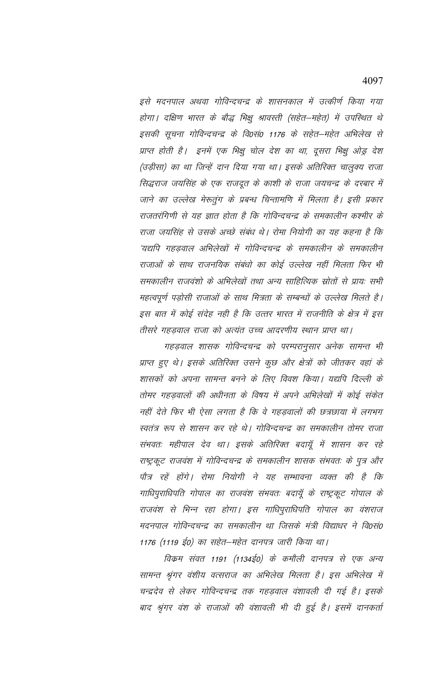इसे मदनपाल अथवा गोविन्दचन्द्र के शासनकाल में उत्कीर्ण किया गया होगा। दक्षिण भारत के बौद्ध भिक्षु श्रावस्ती (सहेत–महेत) में उपस्थित थे इसकी सूचना गोविन्दचन्द्र के वि0सं0 1176 के सहेत–महेत अभिलेख से प्राप्त होती है। इनमें एक भिक्षु चोल देश का था, दूसरा भिक्षु ओड्र देश (उड़ीसा) का था जिन्हें दान दिया गया था। इसके अतिरिक्त चालुक्य राजा सिद्धराज जयसिंह के एक राजदूत के काशी के राजा जयचन्द्र के दरबार में जाने का उल्लेख मेरूतुंग के प्रबन्ध चिन्तामणि में मिलता है। इसी प्रकार राजतरंगिणी से यह ज्ञात होता है कि गोविन्दचन्द्र के समकालीन कश्मीर के राजा जयसिंह से उसके अच्छे संबंध थे। रोमा नियोगी का यह कहना है कि 'यद्यपि गहडवाल अभिलेखों में गोविन्दचन्द्र के समकालीन के समकालीन राजाओं के साथ राजनयिक संबंधो का कोई उल्लेख नहीं मिलता फिर भी समकालीन राजवंशो के अभिलेखों तथा अन्य साहित्यिक स्रोतों से प्रायः सभी महत्वपूर्ण पड़ोसी राजाओं के साथ मित्रता के सम्बन्धों के उल्लेख मिलते है। इस बात में कोई संदेह नही है कि उत्तर भारत में राजनीति के क्षेत्र में इस तीसरे गहडवाल राजा को अत्यंत उच्च आदरणीय स्थान प्राप्त था।

गहड़वाल शासक गोविन्दचन्द्र को परम्परानुसार अनेक सामन्त भी प्राप्त हुए थे। इसके अतिरिक्त उसने कुछ और क्षेत्रों को जीतकर वहां के शासकों को अपना सामन्त बनने के लिए विवश किया। यद्यपि दिल्ली के तोमर गहड़वालों की अधीनता के विषय में अपने अभिलेखों में कोई संकेत नहीं देते फिर भी ऐसा लगता है कि वे गहडवालों की छत्रछाया में लगभग स्वतंत्र रूप से शासन कर रहे थे। गोविन्दचन्द्र का समकालीन तोमर राजा संभवतः महीपाल देव था। इसके अतिरिक्त बदायूँ में शासन कर रहे राष्ट्रकूट राजवंश में गोविन्दचन्द्र के समकालीन शासक संभवतः के पुत्र और पौत्र रहें होंगे। रोमा नियोगी ने यह सम्भावना व्यक्त की है कि गाधिपुराधिपति गोपाल का राजवंश संभवतः बदायूँ के राष्ट्रकूट गोपाल के राजवंश से भिन्न रहा होगा। इस गाधिपुराधिपति गोपाल का वंशराज मदनपाल गोविन्दचन्द्र का समकालीन था जिसके मंत्री विद्याधर ने वि०सं० 1176 (1119 ई0) का सहेत–महेत दानपत्र जारी किया था।

विकम संवत 1191 (1134ई0) के कमौली दानपत्र से एक अन्य सामन्त श्रृंगर वंशीय वत्सराज का अभिलेख मिलता है। इस अभिलेख में चन्द्रदेव से लेकर गोविन्दचन्द्र तक गहड़वाल वंशावली दी गई है। इसके बाद श्रृंगर वंश के राजाओं की वंशावली भी दी हुई है। इसमें दानकर्ता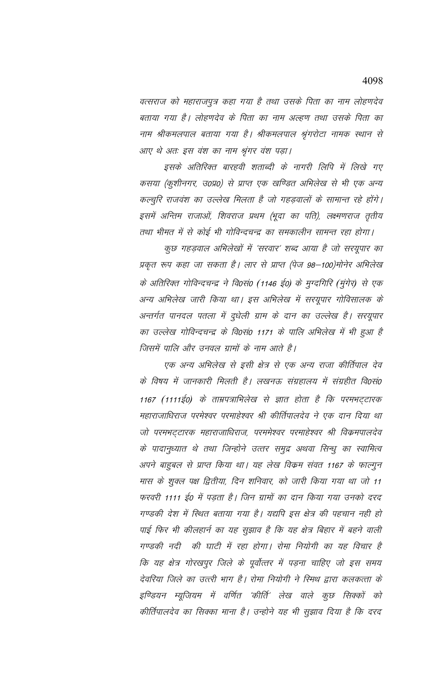वत्सराज को महाराजपुत्र कहा गया है तथा उसके पिता का नाम लोहणदेव बताया गया है। लोहणदेव के पिता का नाम अल्हण तथा उसके पिता का नाम श्रीकमलपाल बताया गया है। श्रीकमलपाल श्रृंगरोटा नामक स्थान से आए थे अतः इस वंश का नाम श्रृंगर वंश पड़ा।

इसके अतिरिक्त बारहवी शताब्दी के नागरी लिपि में लिखे गए कसया (कुशीनगर, उ0प्र0) से प्राप्त एक खण्डित अभिलेख से भी एक अन्य कल्चुरि राजवंश का उल्लेख मिलता है जो गहड़वालों के सामान्त रहे होंगे। इसमें अन्तिम राजाओं, शिवराज प्रथम (भूदा का पति), लक्ष्मणराज तृतीय तथा भीमत में से कोई भी गोविन्दचन्द्र का समकालीन सामन्त रहा होगा।

कुछ गहड़वाल अभिलेखों में 'सरवार' शब्द आया है जो सरयूपार का प्रकृत रूप कहा जा सकता है। लार से प्राप्त (पेज 98—100)मोनेर अभिलेख के अतिरिक्त गोविन्दचन्द्र ने वि0सं0 (1146 ई0) के मुग्दगिरि (मुंगेर) से एक अन्य अभिलेख जारी किया था। इस अभिलेख में सरयूपार गोविसालक के अन्तर्गत पानदल पतला में दुधेली ग्राम के दान का उल्लेख है। सरयूपार का उल्लेख गोविन्दचन्द्र के वि0सं0 1171 के पालि अभिलेख में भी हुआ है जिसमें पालि और उनवल ग्रामों के नाम आते है।

एक अन्य अभिलेख से इसी क्षेत्र से एक अन्य राजा कीर्तिपाल देव के विषय में जानकारी मिलती है। लखनऊ संग्रहालय में संग्रहीत वि0सं0 1167 (1111ई0) के ताम्रपत्राभिलेख से ज्ञात होता है कि परमभट्टारक महाराजाधिराज परमेश्वर परमाहेश्वर श्री कीर्तिपालदेव ने एक दान दिया था जो परमभट्टारक महाराजाधिराज, परममेश्वर परमाहेश्वर श्री विक्रमपालदेव के पादानुध्यात थे तथा जिन्होने उत्तर समुद्र अथवा सिन्धु का स्वामित्व अपने बाहुबल से प्राप्त किया था। यह लेख विकम संवत 1167 के फाल्गुन मास के शुक्ल पक्ष द्वितीया, दिन शनिवार, को जारी किया गया था जो 11 फरवरी 1111 ई0 में पडता है। जिन ग्रामों का दान किया गया उनको दरद गण्डकी देश में स्थित बताया गया है। यद्यपि इस क्षेत्र की पहचान नही हो पाई फिर भी कीलहार्न का यह सूझाव है कि यह क्षेत्र बिहार में बहने वाली गण्डकी नदी की घाटी में रहा होगा। रोमा नियोगी का यह विचार है कि यह क्षेत्र गोरखपुर जिले के पूर्वोत्तर में पड़ना चाहिए जो इस समय देवरिया जिले का उत्त्र्री भाग है। रोमा नियोगी ने रिमथ द्वारा कलकत्ता के इण्डियन म्यूजियम में वर्णित 'कीर्ति' लेख वाले कुछ सिक्कों को कीर्तिपालदेव का सिक्का माना है। उन्होने यह भी सुझाव दिया है कि दरद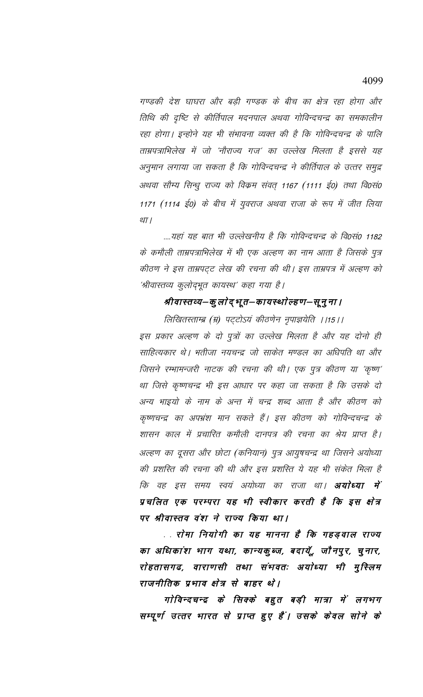गण्डकी देश घाघरा और बड़ी गण्डक के बीच का क्षेत्र रहा होगा और तिथि की दृष्टि से कीर्तिपाल मदनपाल अथवा गोविन्दचन्द्र का समकालीन रहा होगा। इन्होने यह भी संभावना व्यक्त की है कि गोविन्दचन्द्र के पालि ताम्रपत्राभिलेख में जो 'नौराज्य गर्ज' का उल्लेख मिलता है इससे यह अनुमान लगाया जा सकता है कि गोविन्दचन्द्र ने कीर्तिपाल के उत्तर समुद्र अथवा सौम्य सिन्धु राज्य को विक्रम संवत् 1167 (1111 ई0) तथा वि0सं0 1171 (1114 ई0) के बीच में युवराज अथवा राजा के रूप में जीत लिया था ।

....यहां यह बात भी उल्लेखनीय है कि गोविन्दचन्द्र के वि०सं० 1182 के कमौली ताम्रपत्राभिलेख में भी एक अल्हण का नाम आता है जिसके पुत्र कीठण ने इस ताम्रपट्ट लेख की रचना की थी। इस ताम्रपत्र में अल्हण को 'श्रीवास्तव्य कुलोद्भूत कायस्थ' कहा गया है।

# श्रीवास्तव्य–कुलोद्भूत–कायस्थोल्हण–सूनुना ।

लिखितस्ताम्ब्र (म्र) पट्टोऽयं कीठणेन नृपाज्ञयेति ।।15।। इस प्रकार अल्हण के दो पुत्रों का उल्लेख मिलता है और यह दोनो ही साहित्यकार थे। भतीजा नयचन्द्र जो साकेत मण्डल का अधिपति था और जिसने रम्भामन्जरी नाटक की रचना की थी। एक पुत्र कीठण या 'कृष्ण' था जिसे कृष्णचन्द्र भी इस आधार पर कहा जा सकता है कि उसके दो अन्य भाइयो के नाम के अन्त में चन्द्र शब्द आता है और कीठण को कृष्णचन्द्र का अपभ्रंश मान सकते हैं। इस कीठण को गोविन्दचन्द्र के शासन काल में प्रचारित कमौली दानपत्र की रचना का श्रेय प्राप्त है। अल्हण का दूसरा और छोटा (कनियान) पुत्र आयुषचन्द्र था जिसने अयोध्या की प्रशस्ति की रचना की थी और इस प्रशस्ति ये यह भी संकेत मिला है कि वह इस समय स्वयं अयोध्या का राजा था। **अयोध्या में** प्रचलित एक परम्परा यह भी स्वीकार करती है कि इस क्षेत्र पर श्रीवास्तव वंश ने राज्य किया था।

. . रोमा नियोगी का यह मानना है कि गहड़वाल राज्य का अधिकांश भाग यथा, कान्यकुब्ज, बदायूँ, जौनपुर, चुनार, रोहतासगढ, वाराणसी तथा संभवतः अयोध्या भी मुस्लिम राजनीतिक प्रभाव क्षेत्र से बाहर थे।

गोविन्दचन्द्र के सिक्के बहुत बड़ी मात्रा में लगभग सम्पूर्ण उत्तर भारत से प्राप्त हुए हैं। उसके केवल सोने के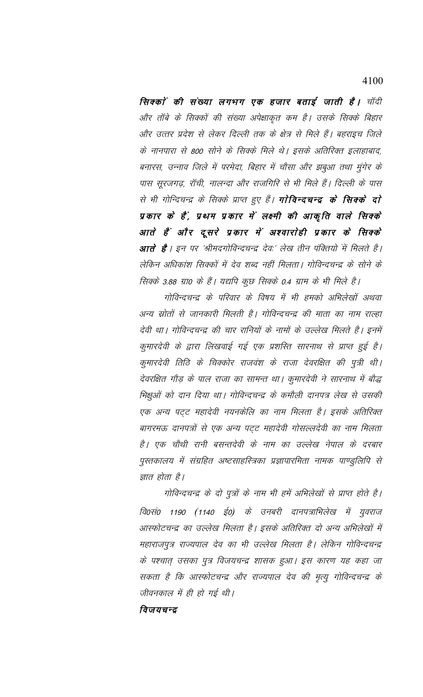सिक्कों की संख्या लगभग एक हजार बताई जाती है। चॉदी और तॉबे के सिक्कों की संख्या अपेक्षाकृत कम है। उसके सिक्के बिहार और उत्तर प्रदेश से लेकर दिल्ली तक के क्षेत्र से मिले हैं। बहराइच जिले के नानपारा से 800 सोने के सिक्के मिले थे। इसके अतिरिक्त इलाहाबाद, बनारस, उन्नाव जिले में परमेदा, बिहार में चौसा और झबुआ तथा मुंगेर के पास सूरजगढ़, रॉची, नालन्दा और राजगिरि से भी मिले हैं। दिल्ली के पास से भी गोन्दिचन्द्र के सिक्के प्राप्त हुए हैं। **गोविन्दचन्द्र के सिक्के दो** प्रकार के हैं, प्रथम प्रकार में लक्ष्मी की आकृति वाले सिक्के आते हैं और दूसरे प्रकार में अश्वारोही प्रकार के सिक्के आते हैं । इन पर 'श्रीमदगोविन्दचन्द्र देवः' लेख तीन पंक्तियों में मिलते है। लेकिन अधिकांश सिक्कों में देव शब्द नहीं मिलता। गोविन्दचन्द्र के सोने के सिक्के 3.88 ग्रा0 के हैं। यद्यपि कुछ सिक्के 0.4 ग्राम के भी मिले है।

गोविन्दचन्द्र के परिवार के विषय में भी हमको अभिलेखों अथवा अन्य म्रोतों से जानकारी मिलती है। गोविन्दचन्द्र की माता का नाम राल्हा देवी था। गोविन्दचन्द्र की चार रानियों के नामों के उल्लेख मिलते है। इनमें कुमारदेवी के द्वारा लिखवाई गई एक प्रशस्ति सारनाथ से प्राप्त हुई है। कुमारदेवी तिठि के चिक्कोर राजवंश के राजा देवरक्षित की पुत्री थी। देवरक्षित गौड़ के पाल राजा का सामन्त था। कुमारदेवी ने सारनाथ में बौद्ध भिक्षुओं को दान दिया था। गोविन्दचन्द्र के कमौली दानपत्र लेख से उसकी एक अन्य पट्ट महादेवी नयनकेलि का नाम मिलता है। इसके अतिरिक्त बागरमऊ दानपत्रों से एक अन्य पट्ट महादेवी गोसल्लदेवी का नाम मिलता है। एक चौथी रानी बसन्तदेवी के नाम का उल्लेख नेपाल के दरबार पुस्तकालय में संग्रहित अष्टसाहस्त्रिका प्रज्ञापारमिता नामक पाण्डुलिपि से ज्ञात होता है।

गोविन्दचन्द्र के दो पुत्रों के नाम भी हमें अभिलेखों से प्राप्त होते है। वि०सं० 1190 (1140 ई०) के उनबरी दानपत्राभिलेख में युवराज आस्फोटचन्द्र का उल्लेख मिलता है। इसके अतिरिक्त दो अन्य अभिलेखों में महाराजपुत्र राज्यपाल देव का भी उल्लेख मिलता है। लेकिन गोविन्दचन्द्र के पश्चात् उसका पुत्र विजयचन्द्र शासक हुआ। इस कारण यह कहा जा सकता है कि आस्फोटचन्द्र और राज्यपाल देव की मृत्यु गोविन्दचन्द्र के जीवनकाल में ही हो गई थी।

### विजयचन्द्र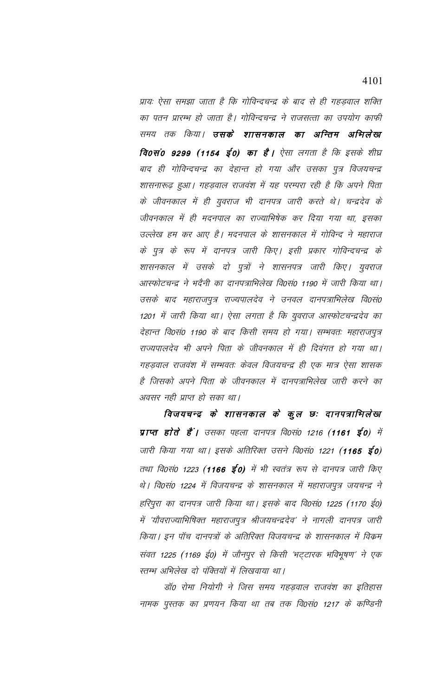प्रायः ऐसा समझा जाता है कि गोविन्दचन्द्र के बाद से ही गहड़वाल शक्ति का पतन प्रारम्भ हो जाता है। गोविन्दचन्द्र ने राजसत्ता का उपयोग काफी समय तक किया। **उसके शासनकाल का अन्तिम अभिलेख** वि0सं0 9299 (1154 ई0) का है। ऐसा लगता है कि इसके शीघ्र बाद ही गोविन्दचन्द्र का देहान्त हो गया और उसका पुत्र विजयचन्द्र शासनारूढ़ हुआ। गहड़वाल राजवंश में यह परम्परा रही है कि अपने पिता के जीवनकाल में ही युवराज भी दानपत्र जारी करते थे। चन्द्रदेव के जीवनकाल में ही मदनपाल का राज्याभिषेक कर दिया गया था, इसका उल्लेख हम कर आए है। मदनपाल के शासनकाल में गोविन्द ने महाराज के पुत्र के रूप में दानपत्र जारी किए। इसी प्रकार गोविन्दचन्द्र के शासनकाल में उसके दो पुत्रों ने शासनपत्र जारी किए। युवराज आस्फोटचन्द्र ने भदैनी का दानपत्राभिलेख वि0सं0 1190 में जारी किया था। उसके बाद महाराजपुत्र राज्यपालदेव ने उनवल दानपत्राभिलेख वि०सं० 1201 में जारी किया था। ऐसा लगता है कि युवराज आस्फोटचन्द्रदेव का देहान्त वि०सं० 1190 के बाद किसी समय हो गया। सम्भवतः महाराजपूत्र राज्यपालदेव भी अपने पिता के जीवनकाल में ही दिवंगत हो गया था। गहड़वाल राजवंश में सम्भवतः केवल विजयचन्द्र ही एक मात्र ऐसा शासक है जिसको अपने पिता के जीवनकाल में दानपत्राभिलेख जारी करने का अवसर नही प्राप्त हो सका था।

विजयचन्द्र के शासनकाल के कुल छः दानपत्राभिलेख प्राप्त होते हैं | उसका पहला दानपत्र वि0सं0 1216 (1161 ई0) में जारी किया गया था। इसके अतिरिक्त उसने वि0सं0 1221 (1165 ई0) तथा वि0सं0 1223 (**1166 ई0)** में भी स्वतंत्र रूप से दानपत्र जारी किए थे। वि०सं० 1224 में विजयचन्द्र के शासनकाल में महाराजपुत्र जयचन्द्र ने हरिपुरा का दानपत्र जारी किया था। इसके बाद वि0सं0 1225 (1170 ई0) में 'यौवराज्याभिषिक्त महाराजपूत्र श्रीजयचन्द्रदेव' ने नागली दानपत्र जारी किया। इन पॉच दानपत्रों के अतिरिक्त विजयचन्द्र के शासनकाल में विक्रम संवत 1225 (1169 ई0) में जौनपुर से किसी 'भट्टारक भविभूषण' ने एक स्तम्भ अभिलेख दो पंक्तियों में लिखवाया था।

डॉ0 रोमा नियोगी ने जिस समय गहडवाल राजवंश का इतिहास नामक पुस्तक का प्रणयन किया था तब तक वि0सं0 1217 के कण्डिनी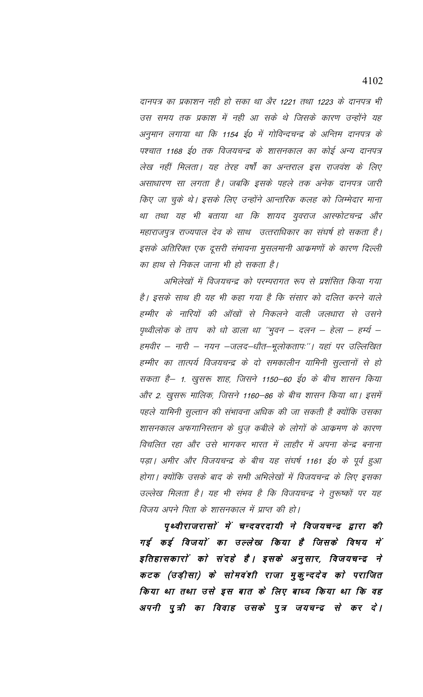दानपत्र का प्रकाशन नही हो सका था अैर 1221 तथा 1223 के दानपत्र भी उस समय तक प्रकाश में नही आ सके थे जिसके कारण उन्होंने यह अनुमान लगाया था कि 1154 ई0 में गोविन्दचन्द्र के अन्तिम दानपत्र के पश्चात 1168 ई0 तक विजयचन्द्र के शासनकाल का कोई अन्य दानपत्र लेख नहीं मिलता। यह तेरह वर्षों का अन्तराल इस राजवंश के लिए असाधारण सा लगता है। जबकि इसके पहले तक अनेक दानपत्र जारी किए जा चुके थे। इसके लिए उन्होंने आन्तरिक कलह को जिम्मेदार माना था तथा यह भी बताया था कि शायद युवराज आस्फोटचन्द्र और महाराजपुत्र राज्यपाल देव के साथ उत्तराधिकार का संघर्ष हो सकता है। इसके अतिरिक्त एक दूसरी संभावना मुसलमानी आक्रमणों के कारण दिल्ली का हाथ से निकल जाना भी हो सकता है।

अभिलेखों में विजयचन्द्र को परम्परागत रूप से प्रशंसित किया गया है। इसके साथ ही यह भी कहा गया है कि संसार को दलित करने वाले हम्मीर के नारियों की ऑखों से निकलने वाली जलधारा से उसने पृथ्वीलोक के ताप को धो डाला था ''भुवन – दलन – हेला – हर्म्य – हमवीर – नारी – नयन –जलद–धौत–भूलोकतापः''। यहां पर उल्लिखित हम्मीर का तात्पर्य विजयचन्द्र के दो समकालीन यामिनी सुल्तानों से हो सकता है— 1. खुसरू शाह, जिसने 1150—60 ई0 के बीच शासन किया और 2. खुसरू मालिक, जिसने 1160—86 के बीच शासन किया था। इसमें पहले यामिनी सुल्तान की संभावना अधिक की जा सकती है क्योंकि उसका शासनकाल अफगानिस्तान के धुज़ कबीले के लोगों के आक्रमण के कारण विचलित रहा और उसे भागकर भारत में लाहौर में अपना केन्द्र बनाना पड़ा। अमीर और विजयचन्द्र के बीच यह संघर्ष 1161 ई0 के पूर्व हुआ होगा। क्योंकि उसके बाद के सभी अभिलेखों में विजयचन्द्र के लिए इसका उल्लेख मिलता है। यह भी संभव है कि विजयचन्द्र ने तुरूष्कों पर यह विजय अपने पिता के शासनकाल में प्राप्त की हो।

पृथ्वीराजरासों में चन्दवरदायी ने विजयचन्द्र द्वारा की गई कई विजयों का उल्लेख किया है जिसके विषय में इतिहासकारों को संदहे है। इसके अनुसार, विजयचन्द्र ने कटक (उड़ीसा) के सोमवंशी राजा मुकुन्ददेव को पराजित किया था तथा उसे इस बात के लिए बाध्य किया था कि वह अपनी पुत्री का विवाह उसके पुत्र जयचन्द्र से कर दे।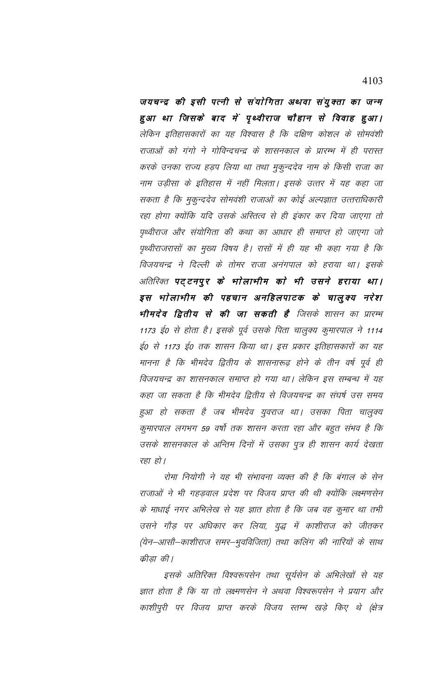जयचन्द्र की इसी पत्नी से संयोगिता अथवा संयुक्ता का जन्म हुआ था जिसके बाद में पृथ्वीराज चौहान से विवाह हुआ। लेकिन इतिहासकारों का यह विश्वास है कि दक्षिण कोशल के सोमवंशी राजाओं को गंगो ने गोविन्दचन्द्र के शासनकाल के प्रारम्भ में ही परास्त करके उनका राज्य हड़प लिया था तथा मुकुन्ददेव नाम के किसी राजा का नाम उड़ीसा के इतिहास में नहीं मिलता। इसके उत्तर में यह कहा जा सकता है कि मुकुन्ददेव सोमवंशी राजाओं का कोई अल्पज्ञात उत्तराधिकारी रहा होगा क्योंकि यदि उसके अस्तित्व से ही इंकार कर दिया जाएगा तो पृथ्वीराज और संयोगिता की कथा का आधार ही समाप्त हो जाएगा जो पृथ्वीराजरासों का मुख्य विषय है। रासों में ही यह भी कहा गया है कि विजयचन्द्र ने दिल्ली के तोमर राजा अनंगपाल को हराया था। इसके अतिरिक्त पट्टनपुर के भाेलाभीम काे भी उसने हराया था। इस भोलाभीम की पहचान अनहिलपाटक के चालुक्य नरेश **भीमदेव द्वितीय से की जा सकती है** जिसके शासन का प्रारम्भ 1173 ई0 से होता है। इसके पूर्व उसके पिता चालुक्य कुमारपाल ने 1114 ई0 से 1173 ई0 तक शासन किया था। इस प्रकार इतिहासकारों का यह मानना है कि भीमदेव द्वितीय के शासनारूढ़ होने के तीन वर्ष पूर्व ही विजयचन्द्र का शासनकाल समाप्त हो गया था। लेकिन इस सम्बन्ध में यह कहा जा सकता है कि भीमदेव द्वितीय से विजयचन्द्र का संघर्ष उस समय हुआ हो सकता है जब भीमदेव युवराज था। उसका पिता चालुक्य कुमारपाल लगभग 59 वर्षो तक शासन करता रहा और बहुत संभव है कि उसके शासनकाल के अन्तिम दिनों में उसका पुत्र ही शासन कार्य देखता रहा हो।

रोमा नियोगी ने यह भी संभावना व्यक्त की है कि बंगाल के सेन राजाओं ने भी गहडवाल प्रदेश पर विजय प्राप्त की थी क्योंकि लक्ष्मणसेन के माधाई नगर अभिलेख से यह ज्ञात होता है कि जब वह कुमार था तभी उसने गौड़ पर अधिकार कर लिया, युद्ध में काशीराज को जीतकर (येन–आसौ–काशीराज समर–भुवविजिता) तथा कलिंग की नारियों के साथ क्रीडा की।

इसके अतिरिक्त विश्वरूपसेन तथा सूर्यसेन के अभिलेखों से यह ज्ञात होता है कि या तो लक्ष्मणसेन ने अथवा विश्वरूपसेन ने प्रयाग और काशीपुरी पर विजय प्राप्त करके विजय स्तम्भ खड़े किए थे (क्षेत्र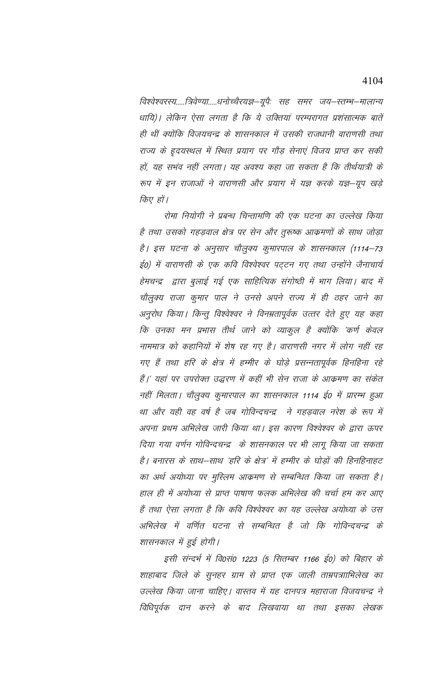विश्वेश्वरस्य.....त्रिवेण्या.....धनोच्चेरयज्ञ—यूपेः सह समर जय—स्तम्भ—मालान्य धायि)। लेकिन ऐसा लगता है कि ये उक्तियां परम्परागत प्रशंसात्मक बातें ही थीं क्योंकि विजयचन्द्र के शासनकाल में उसकी राजधानी वाराणसी तथा राज्य के हृदयस्थल में स्थित प्रयाग पर गौड़ सेनाएं विजय प्राप्त कर सकी हों, यह सभंव नहीं लगता। यह अवश्य कहा जा सकता है कि तीर्थयात्री के रूप में इन राजाओं ने वाराणसी और प्रयाग में यज्ञ करके यज्ञ-यूप खड़े किए हों।

रोमा नियोगी ने प्रबन्ध चिन्तामणि की एक घटना का उल्लेख किया है तथा उसको गहडवाल क्षेत्र पर सेन और तुरूष्क आक्रमणों के साथ जोडा है। इस घटना के अनुसार चौलुक्य कुमारपाल के शासनकाल (1114–73 ई०) में वाराणसी के एक कवि विश्वेश्वर पट्टन गए तथा उन्होंने जैनाचार्य हेमचन्द्र द्वारा बुलाई गई एक साहित्यिक संगोष्ठी में भाग लिया। बाद में चौलुक्य राजा कुमार पाल ने उनसे अपने राज्य में ही ठहर जाने का अनुरोध किया। किन्तु विश्वेश्वर ने विनम्रतापूर्वक उत्तर देते हुए यह कहा कि उनका मन प्रभास तीर्थ जाने को व्याकुल है क्योंकि 'कर्ण केवल नाममात्र को कहानियों में शेष रह गए है। वाराणसी नगर में लोग नहीं रह गए हैं तथा हरि के क्षेत्र में हम्मीर के घोड़े प्रसन्नतापूर्वक हिनहिना रहे हैं।' यहां पर उपरोक्त उद्धरण में कहीं भी सेन राजा के आक्रमण का संकेत नहीं मिलता। चौलुक्य कुमारपाल का शासनकाल 1114 ई0 में प्रारम्भ हुआ था और यही वह वर्ष है जब गोविन्दचन्द्र ने गहड़वाल नरेश के रूप में अपना प्रथम अभिलेख जारी किया था। इस कारण विश्वेश्वर के द्वारा ऊपर दिया गया वर्णन गोविन्दचन्द्र के शासनकाल पर भी लागू किया जा सकता है। बनारस के साथ–साथ 'हरि के क्षेत्र' में हम्मीर के घोड़ों की हिनहिनाहट का अर्थ अयोध्या पर मुस्लिम आक्रमण से सम्बन्धित किया जा सकता है। हाल ही में अयोध्या से प्राप्त पाषाण फलक अभिलेख की चर्चा हम कर आए हैं तथा ऐसा लगता है कि कवि विश्वेश्वर का यह उल्लेख अयोध्या के उस अभिलेख में वर्णित घटना से सम्बन्धित है जो कि गोविन्दचन्द्र के शासनकाल में हुई होगी।

इसी संन्दर्भ में वि0सं0 1223 (5 सितम्बर 1166 ई0) को बिहार के शाहाबाद जिले के सुनहर ग्राम से प्राप्त एक जाली ताम्रपत्रााभिलेख का उल्लेख किया जाना चाहिए। वास्तव में यह दानपत्र महाराजा विजयचन्द्र ने विधिपूर्वक दान करने के बाद लिखवाया था तथा इसका लेखक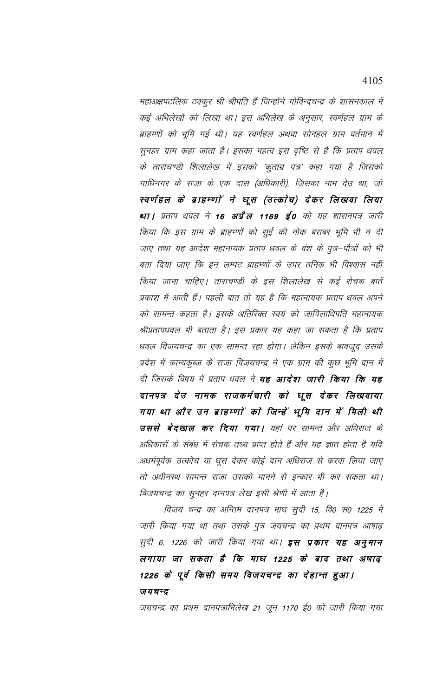महाअक्षपटलिक ठक्कुर श्री श्रीपति हैं जिन्होंने गोविन्दचन्द्र के शासनकाल में कई अभिलेखों को लिखा था। इस अभिलेख के अनुसार, स्वर्णहल ग्राम के ब्राहम्णों को भूमि गई थी। यह स्वर्णहल अथवा सोनहल ग्राम वर्तमान में सुनहर ग्राम कहा जाता है। इसका महत्व इस दृष्टि से है कि प्रताप धवल के ताराचण्डी शिलालेख में इसको 'कुताम्र पत्र' कहा गया है जिसको गाधिनगर के राजा के एक दास (अधिकारी), जिसका नाम देउ था, जो स्वर्णहल के ब्राहम्णों ने घूस (उत्कोच) देकर लिखवा लिया था । प्रताप धवल ने 16 अ**प्रैल 1169 ई0** को यह शासनपत्र जारी किया कि इस ग्राम के ब्राहम्णों को सुई की नोक बराबर भूमि भी न दी जाए तथा यह आदेश महानायक प्रताप धवल के वंश के पुत्र–पौत्रों को भी बता दिया जाए कि इन लम्पट ब्राहम्णों के उपर तनिक भी विश्वास नहीं किया जाना चाहिए। ताराचण्डी के इस शिलालेख से कई रोचक बातें प्रकाश में आती हैं। पहली बात तो यह है कि महानायक प्रताप धवल अपने को सामन्त कहता है। इसके अतिरिक्त स्वयं को जापिलाधिपति महानायक श्रीप्रतापधवल भी बताता है। इस प्रकार यह कहा जा सकता है कि प्रताप धवल विजयचन्द्र का एक सामन्त रहा होगा। लेकिन इसके बावजूद उसके प्रदेश में कान्यकुब्ज के राजा विजयचन्द्र ने एक ग्राम की कुछ भूमि दान में दी जिसके विषय में प्रताप धवल ने **यह आदेश जारी किया कि यह** दानपत्र देउ नामक राजकर्मचारी को घूस देकर लिखवाया गया था और उन ब्राहम्णां काे जिन्हें भूमि दान में मिली थी **उससे बेदखल कर दिया गया।** यहां पर सामन्त और अधिराज के अधिकारों के संबंध में रोचक तथ्य प्राप्त होते हैं और यह ज्ञात होता है यदि अधर्मपूर्वक उत्कोच या घूस देकर कोई दान अधिराज से करवा लिया जाए तो अधीनस्थ सामन्त राजा उसको मानने से इन्कार भी कर सकता था। विजयचन्द्र का सुनहर दानपत्र लेख इसी श्रेणी में आता है।

विजय चन्द्र का अन्तिम दानपत्र माघ सुदी 15, वि0 सं0 1225 मे जारी किया गया था तथा उसके पुत्र जयचन्द्र का प्रथम दानपत्र आषाढ़ सुदी 6, 1226 को जारी किया गया था। इस प्रकार यह अनुमान लगाया जा सकता है कि माघ 1225 के बाद तथा अषाढ़ 1226 के पूर्व किसी समय विजयचन्द्र का देहान्त हुआ। जयचन्द्र

जयचन्द्र का प्रथम दानपत्राभिलेख 21 जून 1170 ई0 को जारी किया गया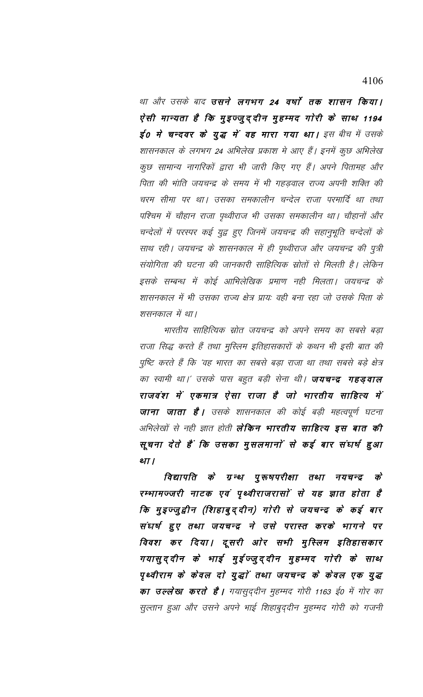था और उसके बाद **उसने लगभग 24 वर्षा तक शासन किया।** ऐसी मान्यता है कि मुइज्जुद्दीन मुहम्मद गोरी के साथ 1194 ई0 में चन्दवर के युद्ध में वह मारा गया था। इस बीच में उसके शासनकाल के लगभग 24 अभिलेख प्रकाश मे आए हैं। इनमें कुछ अभिलेख कुछ सामान्य नागरिकों द्वारा भी जारी किए गए हैं। अपने पितामह और पिता की भांति जयचन्द्र के समय में भी गहड़वाल राज्य अपनी शक्ति की चरम सीमा पर था। उसका समकालीन चन्देल राजा परमार्दि था तथा पश्चिम में चौहान राजा पृथ्वीराज भी उसका समकालीन था। चौहानों और चन्देलों में परस्पर कई युद्व हुए जिनमें जयचन्द्र की सहानुभूति चन्देलों के साथ रही। जयचन्द्र के शासनकाल में ही पृथ्वीराज और जयचन्द्र की पुत्री संयोगिता की घटना की जानकारी साहित्यिक स्रोतों से मिलती है। लेकिन इसके सम्बन्ध में कोई आभिलेखिक प्रमाण नही मिलता। जयचन्द्र के शासनकाल में भी उसका राज्य क्षेत्र प्रायः वही बना रहा जो उसके पिता के शसनकाल में था।

भारतीय साहित्यिक स्रोत जयचन्द्र को अपने समय का सबसे बड़ा राजा सिद्ध करते हैं तथा मुस्लिम इतिहासकारों के कथन भी इसी बात की पुष्टि करते हैं कि 'वह भारत का सबसे बड़ा राजा था तथा सबसे बड़े क्षेत्र का स्वामी था।' उसके पास बहुत बड़ी सेना थी। **जयचन्द्र गहड़वाल** राजवंश में एकमात्र ऐसा राजा है जो भारतीय साहित्य में **जाना जाता है।** उसके शासनकाल की कोई बड़ी महत्वपूर्ण घटना अभिलेखों से नही ज्ञात होती **लेकिन भारतीय साहित्य इस बात की** सूचना देते हैं कि उसका मुसलमानों से कई बार संघर्ष हुआ था।

विद्यापति के ग्रन्थ पुरूषपरीक्षा तथा नयचन्द्र क्रे रम्भामज्जरी नाटक एवं पृथ्वीराजरासों से यह ज्ञात होता है कि मुइज्जुद्वीन (शिहाबुद्दीन) गोरी से जयचन्द्र के कई बार संघर्ष हुए तथा जयचन्द्र ने उसे परास्त करके भागने पर विवश कर दिया। दूसरी ओर सभी मुस्लिम इतिहासकार गयासुद्दीन के भाई मुईज्जुद्दीन मुहम्मद गोरी के साथ पृथ्वीराम के केवल दो युद्धों तथा जयचन्द्र के केवल एक युद्ध **का उल्लेख करते हैं।** गयासुद्दीन मुहम्मद गोरी 1163 ई0 में गोर का सुल्तान हुआ और उसने अपने भाई शिहाबुद्दीन मुहम्मद गोरी को गजनी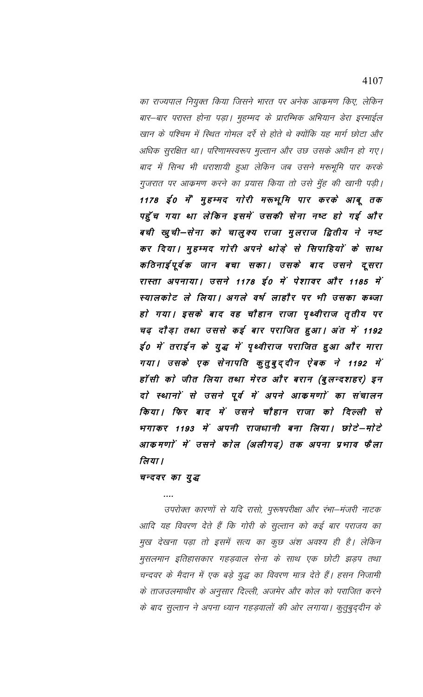का राज्यपाल नियुक्त किया जिसने भारत पर अनेक आक्रमण किए, लेकिन बार–बार परास्त होना पड़ा। मुहम्मद के प्रारम्भिक अभियान डेरा इस्माईल खान के पश्चिम में स्थित गोमल दर्रे से होते थे क्योंकि यह मार्ग छोटा और अधिक सुरक्षित था। परिणामस्वरूप मुल्तान और उछ उसके अधीन हो गए। बाद में सिन्ध भी धराशायी हुआ लेकिन जब उसने मरूभूमि पार करके गुजरात पर आक्रमण करने का प्रयास किया तो उसे मुँह की खानी पड़ी। 1178 ई0 में मुहम्मद गोरी मरूभूमि पार करके आबू तक पहुँच गया था लेकिन इसमें उसकी सेना नष्ट हो गई और बची खुची—सेना को चालुक्य राजा मुलराज द्वितीय ने नष्ट कर दिया। मुहम्मद गाेरी अपने थाेड़े से सिपाहियाें के साथ कठिनाईपूर्वक जान बचा सका। उसके बाद उसने दूसरा रास्ता अपनाया। उसने 1178 ई0 में पेशावर और 1185 में स्यालकोट ले लिया। अगले वर्ष लाहौर पर भी उसका कब्जा हो गया। इसके बाद वह चौहान राजा पृथ्वीराज तृतीय पर चढ़ दौड़ा तथा उससे कई बार पराजित हुआ। अंत में 1192 ई० में तराईन के युद्ध में पृथ्वीराज पराजित हुआ और मारा गया। उसके एक सेनापति कुतुबुद्दीन ऐबक ने 1192 में हॉसी को जीत लिया तथा मेरठ और बरान (बुलन्दशहर) इन दो स्थानों से उसने पूर्व में अपने आकमणों का संचालन किया। फिर बाद में उसने चौहान राजा को दिल्ली से भगाकर 1193 में अपनी राजधानी बना लिया। छोटे-मोटे आकमणों में उसने कोल (अलीगढ़) तक अपना प्रभाव फैला लिया ।

# चन्दवर का युद्ध

उपरोक्त कारणों से यदि रासो, पुरूषपरीक्षा और रंभा—मंजरी नाटक आदि यह विवरण देते हैं कि गोरी के सुल्तान को कई बार पराजय का मुख देखना पड़ा तो इसमें सत्य का कुछ अंश अवश्य ही है। लेकिन मुसलमान इतिहासकार गहड़वाल सेना के साथ एक छोटी झड़प तथा चन्दवर के मैदान में एक बड़े युद्ध का विवरण मात्र देते हैं। हसन निजामी के ताजउलमाथीर के अनुसार दिल्ली, अजमेर और कोल को पराजित करने के बाद सुल्तान ने अपना ध्यान गहड़वालों की ओर लगाया। कुतुबुद्दीन के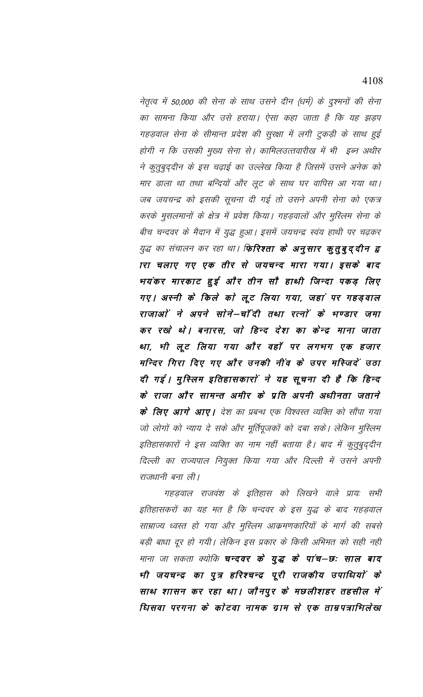नेतृत्व में 50,000 की सेना के साथ उसने दीन (धर्म) के दुश्मनों की सेना का सामना किया और उसे हराया। ऐसा कहा जाता है कि यह झड़प गहड़वाल सेना के सीमान्त प्रदेश की सुरक्षा में लगी टुकड़ी के साथ हुई होगी न कि उसकी मुख्य सेना से। कामिलउत्तवारीख में भी इब्न अथीर ने कुतुबुद्दीन के इस चढ़ाई का उल्लेख किया है जिसमें उसने अनेक को मार डाला था तथा बन्दियों और लूट के साथ घर वापिस आ गया था। जब जयचन्द्र को इसकी सूचना दी गई तो उसने अपनी सेना को एकत्र करके मुसलमानों के क्षेत्र में प्रवेश किया। गहड़वालों और मुस्लिम सेना के बीच चन्दवर के मैदान में युद्ध हुआ। इसमें जयचन्द्र स्वंय हाथी पर चढ़कर युद्ध का संचालन कर रहा था। **फिरिश्ता के अनुसार कुतुबुद्दीन द्व** ारा चलाए गए एक तीर से जयचन्द मारा गया। इसके बाद भयंकर मारकाट हुई और तीन सौ हाथी जिन्दा पकड़ लिए गए। अस्नी के किले को लूट लिया गया, जहां पर गहड़वाल राजाओं ने अपने सोने–चॉंदी तथा रत्नों के भण्डार जमा कर रखे थे। बनारस, जो हिन्द देश का केन्द्र माना जाता था, भी लूट लिया गया और वहाँ पर लगभग एक हजार मन्दिर गिरा दिए गए और उनकी नींव के उपर मस्जिदें उठा दी गई। मुस्लिम इतिहासकारों ने यह सूचना दी है कि हिन्द के राजा और सामन्त अमीर के प्रति अपनी अधीनता जताने **के लिए आगे आए।** देश का प्रबन्ध एक विश्वरत व्यक्ति को सौंपा गया जो लोगों को न्याय दे सके और मूर्तिपूजकों को दबा सके। लेकिन मुस्लिम इतिहासकारों ने इस व्यक्ति का नाम नहीं बताया है। बाद में कुतुबुद्दीन दिल्ली का राज्यपाल नियुक्त किया गया और दिल्ली में उसने अपनी राजधानी बना ली।

गहड़वाल राजवंश के इतिहास को लिखने वाले प्रायः सभी इतिहासकरों का यह मत है कि चन्दवर के इस युद्ध के बाद गहड़वाल साम्राज्य ध्वस्त हो गया और मुस्लिम आक्रमणकारियों के मार्ग की सबसे बड़ी बाधा दूर हो गयी। लेकिन इस प्रकार के किसी अभिमत को सही नही माना जा सकता क्योकि **चन्दवर के युद्ध के पांच–छः साल बाद** भी जयचन्द्र का पुत्र हरिश्चन्द्र पूरी राजकीय उपाधियों के साथ शासन कर रहा था। जौनपुर के मछलीशहर तहसील में धिसवा परगना के कोटवा नामक ग्राम से एक ताम्रपत्राभिलेख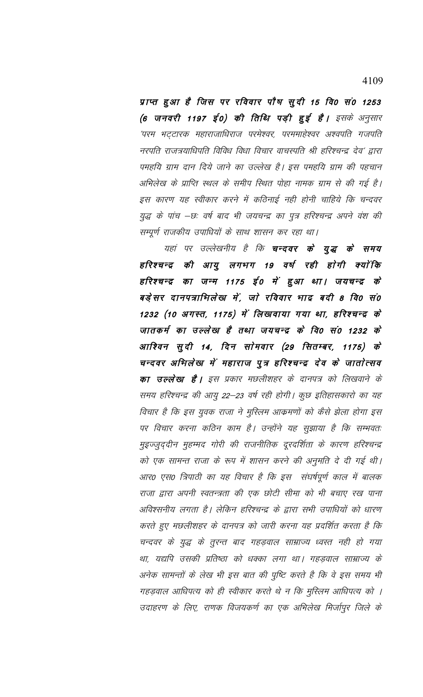प्राप्त हुआ है जिस पर रविवार पौष सुदी 15 वि0 सं0 1253 (6 जनवरी 1197 ई0) की तिथि पड़ी हुई है। इसके अनुसार 'परम भट्टारक महाराजाधिराज परमेश्वर, परममाहेश्वर अश्वपति गजपति नरपति राजत्रयाधिपति विविध विधा विचार वाचस्पति श्री हरिश्चन्द्र देव′ द्वारा पमहयि ग्राम दान दिये जाने का उल्लेख है। इस पमहयि ग्राम की पहचान अभिलेख के प्राप्ति स्थल के समीप स्थित पोहा नामक ग्राम से की गई है। इस कारण यह स्वीकार करने में कठिनाई नही होनी चाहिये कि चन्दवर युद्ध के पांच –छः वर्ष बाद भी जयचन्द्र का पुत्र हरिश्चन्द्र अपने वंश की सम्पूर्ण राजकीय उपाधियों के साथ शासन कर रहा था।

यहां पर उल्लेखनीय है कि **चन्दवर के युद्ध के समय** हरिश्चन्द्र की आयु लगभग 19 वर्ष रही होगी क्योंकि हरिश्चन्द्र का जन्म 1175 ई० में हुआ था। जयचन्द्र के बड़ेसर दानपत्राभिलेख में, जो रविवार भाद्र बदी 8 वि0 सं0 1232 (10 अगस्त, 1175) में लिखावाया गया था, हरिश्चन्द्र के जातकर्म का उल्लेख है तथा जयचन्द्र के वि0 सं0 1232 के आश्विन सुदी 14, दिन सोमवार (29 सितम्बर, 1175) के चन्दवर अभिलेख में महाराज पुत्र हरिश्चन्द्र देव के जातोत्सव **का उल्लेख है।** इस प्रकार मछलीशहर के दानपत्र को लिखवाने के समय हरिश्चन्द्र की आयु 22–23 वर्ष रही होगी। कुछ इतिहासकारो का यह विचार है कि इस युवक राजा ने मुस्लिम आक्रमणों को कैसे झेला होगा इस पर विचार करना कठिन काम है। उन्होंने यह सुझाया है कि सम्भवतः मुइज्जुद्दीन मुहम्मद गोरी की राजनीतिक दूरदर्शिता के कारण हरिश्चन्द्र को एक सामन्त राजा के रूप में शासन करने की अनुमति दे दी गई थी। आर0 एस0 त्रिपाठी का यह विचार है कि इस संघर्षपूर्ण काल में बालक राजा द्वारा अपनी स्वतन्त्रता की एक छोटी सीमा को भी बचाए रख पाना अविश्सनीय लगता है। लेकिन हरिश्चन्द्र के द्वारा सभी उपाधियों को धारण करते हुए मछलीशहर के दानपत्र को जारी करना यह प्रदर्शित करता है कि चन्दवर के युद्ध के तुरन्त बाद गहड़वाल साम्राज्य ध्वस्त नही हो गया था, यद्यपि उसकी प्रतिष्ठा को धक्का लगा था। गहड़वाल साम्राज्य के अनेक सामन्तों के लेख भी इस बात की पुष्टि करते है कि वे इस समय भी गहड़वाल आधिपत्य को ही स्वीकार करते थे न कि मुस्लिम आधिपत्य को । उदाहरण के लिए, राणक विजयकर्ण का एक अभिलेख मिर्जापुर जिले के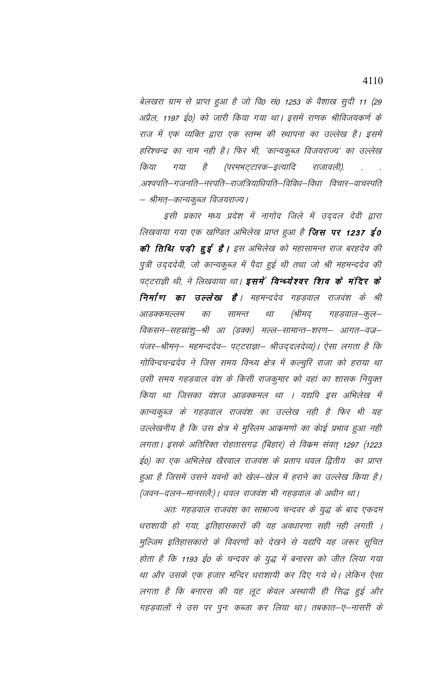बेलखरा ग्राम से प्राप्त हुआ है जो वि0 सं0 1253 के वैशाख सूदी 11 (29 अप्रैल, 1197 ई0) को जारी किया गया था। इसमें राणक श्रीविजयकर्ण के राज में एक व्यक्ति द्वारा एक स्तम्भ की स्थापना का उल्लेख है। इसमें हरिश्चन्द्र का नाम नही है। फिर भी, 'कान्यकुब्ज विजयराज्य' का उल्लेख किया गया है (परमभट्टारक–इत्यादि राजावली). .अश्वपति–गजनति–नरपति–राजत्रियाधिपति–विविध–विधा विचार–वाचस्पति – श्रीमत्–कान्यकूब्ज विजयराज्य।

इसी प्रकार मध्य प्रदेश में नागोद जिले में उददल देवी द्वारा लिखवाया गया एक खण्डित अभिलेख प्राप्त हुआ है **जिस पर 1237 ई0 की तिथि पड़ी हुई है।** इस अभिलेख को महासामन्त राज बरहदेव की पुत्री उदददेवी, जो कान्यकुब्ज में पैदा हुई थी तथा जो श्री महमन्ददेव की पट्टराज्ञी थी, ने लिखवाया था। **इसमें विन्ध्येश्वर शिव के मंदिर के निर्माण का उल्लेख है** । महमन्ददेव गहडवाल राजवंश के श्री (श्रीमद आडक्कमल्लम का सामन्त था गहड़वाल–कूल– विकसन–सहस्रांशु–श्री आ (डक्क) मल्ल–सामान्त–शरण– आगत–वज्र– पंजर–श्रीमन्– महमन्ददेव– पट्टराज्ञा– श्रीउद्दलदेव्य)। ऐसा लगता है कि गोविन्दचन्द्रदेव ने जिस समय विन्ध्य क्षेत्र में कल्चुरि राजा को हराया था उसी समय गहड़वाल वंश के किसी राजकुमार को वहां का शासक नियुक्त किया था जिसका वंशज आडक्कमल था । यद्यपि इस अभिलेख में कान्यकुब्ज के गहड़वाल राजवंश का उल्लेख नही है फिर भी यह उल्लेखनीय है कि उस क्षेत्र में मुस्लिम आक्रमणों का कोई प्रभाव हुआ नही लगता । इसके अतिरिक्त रोहतासगढ़ (बिहार) से विक्रम संवत् 1297 (1223 ई०) का एक अभिलेख खैरवाल राजवंश के प्रताप धवल द्वितीय का प्राप्त इआ है जिसमें उसने यवनों को खेल–खेल में हराने का उल्लेख किया है। (जवन—दलन—मानसलैः)। धवल राजवंश भी गहड़वाल के अधीन था।

अतः गहड़वाल राजवंश का साम्राज्य चन्दवर के युद्ध के बाद एकदम धराशायी हो गया, इतिहासकारों की यह अवधारणा सही नही लगती । मुल्जिम इतिहासकारो के विवरणों को देखने से यद्यपि यह जरूर सूचित होता है कि 1193 ई0 के चन्दवर के युद्ध में बनारस को जीत लिया गया था और उसके एक हजार मन्दिर धराशायी कर दिए गये थे। लेकिन ऐसा लगता है कि बनारस की यह लूट केवल अस्थायी ही सिद्ध हुई और गहड़वालों ने उस पर पुनः कब्जा कर लिया था। तबकात–ए–नासरी के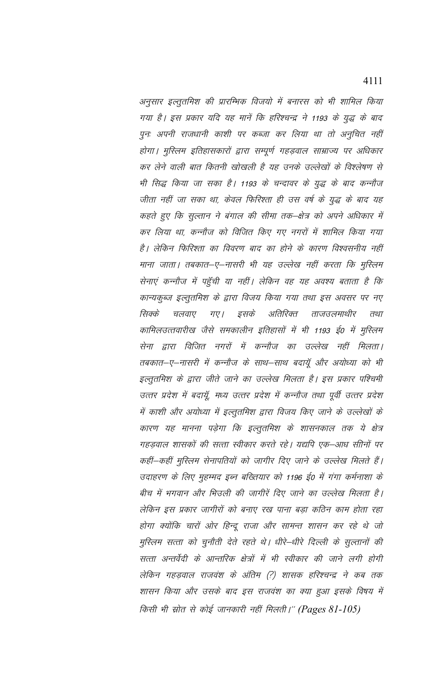अनुसार इल्तुतमिश की प्रारम्भिक विजयो में बनारस को भी शामिल किया गया है। इस प्रकार यदि यह मानें कि हरिश्चन्द्र ने 1193 के युद्ध के बाद पुनः अपनी राजधानी काशी पर कब्जा कर लिया था तो अनुचित नहीं होगा। मुस्लिम इतिहासकारों द्वारा सम्पूर्ण गहड़वाल साम्राज्य पर अधिकार कर लेने वाली बात कितनी खोखली है यह उनके उल्लेखों के विश्लेषण से भी सिद्ध किया जा सका है। 1193 के चन्दावर के युद्ध के बाद कन्नौज जीता नहीं जा सका था, केवल फिरिश्ता ही उस वर्ष के युद्ध के बाद यह कहते हुए कि सुल्तान ने बंगाल की सीमा तक–क्षेत्र को अपने अधिकार में कर लिया था, कन्नौज को विजित किए गए नगरों में शामिल किया गया है। लेकिन फिरिश्ता का विवरण बाद का होने के कारण विश्वसनीय नहीं माना जाता। तबकात–ए–नासरी भी यह उल्लेख नहीं करता कि मुस्लिम सेनाएं कन्नौज में पहुँची या नहीं। लेकिन वह यह अवश्य बताता है कि कान्यकुब्ज इल्तुतमिश के द्वारा विजय किया गया तथा इस अवसर पर नए अतिरिक्त सिक्के गए । इसके ताजउलमाथीर चलवाए तथा कामिलउत्तवारीख जैसे समकालीन इतिहासों में भी 1193 ई0 में मुस्लिम सेना द्वारा विजित नगरों में कन्नौज का उल्लेख नहीं मिलता। तबकात–ए–नासरी में कन्नौज के साथ–साथ बदायूँ और अयोध्या को भी इल्तुतमिश के द्वारा जीते जाने का उल्लेख मिलता है। इस प्रकार पश्चिमी उत्तर प्रदेश में बदायूँ, मध्य उत्तर प्रदेश में कन्नौज तथा पूर्वी उत्तर प्रदेश में काशी और अयोध्या में इल्तुतमिश द्वारा विजय किए जाने के उल्लेखों के कारण यह मानना पड़ेगा कि इल्तुतमिश के शासनकाल तक ये क्षेत्र गहड़वाल शासकों की सत्ता स्वीकार करते रहे। यद्यपि एक–आध सीोनों पर कहीं—कहीं मुस्लिम सेनापतियों को जागीर दिए जाने के उल्लेख मिलते हैं। उदाहरण के लिए मुहम्मद इब्न बख्तियार को 1196 ई0 में गंगा कर्मनाशा के बीच में भगवान और भिउली की जागीरें दिए जाने का उल्लेख मिलता है। लेकिन इस प्रकार जागीरों को बनाए रख पाना बड़ा कठिन काम होता रहा होगा क्योंकि चारों ओर हिन्दू राजा और सामन्त शासन कर रहे थे जो मुस्लिम सत्ता को चुनौती देते रहते थे। धीरे–धीरे दिल्ली के सुल्तानों की सत्ता अन्तर्वेदी के आन्तरिक क्षेत्रों में भी स्वीकार की जाने लगी होगी लेकिन गहड़वाल राजवंश के अंतिम (?) शासक हरिश्चन्द्र ने कब तक शासन किया और उसके बाद इस राजवंश का क्या हुआ इसके विषय में किसी भी स्रोत से कोई जानकारी नहीं मिलती।'' (Pages 81-105)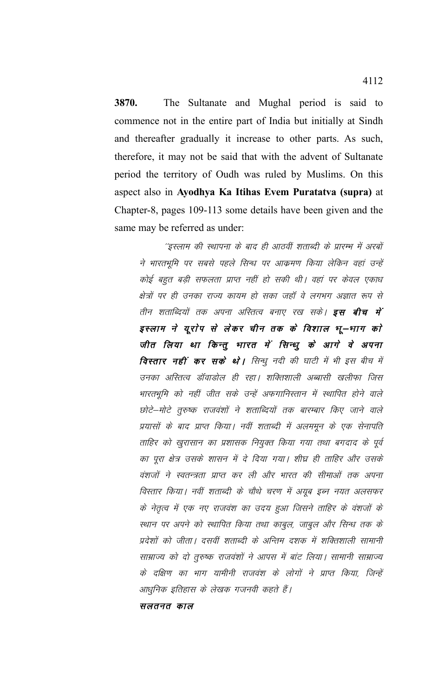3870. The Sultanate and Mughal period is said to commence not in the entire part of India but initially at Sindh and thereafter gradually it increase to other parts. As such, therefore, it may not be said that with the advent of Sultanate period the territory of Oudh was ruled by Muslims. On this aspect also in Ayodhya Ka Itihas Evem Puratatva (supra) at Chapter-8, pages 109-113 some details have been given and the same may be referred as under:

''इस्लाम की स्थापना के बाद ही आठवीं शताब्दी के प्रारम्भ में अरबों ने भारतभूमि पर सबसे पहले सिन्ध पर आक्रमण किया लेकिन वहां उन्हें कोई बहुत बड़ी सफलता प्राप्त नहीं हो सकी थी। वहां पर केवल एकाध क्षेत्रों पर ही उनका राज्य कायम हो सका जहाँ वे लगभग अज्ञात रूप से तीन शताब्दियों तक अपना अस्तित्व बनाए रख सकें। **इस बीच में** इस्लाम ने यूरोप से लेकर चीन तक के विशाल भू—भाग को जीत लिया था किन्तु भारत में सिन्धु के आगे वे अपना विस्तार नहीं कर सके थे। सिन्धु नदी की घाटी में भी इस बीच में उनका अस्तित्व डॉवाडोल ही रहा। शक्तिशाली अब्बासी खलीफा जिस भारतभूमि को नहीं जीत सके उन्हें अफगानिस्तान में स्थापित होने वाले छोटे–मोटे तुरुष्क राजवंशों ने शताब्दियों तक बारम्बार किए जाने वाले प्रयासों के बाद प्राप्त किया। नवीं शताब्दी में अलममून के एक सेनापति ताहिर को खुरासान का प्रशासक नियुक्त किया गया तथा बगदाद के पूर्व का पूरा क्षेत्र उसके शासन में दे दिया गया। शीघ्र ही ताहिर और उसके वंशजों ने स्वतन्त्रता प्राप्त कर ली और भारत की सीमाओं तक अपना विस्तार किया। नवीं शताब्दी के चौथे चरण में अयूब इब्न नयत अलसफर के नेतृत्व में एक नए राजवंश का उदय हुआ जिसने ताहिर के वंशजों के स्थान पर अपने को स्थापित किया तथा काबुल, जाबुल और सिन्ध तक के प्रदेशों को जीता। दसवीं शताब्दी के अन्तिम दशक में शक्तिशाली सामानी साम्राज्य को दो तुरुष्क राजवंशों ने आपस में बांट लिया। सामानी साम्राज्य के दक्षिण का भाग यामीनी राजवंश के लोगों ने प्राप्त किया, जिन्हें आधुनिक इतिहास के लेखक गजनवी कहते हैं।

सलतनत काल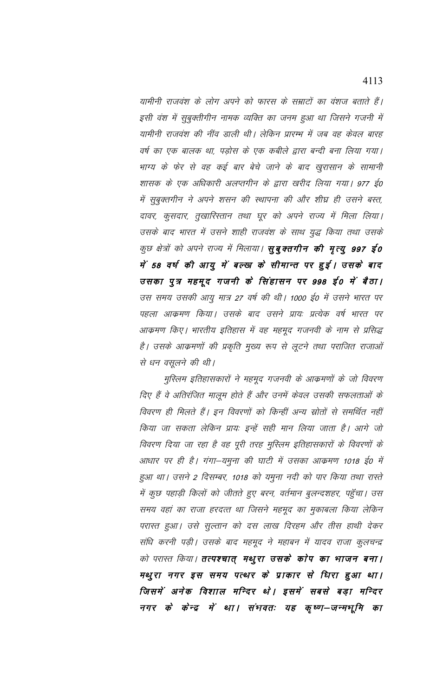यामीनी राजवंश के लोग अपने को फारस के सम्राटों का वंशज बताते हैं। इसी वंश में सुबुक्तीगीन नामक व्यक्ति का जनम हुआ था जिसने गजनी में यामीनी राजवंश की नींव डाली थी। लेकिन प्रारम्भ में जब वह केवल बारह वर्ष का एक बालक था, पड़ोस के एक कबीले द्वारा बन्दी बना लिया गया। भाग्य के फेर से वह कई बार बेचे जाने के बाद खुरासान के सामानी शासक के एक अधिकारी अलप्तगीन के द्वारा खरीद लिया गया। 977 ई0 में सुबुक्तगीन ने अपने शसन की स्थापना की और शीघ्र ही उसने बस्त, दावर, कुसदार, तुखारिस्तान तथा घूर को अपने राज्य में मिला लिया। उसके बाद भारत में उसने शाही राजवंश के साथ युद्ध किया तथा उसके कुछ क्षेत्रों को अपने राज्य में मिलाया। **सुबुक्तगीन की मृत्यु 997 ई0** में 58 वर्ष की आयु में बल्ख के सीमान्त पर हुई। उसके बाद उसका पुत्र महमूद गजनी के सिंहासन पर 998 ई0 में बैठा। उस समय उसकी आयु मात्र 27 वर्ष की थी। 1000 ई0 में उसने भारत पर पहला आक्रमण किया। उसके बाद उसने प्रायः प्रत्येक वर्ष भारत पर आक्रमण किए। भारतीय इतिहास में वह महमूद गजनवी के नाम से प्रसिद्ध है। उसके आक्रमणों की प्रकृति मुख्य रूप से लूटने तथा पराजित राजाओं से धन वसूलने की थी।

मुस्लिम इतिहासकारों ने महमूद गजनवी के आक्रमणों के जो विवरण दिए हैं वे अतिरंजित मालूम होते हैं और उनमें केवल उसकी सफलताओं के विवरण ही मिलते हैं। इन विवरणों को किन्हीं अन्य स्रोतों से समर्थित नहीं किया जा सकता लेकिन प्रायः इन्हें सही मान लिया जाता है। आगे जो विवरण दिया जा रहा है वह पूरी तरह मुस्लिम इतिहासकारों के विवरणों के आधार पर ही है। गंगा–यमुना की घाटी में उसका आक्रमण 1018 ई0 में हुआ था। उसने 2 दिसम्बर, 1018 को यमुना नदी को पार किया तथा रास्ते में कुछ पहाड़ी किलों को जीतते हुए बरन, वर्तमान बुलन्दशहर, पहुँचा। उस समय वहां का राजा हरदत्त था जिसने महमूद का मुकाबला किया लेकिन परास्त हुआ। उसे सुल्तान को दस लाख दिरहम और तीस हाथी देकर संधि करनी पड़ी। उसके बाद महमूद ने महाबन में यादव राजा कुलचन्द्र को परास्त किया। **तत्पश्चात् मथुरा उसके कोप का भाजन बना।** मथुरा नगर इस समय पत्थर के प्राकार से धिरा हुआ था। जिसमें अनेक विशाल मन्दिर थे। इसमें सबसे बड़ा मन्दिर नगर के केन्द्र में था। संभवतः यह कृष्ण–जन्मभूमि का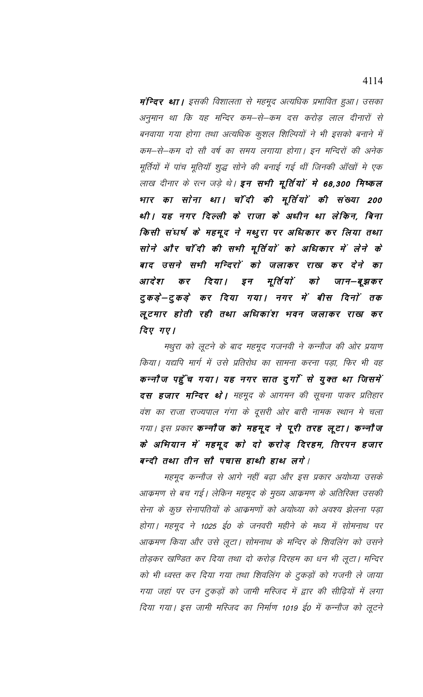**मन्दिर था।** इसकी विशालता से महमूद अत्यधिक प्रभावित हुआ। उसका अनुमान था कि यह मन्दिर कम–से–कम दस करोड़ लाल दीनारों से बनवाया गया होगा तथा अत्यधिक कुशल शिल्पियों ने भी इसको बनाने में कम–से–कम दो सौ वर्ष का समय लगाया होगा। इन मन्दिरों की अनेक मूर्तियों में पांच मूतियाँ शुद्ध सोने की बनाई गई थीं जिनकी ऑंखों मे एक लाख दीनार के रत्न जड़े थे। इन सभी मूर्तियों में 68,300 मिष्कल भार का सोना था। चाँदी की मूर्तियों की संख्या 200 थी। यह नगर दिल्ली के राजा के अधीन था लेकिन, बिना किसी संघर्ष के महमूद ने मथुरा पर अधिकार कर लिया तथा सोने और चाँदी की सभी मूर्तियों को अधिकार में लेने के बाद उसने सभी मन्दिरों को जलाकर राख कर देने का दिया। इन मूर्ति यों आदेश कर को जान–बूझकर टुकड़ें—टुकड़े कर दिया गया। नगर में बीस दिनों तक लूटमार होती रही तथा अधिकांश भवन जलाकर राख कर दिए गए।

मथुरा को लूटने के बाद महमूद गजनवी ने कन्नौज की ओर प्रयाण किया। यद्यपि मार्ग में उसे प्रतिरोध का सामना करना पड़ा, फिर भी वह कन्नौज पहुँच गया। यह नगर सात दुर्गा से युक्त था जिसमें **दस हजार मन्दिर थो |** महमूद के आगमन की सूचना पाकर प्रतिहार वंश का राजा राज्यपाल गंगा के दूसरी ओर बारी नामक स्थान मे चला गया। इस प्रकार **कन्नौज को महमूद ने पूरी तरह लूटा। कन्नौज** के अभियान में महमूद को दो करोड़ दिरहम, तिरपन हजार बन्दी तथा तीन सौ पचास हाथी हाथ लगे।

महमूद कन्नौज से आगे नहीं बढ़ा और इस प्रकार अयोध्या उसके आक्रमण से बच गई। लेकिन महमूद के मुख्य आक्रमण के अतिरिक्त उसकी सेना के कुछ सेनापतियों के आक्रमणों को अयोध्या को अवश्य झेलना पड़ा होगा। महमूद ने 1025 ई0 के जनवरी महीने के मध्य में सोमनाथ पर आक्रमण किया और उसे लूटा। सोमनाथ के मन्दिर के शिवलिंग को उसने तोड़कर खण्डित कर दिया तथा दो करोड़ दिरहम का धन भी लूटा। मन्दिर को भी ध्वस्त कर दिया गया तथा शिवलिंग के टुकड़ों को गजनी ले जाया गया जहां पर उन टुकड़ों को जामी मस्जिद में द्वार की सीढ़ियों में लगा दिया गया। इस जामी मस्जिद का निर्माण 1019 ई0 में कन्नौज को लूटने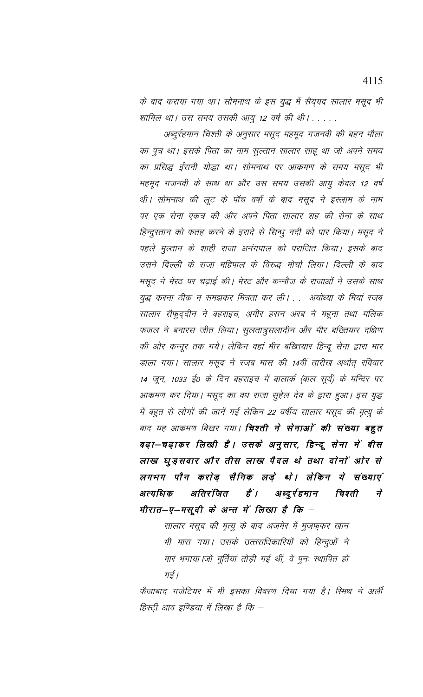के बाद कराया गया था। सोमनाथ के इस युद्ध में सैय्यद सालार मसूद भी शामिल था। उस समय उसकी आयु 12 वर्ष की थी। . .

अब्दुर्रहमान चिश्ती के अनुसार मसूद महमूद गजनवी की बहन मौला का पुत्र था। इसके पिता का नाम सुल्तान सालार साहू था जो अपने समय का प्रसिद्ध ईरानी योद्धा था। सोमनाथ पर आक्रमण के समय मसूद भी महमूद गजनवी के साथ था और उस समय उसकी आयु केवल 12 वर्ष थी। सोमनाथ की लूट के पॉच वर्षों के बाद मसूद ने इस्लाम के नाम पर एक सेना एकत्र की और अपने पिता सालार शह की सेना के साथ हिन्दुस्तान को फतह करने के इरादे से सिन्धु नदी को पार किया। मसूद ने पहले मुल्तान के शाही राजा अनंगपाल को पराजित किया। इसके बाद उसने दिल्ली के राजा महिपाल के विरुद्ध मोर्चा लिया। दिल्ली के बाद मसूद ने मेरठ पर चढ़ाई की। मेरठ और कन्नौज के राजाओं ने उसके साथ युद्ध करना ठीक न समझकर मित्रता कर ली। . . अयोध्या के मियां रजब सालार सैफुद्दीन ने बहराइच, अमीर हसन अरब ने महूना तथा मलिक फजल ने बनारस जीत लिया। सुलतात्रुसलादीन और मीर बख्तियार दक्षिण की ओर कन्नूर तक गये। लेकिन वहां मीर बख्तियार हिन्दू सेना द्वारा मार डाला गया। सालार मसूद ने रजब मास की 14वीं तारीख अर्थात् रविवार 14 जून, 1033 ई0 के दिन बहराइच में बालार्क (बाल सूर्य) के मन्दिर पर आक्रमण कर दिया। मसूद का वध राजा सुहेल देव के द्वारा हुआ। इस युद्ध में बहुत से लोगों की जानें गई लेकिन 22 वर्षीय सालार मसूद की मृत्यु के बाद यह आक्रमण बिखर गया। **चिश्ती ने सेनाओं की संख्या बहुत** बढ़ा—चढ़ाकर लिखी है। उसके अनुसार, हिन्दू सेना में बीस लाख घुड़सवार और तीस लाख पैदल थे तथा दोनों ओर से लगभग पौन करोड़ सैनिक लड़े थे। लेकिन ये संख्याएं चिश्ती अत्यधिक अतिरंजित हैं | अब्दुर्रहमान  $\overrightarrow{\tau}$ मीरात—ए—मसूदी के अन्त में लिखा है कि –

सालार मसूद की मृत्यु के बाद अजमेर में मुजफ्फर खान भी मारा गया। उसके उत्तराधिकारियों को हिन्दुओं ने मार भगाया।जो मूर्तियां तोड़ी गई थीं, वे पुनः स्थापित हो गई।

फैजाबाद गजेटियर में भी इसका विवरण दिया गया है। स्मिथ ने अर्ली हिस्ट्री आव इण्डिया में लिखा है कि –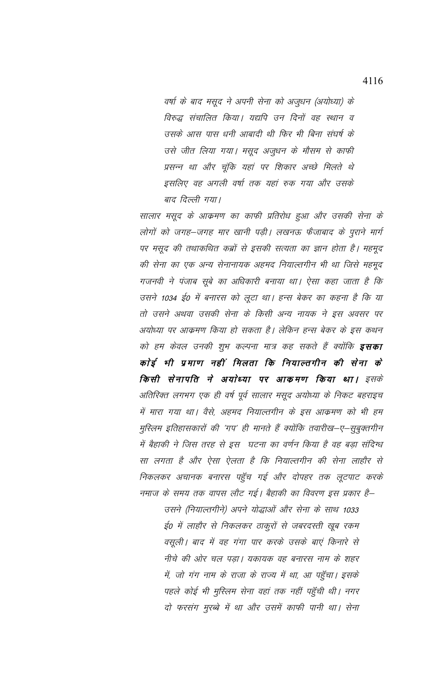वर्षा के बाद मसूद ने अपनी सेना को अजुधन (अयोध्या) के विरुद्ध संचालित किया। यद्यपि उन दिनों वह स्थान व उसके आस पास धनी आबादी थी फिर भी बिना संघर्ष के उसे जीत लिया गया। मसूद अजुधन के मौसम से काफी प्रसन्न था और चूंकि यहां पर शिकार अच्छे मिलते थे इसलिए वह अगली वर्षा तक यहां रुक गया और उसके बाद दिल्ली गया।

सालार मसूद के आक्रमण का काफी प्रतिरोध हुआ और उसकी सेना के लोगों को जगह–जगह मार खानी पड़ी। लखनऊ फैंजाबाद के पुराने मार्ग पर मसूद की तथाकथित कब्रों से इसकी सत्यता का ज्ञान होता है। महमूद की सेना का एक अन्य सेनानायक अहमद नियाल्तगीन भी था जिसे महमूद गजनवी ने पंजाब सूबे का अधिकारी बनाया था। ऐसा कहा जाता है कि उसने 1034 ई0 में बनारस को लूटा था। हन्स बेकर का कहना है कि या तो उसने अथवा उसकी सेना के किसी अन्य नायक ने इस अवसर पर अयोध्या पर आक्रमण किया हो सकता है। लेकिन हन्स बेकर के इस कथन को हम केवल उनकी शुभ कल्पना मात्र कह सकते हैं क्योंकि **इसका** कोई भी प्रमाण नहीं मिलता कि नियाल्तगीन की सेना के किसी सेनापति ने अयोध्या पर आकमण किया था। इसके अतिरिक्त लगभग एक ही वर्ष पूर्व सालार मसूद अयोध्या के निकट बहराइच में मारा गया था। वैसे, अहमद नियाल्तगीन के इस आक्रमण को भी हम मुस्लिम इतिहासकारों की 'गप' ही मानते हैं क्योंकि तवारीख—ए—सुबुक्तगीन में बैहाकी ने जिस तरह से इस घटना का वर्णन किया है वह बड़ा संदिग्ध सा लगता है और ऐसा ऐलता है कि नियाल्तगीन की सेना लाहौर से निकलकर अचानक बनारस पहुँच गई और दोपहर तक लूटपाट करके नमाज के समय तक वापस लौट गई। बैहाकी का विवरण इस प्रकार है—

> उसने (नियाल्तगीने) अपने योद्धाओं और सेना के साथ 1033 ई0 में लाहौर से निकलकर ठाकुरों से जबरदस्ती खूब रकम वसूली। बाद में वह गंगा पार करके उसके बाएं किनारे से नीचे की ओर चल पडा। यकायक वह बनारस नाम के शहर में, जो गंग नाम के राजा के राज्य में था, आ पहुँचा। इसके पहले कोई भी मुस्लिम सेना वहां तक नहीं पहुँची थी। नगर दो फरसंग मुरब्बे में था और उसमें काफी पानी था। सेना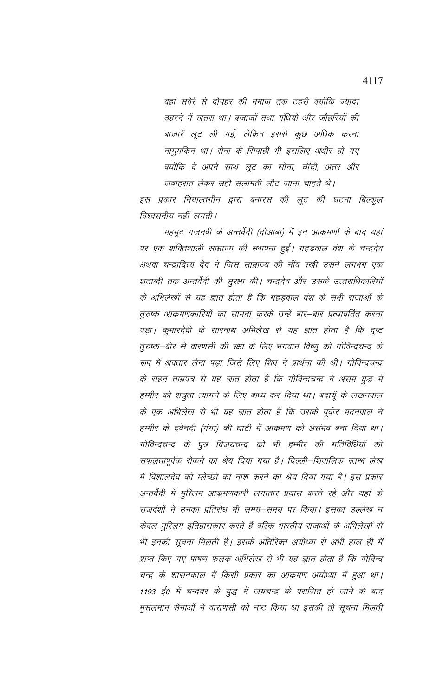वहां सवेरे से दोपहर की नमाज तक ठहरी क्योंकि ज्यादा ठहरने में खतरा था। बजाजों तथा गंधियों और जौहरियों की बाजारें लूट ली गई, लेकिन इससे कुछ अधिक करना नामुमकिन था। सेना के सिपाही भी इसलिए अधीर हो गए क्योंकि वे अपने साथ लूट का सोना, चॉदी, अतर और जवाहरात लेकर सही सलामती लौट जाना चाहते थे।

इस प्रकार नियाल्तगीन द्वारा बनारस की लूट की घटना बिल्कुल विश्वसनीय नहीं लगती।

महमूद गजनवी के अन्तर्वेदी (दोआबा) में इन आक्रमणों के बाद यहां पर एक शक्तिशाली साम्राज्य की स्थापना हुई। गहडवाल वंश के चन्द्रदेव अथवा चन्द्रादित्य देव ने जिस साम्राज्य की नींव रखी उसने लगभग एक शताब्दी तक अन्तर्वेदी की सुरक्षा की। चन्द्रदेव और उसके उत्तराधिकारियों के अभिलेखों से यह ज्ञात होता है कि गहड़वाल वंश के सभी राजाओं के तुरुष्क आक्रमणकारियों का सामना करके उन्हें बार–बार प्रत्यावर्तित करना पड़ा। कुमारदेवी के सारनाथ अभिलेख से यह ज्ञात होता है कि दुष्ट तुरुष्क–बीर से वारणसी की रक्षा के लिए भगवान विष्णु को गोविन्दचन्द्र के रूप में अवतार लेना पड़ा जिसे लिए शिव ने प्रार्थना की थी। गोविन्दचन्द्र के राहन ताम्रपत्र से यह ज्ञात होता है कि गोविन्दचन्द्र ने असम युद्ध में हम्मीर को शत्रुता त्यागने के लिए बाध्य कर दिया था। बदायूँ के लखनपाल के एक अभिलेख से भी यह ज्ञात होता है कि उसके पूर्वज मदनपाल ने हम्मीर के दवेनदी (गंगा) की घाटी में आक्रमण को असंभव बना दिया था। गोविन्दचन्द्र के पुत्र विजयचन्द्र को भी हम्मीर की गतिविधियों को सफलतापूर्वक रोकने का श्रेय दिया गया है। दिल्ली–शिवालिक स्तम्भ लेख में विशालदेव को म्लेच्छों का नाश करने का श्रेय दिया गया है। इस प्रकार अन्तर्वेदी में मुस्लिम आक्रमणकारी लगातार प्रयास करते रहे और यहां के राजवंशों ने उनका प्रतिरोध भी समय–समय पर किया। इसका उल्लेख न केवल मुस्लिम इतिहासकार करते हैं बल्कि भारतीय राजाओं के अभिलेखों से भी इनकी सूचना मिलती है। इसके अतिरिक्त अयोध्या से अभी हाल ही में प्राप्त किए गए पाषण फलक अभिलेख से भी यह ज्ञात होता है कि गोविन्द चन्द्र के शासनकाल में किसी प्रकार का आक्रमण अयोध्या में हुआ था। 1193 ई0 में चन्दवर के युद्ध में जयचन्द्र के पराजित हो जाने के बाद मुसलमान सेनाओं ने वाराणसी को नष्ट किया था इसकी तो सूचना मिलती

4117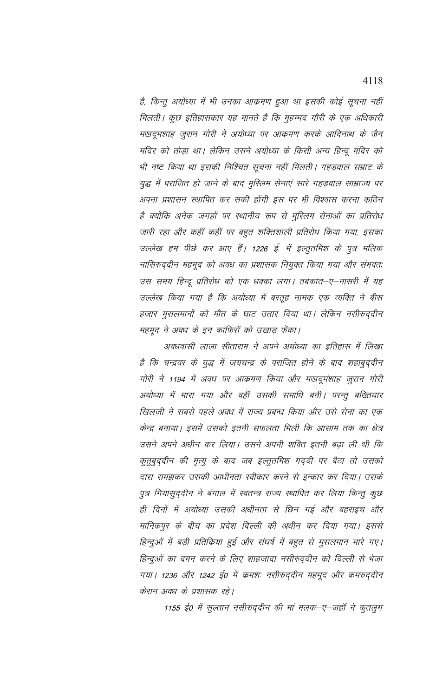है, किन्तु अयोध्या में भी उनका आक्रमण हुआ था इसकी कोई सूचना नहीं मिलती। कुछ इतिहासकार यह मानते हैं कि मुहम्मद गौरी के एक अधिकारी मखदूमशाह जुरान गोरी ने अयोध्या पर आक्रमण करके आदिनाथ के जैन मंदिर को तोड़ा था। लेकिन उसने अयोध्या के किसी अन्य हिन्दू मंदिर को भी नष्ट किया था इसकी निश्चित सूचना नहीं मिलती। गहड़वाल सम्राट के युद्ध में पराजित हो जाने के बाद मुस्लिम सेनाएं सारे गहड़वाल साम्राज्य पर अपना प्रशासन स्थापित कर सकी होंगी इस पर भी विश्वास करना कठिन है क्योंकि अनेक जगहों पर स्थानीय रूप से मुस्लिम सेनाओं का प्रतिरोध जारी रहा और कहीं कहीं पर बहुत शक्तिशाली प्रतिरोध किया गया, इसका उल्लेख हम पीछे कर आए हैं। 1226 ई. में इल्तुतमिश के पुत्र मलिक नासिरुद्दीन महमूद को अवध का प्रशासक नियुक्त किया गया और संभवतः उस समय हिन्दू प्रतिरोध को एक धक्का लगा। तबकात–ए–नासरी में यह उल्लेख किया गया है कि अयोध्या में बरतूह नामक एक व्यक्ति ने बीस हजार मुसलमानों को मौत के घाट उतार दिया था। लेकिन नसीरुद्दीन महमूद ने अवध के इन काफिरों को उखाड़ फेंका।

अवधवासी लाला सीताराम ने अपने अयोध्या का इतिहास में लिखा है कि चन्द्रवर के युद्ध में जयचन्द्र के पराजित होने के बाद शहाबुद्दीन गोरी ने 1194 में अवध पर आक्रमण किया और मखदूमंशाह जुरान गोरी अयोध्या में मारा गया और वहीं उसकी समाधि बनी। परन्तु बख्तियार खिलजी ने सबसे पहले अवध में राज्य प्रबन्ध किया और उसे सेना का एक केन्द्र बनाया। इसमें उसको इतनी सफलता मिली कि आसाम तक का क्षेत्र उसने अपने अधीन कर लिया। उसने अपनी शक्ति इतनी बढ़ा ली थी कि कुतुबुद्दीन की मृत्यु के बाद जब इल्तुतमिश गर्द्दी पर बैठा तो उसको दास समझकर उसकी आधीनता स्वीकार करने से इन्कार कर दिया। उसके पुत्र गियासुदुदीन ने बंगाल में स्वतन्त्र राज्य स्थापित कर लिया किन्तू कुछ ही दिनों में अयोध्या उसकी अधीनता से छिन गई और बहराइच और मानिकपुर के बीच का प्रदेश दिल्ली की अधीन कर दिया गया। इससे हिन्दुओं में बड़ी प्रतिकिया हुई और संघर्ष में बहुत से मुसलमान मारे गए। हिन्दुओं का दमन करने के लिए शाहजादा नसीरुद्दीन को दिल्ली से भेजा गया | 1236 और 1242 ई0 में क्रमशः नसीरुद्दीन महमूद और कमरुद्दीन केरान अवध के प्रशासक रहे।

1155 ई0 में सुल्तान नसीरुद्दीन की मां मलक–ए–जहाँ ने कुतलुग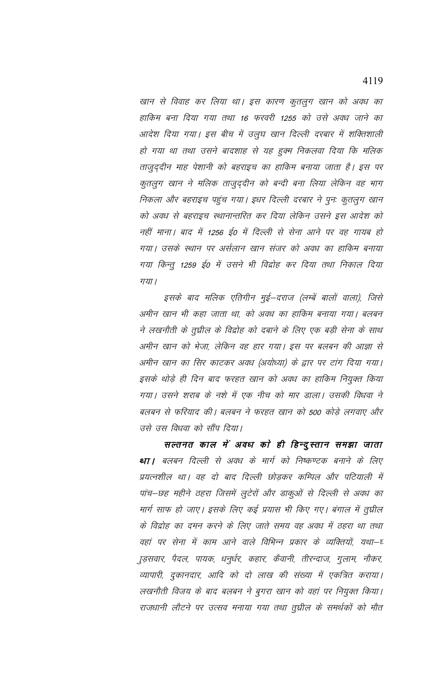खान से विवाह कर लिया था। इस कारण कुतलुग खान को अवध का हाकिम बना दिया गया तथा 16 फरवरी 1255 को उसे अवध जाने का आदेश दिया गया। इस बीच में उलुघ खान दिल्ली दरबार में शक्तिशाली हो गया था तथा उसने बादशाह से यह हुक्म निकलवा दिया कि मलिक ताजुद्दीन माह पेशानी को बहराइच का हाकिम बनाया जाता है। इस पर कुतलुग खान ने मलिक ताजुद्दीन को बन्दी बना लिया लेकिन वह भाग निकला और बहराइच पहुंच गया। इधर दिल्ली दरबार ने पुनः कुतलुग खान को अवध से बहराइच स्थानान्तरित कर दिया लेकिन उसने इस आदेश को नहीं माना। बाद में 1256 ई0 में दिल्ली से सेना आने पर वह गायब हो गया। उसके स्थान पर अर्सलान खान संजर को अवध का हाकिम बनाया गया किन्तु 1259 ई0 में उसने भी विद्रोह कर दिया तथा निकाल दिया गया।

इसके बाद मलिक एतिगीन मुई—दराज (लम्बें बालों वाला), जिसे अमीन खान भी कहा जाता था, को अवध का हाकिम बनाया गया। बलबन ने लखनौती के तुघ्नील के विद्रोह को दबाने के लिए एक बड़ी सेना के साथ अमीन खान को भेजा, लेकिन वह हार गया। इस पर बलबन की आज्ञा से अमीन खान का सिर काटकर अवध (अयोध्या) के द्वार पर टांग दिया गया। इसके थोड़े ही दिन बाद फरहत खान को अवध का हाकिम नियुक्त किया गया। उसने शराब के नशे में एक नीच को मार डाला। उसकी विधवा ने बलबन से फरियाद की। बलबन ने फरहत खान को 500 कोड़े लगवाए और उसे उस विधवा को सौंप दिया।

सल्तनत काल में अवध को ही हिन्दुस्तान समझा जाता था। बलबन दिल्ली से अवध के मार्ग को निष्कण्टक बनाने के लिए प्रयत्नशील था। वह दो बाद दिल्ली छोड़कर कम्पिल और पटियाली में पांच–छह महीने ठहरा जिसमें लुटेरों और डाकुओं से दिल्ली से अवध का मार्ग साफ हो जाए। इसके लिए कई प्रयास भी किए गए। बंगाल में तुघ्रील के विद्रोह का दमन करने के लिए जाते समय वह अवध में ठहरा था तथा वहां पर सेना में काम आने वाले विभिन्न प्रकार के व्यक्तियों, यथा–घ ुड़सवार, पैदल, पायक, धनुर्धर, कहार, कैवानी, तीरन्दाज, गुलाम, नौकर, व्यापारी, दुकानदार, आदि को दो लाख की संख्या में एकत्रित कराया। लखनौती विजय के बाद बलबन ने बुगरा खान को वहां पर नियुक्त किया। राजधानी लौटने पर उत्सव मनाया गया तथा तुघ्नील के समर्थकों को मौत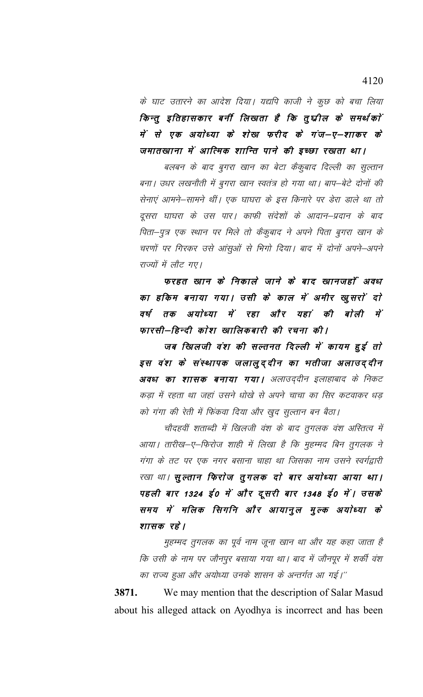के घाट उतारने का आदेश दिया। यद्यपि काजी ने कुछ को बचा लिया किन्तु इतिहासकार बनीं लिखता है कि तुर्घ्वील के समर्थकों में से एक अयोध्या के शेख फरीद के गंज–ए–शाकर के जमातखाना में आत्मिक शान्ति पाने की इच्छा रखता था।

बलबन के बाद बुगरा खान का बेटा कैकूबाद दिल्ली का सुल्तान बना। उधर लखनौती में बुगरा खान स्वतंत्र हो गया था। बाप–बेटे दोनों की सेनाएं आमने–सामने थीं। एक घाघरा के इस किनारे पर डेरा डाले था तो दूसरा घाघरा के उस पार। काफी संदेशों के आदान–प्रदान के बाद पिता—पुत्र एक स्थान पर मिले तो कैकुबाद ने अपने पिता बुगरा खान के चरणों पर गिरकर उसे आंसुओं से भिगो दिया। बाद में दोनों अपने–अपने राज्यों में लौट गए।

फरहत खान के निकाले जाने के बाद खानजहाँ अवध का हकिम बनाया गया। उसी के काल में अमीर खुसरों दो वर्ष तक अयोध्या में रहा और यहां की बोली में फारसी–हिन्दी कोश खालिकबारी की रचना की।

जब खिलजी वंश की सल्तनत दिल्ली में कायम हुई तो इस वंश के संस्थापक जलालुद्दीन का भतीजा अलाउद्दीन अवध का शासक बनाया गया। अलाउद्दीन इलाहाबाद के निकट कड़ा में रहता था जहां उसने धोखे से अपने चाचा का सिर कटवाकर धड़ को गंगा की रेती में फिंकवा दिया और खुद सुल्तान बन बैठा।

चौदहवीं शताब्दी में खिलजी वंश के बाद तुगलक वंश अस्तित्व में आया। तारीख—ए—फिरोज शाही में लिखा है कि मुहम्मद बिन तुगलक ने गंगा के तट पर एक नगर बसाना चाहा था जिसका नाम उसने स्वर्गद्वारी रखा था। सुल्तान फिराेज तुगलक दाे बार अयाेध्या आया था। पहली बार 1324 ई0 में और दूसरी बार 1348 ई0 में। उसके समय में मलिक सिगनि और आयानुल मुल्क अयोध्या के शासक रहे।

मुहम्मद तुगलक का पूर्व नाम जूना खान था और यह कहा जाता है कि उसी के नाम पर जौनपुर बसाया गया था। बाद में जौनपूर में शर्की वंश का राज्य हुआ और अयोध्या उनके शासन के अन्तर्गत आ गई।''

3871. We may mention that the description of Salar Masud about his alleged attack on Ayodhya is incorrect and has been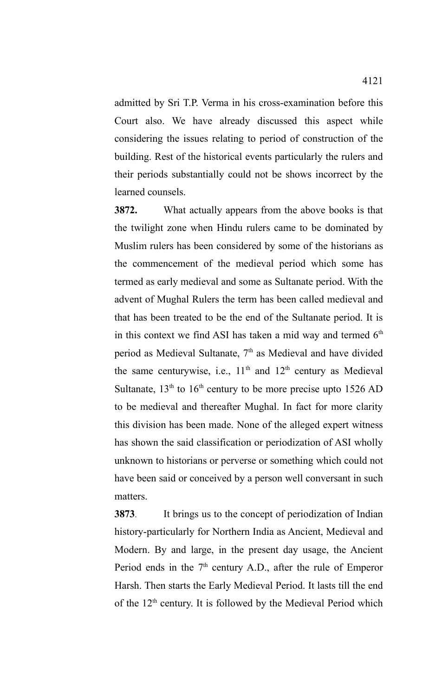admitted by Sri T.P. Verma in his cross-examination before this Court also. We have already discussed this aspect while considering the issues relating to period of construction of the building. Rest of the historical events particularly the rulers and their periods substantially could not be shows incorrect by the learned counsels.

**3872.** What actually appears from the above books is that the twilight zone when Hindu rulers came to be dominated by Muslim rulers has been considered by some of the historians as the commencement of the medieval period which some has termed as early medieval and some as Sultanate period. With the advent of Mughal Rulers the term has been called medieval and that has been treated to be the end of the Sultanate period. It is in this context we find ASI has taken a mid way and termed  $6<sup>th</sup>$ period as Medieval Sultanate, 7<sup>th</sup> as Medieval and have divided the same centurywise, i.e.,  $11<sup>th</sup>$  and  $12<sup>th</sup>$  century as Medieval Sultanate,  $13<sup>th</sup>$  to  $16<sup>th</sup>$  century to be more precise upto 1526 AD to be medieval and thereafter Mughal. In fact for more clarity this division has been made. None of the alleged expert witness has shown the said classification or periodization of ASI wholly unknown to historians or perverse or something which could not have been said or conceived by a person well conversant in such matters.

**3873**. It brings us to the concept of periodization of Indian history-particularly for Northern India as Ancient, Medieval and Modern. By and large, in the present day usage, the Ancient Period ends in the  $7<sup>th</sup>$  century A.D., after the rule of Emperor Harsh. Then starts the Early Medieval Period. It lasts till the end of the 12<sup>th</sup> century. It is followed by the Medieval Period which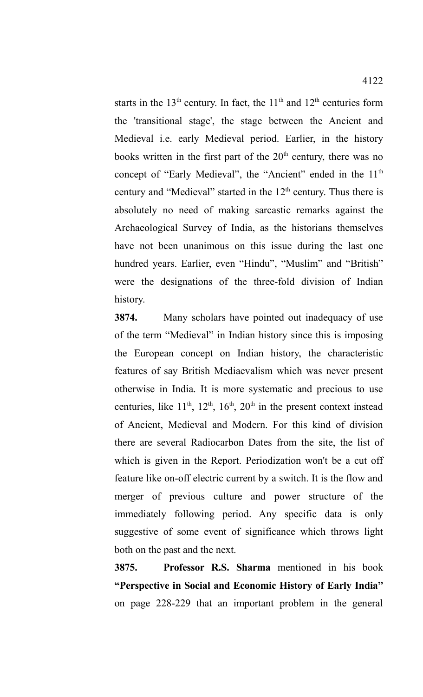starts in the  $13<sup>th</sup>$  century. In fact, the  $11<sup>th</sup>$  and  $12<sup>th</sup>$  centuries form the 'transitional stage', the stage between the Ancient and Medieval i.e. early Medieval period. Earlier, in the history books written in the first part of the  $20<sup>th</sup>$  century, there was no concept of "Early Medieval", the "Ancient" ended in the 11<sup>th</sup> century and "Medieval" started in the 12<sup>th</sup> century. Thus there is absolutely no need of making sarcastic remarks against the Archaeological Survey of India, as the historians themselves have not been unanimous on this issue during the last one hundred years. Earlier, even "Hindu", "Muslim" and "British" were the designations of the three-fold division of Indian history.

**3874.** Many scholars have pointed out inadequacy of use of the term "Medieval" in Indian history since this is imposing the European concept on Indian history, the characteristic features of say British Mediaevalism which was never present otherwise in India. It is more systematic and precious to use centuries, like  $11<sup>th</sup>$ ,  $12<sup>th</sup>$ ,  $16<sup>th</sup>$ ,  $20<sup>th</sup>$  in the present context instead of Ancient, Medieval and Modern. For this kind of division there are several Radiocarbon Dates from the site, the list of which is given in the Report. Periodization won't be a cut off feature like on-off electric current by a switch. It is the flow and merger of previous culture and power structure of the immediately following period. Any specific data is only suggestive of some event of significance which throws light both on the past and the next.

**3875. Professor R.S. Sharma** mentioned in his book **"Perspective in Social and Economic History of Early India"** on page 228-229 that an important problem in the general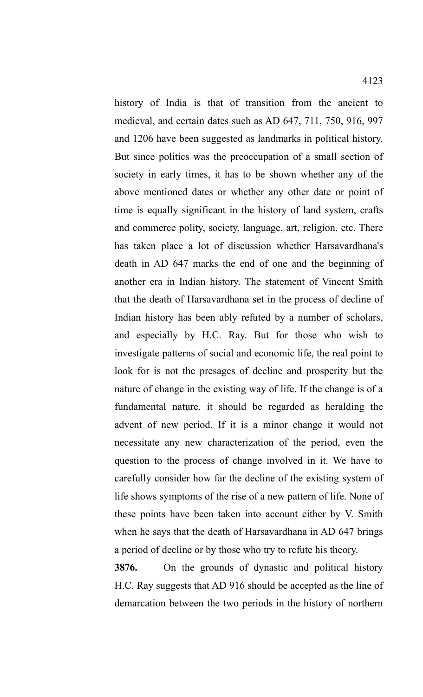history of India is that of transition from the ancient to medieval, and certain dates such as AD 647, 711, 750, 916, 997 and 1206 have been suggested as landmarks in political history. But since politics was the preoccupation of a small section of society in early times, it has to be shown whether any of the above mentioned dates or whether any other date or point of time is equally significant in the history of land system, crafts and commerce polity, society, language, art, religion, etc. There has taken place a lot of discussion whether Harsavardhana's death in AD 647 marks the end of one and the beginning of another era in Indian history. The statement of Vincent Smith that the death of Harsavardhana set in the process of decline of Indian history has been ably refuted by a number of scholars, and especially by H.C. Ray. But for those who wish to investigate patterns of social and economic life, the real point to look for is not the presages of decline and prosperity but the nature of change in the existing way of life. If the change is of a fundamental nature, it should be regarded as heralding the advent of new period. If it is a minor change it would not necessitate any new characterization of the period, even the question to the process of change involved in it. We have to carefully consider how far the decline of the existing system of life shows symptoms of the rise of a new pattern of life. None of these points have been taken into account either by V. Smith when he says that the death of Harsavardhana in AD 647 brings

**3876.** On the grounds of dynastic and political history H.C. Ray suggests that AD 916 should be accepted as the line of demarcation between the two periods in the history of northern

a period of decline or by those who try to refute his theory.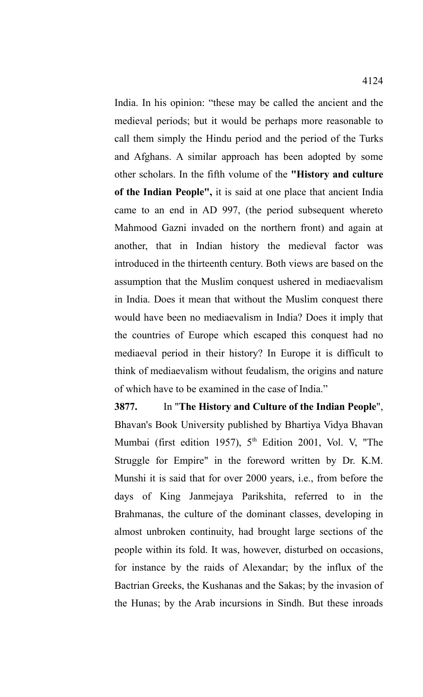India. In his opinion: "these may be called the ancient and the medieval periods; but it would be perhaps more reasonable to call them simply the Hindu period and the period of the Turks and Afghans. A similar approach has been adopted by some other scholars. In the fifth volume of the **"History and culture of the Indian People",** it is said at one place that ancient India came to an end in AD 997, (the period subsequent whereto Mahmood Gazni invaded on the northern front) and again at another, that in Indian history the medieval factor was introduced in the thirteenth century. Both views are based on the assumption that the Muslim conquest ushered in mediaevalism in India. Does it mean that without the Muslim conquest there would have been no mediaevalism in India? Does it imply that the countries of Europe which escaped this conquest had no mediaeval period in their history? In Europe it is difficult to think of mediaevalism without feudalism, the origins and nature of which have to be examined in the case of India."

**3877.** In "**The History and Culture of the Indian People**", Bhavan's Book University published by Bhartiya Vidya Bhavan Mumbai (first edition 1957),  $5<sup>th</sup>$  Edition 2001, Vol. V, "The Struggle for Empire" in the foreword written by Dr. K.M. Munshi it is said that for over 2000 years, i.e., from before the days of King Janmejaya Parikshita, referred to in the Brahmanas, the culture of the dominant classes, developing in almost unbroken continuity, had brought large sections of the people within its fold. It was, however, disturbed on occasions, for instance by the raids of Alexandar; by the influx of the Bactrian Greeks, the Kushanas and the Sakas; by the invasion of the Hunas; by the Arab incursions in Sindh. But these inroads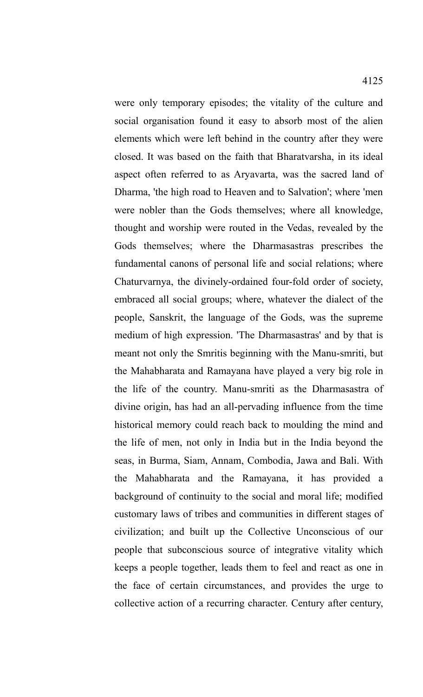were only temporary episodes; the vitality of the culture and social organisation found it easy to absorb most of the alien elements which were left behind in the country after they were closed. It was based on the faith that Bharatvarsha, in its ideal aspect often referred to as Aryavarta, was the sacred land of Dharma, 'the high road to Heaven and to Salvation'; where 'men were nobler than the Gods themselves; where all knowledge, thought and worship were routed in the Vedas, revealed by the Gods themselves; where the Dharmasastras prescribes the fundamental canons of personal life and social relations; where Chaturvarnya, the divinely-ordained four-fold order of society, embraced all social groups; where, whatever the dialect of the people, Sanskrit, the language of the Gods, was the supreme medium of high expression. 'The Dharmasastras' and by that is meant not only the Smritis beginning with the Manu-smriti, but the Mahabharata and Ramayana have played a very big role in the life of the country. Manu-smriti as the Dharmasastra of divine origin, has had an all-pervading influence from the time historical memory could reach back to moulding the mind and the life of men, not only in India but in the India beyond the seas, in Burma, Siam, Annam, Combodia, Jawa and Bali. With the Mahabharata and the Ramayana, it has provided a background of continuity to the social and moral life; modified customary laws of tribes and communities in different stages of civilization; and built up the Collective Unconscious of our people that subconscious source of integrative vitality which keeps a people together, leads them to feel and react as one in the face of certain circumstances, and provides the urge to

collective action of a recurring character. Century after century,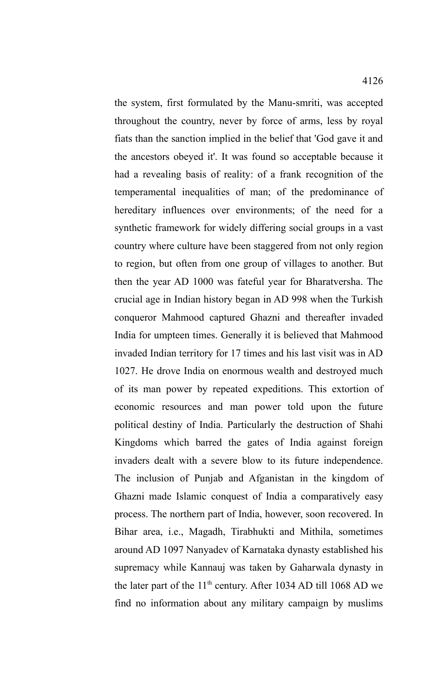the system, first formulated by the Manu-smriti, was accepted throughout the country, never by force of arms, less by royal fiats than the sanction implied in the belief that 'God gave it and the ancestors obeyed it'. It was found so acceptable because it had a revealing basis of reality: of a frank recognition of the temperamental inequalities of man; of the predominance of hereditary influences over environments; of the need for a synthetic framework for widely differing social groups in a vast country where culture have been staggered from not only region to region, but often from one group of villages to another. But then the year AD 1000 was fateful year for Bharatversha. The crucial age in Indian history began in AD 998 when the Turkish conqueror Mahmood captured Ghazni and thereafter invaded India for umpteen times. Generally it is believed that Mahmood invaded Indian territory for 17 times and his last visit was in AD 1027. He drove India on enormous wealth and destroyed much of its man power by repeated expeditions. This extortion of economic resources and man power told upon the future political destiny of India. Particularly the destruction of Shahi Kingdoms which barred the gates of India against foreign invaders dealt with a severe blow to its future independence. The inclusion of Punjab and Afganistan in the kingdom of Ghazni made Islamic conquest of India a comparatively easy process. The northern part of India, however, soon recovered. In Bihar area, i.e., Magadh, Tirabhukti and Mithila, sometimes around AD 1097 Nanyadev of Karnataka dynasty established his supremacy while Kannauj was taken by Gaharwala dynasty in the later part of the 11<sup>th</sup> century. After 1034 AD till 1068 AD we find no information about any military campaign by muslims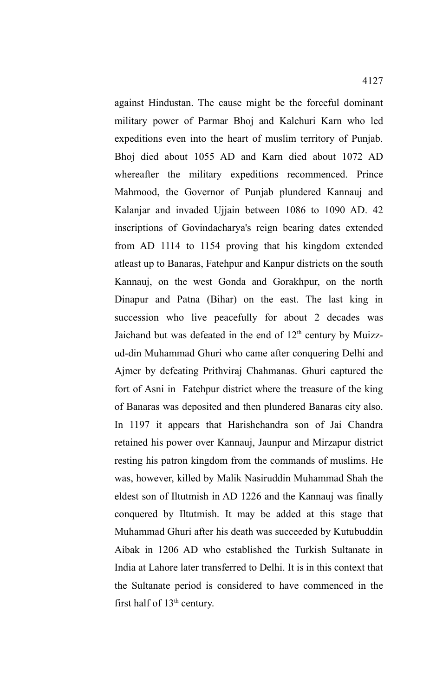against Hindustan. The cause might be the forceful dominant military power of Parmar Bhoj and Kalchuri Karn who led expeditions even into the heart of muslim territory of Punjab. Bhoj died about 1055 AD and Karn died about 1072 AD

whereafter the military expeditions recommenced. Prince Mahmood, the Governor of Punjab plundered Kannauj and Kalanjar and invaded Ujjain between 1086 to 1090 AD. 42 inscriptions of Govindacharya's reign bearing dates extended from AD 1114 to 1154 proving that his kingdom extended atleast up to Banaras, Fatehpur and Kanpur districts on the south Kannauj, on the west Gonda and Gorakhpur, on the north Dinapur and Patna (Bihar) on the east. The last king in succession who live peacefully for about 2 decades was Jaichand but was defeated in the end of  $12<sup>th</sup>$  century by Muizzud-din Muhammad Ghuri who came after conquering Delhi and Ajmer by defeating Prithviraj Chahmanas. Ghuri captured the fort of Asni in Fatehpur district where the treasure of the king of Banaras was deposited and then plundered Banaras city also. In 1197 it appears that Harishchandra son of Jai Chandra retained his power over Kannauj, Jaunpur and Mirzapur district resting his patron kingdom from the commands of muslims. He was, however, killed by Malik Nasiruddin Muhammad Shah the eldest son of Iltutmish in AD 1226 and the Kannauj was finally conquered by Iltutmish. It may be added at this stage that Muhammad Ghuri after his death was succeeded by Kutubuddin Aibak in 1206 AD who established the Turkish Sultanate in India at Lahore later transferred to Delhi. It is in this context that the Sultanate period is considered to have commenced in the first half of  $13<sup>th</sup>$  century.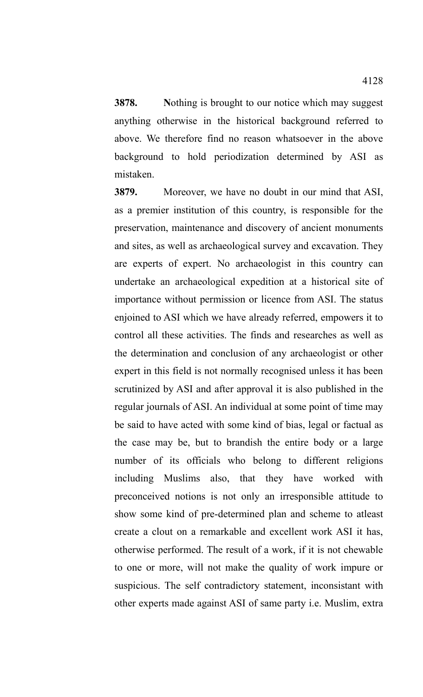**3878.** Nothing is brought to our notice which may suggest anything otherwise in the historical background referred to above. We therefore find no reason whatsoever in the above background to hold periodization determined by ASI as mistaken.

**3879.** Moreover, we have no doubt in our mind that ASI, as a premier institution of this country, is responsible for the preservation, maintenance and discovery of ancient monuments and sites, as well as archaeological survey and excavation. They are experts of expert. No archaeologist in this country can undertake an archaeological expedition at a historical site of importance without permission or licence from ASI. The status enjoined to ASI which we have already referred, empowers it to control all these activities. The finds and researches as well as the determination and conclusion of any archaeologist or other expert in this field is not normally recognised unless it has been scrutinized by ASI and after approval it is also published in the regular journals of ASI. An individual at some point of time may be said to have acted with some kind of bias, legal or factual as the case may be, but to brandish the entire body or a large number of its officials who belong to different religions including Muslims also, that they have worked with preconceived notions is not only an irresponsible attitude to show some kind of pre-determined plan and scheme to atleast create a clout on a remarkable and excellent work ASI it has, otherwise performed. The result of a work, if it is not chewable to one or more, will not make the quality of work impure or suspicious. The self contradictory statement, inconsistant with other experts made against ASI of same party i.e. Muslim, extra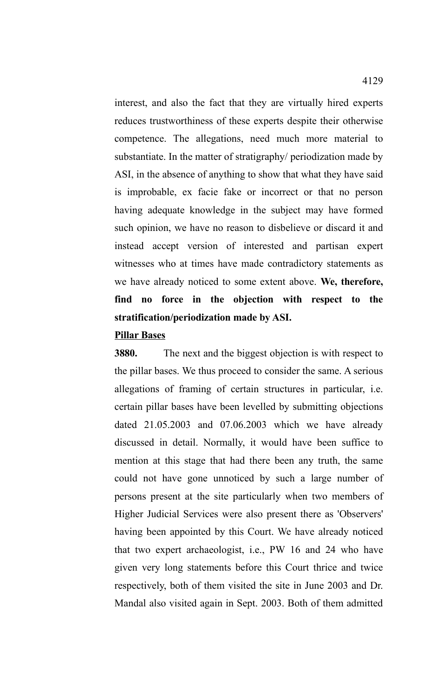interest, and also the fact that they are virtually hired experts reduces trustworthiness of these experts despite their otherwise competence. The allegations, need much more material to substantiate. In the matter of stratigraphy/ periodization made by ASI, in the absence of anything to show that what they have said is improbable, ex facie fake or incorrect or that no person having adequate knowledge in the subject may have formed such opinion, we have no reason to disbelieve or discard it and instead accept version of interested and partisan expert witnesses who at times have made contradictory statements as we have already noticed to some extent above. **We, therefore, find no force in the objection with respect to the stratification/periodization made by ASI.** 

## **Pillar Bases**

**3880.** The next and the biggest objection is with respect to the pillar bases. We thus proceed to consider the same. A serious allegations of framing of certain structures in particular, i.e. certain pillar bases have been levelled by submitting objections dated 21.05.2003 and 07.06.2003 which we have already discussed in detail. Normally, it would have been suffice to mention at this stage that had there been any truth, the same could not have gone unnoticed by such a large number of persons present at the site particularly when two members of Higher Judicial Services were also present there as 'Observers' having been appointed by this Court. We have already noticed that two expert archaeologist, i.e., PW 16 and 24 who have given very long statements before this Court thrice and twice respectively, both of them visited the site in June 2003 and Dr. Mandal also visited again in Sept. 2003. Both of them admitted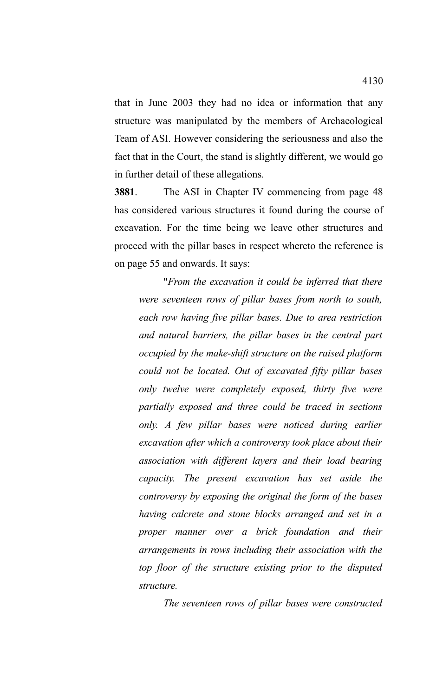that in June 2003 they had no idea or information that any structure was manipulated by the members of Archaeological Team of ASI. However considering the seriousness and also the fact that in the Court, the stand is slightly different, we would go in further detail of these allegations.

**3881**. The ASI in Chapter IV commencing from page 48 has considered various structures it found during the course of excavation. For the time being we leave other structures and proceed with the pillar bases in respect whereto the reference is on page 55 and onwards. It says:

"*From the excavation it could be inferred that there were seventeen rows of pillar bases from north to south, each row having five pillar bases. Due to area restriction and natural barriers, the pillar bases in the central part occupied by the make-shift structure on the raised platform could not be located. Out of excavated fifty pillar bases only twelve were completely exposed, thirty five were partially exposed and three could be traced in sections only. A few pillar bases were noticed during earlier excavation after which a controversy took place about their association with different layers and their load bearing capacity. The present excavation has set aside the controversy by exposing the original the form of the bases having calcrete and stone blocks arranged and set in a proper manner over a brick foundation and their arrangements in rows including their association with the top floor of the structure existing prior to the disputed structure.*

*The seventeen rows of pillar bases were constructed*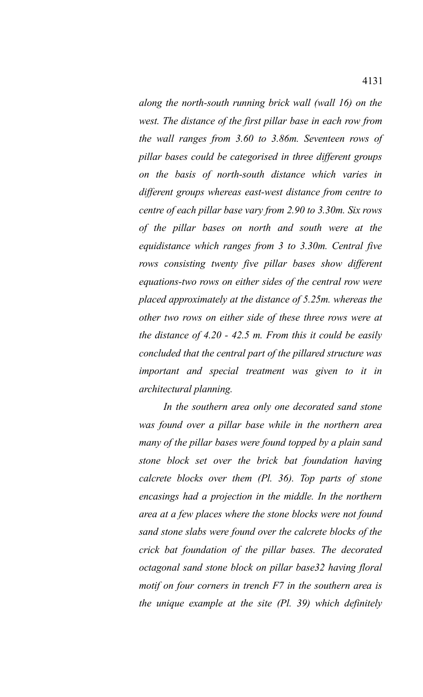*along the north-south running brick wall (wall 16) on the west. The distance of the first pillar base in each row from the wall ranges from 3.60 to 3.86m. Seventeen rows of pillar bases could be categorised in three different groups on the basis of north-south distance which varies in different groups whereas east-west distance from centre to centre of each pillar base vary from 2.90 to 3.30m. Six rows of the pillar bases on north and south were at the equidistance which ranges from 3 to 3.30m. Central five rows consisting twenty five pillar bases show different equations-two rows on either sides of the central row were placed approximately at the distance of 5.25m. whereas the other two rows on either side of these three rows were at the distance of 4.20 - 42.5 m. From this it could be easily concluded that the central part of the pillared structure was important and special treatment was given to it in architectural planning.*

*In the southern area only one decorated sand stone was found over a pillar base while in the northern area many of the pillar bases were found topped by a plain sand stone block set over the brick bat foundation having calcrete blocks over them (Pl. 36). Top parts of stone encasings had a projection in the middle. In the northern area at a few places where the stone blocks were not found sand stone slabs were found over the calcrete blocks of the crick bat foundation of the pillar bases. The decorated octagonal sand stone block on pillar base32 having floral motif on four corners in trench F7 in the southern area is the unique example at the site (Pl. 39) which definitely*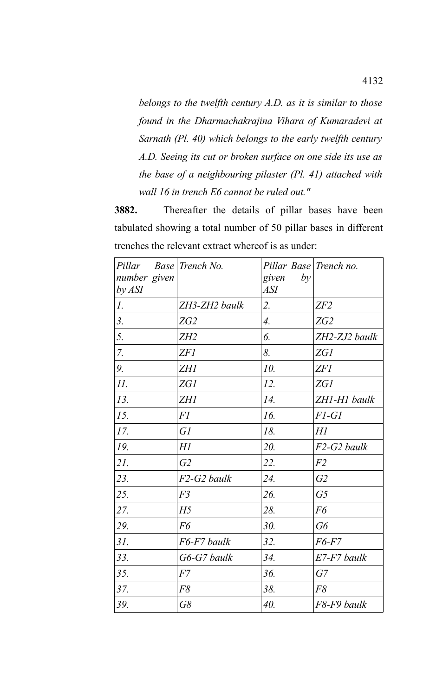*belongs to the twelfth century A.D. as it is similar to those found in the Dharmachakrajina Vihara of Kumaradevi at Sarnath (Pl. 40) which belongs to the early twelfth century A.D. Seeing its cut or broken surface on one side its use as the base of a neighbouring pilaster (Pl. 41) attached with wall 16 in trench E6 cannot be ruled out."*

**3882.** Thereafter the details of pillar bases have been tabulated showing a total number of 50 pillar bases in different trenches the relevant extract whereof is as under:

| Pillar<br>number given<br>by ASI | Base Trench No. | Pillar Base Trench no.<br>given<br>by<br><b>ASI</b> |                     |
|----------------------------------|-----------------|-----------------------------------------------------|---------------------|
| $\mathcal{I}$ .                  | ZH3-ZH2 baulk   | 2.                                                  | ZF2                 |
| 3.                               | ZG2             | $\overline{4}$ .                                    | ZG2                 |
| 5.                               | ZH2             | 6.                                                  | $ZH2$ - $ZJ2$ baulk |
| 7.                               | ZFI             | 8.                                                  | ZG1                 |
| 9.                               | <b>ZH1</b>      | 10.                                                 | ZFI                 |
| II.                              | <b>ZG1</b>      | 12.                                                 | <i>ZG1</i>          |
| 13.                              | <b>ZH1</b>      | 14.                                                 | ZH1-H1 baulk        |
| 15.                              | <i>F1</i>       | 16.                                                 | $F1-G1$             |
| 17.                              | GI              | 18.                                                 | H1                  |
| 19.                              | H1              | 20.                                                 | F2-G2 baulk         |
| 21.                              | G2              | 22.                                                 | F2                  |
| 23.                              | F2-G2 baulk     | 24.                                                 | G2                  |
| 25.                              | F <sub>3</sub>  | 26.                                                 | G <sub>5</sub>      |
| 27.                              | H <sub>5</sub>  | 28.                                                 | F6                  |
| 29.                              | F6              | 30.                                                 | G6                  |
| 31.                              | F6-F7 baulk     | 32.                                                 | F6-F7               |
| 33.                              | G6-G7 baulk     | 34.                                                 | $E7$ -F7 baulk      |
| 35.                              | F7              | 36.                                                 | G7                  |
| 37.                              | F8              | 38.                                                 | F8                  |
| 39.                              | G8              | 40.                                                 | F8-F9 baulk         |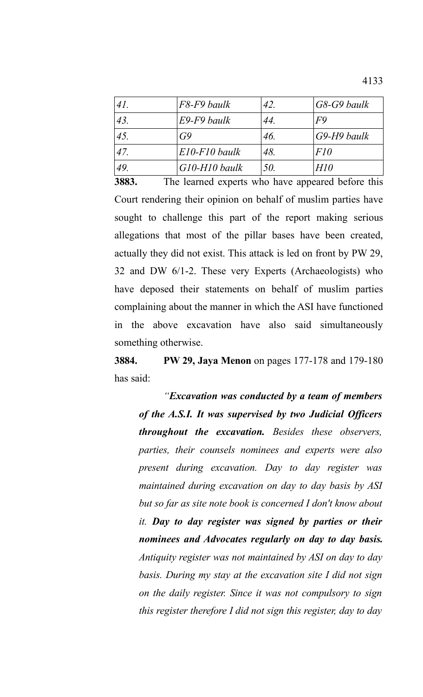| 41. | F8-F9 baulk         | 42. | $G8-G9$ baulk  |
|-----|---------------------|-----|----------------|
| 43. | E9-F9 baulk         | 44. | F <sub>9</sub> |
| 45. | G9                  | 46. | $G9-H9$ baulk  |
| 47. | $E10$ - $F10$ baulk | 48. | FI0            |
| 49  | $G10-H10$ baulk     | 50. | H10            |

**3883.** The learned experts who have appeared before this Court rendering their opinion on behalf of muslim parties have sought to challenge this part of the report making serious allegations that most of the pillar bases have been created, actually they did not exist. This attack is led on front by PW 29, 32 and DW 6/1-2. These very Experts (Archaeologists) who have deposed their statements on behalf of muslim parties complaining about the manner in which the ASI have functioned in the above excavation have also said simultaneously something otherwise.

**3884. PW 29, Jaya Menon** on pages 177-178 and 179-180 has said:

*"Excavation was conducted by a team of members of the A.S.I. It was supervised by two Judicial Officers throughout the excavation. Besides these observers, parties, their counsels nominees and experts were also present during excavation. Day to day register was maintained during excavation on day to day basis by ASI but so far as site note book is concerned I don't know about it. Day to day register was signed by parties or their nominees and Advocates regularly on day to day basis. Antiquity register was not maintained by ASI on day to day basis. During my stay at the excavation site I did not sign on the daily register. Since it was not compulsory to sign this register therefore I did not sign this register, day to day*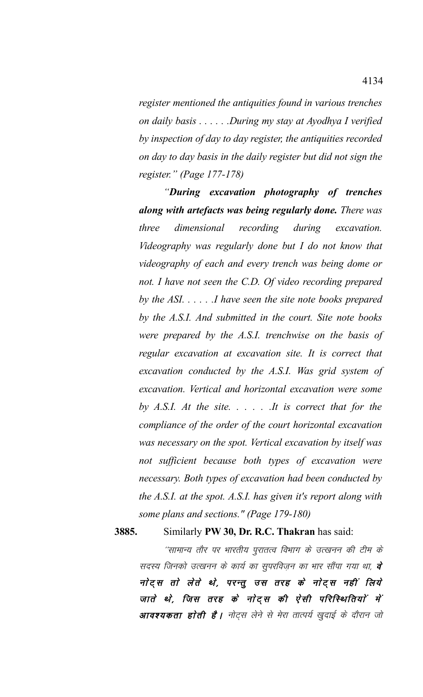*register mentioned the antiquities found in various trenches on daily basis . . . . . .During my stay at Ayodhya I verified by inspection of day to day register, the antiquities recorded on day to day basis in the daily register but did not sign the register." (Page 177-178)*

*"During excavation photography of trenches along with artefacts was being regularly done. There was three dimensional recording during excavation. Videography was regularly done but I do not know that videography of each and every trench was being dome or not. I have not seen the C.D. Of video recording prepared by the ASI. . . . . .I have seen the site note books prepared by the A.S.I. And submitted in the court. Site note books were prepared by the A.S.I. trenchwise on the basis of regular excavation at excavation site. It is correct that excavation conducted by the A.S.I. Was grid system of excavation. Vertical and horizontal excavation were some by A.S.I. At the site. . . . . .It is correct that for the compliance of the order of the court horizontal excavation was necessary on the spot. Vertical excavation by itself was not sufficient because both types of excavation were necessary. Both types of excavation had been conducted by the A.S.I. at the spot. A.S.I. has given it's report along with some plans and sections." (Page 179-180)*

**3885.** Similarly **PW 30, Dr. R.C. Thakran** has said:

''सामान्य तौर पर भारतीय पुरातत्व विभाग के उत्खनन की टीम के सदस्य जिनको उत्खनन के कार्य का सुपरविजन का भार सौंपा गया था, **वे** नोट्स तो लेते थे, परन्तु उस तरह के नोट्स नहीं लिये जाते थे, जिस तरह के नोट्स की ऐसी परिस्थितियों में आवश्यकता होती है। नोट्स लेने से मेरा तात्पर्य खुदाई के दौरान जो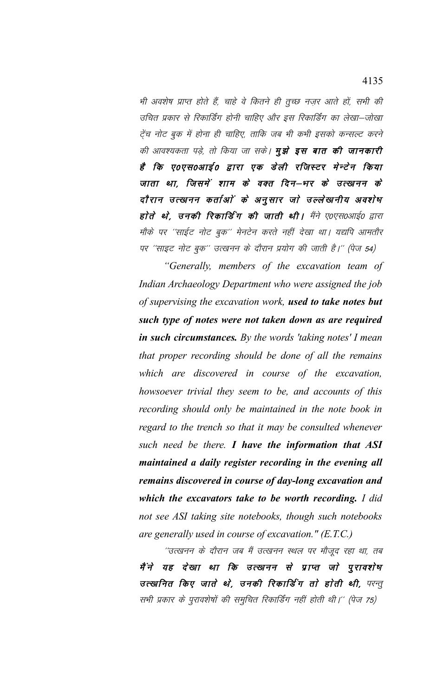भी अवशेष प्राप्त होते हैं, चाहे वे कितने ही तुच्छ नजर आते हों, सभी की उचित प्रकार से रिकार्डिंग होनी चाहिए और इस रिकार्डिंग का लेखा–जोखा ट्रेंच नोट बुक में होना ही चाहिए, ताकि जब भी कभी इसको कन्सल्ट करने की आवश्यकता पड़े, तो किया जा सके। **मुझे इस बात की जानकारी** है कि ए०एस०आई० द्वारा एक डेली रजिस्टर मेन्टेन किया जाता था, जिसमें शाम के वक्त दिन–भर के उत्खनन के दौरान उत्खनन कर्ताओं के अनुसार जो उल्लेखनीय अवशेष होते थे, उनकी रिकार्डिंग की जाती थी। मैंने ए०एस०आई० द्वारा मौके पर ''साईट नोट बुक'' मेनटेन करते नहीं देखा था। यद्यपि आमतौर पर ''साइट नोट बुक'' उत्खनन के दौरान प्रयोग की जाती है।'' (पेज 54)

"Generally, members of the excavation team of Indian Archaeology Department who were assigned the job of supervising the excavation work, used to take notes but such type of notes were not taken down as are required in such circumstances. By the words 'taking notes' I mean that proper recording should be done of all the remains which are discovered in course of the excavation, howsoever trivial they seem to be, and accounts of this recording should only be maintained in the note book in regard to the trench so that it may be consulted whenever such need be there. I have the information that ASI maintained a daily register recording in the evening all remains discovered in course of day-long excavation and which the excavators take to be worth recording. I did not see ASI taking site notebooks, though such notebooks are generally used in course of excavation."  $(E.T.C.)$ 

''उत्खनन के दौरान जब मैं उत्खनन स्थल पर मौजूद रहा था, तब मैंने यह देखा था कि उत्खनन से प्राप्त जो पुरावशेष उत्खनित किए जाते थे, उनकी रिकार्डिंग तो होती थी, परन्तु सभी प्रकार के पुरावशेषों की समुचित रिकार्डिंग नहीं होती थी।'' (पेज 75)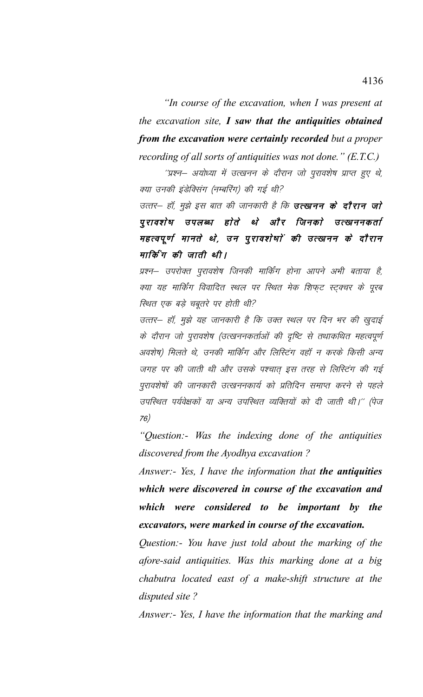"In course of the excavation, when I was present at the excavation site,  $I$  saw that the antiquities obtained from the excavation were certainly recorded but a proper recording of all sorts of antiquities was not done."  $(E.T.C.)$ 

''प्रश्न– अयोध्या में उत्खनन के दौरान जो पुरावशेष प्राप्त हुए थे, क्या उनकी इंडेक्सिंग (नम्बरिंग) की गई थी?

उत्तर— हॉ, मुझे इस बात की जानकारी है कि **उत्खनन के दौरान जो** पूरावशेष उपलब्ध होते थे और जिनको उत्खननकर्ता महत्वपूर्ण मानते थे, उन पुरावशेषाें की उत्खनन के दौरान मार्किंग की जाती थी।

प्रश्न– उपरोक्त पुरावशेष जिनकी मार्किंग होना आपने अभी बताया है, क्या यह मार्किंग विवादित स्थल पर स्थित मेक शिफट स्टुक्चर के पूरब स्थित एक बड़े चबूतरे पर होती थी?

उत्तर– हॉ, मुझे यह जानकारी है कि उक्त स्थल पर दिन भर की खुदाई के दौरान जो पुरावशेष (उत्खननकर्ताओं की दृष्टि से तथाकथित महत्वपूर्ण अवशेष) मिलते थे, उनकी मार्किंग और लिस्टिंग वहाँ न करके किसी अन्य जगह पर की जाती थी और उसके पश्चात् इस तरह से लिस्टिंग की गई पुरावशेषों की जानकारी उत्खननकार्य को प्रतिदिन समाप्त करने से पहले उपस्थित पर्यवेक्षकों या अन्य उपस्थित व्यक्तियों को दी जाती थी।'' (पेज  $76)$ 

"Ouestion:- Was the indexing done of the antiquities discovered from the Ayodhya excavation?

Answer:- Yes, I have the information that the antiquities which were discovered in course of the excavation and which were considered to be important by the excavators, were marked in course of the excavation.

Question:- You have just told about the marking of the afore-said antiquities. Was this marking done at a big chabutra located east of a make-shift structure at the disputed site?

Answer:- Yes, I have the information that the marking and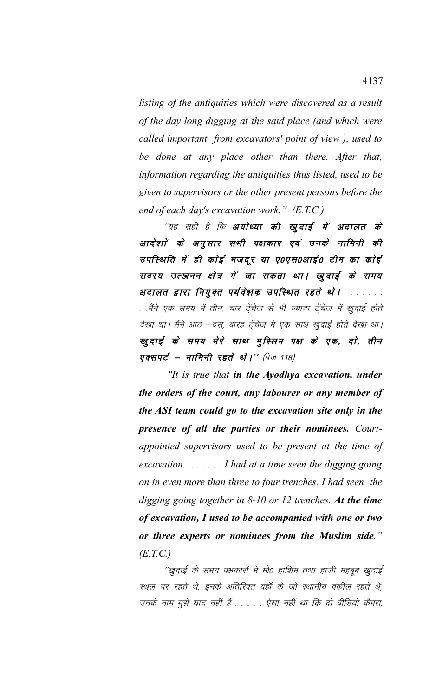*listing of the antiquities which were discovered as a result of the day long digging at the said place (and which were called important from excavators' point of view ), used to be done at any place other than there. After that, information regarding the antiquities thus listed, used to be given to supervisors or the other present persons before the end of each day's excavation work." (E.T.C.)*

''यह सही है कि **अयोध्या की खुदाई में अदालत के** आदेशों के अनुसार सभी पक्षकार एवं उनके नामिनी की उपस्थिति में ही कोई मजदूर या ए०एस०आई० टीम का कोई सदस्य उत्खनन क्षेत्र में जा सकता था। खुदाई के समय अदालत द्वारा नियुक्त पर्यवेक्षक उपस्थित रहते थे। ....... . .मैंने एक समय में तीन, चार ट्रेंचेज से भी ज्यादा ट्रेंचेज में खुदाई होते देखा था। मैंने आठ –दस, बारह टेंचेज मे एक साथ खुदाई होते देखा था। खूदाई के समय मेरे साथ मुस्लिम पक्ष के एक, दो, तीन एक्सपर्ट – नामिनी रहते थे।'' (पेज 118)

 *"It is true that in the Ayodhya excavation, under the orders of the court, any labourer or any member of the ASI team could go to the excavation site only in the presence of all the parties or their nominees. Courtappointed supervisors used to be present at the time of excavation. . . . . . . I had at a time seen the digging going on in even more than three to four trenches. I had seen the digging going together in 8-10 or 12 trenches. At the time of excavation, I used to be accompanied with one or two or three experts or nominees from the Muslim side." (E.T.C.)*

''खुदाई के समय पक्षकारों मे मो0 हाशिम तथा हाजी महबूब खुदाई स्थल पर रहते थे, इनके अतिरिक्त वहाँ के जो स्थानीय वकील रहते थे, उनके नाम मुझे याद नहीं हैं . . . . . ऐसा नहीं था कि दो वीडियो कैमरा,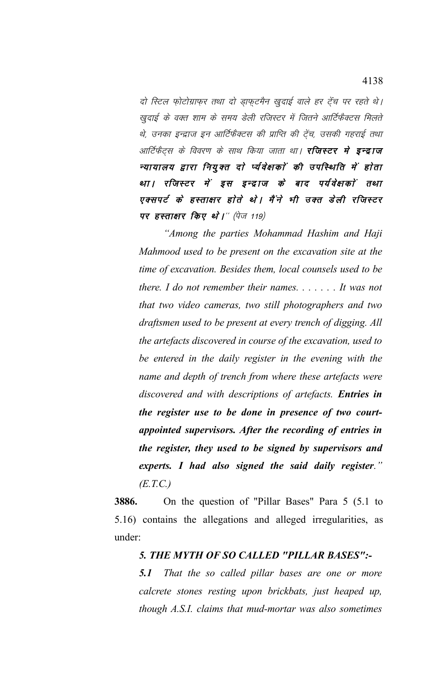दो स्टिल फोटोग्राफर तथा दो डाफटमैन खुदाई वाले हर टेंच पर रहते थे। खुदाई के वक्त शाम के समय डेली रजिस्टर में जितने आर्टिफैक्टस मिलते थे, उनका इन्द्राज इन आर्टिफैक्टस की प्राप्ति की ट्रेंच, उसकी गहराई तथा आर्टिफैट्स के विवरण के साथ किया जाता था। **रजिस्टर मे इन्द्राज** न्यायालय द्वारा नियुक्त दो र्प्यवेक्षकों की उपस्थिति में होता था। रजिस्टर में इस इन्द्राज के बाद पर्यवेक्षकों तथा एक्सपर्ट के हस्ताक्षर होते थे। मैंने भी उक्त डेली रजिस्टर पर हस्ताक्षार किए थे।" (पेज 119)

*"Among the parties Mohammad Hashim and Haji Mahmood used to be present on the excavation site at the time of excavation. Besides them, local counsels used to be there. I do not remember their names. . . . . . . It was not that two video cameras, two still photographers and two draftsmen used to be present at every trench of digging. All the artefacts discovered in course of the excavation, used to be entered in the daily register in the evening with the name and depth of trench from where these artefacts were discovered and with descriptions of artefacts. Entries in the register use to be done in presence of two courtappointed supervisors. After the recording of entries in the register, they used to be signed by supervisors and experts. I had also signed the said daily register." (E.T.C.)*

**3886.** On the question of "Pillar Bases" Para 5 (5.1 to 5.16) contains the allegations and alleged irregularities, as under:

## *5. THE MYTH OF SO CALLED "PILLAR BASES":-*

*5.1 That the so called pillar bases are one or more calcrete stones resting upon brickbats, just heaped up, though A.S.I. claims that mud-mortar was also sometimes*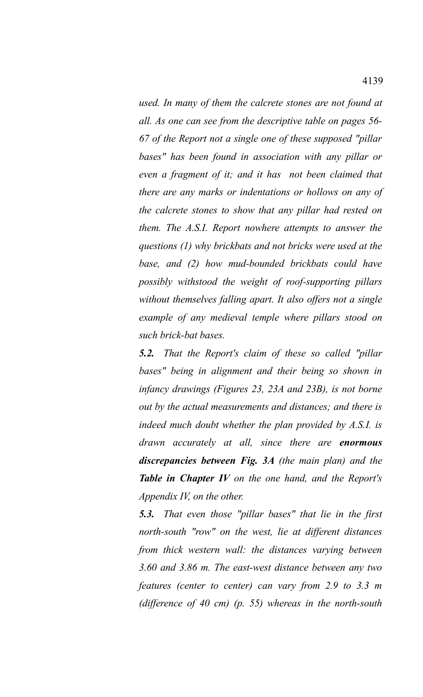*used. In many of them the calcrete stones are not found at all. As one can see from the descriptive table on pages 56- 67 of the Report not a single one of these supposed "pillar bases" has been found in association with any pillar or even a fragment of it; and it has not been claimed that there are any marks or indentations or hollows on any of the calcrete stones to show that any pillar had rested on them. The A.S.I. Report nowhere attempts to answer the questions (1) why brickbats and not bricks were used at the base, and (2) how mud-bounded brickbats could have possibly withstood the weight of roof-supporting pillars without themselves falling apart. It also offers not a single example of any medieval temple where pillars stood on such brick-bat bases.*

*5.2. That the Report's claim of these so called "pillar bases" being in alignment and their being so shown in infancy drawings (Figures 23, 23A and 23B), is not borne out by the actual measurements and distances; and there is indeed much doubt whether the plan provided by A.S.I. is drawn accurately at all, since there are enormous discrepancies between Fig. 3A (the main plan) and the Table in Chapter IV on the one hand, and the Report's Appendix IV, on the other.* 

*5.3. That even those "pillar bases" that lie in the first north-south "row" on the west, lie at different distances from thick western wall: the distances varying between 3.60 and 3.86 m. The east-west distance between any two features (center to center) can vary from 2.9 to 3.3 m (difference of 40 cm) (p. 55) whereas in the north-south*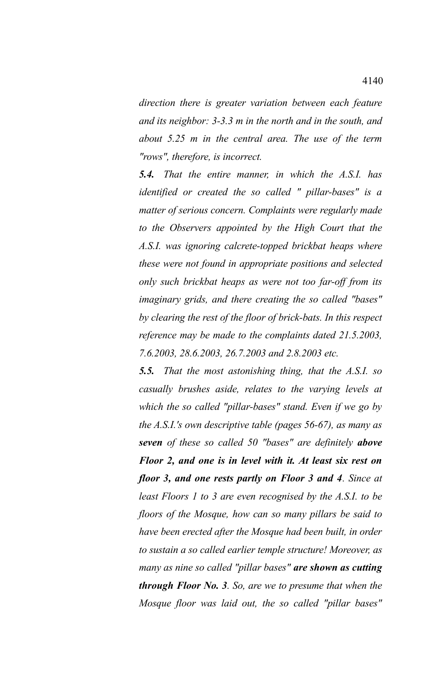*direction there is greater variation between each feature and its neighbor: 3-3.3 m in the north and in the south, and about 5.25 m in the central area. The use of the term "rows", therefore, is incorrect.* 

*5.4. That the entire manner, in which the A.S.I. has identified or created the so called " pillar-bases" is a matter of serious concern. Complaints were regularly made to the Observers appointed by the High Court that the A.S.I. was ignoring calcrete-topped brickbat heaps where these were not found in appropriate positions and selected only such brickbat heaps as were not too far-off from its imaginary grids, and there creating the so called "bases" by clearing the rest of the floor of brick-bats. In this respect reference may be made to the complaints dated 21.5.2003, 7.6.2003, 28.6.2003, 26.7.2003 and 2.8.2003 etc.* 

*5.5. That the most astonishing thing, that the A.S.I. so casually brushes aside, relates to the varying levels at which the so called "pillar-bases" stand. Even if we go by the A.S.I.'s own descriptive table (pages 56-67), as many as seven of these so called 50 "bases" are definitely above Floor 2, and one is in level with it. At least six rest on floor 3, and one rests partly on Floor 3 and 4. Since at least Floors 1 to 3 are even recognised by the A.S.I. to be floors of the Mosque, how can so many pillars be said to have been erected after the Mosque had been built, in order to sustain a so called earlier temple structure! Moreover, as many as nine so called "pillar bases" are shown as cutting through Floor No. 3. So, are we to presume that when the Mosque floor was laid out, the so called "pillar bases"*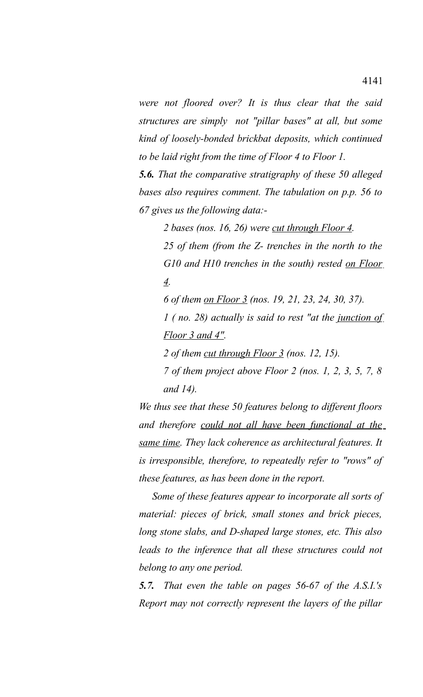*were not floored over? It is thus clear that the said structures are simply not "pillar bases" at all, but some kind of loosely-bonded brickbat deposits, which continued to be laid right from the time of Floor 4 to Floor 1.* 

*5.6. That the comparative stratigraphy of these 50 alleged bases also requires comment. The tabulation on p.p. 56 to 67 gives us the following data:-*

*2 bases (nos. 16, 26) were cut through Floor 4.*

*25 of them (from the Z- trenches in the north to the G10 and H10 trenches in the south) rested on Floor 4.* 

*6 of them on Floor 3 (nos. 19, 21, 23, 24, 30, 37).* 

*1 ( no. 28) actually is said to rest "at the junction of Floor 3 and 4".*

*2 of them cut through Floor 3 (nos. 12, 15).*

*7 of them project above Floor 2 (nos. 1, 2, 3, 5, 7, 8 and 14).*

*We thus see that these 50 features belong to different floors and therefore could not all have been functional at the same time. They lack coherence as architectural features. It is irresponsible, therefore, to repeatedly refer to "rows" of these features, as has been done in the report.*

 *Some of these features appear to incorporate all sorts of material: pieces of brick, small stones and brick pieces, long stone slabs, and D-shaped large stones, etc. This also leads to the inference that all these structures could not belong to any one period.*

*5.7. That even the table on pages 56-67 of the A.S.I.'s Report may not correctly represent the layers of the pillar*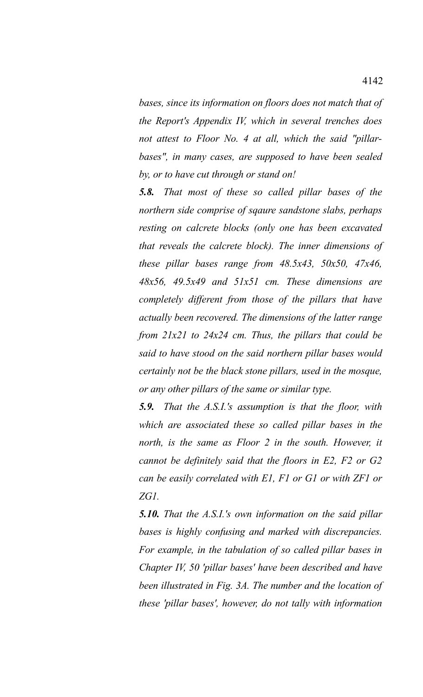*bases, since its information on floors does not match that of the Report's Appendix IV, which in several trenches does not attest to Floor No. 4 at all, which the said "pillarbases", in many cases, are supposed to have been sealed by, or to have cut through or stand on!*

*5.8. That most of these so called pillar bases of the northern side comprise of sqaure sandstone slabs, perhaps resting on calcrete blocks (only one has been excavated that reveals the calcrete block). The inner dimensions of these pillar bases range from 48.5x43, 50x50, 47x46, 48x56, 49.5x49 and 51x51 cm. These dimensions are completely different from those of the pillars that have actually been recovered. The dimensions of the latter range from 21x21 to 24x24 cm. Thus, the pillars that could be said to have stood on the said northern pillar bases would certainly not be the black stone pillars, used in the mosque, or any other pillars of the same or similar type.*

*5.9. That the A.S.I.'s assumption is that the floor, with which are associated these so called pillar bases in the north, is the same as Floor 2 in the south. However, it cannot be definitely said that the floors in E2, F2 or G2 can be easily correlated with E1, F1 or G1 or with ZF1 or ZG1.* 

*5.10. That the A.S.I.'s own information on the said pillar bases is highly confusing and marked with discrepancies. For example, in the tabulation of so called pillar bases in Chapter IV, 50 'pillar bases' have been described and have been illustrated in Fig. 3A. The number and the location of these 'pillar bases', however, do not tally with information*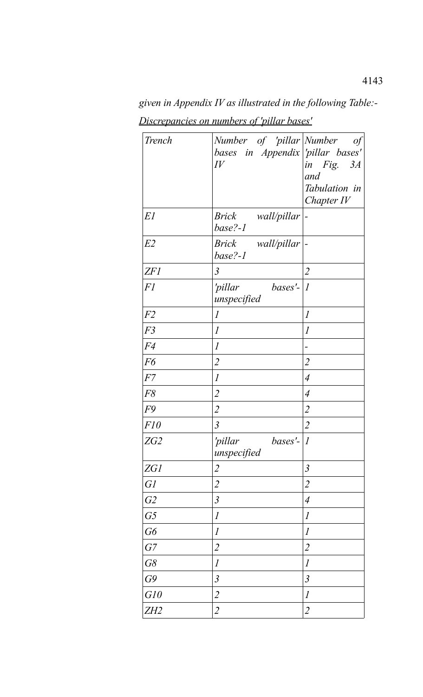*Trench Number of 'pillar Number of bases in Appendix 'pillar bases' IV in Fig. 3A and Tabulation in Chapter IV E1 Brick wall/pillar base?-1 E2 Brick wall/pillar base?-1 ZF1 3 2 F1 'pillar bases'- 1 unspecified F2 1 1 F3 1 1 F4 1 - F6 2 2 F7 1 4 F8 2 4 F9 2 2 F10 3 2 zG2 pillar unspecified bases'*- $|I|$ *ZG1 2 3 G1 2 2 G2 3 4 G5 1 1 G6 1 1 G7 2 2 G8 1 1 G9 3 3 G10 2 1 ZH2 2 2*

*given in Appendix IV as illustrated in the following Table:- Discrepancies on numbers of 'pillar bases'*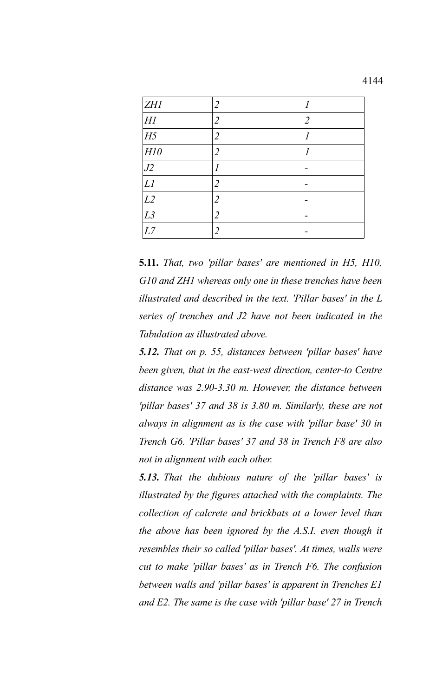| <b>ZH1</b>     | 2              |   |
|----------------|----------------|---|
| H1             | 2              | 2 |
| H <sub>5</sub> | 2              |   |
| HI0            | 2              | 1 |
| J2             |                |   |
| LI             | $\overline{2}$ |   |
| L2             | $\overline{2}$ |   |
| L3             | 2              |   |
| L7             | റ              |   |

**5.11.** *That, two 'pillar bases' are mentioned in H5, H10, G10 and ZH1 whereas only one in these trenches have been illustrated and described in the text. 'Pillar bases' in the L series of trenches and J2 have not been indicated in the Tabulation as illustrated above.* 

*5.12. That on p. 55, distances between 'pillar bases' have been given, that in the east-west direction, center-to Centre distance was 2.90-3.30 m. However, the distance between 'pillar bases' 37 and 38 is 3.80 m. Similarly, these are not always in alignment as is the case with 'pillar base' 30 in Trench G6. 'Pillar bases' 37 and 38 in Trench F8 are also not in alignment with each other.* 

*5.13. That the dubious nature of the 'pillar bases' is illustrated by the figures attached with the complaints. The collection of calcrete and brickbats at a lower level than the above has been ignored by the A.S.I. even though it resembles their so called 'pillar bases'. At times, walls were cut to make 'pillar bases' as in Trench F6. The confusion between walls and 'pillar bases' is apparent in Trenches E1 and E2. The same is the case with 'pillar base' 27 in Trench*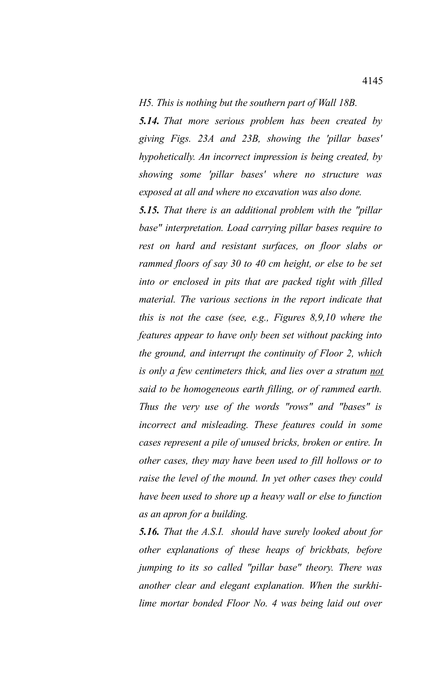## *H5. This is nothing but the southern part of Wall 18B.*

*5.14. That more serious problem has been created by giving Figs. 23A and 23B, showing the 'pillar bases' hypohetically. An incorrect impression is being created, by showing some 'pillar bases' where no structure was exposed at all and where no excavation was also done.* 

*5.15. That there is an additional problem with the "pillar base" interpretation. Load carrying pillar bases require to rest on hard and resistant surfaces, on floor slabs or rammed floors of say 30 to 40 cm height, or else to be set into or enclosed in pits that are packed tight with filled material. The various sections in the report indicate that this is not the case (see, e.g., Figures 8,9,10 where the features appear to have only been set without packing into the ground, and interrupt the continuity of Floor 2, which is only a few centimeters thick, and lies over a stratum not said to be homogeneous earth filling, or of rammed earth. Thus the very use of the words "rows" and "bases" is incorrect and misleading. These features could in some cases represent a pile of unused bricks, broken or entire. In other cases, they may have been used to fill hollows or to raise the level of the mound. In yet other cases they could have been used to shore up a heavy wall or else to function as an apron for a building.* 

*5.16. That the A.S.I. should have surely looked about for other explanations of these heaps of brickbats, before jumping to its so called "pillar base" theory. There was another clear and elegant explanation. When the surkhilime mortar bonded Floor No. 4 was being laid out over*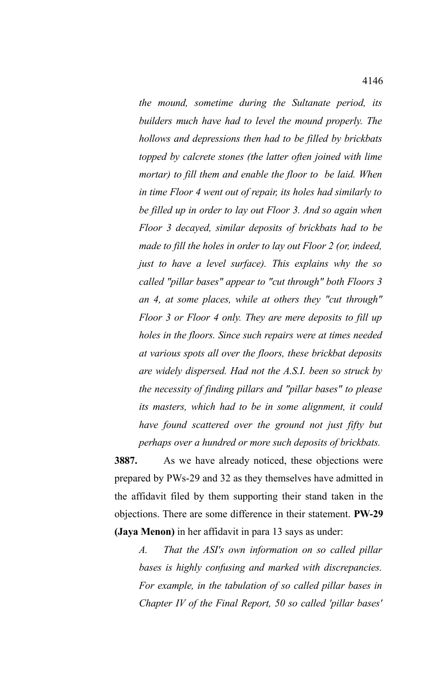*the mound, sometime during the Sultanate period, its builders much have had to level the mound properly. The hollows and depressions then had to be filled by brickbats topped by calcrete stones (the latter often joined with lime mortar) to fill them and enable the floor to be laid. When in time Floor 4 went out of repair, its holes had similarly to be filled up in order to lay out Floor 3. And so again when Floor 3 decayed, similar deposits of brickbats had to be made to fill the holes in order to lay out Floor 2 (or, indeed, just to have a level surface). This explains why the so called "pillar bases" appear to "cut through" both Floors 3 an 4, at some places, while at others they "cut through" Floor 3 or Floor 4 only. They are mere deposits to fill up holes in the floors. Since such repairs were at times needed at various spots all over the floors, these brickbat deposits are widely dispersed. Had not the A.S.I. been so struck by the necessity of finding pillars and "pillar bases" to please its masters, which had to be in some alignment, it could have found scattered over the ground not just fifty but perhaps over a hundred or more such deposits of brickbats.*

**3887.** As we have already noticed, these objections were prepared by PWs-29 and 32 as they themselves have admitted in the affidavit filed by them supporting their stand taken in the objections. There are some difference in their statement. **PW-29 (Jaya Menon)** in her affidavit in para 13 says as under:

*A. That the ASI's own information on so called pillar bases is highly confusing and marked with discrepancies. For example, in the tabulation of so called pillar bases in Chapter IV of the Final Report, 50 so called 'pillar bases'*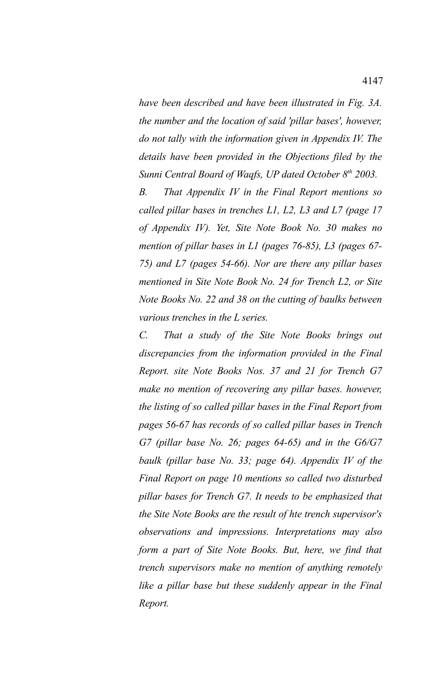*have been described and have been illustrated in Fig. 3A. the number and the location of said 'pillar bases', however, do not tally with the information given in Appendix IV. The details have been provided in the Objections filed by the Sunni Central Board of Waqfs, UP dated October 8th 2003.*

*B. That Appendix IV in the Final Report mentions so called pillar bases in trenches L1, L2, L3 and L7 (page 17 of Appendix IV). Yet, Site Note Book No. 30 makes no mention of pillar bases in L1 (pages 76-85), L3 (pages 67- 75) and L7 (pages 54-66). Nor are there any pillar bases mentioned in Site Note Book No. 24 for Trench L2, or Site Note Books No. 22 and 38 on the cutting of baulks between various trenches in the L series.*

*C. That a study of the Site Note Books brings out discrepancies from the information provided in the Final Report. site Note Books Nos. 37 and 21 for Trench G7 make no mention of recovering any pillar bases. however, the listing of so called pillar bases in the Final Report from pages 56-67 has records of so called pillar bases in Trench G7 (pillar base No. 26; pages 64-65) and in the G6/G7 baulk (pillar base No. 33; page 64). Appendix IV of the Final Report on page 10 mentions so called two disturbed pillar bases for Trench G7. It needs to be emphasized that the Site Note Books are the result of hte trench supervisor's observations and impressions. Interpretations may also form a part of Site Note Books. But, here, we find that trench supervisors make no mention of anything remotely like a pillar base but these suddenly appear in the Final Report.*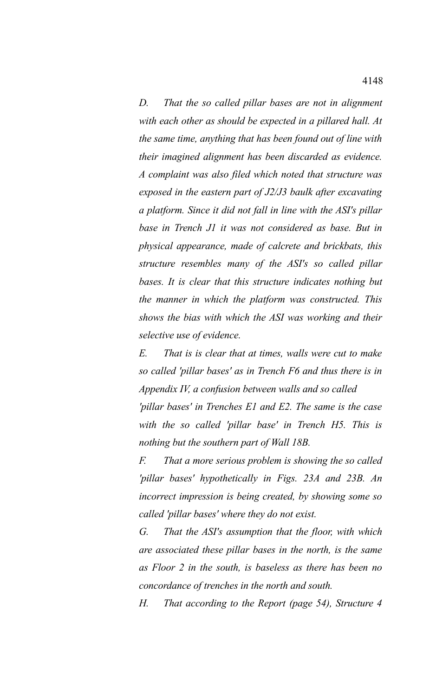*D. That the so called pillar bases are not in alignment with each other as should be expected in a pillared hall. At the same time, anything that has been found out of line with their imagined alignment has been discarded as evidence. A complaint was also filed which noted that structure was exposed in the eastern part of J2/J3 baulk after excavating a platform. Since it did not fall in line with the ASI's pillar base in Trench J1 it was not considered as base. But in physical appearance, made of calcrete and brickbats, this structure resembles many of the ASI's so called pillar bases. It is clear that this structure indicates nothing but the manner in which the platform was constructed. This shows the bias with which the ASI was working and their selective use of evidence.*

*E. That is is clear that at times, walls were cut to make so called 'pillar bases' as in Trench F6 and thus there is in Appendix IV, a confusion between walls and so called* 

*'pillar bases' in Trenches E1 and E2. The same is the case with the so called 'pillar base' in Trench H5. This is nothing but the southern part of Wall 18B.*

*F. That a more serious problem is showing the so called 'pillar bases' hypothetically in Figs. 23A and 23B. An incorrect impression is being created, by showing some so called 'pillar bases' where they do not exist.*

*G. That the ASI's assumption that the floor, with which are associated these pillar bases in the north, is the same as Floor 2 in the south, is baseless as there has been no concordance of trenches in the north and south.*

*H. That according to the Report (page 54), Structure 4*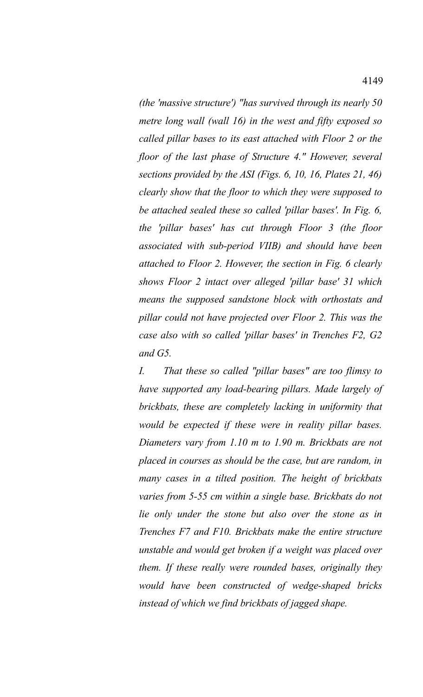*(the 'massive structure') "has survived through its nearly 50 metre long wall (wall 16) in the west and fifty exposed so called pillar bases to its east attached with Floor 2 or the floor of the last phase of Structure 4." However, several sections provided by the ASI (Figs. 6, 10, 16, Plates 21, 46) clearly show that the floor to which they were supposed to be attached sealed these so called 'pillar bases'. In Fig. 6, the 'pillar bases' has cut through Floor 3 (the floor associated with sub-period VIIB) and should have been attached to Floor 2. However, the section in Fig. 6 clearly shows Floor 2 intact over alleged 'pillar base' 31 which means the supposed sandstone block with orthostats and pillar could not have projected over Floor 2. This was the case also with so called 'pillar bases' in Trenches F2, G2 and G5.*

*I. That these so called "pillar bases" are too flimsy to have supported any load-bearing pillars. Made largely of brickbats, these are completely lacking in uniformity that would be expected if these were in reality pillar bases. Diameters vary from 1.10 m to 1.90 m. Brickbats are not placed in courses as should be the case, but are random, in many cases in a tilted position. The height of brickbats varies from 5-55 cm within a single base. Brickbats do not lie only under the stone but also over the stone as in Trenches F7 and F10. Brickbats make the entire structure unstable and would get broken if a weight was placed over them. If these really were rounded bases, originally they would have been constructed of wedge-shaped bricks instead of which we find brickbats of jagged shape.*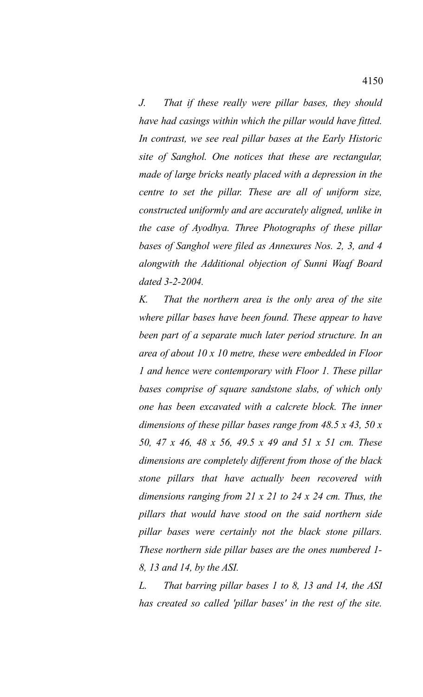*J. That if these really were pillar bases, they should have had casings within which the pillar would have fitted. In contrast, we see real pillar bases at the Early Historic site of Sanghol. One notices that these are rectangular, made of large bricks neatly placed with a depression in the centre to set the pillar. These are all of uniform size, constructed uniformly and are accurately aligned, unlike in the case of Ayodhya. Three Photographs of these pillar bases of Sanghol were filed as Annexures Nos. 2, 3, and 4 alongwith the Additional objection of Sunni Waqf Board dated 3-2-2004.*

*K. That the northern area is the only area of the site where pillar bases have been found. These appear to have been part of a separate much later period structure. In an area of about 10 x 10 metre, these were embedded in Floor 1 and hence were contemporary with Floor 1. These pillar bases comprise of square sandstone slabs, of which only one has been excavated with a calcrete block. The inner dimensions of these pillar bases range from 48.5 x 43, 50 x 50, 47 x 46, 48 x 56, 49.5 x 49 and 51 x 51 cm. These dimensions are completely different from those of the black stone pillars that have actually been recovered with dimensions ranging from 21 x 21 to 24 x 24 cm. Thus, the pillars that would have stood on the said northern side pillar bases were certainly not the black stone pillars. These northern side pillar bases are the ones numbered 1- 8, 13 and 14, by the ASI.*

*L. That barring pillar bases 1 to 8, 13 and 14, the ASI has created so called 'pillar bases' in the rest of the site.*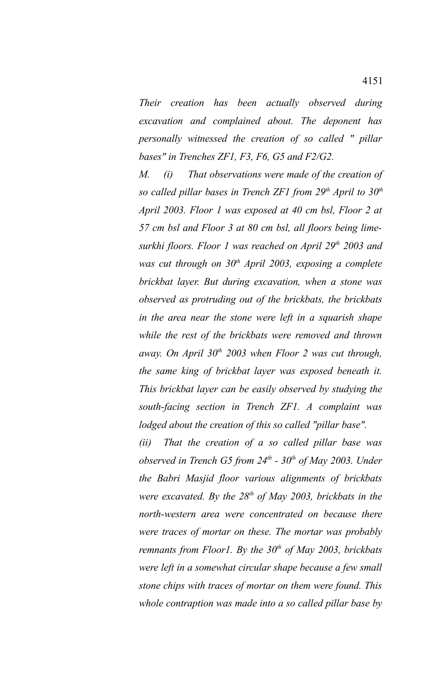*Their creation has been actually observed during excavation and complained about. The deponent has personally witnessed the creation of so called " pillar bases" in Trenches ZF1, F3, F6, G5 and F2/G2.*

*M. (i) That observations were made of the creation of so called pillar bases in Trench ZF1 from 29th April to 30th April 2003. Floor 1 was exposed at 40 cm bsl, Floor 2 at 57 cm bsl and Floor 3 at 80 cm bsl, all floors being limesurkhi floors. Floor 1 was reached on April 29th 2003 and was cut through on 30th April 2003, exposing a complete brickbat layer. But during excavation, when a stone was observed as protruding out of the brickbats, the brickbats in the area near the stone were left in a squarish shape while the rest of the brickbats were removed and thrown away. On April 30th 2003 when Floor 2 was cut through, the same king of brickbat layer was exposed beneath it. This brickbat layer can be easily observed by studying the south-facing section in Trench ZF1. A complaint was lodged about the creation of this so called "pillar base".*

*(ii) That the creation of a so called pillar base was observed in Trench G5 from 24th - 30th of May 2003. Under the Babri Masjid floor various alignments of brickbats were excavated. By the 28th of May 2003, brickbats in the north-western area were concentrated on because there were traces of mortar on these. The mortar was probably remnants from Floor1. By the 30th of May 2003, brickbats were left in a somewhat circular shape because a few small stone chips with traces of mortar on them were found. This whole contraption was made into a so called pillar base by*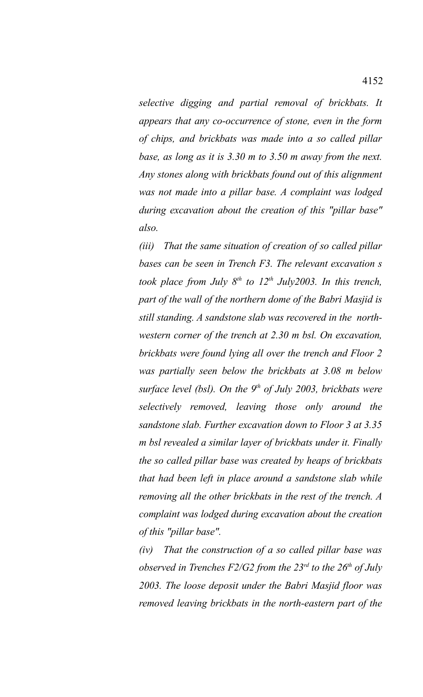*selective digging and partial removal of brickbats. It appears that any co-occurrence of stone, even in the form of chips, and brickbats was made into a so called pillar base, as long as it is 3.30 m to 3.50 m away from the next. Any stones along with brickbats found out of this alignment was not made into a pillar base. A complaint was lodged during excavation about the creation of this "pillar base" also.*

*(iii) That the same situation of creation of so called pillar bases can be seen in Trench F3. The relevant excavation s took place from July 8th to 12th July2003. In this trench, part of the wall of the northern dome of the Babri Masjid is still standing. A sandstone slab was recovered in the northwestern corner of the trench at 2.30 m bsl. On excavation, brickbats were found lying all over the trench and Floor 2 was partially seen below the brickbats at 3.08 m below surface level (bsl). On the 9th of July 2003, brickbats were selectively removed, leaving those only around the sandstone slab. Further excavation down to Floor 3 at 3.35 m bsl revealed a similar layer of brickbats under it. Finally the so called pillar base was created by heaps of brickbats that had been left in place around a sandstone slab while removing all the other brickbats in the rest of the trench. A complaint was lodged during excavation about the creation of this "pillar base".*

*(iv) That the construction of a so called pillar base was observed in Trenches F2/G2 from the 23rd to the 26th of July 2003. The loose deposit under the Babri Masjid floor was removed leaving brickbats in the north-eastern part of the*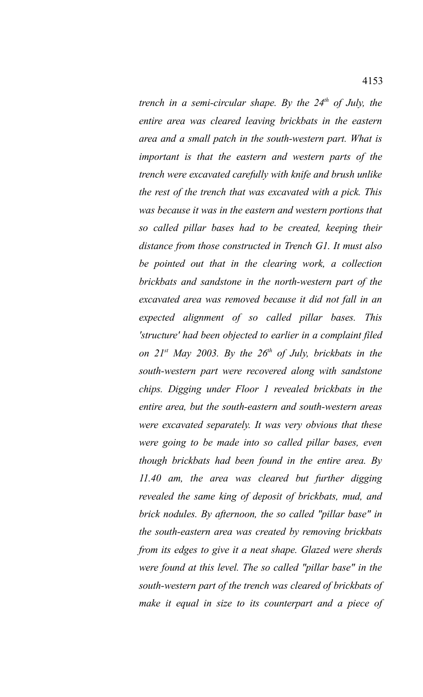*trench in a semi-circular shape. By the 24th of July, the entire area was cleared leaving brickbats in the eastern area and a small patch in the south-western part. What is important is that the eastern and western parts of the trench were excavated carefully with knife and brush unlike the rest of the trench that was excavated with a pick. This was because it was in the eastern and western portions that so called pillar bases had to be created, keeping their distance from those constructed in Trench G1. It must also be pointed out that in the clearing work, a collection brickbats and sandstone in the north-western part of the excavated area was removed because it did not fall in an expected alignment of so called pillar bases. This 'structure' had been objected to earlier in a complaint filed on 21st May 2003. By the 26th of July, brickbats in the south-western part were recovered along with sandstone chips. Digging under Floor 1 revealed brickbats in the entire area, but the south-eastern and south-western areas were excavated separately. It was very obvious that these were going to be made into so called pillar bases, even though brickbats had been found in the entire area. By 11.40 am, the area was cleared but further digging revealed the same king of deposit of brickbats, mud, and brick nodules. By afternoon, the so called "pillar base" in the south-eastern area was created by removing brickbats from its edges to give it a neat shape. Glazed were sherds were found at this level. The so called "pillar base" in the south-western part of the trench was cleared of brickbats of make it equal in size to its counterpart and a piece of*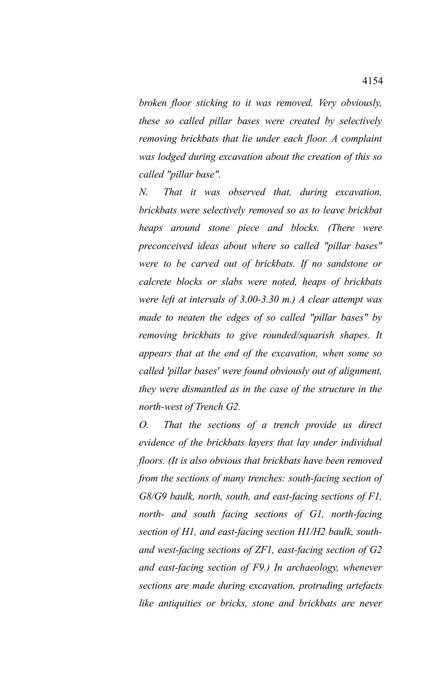*broken floor sticking to it was removed. Very obviously, these so called pillar bases were created by selectively removing brickbats that lie under each floor. A complaint was lodged during excavation about the creation of this so called "pillar base".* 

*N. That it was observed that, during excavation, brickbats were selectively removed so as to leave brickbat heaps around stone piece and blocks. (There were preconceived ideas about where so called "pillar bases" were to be carved out of brickbats. If no sandstone or calcrete blocks or slabs were noted, heaps of brickbats were left at intervals of 3.00-3.30 m.) A clear attempt was made to neaten the edges of so called "pillar bases" by removing brickbats to give rounded/squarish shapes. It appears that at the end of the excavation, when some so called 'pillar bases' were found obviously out of alignment, they were dismantled as in the case of the structure in the north-west of Trench G2.*

*O. That the sections of a trench provide us direct evidence of the brickbats layers that lay under individual floors. (It is also obvious that brickbats have been removed from the sections of many trenches: south-facing section of G8/G9 baulk, north, south, and east-facing sections of F1, north- and south facing sections of G1, north-facing section of H1, and east-facing section H1/H2 baulk, southand west-facing sections of ZF1, east-facing section of G2 and east-facing section of F9.) In archaeology, whenever sections are made during excavation, protruding artefacts like antiquities or bricks, stone and brickbats are never*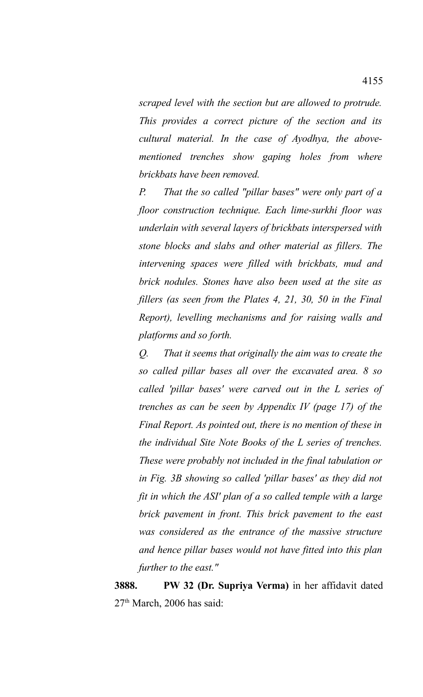*scraped level with the section but are allowed to protrude. This provides a correct picture of the section and its cultural material. In the case of Ayodhya, the abovementioned trenches show gaping holes from where brickbats have been removed.*

*P. That the so called "pillar bases" were only part of a floor construction technique. Each lime-surkhi floor was underlain with several layers of brickbats interspersed with stone blocks and slabs and other material as fillers. The intervening spaces were filled with brickbats, mud and brick nodules. Stones have also been used at the site as fillers (as seen from the Plates 4, 21, 30, 50 in the Final Report), levelling mechanisms and for raising walls and platforms and so forth.*

*Q. That it seems that originally the aim was to create the so called pillar bases all over the excavated area. 8 so called 'pillar bases' were carved out in the L series of trenches as can be seen by Appendix IV (page 17) of the Final Report. As pointed out, there is no mention of these in the individual Site Note Books of the L series of trenches. These were probably not included in the final tabulation or in Fig. 3B showing so called 'pillar bases' as they did not fit in which the ASI' plan of a so called temple with a large brick pavement in front. This brick pavement to the east was considered as the entrance of the massive structure and hence pillar bases would not have fitted into this plan further to the east."*

**3888. PW 32 (Dr. Supriya Verma)** in her affidavit dated  $27<sup>th</sup>$  March, 2006 has said: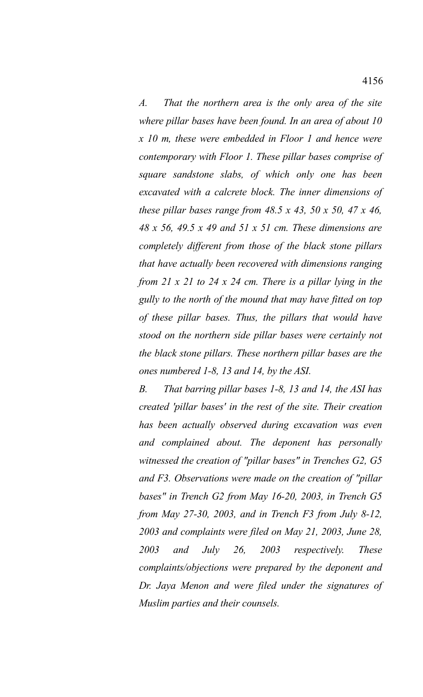*A. That the northern area is the only area of the site where pillar bases have been found. In an area of about 10 x 10 m, these were embedded in Floor 1 and hence were contemporary with Floor 1. These pillar bases comprise of square sandstone slabs, of which only one has been excavated with a calcrete block. The inner dimensions of these pillar bases range from 48.5 x 43, 50 x 50, 47 x 46, 48 x 56, 49.5 x 49 and 51 x 51 cm. These dimensions are completely different from those of the black stone pillars that have actually been recovered with dimensions ranging from 21 x 21 to 24 x 24 cm. There is a pillar lying in the gully to the north of the mound that may have fitted on top of these pillar bases. Thus, the pillars that would have stood on the northern side pillar bases were certainly not the black stone pillars. These northern pillar bases are the ones numbered 1-8, 13 and 14, by the ASI.*

*B. That barring pillar bases 1-8, 13 and 14, the ASI has created 'pillar bases' in the rest of the site. Their creation has been actually observed during excavation was even and complained about. The deponent has personally witnessed the creation of "pillar bases" in Trenches G2, G5 and F3. Observations were made on the creation of "pillar bases" in Trench G2 from May 16-20, 2003, in Trench G5 from May 27-30, 2003, and in Trench F3 from July 8-12, 2003 and complaints were filed on May 21, 2003, June 28, 2003 and July 26, 2003 respectively. These complaints/objections were prepared by the deponent and Dr. Jaya Menon and were filed under the signatures of Muslim parties and their counsels.*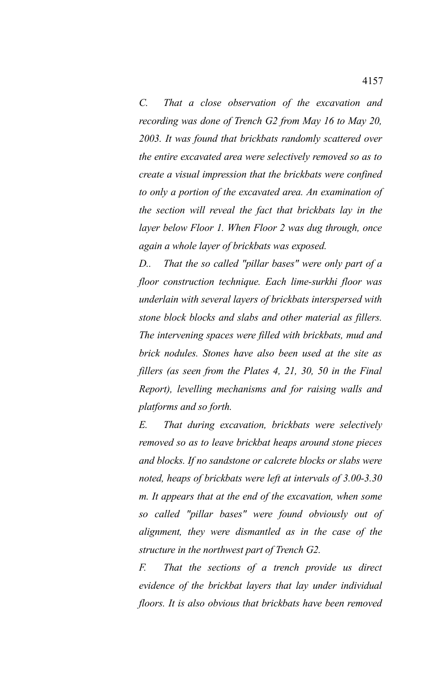*C. That a close observation of the excavation and recording was done of Trench G2 from May 16 to May 20, 2003. It was found that brickbats randomly scattered over the entire excavated area were selectively removed so as to create a visual impression that the brickbats were confined to only a portion of the excavated area. An examination of the section will reveal the fact that brickbats lay in the layer below Floor 1. When Floor 2 was dug through, once again a whole layer of brickbats was exposed.*

*D.. That the so called "pillar bases" were only part of a floor construction technique. Each lime-surkhi floor was underlain with several layers of brickbats interspersed with stone block blocks and slabs and other material as fillers. The intervening spaces were filled with brickbats, mud and brick nodules. Stones have also been used at the site as fillers (as seen from the Plates 4, 21, 30, 50 in the Final Report), levelling mechanisms and for raising walls and platforms and so forth.*

*E. That during excavation, brickbats were selectively removed so as to leave brickbat heaps around stone pieces and blocks. If no sandstone or calcrete blocks or slabs were noted, heaps of brickbats were left at intervals of 3.00-3.30 m. It appears that at the end of the excavation, when some so called "pillar bases" were found obviously out of alignment, they were dismantled as in the case of the structure in the northwest part of Trench G2.*

*F. That the sections of a trench provide us direct evidence of the brickbat layers that lay under individual floors. It is also obvious that brickbats have been removed*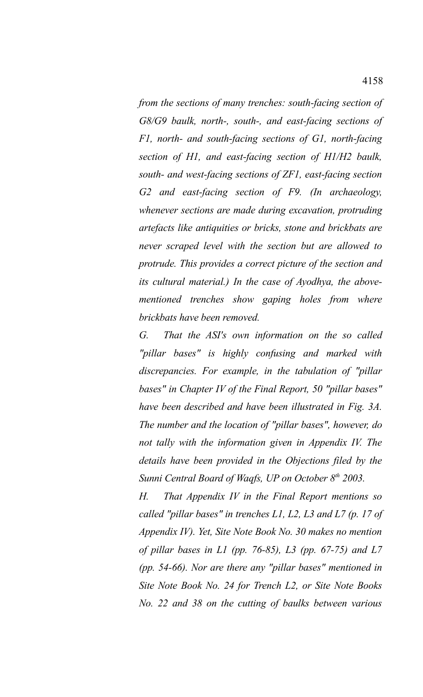*from the sections of many trenches: south-facing section of G8/G9 baulk, north-, south-, and east-facing sections of F1, north- and south-facing sections of G1, north-facing section of H1, and east-facing section of H1/H2 baulk, south- and west-facing sections of ZF1, east-facing section G2 and east-facing section of F9. (In archaeology, whenever sections are made during excavation, protruding artefacts like antiquities or bricks, stone and brickbats are never scraped level with the section but are allowed to protrude. This provides a correct picture of the section and its cultural material.) In the case of Ayodhya, the abovementioned trenches show gaping holes from where brickbats have been removed.*

*G. That the ASI's own information on the so called "pillar bases" is highly confusing and marked with discrepancies. For example, in the tabulation of "pillar bases" in Chapter IV of the Final Report, 50 "pillar bases" have been described and have been illustrated in Fig. 3A. The number and the location of "pillar bases", however, do not tally with the information given in Appendix IV. The details have been provided in the Objections filed by the Sunni Central Board of Waqfs, UP on October 8th 2003.*

*H. That Appendix IV in the Final Report mentions so called "pillar bases" in trenches L1, L2, L3 and L7 (p. 17 of Appendix IV). Yet, Site Note Book No. 30 makes no mention of pillar bases in L1 (pp. 76-85), L3 (pp. 67-75) and L7 (pp. 54-66). Nor are there any "pillar bases" mentioned in Site Note Book No. 24 for Trench L2, or Site Note Books No. 22 and 38 on the cutting of baulks between various*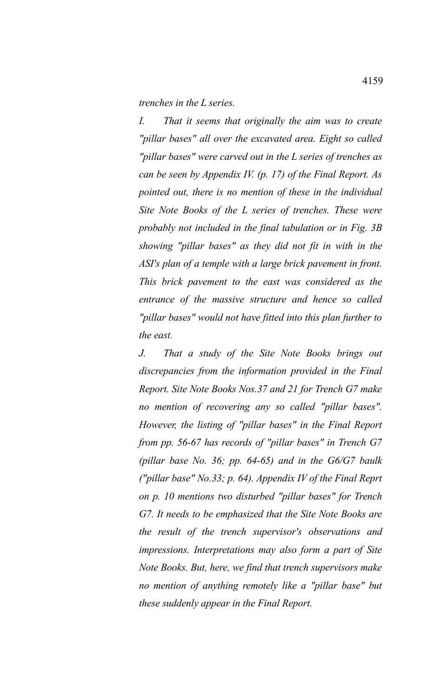*trenches in the L series.*

*I. That it seems that originally the aim was to create "pillar bases" all over the excavated area. Eight so called "pillar bases" were carved out in the L series of trenches as can be seen by Appendix IV. (p. 17) of the Final Report. As pointed out, there is no mention of these in the individual Site Note Books of the L series of trenches. These were probably not included in the final tabulation or in Fig. 3B showing "pillar bases" as they did not fit in with in the ASI's plan of a temple with a large brick pavement in front. This brick pavement to the east was considered as the entrance of the massive structure and hence so called "pillar bases" would not have fitted into this plan further to the east.*

*J. That a study of the Site Note Books brings out discrepancies from the information provided in the Final Report. Site Note Books Nos.37 and 21 for Trench G7 make no mention of recovering any so called "pillar bases". However, the listing of "pillar bases" in the Final Report from pp. 56-67 has records of "pillar bases" in Trench G7 (pillar base No. 36; pp. 64-65) and in the G6/G7 baulk ("pillar base" No.33; p. 64). Appendix IV of the Final Reprt on p. 10 mentions two disturbed "pillar bases" for Trench G7. It needs to be emphasized that the Site Note Books are the result of the trench supervisor's observations and impressions. Interpretations may also form a part of Site Note Books. But, here, we find that trench supervisors make no mention of anything remotely like a "pillar base" but these suddenly appear in the Final Report.*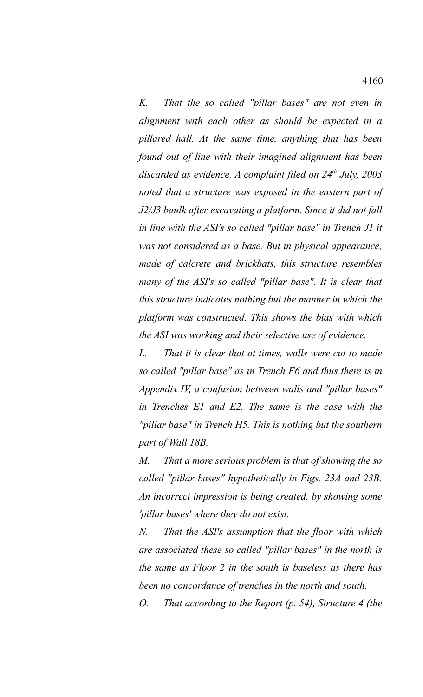*K. That the so called "pillar bases" are not even in alignment with each other as should be expected in a pillared hall. At the same time, anything that has been found out of line with their imagined alignment has been discarded as evidence. A complaint filed on 24th July, 2003 noted that a structure was exposed in the eastern part of J2/J3 baulk after excavating a platform. Since it did not fall in line with the ASI's so called "pillar base" in Trench J1 it was not considered as a base. But in physical appearance, made of calcrete and brickbats, this structure resembles many of the ASI's so called "pillar base". It is clear that this structure indicates nothing but the manner in which the platform was constructed. This shows the bias with which the ASI was working and their selective use of evidence.*

*L. That it is clear that at times, walls were cut to made so called "pillar base" as in Trench F6 and thus there is in Appendix IV, a confusion between walls and "pillar bases" in Trenches E1 and E2. The same is the case with the "pillar base" in Trench H5. This is nothing but the southern part of Wall 18B.*

*M. That a more serious problem is that of showing the so called "pillar bases" hypothetically in Figs. 23A and 23B. An incorrect impression is being created, by showing some 'pillar bases' where they do not exist.*

*N. That the ASI's assumption that the floor with which are associated these so called "pillar bases" in the north is the same as Floor 2 in the south is baseless as there has been no concordance of trenches in the north and south.*

*O. That according to the Report (p. 54), Structure 4 (the*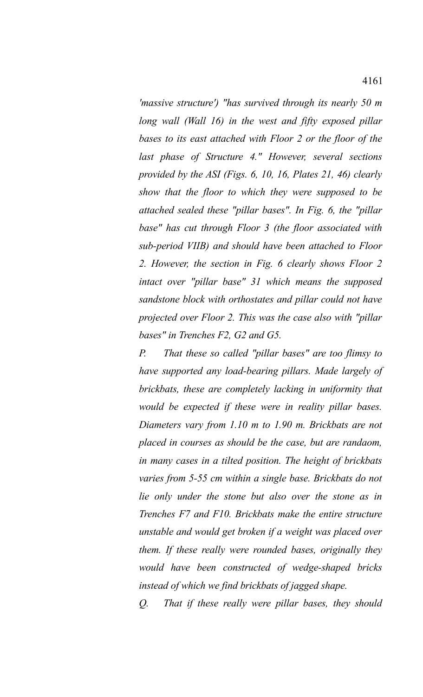*'massive structure') "has survived through its nearly 50 m long wall (Wall 16) in the west and fifty exposed pillar bases to its east attached with Floor 2 or the floor of the last phase of Structure 4." However, several sections provided by the ASI (Figs. 6, 10, 16, Plates 21, 46) clearly show that the floor to which they were supposed to be attached sealed these "pillar bases". In Fig. 6, the "pillar base" has cut through Floor 3 (the floor associated with sub-period VIIB) and should have been attached to Floor 2. However, the section in Fig. 6 clearly shows Floor 2 intact over "pillar base" 31 which means the supposed sandstone block with orthostates and pillar could not have projected over Floor 2. This was the case also with "pillar bases" in Trenches F2, G2 and G5.*

*P. That these so called "pillar bases" are too flimsy to have supported any load-bearing pillars. Made largely of brickbats, these are completely lacking in uniformity that would be expected if these were in reality pillar bases. Diameters vary from 1.10 m to 1.90 m. Brickbats are not placed in courses as should be the case, but are randaom, in many cases in a tilted position. The height of brickbats varies from 5-55 cm within a single base. Brickbats do not lie only under the stone but also over the stone as in Trenches F7 and F10. Brickbats make the entire structure unstable and would get broken if a weight was placed over them. If these really were rounded bases, originally they would have been constructed of wedge-shaped bricks instead of which we find brickbats of jagged shape.*

*Q. That if these really were pillar bases, they should*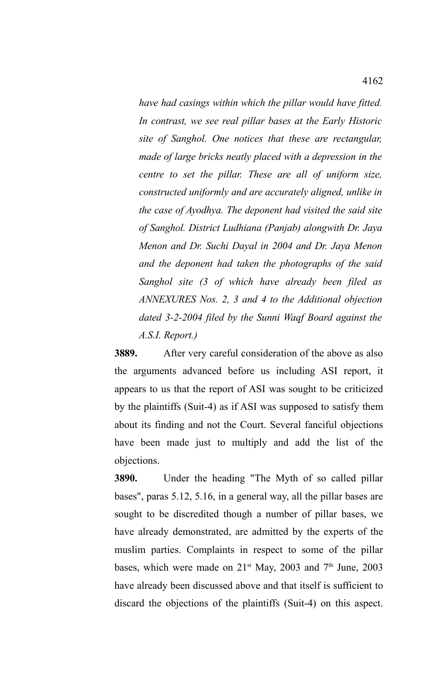*have had casings within which the pillar would have fitted. In contrast, we see real pillar bases at the Early Historic site of Sanghol. One notices that these are rectangular, made of large bricks neatly placed with a depression in the centre to set the pillar. These are all of uniform size, constructed uniformly and are accurately aligned, unlike in the case of Ayodhya. The deponent had visited the said site of Sanghol. District Ludhiana (Panjab) alongwith Dr. Jaya Menon and Dr. Suchi Dayal in 2004 and Dr. Jaya Menon and the deponent had taken the photographs of the said Sanghol site (3 of which have already been filed as ANNEXURES Nos. 2, 3 and 4 to the Additional objection dated 3-2-2004 filed by the Sunni Waqf Board against the A.S.I. Report.)*

**3889.** After very careful consideration of the above as also the arguments advanced before us including ASI report, it appears to us that the report of ASI was sought to be criticized by the plaintiffs (Suit-4) as if ASI was supposed to satisfy them about its finding and not the Court. Several fanciful objections have been made just to multiply and add the list of the objections.

**3890.** Under the heading "The Myth of so called pillar bases", paras 5.12, 5.16, in a general way, all the pillar bases are sought to be discredited though a number of pillar bases, we have already demonstrated, are admitted by the experts of the muslim parties. Complaints in respect to some of the pillar bases, which were made on 21<sup>st</sup> May, 2003 and 7<sup>th</sup> June, 2003 have already been discussed above and that itself is sufficient to discard the objections of the plaintiffs (Suit-4) on this aspect.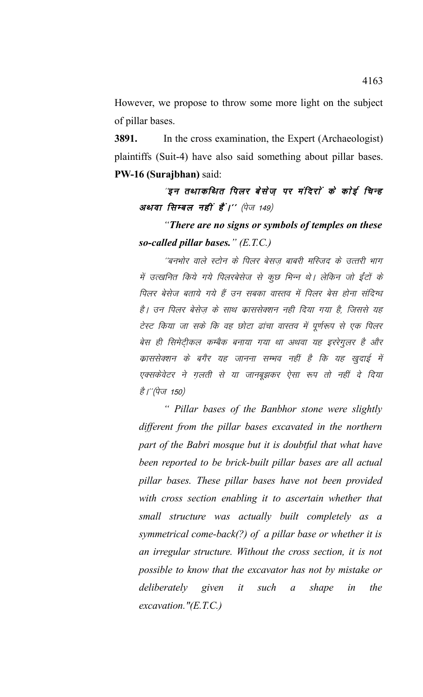However, we propose to throw some more light on the subject of pillar bases.

**3891.** In the cross examination, the Expert (Archaeologist) plaintiffs (Suit-4) have also said something about pillar bases. **PW-16 (Surajbhan)** said:

"इन तथाकथित पिलर बेसेज पर मंदिरों के कोई चिन्ह अथवा सिम्बल नहीं हैं।'' (पेज 149)

*"There are no signs or symbols of temples on these so-called pillar bases." (E.T.C.)*

´´बनभोर वाले स्टोन के पिलर बेसज बाबरी मस्जिद के उत्तरी भाग में उत्खनित किये गये पिलरबेसेज से कुछ भिन्न थे। लेकिन जो ईंटों के पिलर बेसेज बताये गये हैं उन सबका वास्तव में पिलर बेस होना संदिग्ध है। उन पिलर बेसेज के साथ क्राससेक्शन नही दिया गया है, जिससे यह टेस्ट किया जा सके कि वह छोटा ढांचा वास्तव में पूर्णरूप से एक पिलर बेस ही सिमेटीकल कम्बैक बनाया गया था अथवा यह इररेगुलर है और काससेक्शन के बगैर यह जानना सम्भव नहीं है कि यह खुदाई में एक्सकेवेटर ने गुलती से या जानबूझकर ऐसा रूप तो नहीं दे दिया *है।"(पेज 150)* 

*" Pillar bases of the Banbhor stone were slightly different from the pillar bases excavated in the northern part of the Babri mosque but it is doubtful that what have been reported to be brick-built pillar bases are all actual pillar bases. These pillar bases have not been provided with cross section enabling it to ascertain whether that small structure was actually built completely as a symmetrical come-back(?) of a pillar base or whether it is an irregular structure. Without the cross section, it is not possible to know that the excavator has not by mistake or deliberately given it such a shape in the excavation."(E.T.C.)*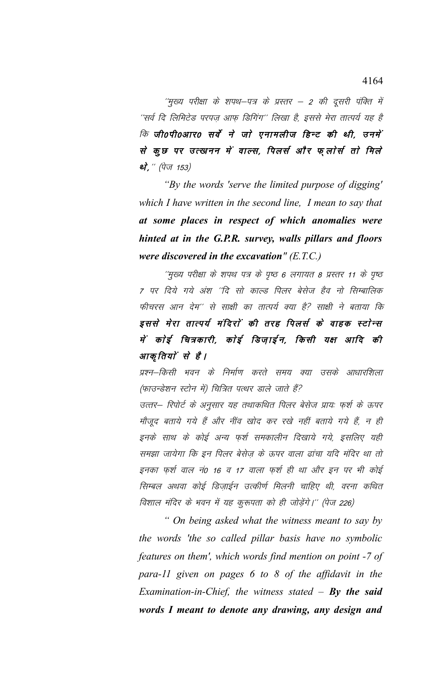$^{\prime\prime}$ मुख्य परीक्षा के शपथ–पत्र के प्रस्तर – 2 की दूसरी पंक्ति में ''सर्व दि लिमिटेड परपज़ आफ़ डिगिंग'' लिखा है, इससे मेरा तात्पर्य यह है कि जी0पी0आर0 सर्वे ने जो एनामलीज हिन्ट की थी, उनमें से कुछ पर उत्खनन में वाल्स, पिलर्स और फ्लोर्स तो मिले थे,  $\H ( \dot{q}$ ज 153)

*"By the words 'serve the limited purpose of digging' which I have written in the second line, I mean to say that at some places in respect of which anomalies were hinted at in the G.P.R. survey, walls pillars and floors were discovered in the excavation" (E.T.C.)*

''मुख्य परीक्षा के शपथ पत्र के पृष्ठ 6 लगायत 8 प्रस्तर 11 के पृष्ठ 7 पर दिये गये अंश ''दि सो काल्ड पिलर बेसेज हैव नो सिम्बालिक फीचरस आन देम'' से साक्षी का तात्पर्य क्या है? साक्षी ने बताया कि इससे मेरा तात्पर्य मंदिरों की तरह पिलर्स के वाहक स्टोन्स में कोई चित्रकारी, कोई डिज़ाईन, किसी यक्ष आदि की आकृतियों से हैं।

प्रश्न–किसी भवन के निर्माण करते समय क्या उसके आधारशिला (फाउन्डेशन स्टोन में) चित्रित पत्थर डाले जाते हैं?

उत्तर– रिपोर्ट के अनुसार यह तथाकथित पिलर बेसेज प्रायः फुर्श के ऊपर मौजूद बताये गये हैं और नींव खोद कर रखे नहीं बताये गये हैं, न ही इनके साथ के कोई अन्य फ़र्श समकालीन दिखाये गये, इसलिए यही समझा जायेगा कि इन पिलर बेसेज के ऊपर वाला ढांचा यदि मंदिर था तो इनका फुर्श वाल नं0 16 व 17 वाला फुर्श ही था और इन पर भी कोई सिम्बल अथवा कोई डिज़ाईन उत्कीर्ण मिलनी चाहिए थी, वरना कथित विशाल मंदिर के भवन में यह कुरूपता को ही जोड़ेंगे।'' (पेज 226)

*" On being asked what the witness meant to say by the words 'the so called pillar basis have no symbolic features on them', which words find mention on point -7 of para-11 given on pages 6 to 8 of the affidavit in the Examination-in-Chief, the witness stated – By the said words I meant to denote any drawing, any design and*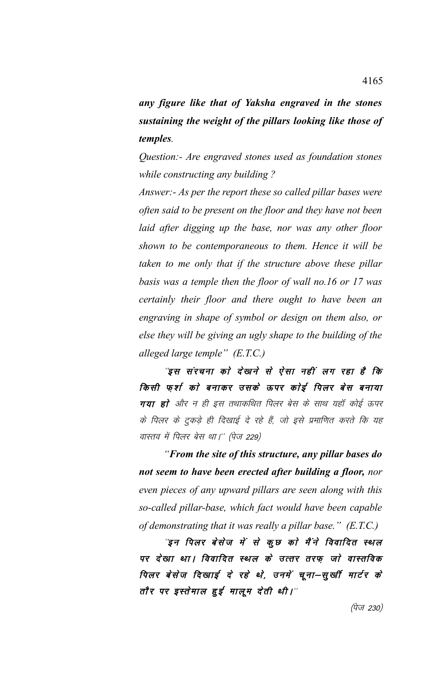*any figure like that of Yaksha engraved in the stones sustaining the weight of the pillars looking like those of temples.*

*Question:- Are engraved stones used as foundation stones while constructing any building ?*

*Answer:- As per the report these so called pillar bases were often said to be present on the floor and they have not been laid after digging up the base, nor was any other floor shown to be contemporaneous to them. Hence it will be taken to me only that if the structure above these pillar basis was a temple then the floor of wall no.16 or 17 was certainly their floor and there ought to have been an engraving in shape of symbol or design on them also, or else they will be giving an ugly shape to the building of the alleged large temple" (E.T.C.)* 

"इस संरचना को देखने से ऐसा नहीं लग रहा है कि किसी फर्श को बनाकर उसके ऊपर कोई पिलर बेस बनाया गया हो और न ही इस तथाकथित पिलर बेस के साथ यहाँ कोई ऊपर के पिलर के टुकड़े ही दिखाई दे रहे हैं, जो इसे प्रमाणित करते कि यह वास्तव में पिलर बेस था।'' (पेज 229)

*"From the site of this structure, any pillar bases do not seem to have been erected after building a floor, nor even pieces of any upward pillars are seen along with this so-called pillar-base, which fact would have been capable of demonstrating that it was really a pillar base." (E.T.C.)* 

"इन पिलर बेसेज में से कुछ को मैंने विवादित स्थल पर देखा था। विवादित स्थल के उत्तर तरफ़ जो वास्तविक पिलर बेसेज दिखाई दे रहे थे, उनमें चूना–सूर्खी मार्टर के तौर पर इस्तेमाल हुई मालूम देती थी।''

 $(\dot{\mathcal{V}}$ ज 230)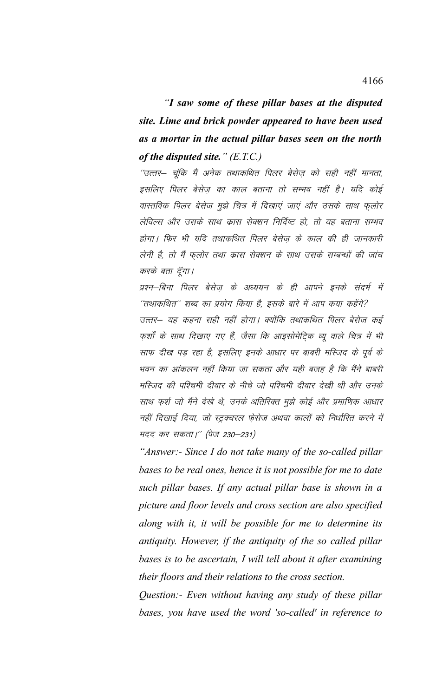*"I saw some of these pillar bases at the disputed site. Lime and brick powder appeared to have been used as a mortar in the actual pillar bases seen on the north of the disputed site." (E.T.C.)* 

''उत्तर– चुंकि मैं अनेक तथाकथित पिलर बेसेज को सही नहीं मानता, इसलिए पिलर बेसेज़ का काल बताना तो सम्भव नहीं है। यदि कोई वास्तविक पिलर बेसेज मुझे चित्र में दिखाएं जाएं और उसके साथ फुलोर लेविल्स और उसके साथ क्रास सेक्शन निर्दिष्ट हो, तो यह बताना सम्भव होगा। फिर भी यदि तथाकथित पिलर बेसेज के काल की ही जानकारी लेनी है, तो मैं फूलोर तथा कास सेक्शन के साथ उसके सम्बन्धों की जांच करके बता दॅगा।

प्रश्न–बिना पिलर बेसेज के अध्ययन के ही आपने इनके संदर्भ में ''तथाकथित'' शब्द का प्रयोग किया है, इसके बारे में आप कया कहेंगे? उत्तर– यह कहना सही नहीं होगा। क्योंकि तथाकथित पिलर बेसेज कई फर्शों के साथ दिखाए गए हैं, जैसा कि आइसोमेटिक व्यू वाले चित्र में भी साफ दीख पड़ रहा है, इसलिए इनके आधार पर बाबरी मस्जिद के पूर्व के भवन का आंकलन नहीं किया जा सकता और यही बजह है कि मैंने बाबरी मस्जिद की पश्चिमी दीवार के नीचे जो पश्चिमी दीवार देखी थी और उनके साथ फर्श जो मैंने देखे थे, उनके अतिरिक्त मुझे कोई और प्रमाणिक आधार नहीं दिखाई दिया, जो स्ट्रक्चरल फ़ेसेज अथवा कालों को निर्धारित करने में मदद कर सकता।'' (पेज 230–231)

*"Answer:- Since I do not take many of the so-called pillar bases to be real ones, hence it is not possible for me to date such pillar bases. If any actual pillar base is shown in a picture and floor levels and cross section are also specified along with it, it will be possible for me to determine its antiquity. However, if the antiquity of the so called pillar bases is to be ascertain, I will tell about it after examining their floors and their relations to the cross section.*

*Question:- Even without having any study of these pillar bases, you have used the word 'so-called' in reference to*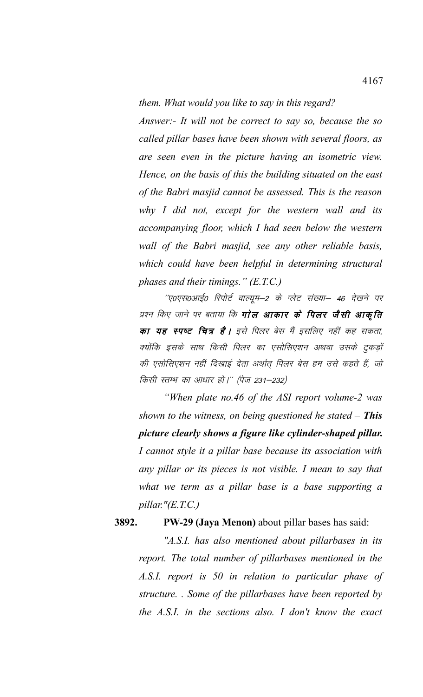*them. What would you like to say in this regard?*

*Answer:- It will not be correct to say so, because the so called pillar bases have been shown with several floors, as are seen even in the picture having an isometric view. Hence, on the basis of this the building situated on the east of the Babri masjid cannot be assessed. This is the reason why I did not, except for the western wall and its accompanying floor, which I had seen below the western wall of the Babri masjid, see any other reliable basis, which could have been helpful in determining structural phases and their timings." (E.T.C.)* 

''ए०एस०आई० रिपोर्ट वाल्यूम–2 के प्लेट संख्या– 46 देखने पर प्रश्न किए जाने पर बताया कि **गोल आकार के पिलर जैसी आकृति** का यह स्पष्ट चित्र है। इसे पिलर बेस मैं इसलिए नहीं कह सकता, क्योंकि इसके साथ किसी पिलर का एसोसिएशन अथवा उसके टुकड़ों की एसोसिएशन नहीं दिखाई देता अर्थात पिलर बेस हम उसे कहते हैं, जो किसी स्तम्भ का आधार हो।'' (पेज 231–232)

*"When plate no.46 of the ASI report volume-2 was shown to the witness, on being questioned he stated – This picture clearly shows a figure like cylinder-shaped pillar. I cannot style it a pillar base because its association with any pillar or its pieces is not visible. I mean to say that what we term as a pillar base is a base supporting a pillar."(E.T.C.)* 

## **3892. PW-29 (Jaya Menon)** about pillar bases has said:

*"A.S.I. has also mentioned about pillarbases in its report. The total number of pillarbases mentioned in the A.S.I. report is 50 in relation to particular phase of structure. . Some of the pillarbases have been reported by the A.S.I. in the sections also. I don't know the exact*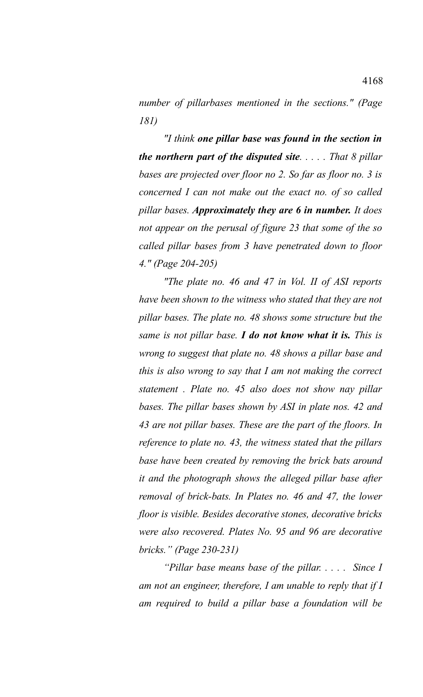*number of pillarbases mentioned in the sections." (Page 181)*

*"I think one pillar base was found in the section in the northern part of the disputed site. . . . . That 8 pillar bases are projected over floor no 2. So far as floor no. 3 is concerned I can not make out the exact no. of so called pillar bases. Approximately they are 6 in number. It does not appear on the perusal of figure 23 that some of the so called pillar bases from 3 have penetrated down to floor 4." (Page 204-205)*

*"The plate no. 46 and 47 in Vol. II of ASI reports have been shown to the witness who stated that they are not pillar bases. The plate no. 48 shows some structure but the same is not pillar base. I do not know what it is. This is wrong to suggest that plate no. 48 shows a pillar base and this is also wrong to say that I am not making the correct statement . Plate no. 45 also does not show nay pillar bases. The pillar bases shown by ASI in plate nos. 42 and 43 are not pillar bases. These are the part of the floors. In reference to plate no. 43, the witness stated that the pillars base have been created by removing the brick bats around it and the photograph shows the alleged pillar base after removal of brick-bats. In Plates no. 46 and 47, the lower floor is visible. Besides decorative stones, decorative bricks were also recovered. Plates No. 95 and 96 are decorative bricks." (Page 230-231)*

*"Pillar base means base of the pillar. . . . . Since I am not an engineer, therefore, I am unable to reply that if I am required to build a pillar base a foundation will be*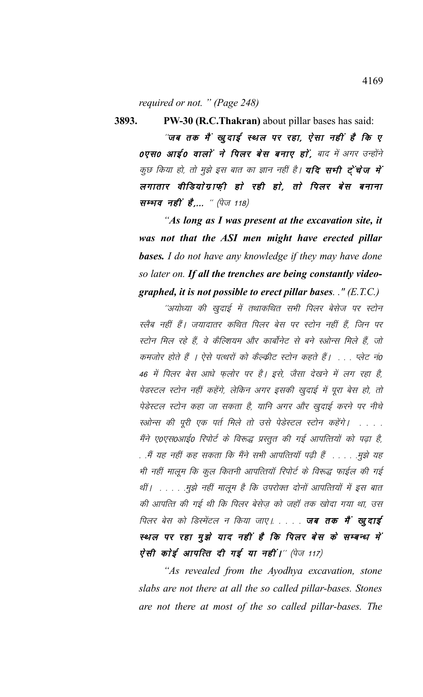*required or not. " (Page 248)*

"जब तक मैं खूदाई स्थल पर रहा, ऐसा नहीं है कि ए 0एस0 आई0 वालों ने पिलर बेस बनाए हों, बाद में अगर उन्होंने कुछ किया हो, तो मुझे इस बात का ज्ञान नहीं है। **यदि सभी ट्रेंचेज में** लगातार वीडियाेग्राफी हाे रही हाे, ताे पिलर बेस बनाना सम्भव नहीं है,... " (पेज 118)

**3893. PW-30 (R.C.Thakran)** about pillar bases has said:

*"As long as I was present at the excavation site, it was not that the ASI men might have erected pillar bases. I do not have any knowledge if they may have done so later on. If all the trenches are being constantly videographed, it is not possible to erect pillar bases. ." (E.T.C.)*

''अयोध्या की खुदाई में तथाकथित सभी पिलर बेसेज पर स्टोन स्लैब नहीं हैं। जयादातर कथित पिलर बेस पर स्टोन नहीं हैं, जिन पर स्टोन मिल रहे हैं, वे कैल्शियम और कार्बोनेट से बने स्ओन्स मिले हैं, जो कमजोर होते हैं । ऐसे पत्थरों को कैल्कीट स्टोन कहते हैं। . . . प्लेट नं0 46 में पिलर बेस आधे फुलोर पर है। इसे, जैसा देखने में लग रहा है, पेडस्टल स्टोन नहीं कहेंगे, लेकिन अगर इसकी खुदाई में पूरा बेस हो, तो पेडेस्टल स्टोन कहा जा सकता है, यानि अगर और खुदाई करने पर नीचे स्ओन्स की पूरी एक पर्त मिले तो उसे पेडेस्टल स्टोन कहेंगे। ..... मैंने ए०एस०आई० रिपोर्ट के विरूद्ध प्रस्तुत की गई आपत्तियों को पढ़ा है, . .मैं यह नहीं कह सकता कि मैंने सभी आपत्तियॉ पढी हैं . . . . . .मुझे यह भी नहीं मालूम कि कूल कितनी आपत्तियाँ रिपोर्ट के विरूद्ध फाईल की गई र्थी। . . . . .मुझे नहीं मालूम है कि उपरोक्त दोनों आपत्तियों में इस बात की आपत्ति की गई थी कि पिलर बेसेज़ को जहाँ तक खोदा गया था, उस पिलर बेस को डिस्मेंटल न किया जाए। . . . . **जब तक मैं खूदाई** स्थल पर रहा मुझे याद नहीं है कि पिलर बेस के सम्बन्ध में ऐसी कोई आपत्ति दी गई या नहीं।" (पेज 117)

*"As revealed from the Ayodhya excavation, stone slabs are not there at all the so called pillar-bases. Stones are not there at most of the so called pillar-bases. The*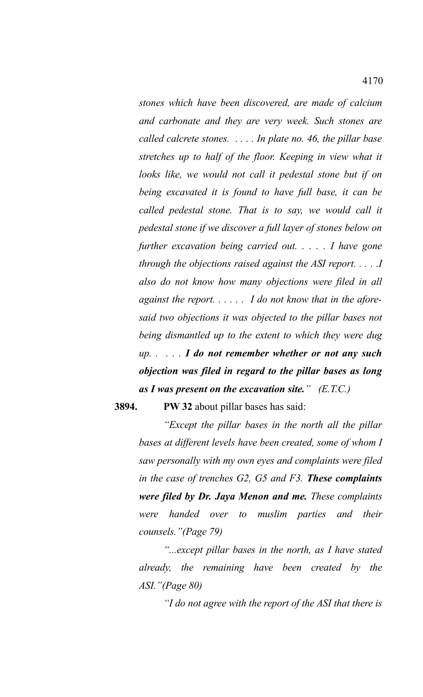*stones which have been discovered, are made of calcium and carbonate and they are very week. Such stones are called calcrete stones. . . . . In plate no. 46, the pillar base stretches up to half of the floor. Keeping in view what it looks like, we would not call it pedestal stone but if on being excavated it is found to have full base, it can be called pedestal stone. That is to say, we would call it pedestal stone if we discover a full layer of stones below on further excavation being carried out. . . . . I have gone through the objections raised against the ASI report. . . . .I also do not know how many objections were filed in all against the report. . . . . . I do not know that in the aforesaid two objections it was objected to the pillar bases not being dismantled up to the extent to which they were dug up. . . . . I do not remember whether or not any such objection was filed in regard to the pillar bases as long as I was present on the excavation site." (E.T.C.)*

**3894. PW 32** about pillar bases has said:

*"Except the pillar bases in the north all the pillar bases at different levels have been created, some of whom I saw personally with my own eyes and complaints were filed in the case of trenches G2, G5 and F3. These complaints were filed by Dr. Jaya Menon and me. These complaints were handed over to muslim parties and their counsels."(Page 79)*

*"...except pillar bases in the north, as I have stated already, the remaining have been created by the ASI."(Page 80)*

*"I do not agree with the report of the ASI that there is*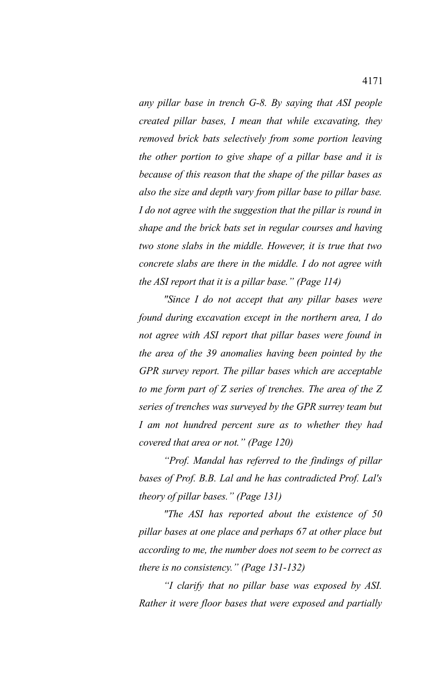*any pillar base in trench G-8. By saying that ASI people created pillar bases, I mean that while excavating, they removed brick bats selectively from some portion leaving the other portion to give shape of a pillar base and it is because of this reason that the shape of the pillar bases as also the size and depth vary from pillar base to pillar base. I do not agree with the suggestion that the pillar is round in shape and the brick bats set in regular courses and having two stone slabs in the middle. However, it is true that two concrete slabs are there in the middle. I do not agree with the ASI report that it is a pillar base." (Page 114)*

*"Since I do not accept that any pillar bases were found during excavation except in the northern area, I do not agree with ASI report that pillar bases were found in the area of the 39 anomalies having been pointed by the GPR survey report. The pillar bases which are acceptable to me form part of Z series of trenches. The area of the Z series of trenches was surveyed by the GPR surrey team but I am not hundred percent sure as to whether they had covered that area or not." (Page 120)*

*"Prof. Mandal has referred to the findings of pillar bases of Prof. B.B. Lal and he has contradicted Prof. Lal's theory of pillar bases." (Page 131)*

*"The ASI has reported about the existence of 50 pillar bases at one place and perhaps 67 at other place but according to me, the number does not seem to be correct as there is no consistency." (Page 131-132)*

*"I clarify that no pillar base was exposed by ASI. Rather it were floor bases that were exposed and partially*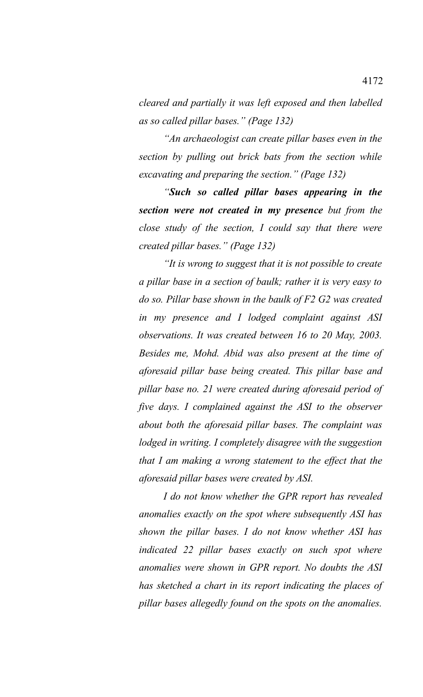*cleared and partially it was left exposed and then labelled as so called pillar bases." (Page 132)* 

*"An archaeologist can create pillar bases even in the section by pulling out brick bats from the section while excavating and preparing the section." (Page 132)*

*"Such so called pillar bases appearing in the section were not created in my presence but from the close study of the section, I could say that there were created pillar bases." (Page 132)*

*"It is wrong to suggest that it is not possible to create a pillar base in a section of baulk; rather it is very easy to do so. Pillar base shown in the baulk of F2 G2 was created in my presence and I lodged complaint against ASI observations. It was created between 16 to 20 May, 2003. Besides me, Mohd. Abid was also present at the time of aforesaid pillar base being created. This pillar base and pillar base no. 21 were created during aforesaid period of five days. I complained against the ASI to the observer about both the aforesaid pillar bases. The complaint was lodged in writing. I completely disagree with the suggestion that I am making a wrong statement to the effect that the aforesaid pillar bases were created by ASI.*

*I do not know whether the GPR report has revealed anomalies exactly on the spot where subsequently ASI has shown the pillar bases. I do not know whether ASI has indicated 22 pillar bases exactly on such spot where anomalies were shown in GPR report. No doubts the ASI has sketched a chart in its report indicating the places of pillar bases allegedly found on the spots on the anomalies.*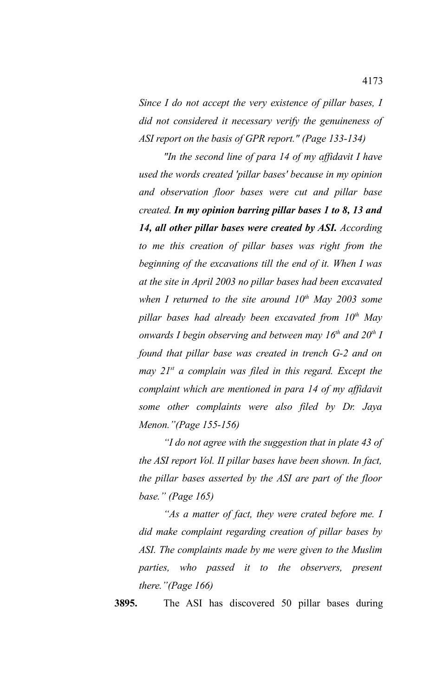*Since I do not accept the very existence of pillar bases, I did not considered it necessary verify the genuineness of ASI report on the basis of GPR report." (Page 133-134)*

*"In the second line of para 14 of my affidavit I have used the words created 'pillar bases' because in my opinion and observation floor bases were cut and pillar base created. In my opinion barring pillar bases 1 to 8, 13 and 14, all other pillar bases were created by ASI. According to me this creation of pillar bases was right from the beginning of the excavations till the end of it. When I was at the site in April 2003 no pillar bases had been excavated when I returned to the site around 10th May 2003 some pillar bases had already been excavated from 10th May onwards I begin observing and between may 16th and 20th I found that pillar base was created in trench G-2 and on may 21st a complain was filed in this regard. Except the complaint which are mentioned in para 14 of my affidavit some other complaints were also filed by Dr. Jaya Menon."(Page 155-156)*

*"I do not agree with the suggestion that in plate 43 of the ASI report Vol. II pillar bases have been shown. In fact, the pillar bases asserted by the ASI are part of the floor base." (Page 165)*

*"As a matter of fact, they were crated before me. I did make complaint regarding creation of pillar bases by ASI. The complaints made by me were given to the Muslim parties, who passed it to the observers, present there."(Page 166)*

**3895.** The ASI has discovered 50 pillar bases during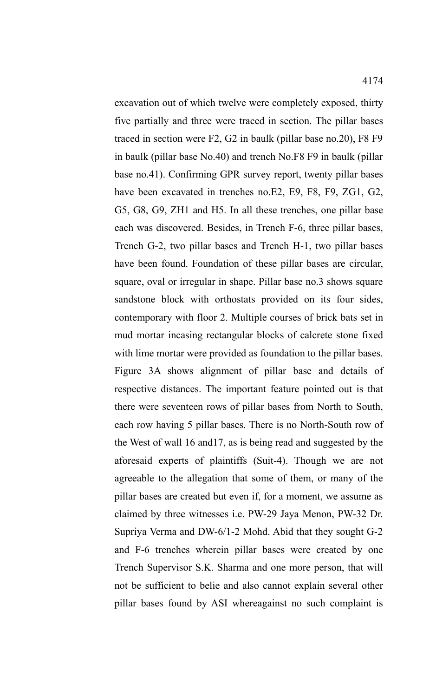excavation out of which twelve were completely exposed, thirty five partially and three were traced in section. The pillar bases traced in section were F2, G2 in baulk (pillar base no.20), F8 F9 in baulk (pillar base No.40) and trench No.F8 F9 in baulk (pillar base no.41). Confirming GPR survey report, twenty pillar bases have been excavated in trenches no.E2, E9, F8, F9, ZG1, G2, G5, G8, G9, ZH1 and H5. In all these trenches, one pillar base each was discovered. Besides, in Trench F-6, three pillar bases, Trench G-2, two pillar bases and Trench H-1, two pillar bases have been found. Foundation of these pillar bases are circular, square, oval or irregular in shape. Pillar base no.3 shows square sandstone block with orthostats provided on its four sides, contemporary with floor 2. Multiple courses of brick bats set in mud mortar incasing rectangular blocks of calcrete stone fixed with lime mortar were provided as foundation to the pillar bases. Figure 3A shows alignment of pillar base and details of respective distances. The important feature pointed out is that there were seventeen rows of pillar bases from North to South, each row having 5 pillar bases. There is no North-South row of the West of wall 16 and17, as is being read and suggested by the aforesaid experts of plaintiffs (Suit-4). Though we are not agreeable to the allegation that some of them, or many of the pillar bases are created but even if, for a moment, we assume as claimed by three witnesses i.e. PW-29 Jaya Menon, PW-32 Dr. Supriya Verma and DW-6/1-2 Mohd. Abid that they sought G-2 and F-6 trenches wherein pillar bases were created by one Trench Supervisor S.K. Sharma and one more person, that will not be sufficient to belie and also cannot explain several other pillar bases found by ASI whereagainst no such complaint is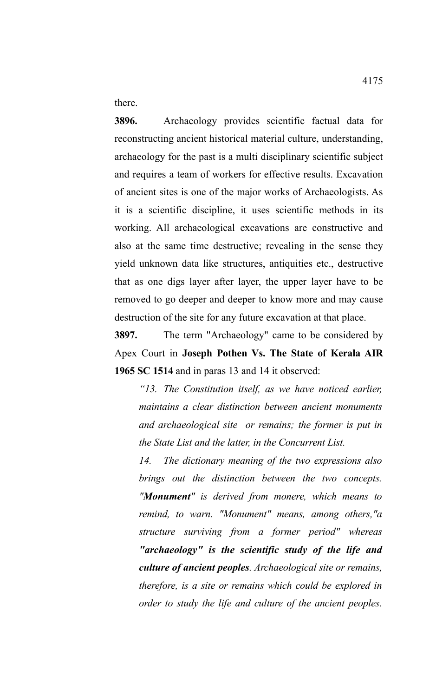there.

**3896.** Archaeology provides scientific factual data for reconstructing ancient historical material culture, understanding, archaeology for the past is a multi disciplinary scientific subject and requires a team of workers for effective results. Excavation of ancient sites is one of the major works of Archaeologists. As it is a scientific discipline, it uses scientific methods in its working. All archaeological excavations are constructive and also at the same time destructive; revealing in the sense they yield unknown data like structures, antiquities etc., destructive that as one digs layer after layer, the upper layer have to be removed to go deeper and deeper to know more and may cause destruction of the site for any future excavation at that place.

**3897.** The term "Archaeology" came to be considered by Apex Court in **Joseph Pothen Vs. The State of Kerala AIR 1965 SC 1514** and in paras 13 and 14 it observed:

*"13. The Constitution itself, as we have noticed earlier, maintains a clear distinction between ancient monuments and archaeological site or remains; the former is put in the State List and the latter, in the Concurrent List.* 

*14. The dictionary meaning of the two expressions also brings out the distinction between the two concepts. "Monument" is derived from monere, which means to remind, to warn. "Monument" means, among others,"a structure surviving from a former period" whereas "archaeology" is the scientific study of the life and culture of ancient peoples. Archaeological site or remains, therefore, is a site or remains which could be explored in order to study the life and culture of the ancient peoples.*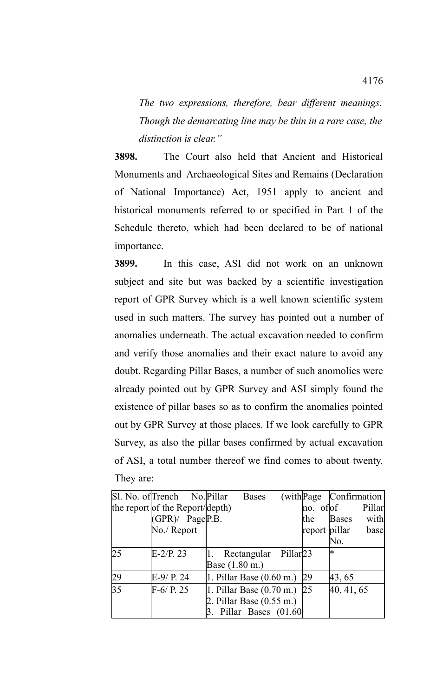*The two expressions, therefore, bear different meanings. Though the demarcating line may be thin in a rare case, the distinction is clear."*

**3898.** The Court also held that Ancient and Historical Monuments and Archaeological Sites and Remains (Declaration of National Importance) Act, 1951 apply to ancient and historical monuments referred to or specified in Part 1 of the Schedule thereto, which had been declared to be of national importance.

**3899.** In this case, ASI did not work on an unknown subject and site but was backed by a scientific investigation report of GPR Survey which is a well known scientific system used in such matters. The survey has pointed out a number of anomalies underneath. The actual excavation needed to confirm and verify those anomalies and their exact nature to avoid any doubt. Regarding Pillar Bases, a number of such anomolies were already pointed out by GPR Survey and ASI simply found the existence of pillar bases so as to confirm the anomalies pointed out by GPR Survey at those places. If we look carefully to GPR Survey, as also the pillar bases confirmed by actual excavation of ASI, a total number thereof we find comes to about twenty. They are:

|                 | Sl. No. of Trench No. Pillar    | <b>Bases</b>                          |                 | (with Page Confirmation) |  |
|-----------------|---------------------------------|---------------------------------------|-----------------|--------------------------|--|
|                 | the report of the Report/depth) |                                       | $ no.$ of $ of$ | Pillar                   |  |
|                 | $(GPR)$ Page P.B.               |                                       | the             | with<br><b>Bases</b>     |  |
|                 | No./ Report                     |                                       | report pillar   | base                     |  |
|                 |                                 |                                       |                 | No.                      |  |
| 25              | $E-2/P.$ 23                     | Rectangular Pillar 23                 |                 | ¦∗                       |  |
|                 |                                 | Base (1.80 m.)                        |                 |                          |  |
| 29              | $E-9/ P. 24$                    | $ 1.$ Pillar Base $(0.60 \text{ m.})$ | 29              | 43, 65                   |  |
| $\overline{35}$ | $F-6/ P. 25$                    | $ 1.$ Pillar Base $(0.70 \text{ m.})$ | $\sqrt{25}$     | 40, 41, 65               |  |
|                 |                                 | 2. Pillar Base $(0.55 \text{ m.})$    |                 |                          |  |
|                 |                                 | 3. Pillar Bases $(01.60)$             |                 |                          |  |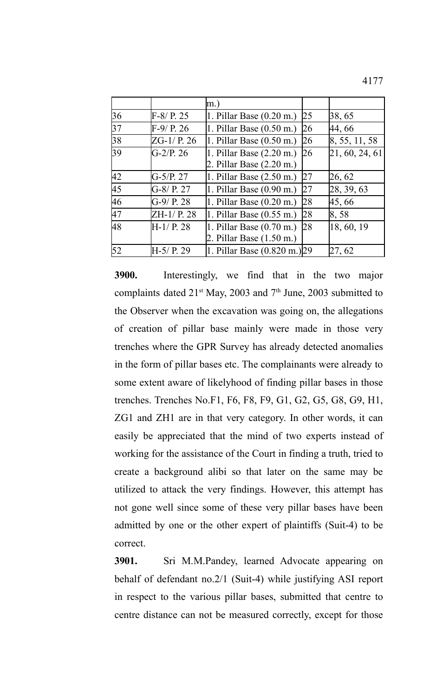4177

|    |               | $\vert$ m.)                           |    |                |
|----|---------------|---------------------------------------|----|----------------|
| 36 | $F-8/ P. 25$  | $ 1.$ Pillar Base $(0.20 \text{ m.})$ | 25 | 38, 65         |
| 37 | $F-9/ P. 26$  | $ 1.$ Pillar Base $(0.50 \text{ m.})$ | 26 | 44, 66         |
| 38 | $ZG-1/$ P. 26 | $ 1.$ Pillar Base $(0.50 \text{ m.})$ | 26 | 8, 55, 11, 58  |
| 39 | $G-2/P.26$    | $ 1.$ Pillar Base $(2.20 \text{ m.})$ | 26 | 21, 60, 24, 61 |
|    |               | 2. Pillar Base (2.20 m.)              |    |                |
| 42 | $G-5/P. 27$   | 1. Pillar Base $(2.50 \text{ m.})$    | 27 | 26, 62         |
| 45 | $G-8/$ P. 27  | 1. Pillar Base $(0.90 \text{ m.})$    | 27 | 28, 39, 63     |
| 46 | $G-9/ P. 28$  | 1. Pillar Base $(0.20 \text{ m.})$    | 28 | 45, 66         |
| 47 | ZH-1/ P. 28   | $ 1.$ Pillar Base $(0.55 \text{ m.})$ | 28 | $\,8,58$       |
| 48 | $H-1/ P. 28$  | 1. Pillar Base $(0.70 \text{ m.})$    | 28 | 18, 60, 19     |
|    |               | 2. Pillar Base $(1.50 \text{ m.})$    |    |                |
| 52 | H-5/ P. 29    | 1. Pillar Base (0.820 m.) 29          |    | 27, 62         |

**3900.** Interestingly, we find that in the two major complaints dated  $21<sup>st</sup>$  May, 2003 and  $7<sup>th</sup>$  June, 2003 submitted to the Observer when the excavation was going on, the allegations of creation of pillar base mainly were made in those very trenches where the GPR Survey has already detected anomalies in the form of pillar bases etc. The complainants were already to some extent aware of likelyhood of finding pillar bases in those trenches. Trenches No.F1, F6, F8, F9, G1, G2, G5, G8, G9, H1, ZG1 and ZH1 are in that very category. In other words, it can easily be appreciated that the mind of two experts instead of working for the assistance of the Court in finding a truth, tried to create a background alibi so that later on the same may be utilized to attack the very findings. However, this attempt has not gone well since some of these very pillar bases have been admitted by one or the other expert of plaintiffs (Suit-4) to be correct.

**3901.** Sri M.M.Pandey, learned Advocate appearing on behalf of defendant no.2/1 (Suit-4) while justifying ASI report in respect to the various pillar bases, submitted that centre to centre distance can not be measured correctly, except for those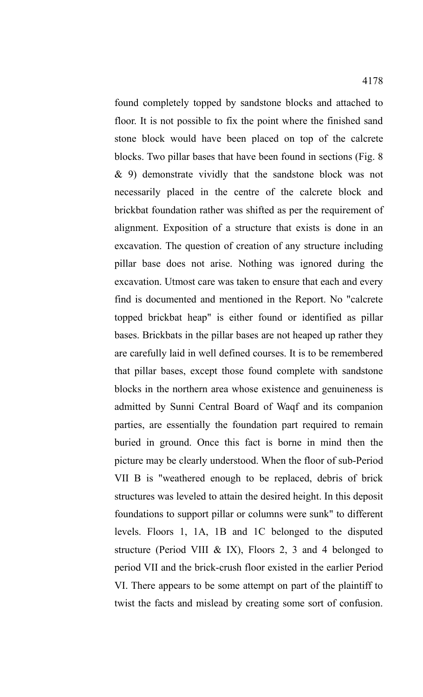found completely topped by sandstone blocks and attached to floor. It is not possible to fix the point where the finished sand stone block would have been placed on top of the calcrete blocks. Two pillar bases that have been found in sections (Fig. 8 & 9) demonstrate vividly that the sandstone block was not necessarily placed in the centre of the calcrete block and brickbat foundation rather was shifted as per the requirement of alignment. Exposition of a structure that exists is done in an excavation. The question of creation of any structure including pillar base does not arise. Nothing was ignored during the excavation. Utmost care was taken to ensure that each and every find is documented and mentioned in the Report. No "calcrete topped brickbat heap" is either found or identified as pillar bases. Brickbats in the pillar bases are not heaped up rather they are carefully laid in well defined courses. It is to be remembered that pillar bases, except those found complete with sandstone blocks in the northern area whose existence and genuineness is admitted by Sunni Central Board of Waqf and its companion parties, are essentially the foundation part required to remain buried in ground. Once this fact is borne in mind then the picture may be clearly understood. When the floor of sub-Period VII B is "weathered enough to be replaced, debris of brick structures was leveled to attain the desired height. In this deposit foundations to support pillar or columns were sunk" to different levels. Floors 1, 1A, 1B and 1C belonged to the disputed structure (Period VIII & IX), Floors 2, 3 and 4 belonged to period VII and the brick-crush floor existed in the earlier Period VI. There appears to be some attempt on part of the plaintiff to twist the facts and mislead by creating some sort of confusion.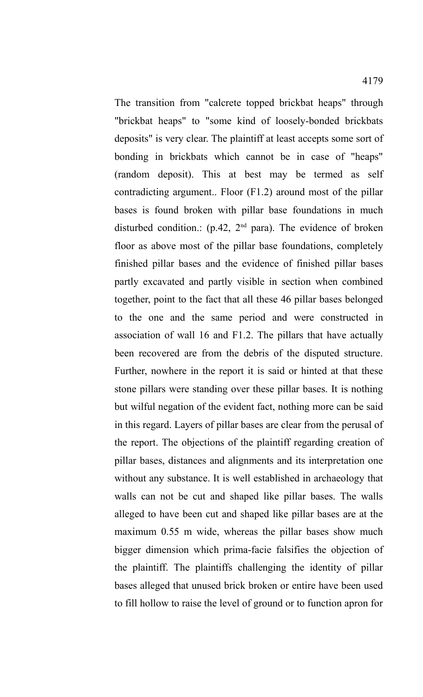The transition from "calcrete topped brickbat heaps" through "brickbat heaps" to "some kind of loosely-bonded brickbats deposits" is very clear. The plaintiff at least accepts some sort of bonding in brickbats which cannot be in case of "heaps" (random deposit). This at best may be termed as self contradicting argument.. Floor (F1.2) around most of the pillar bases is found broken with pillar base foundations in much disturbed condition.: (p.42,  $2<sup>nd</sup>$  para). The evidence of broken floor as above most of the pillar base foundations, completely finished pillar bases and the evidence of finished pillar bases partly excavated and partly visible in section when combined together, point to the fact that all these 46 pillar bases belonged to the one and the same period and were constructed in association of wall 16 and F1.2. The pillars that have actually been recovered are from the debris of the disputed structure. Further, nowhere in the report it is said or hinted at that these stone pillars were standing over these pillar bases. It is nothing but wilful negation of the evident fact, nothing more can be said in this regard. Layers of pillar bases are clear from the perusal of the report. The objections of the plaintiff regarding creation of pillar bases, distances and alignments and its interpretation one without any substance. It is well established in archaeology that walls can not be cut and shaped like pillar bases. The walls alleged to have been cut and shaped like pillar bases are at the maximum 0.55 m wide, whereas the pillar bases show much bigger dimension which prima-facie falsifies the objection of the plaintiff. The plaintiffs challenging the identity of pillar bases alleged that unused brick broken or entire have been used to fill hollow to raise the level of ground or to function apron for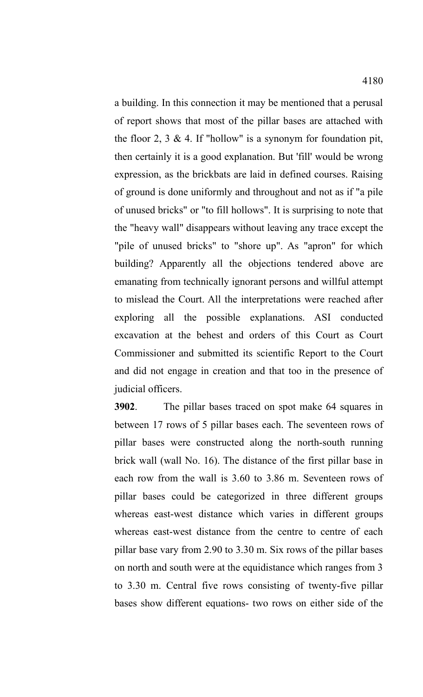a building. In this connection it may be mentioned that a perusal of report shows that most of the pillar bases are attached with the floor 2, 3  $\&$  4. If "hollow" is a synonym for foundation pit, then certainly it is a good explanation. But 'fill' would be wrong expression, as the brickbats are laid in defined courses. Raising of ground is done uniformly and throughout and not as if "a pile of unused bricks" or "to fill hollows". It is surprising to note that the "heavy wall" disappears without leaving any trace except the "pile of unused bricks" to "shore up". As "apron" for which building? Apparently all the objections tendered above are emanating from technically ignorant persons and willful attempt to mislead the Court. All the interpretations were reached after exploring all the possible explanations. ASI conducted excavation at the behest and orders of this Court as Court Commissioner and submitted its scientific Report to the Court and did not engage in creation and that too in the presence of judicial officers.

**3902**. The pillar bases traced on spot make 64 squares in between 17 rows of 5 pillar bases each. The seventeen rows of pillar bases were constructed along the north-south running brick wall (wall No. 16). The distance of the first pillar base in each row from the wall is 3.60 to 3.86 m. Seventeen rows of pillar bases could be categorized in three different groups whereas east-west distance which varies in different groups whereas east-west distance from the centre to centre of each pillar base vary from 2.90 to 3.30 m. Six rows of the pillar bases on north and south were at the equidistance which ranges from 3 to 3.30 m. Central five rows consisting of twenty-five pillar bases show different equations- two rows on either side of the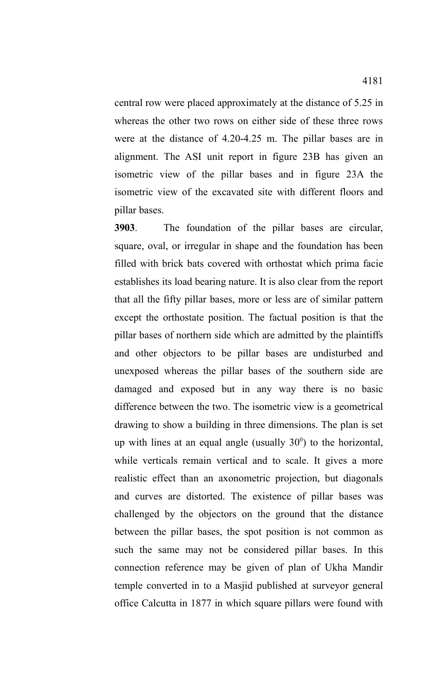central row were placed approximately at the distance of 5.25 in whereas the other two rows on either side of these three rows were at the distance of 4.20-4.25 m. The pillar bases are in alignment. The ASI unit report in figure 23B has given an isometric view of the pillar bases and in figure 23A the isometric view of the excavated site with different floors and pillar bases.

**3903**. The foundation of the pillar bases are circular, square, oval, or irregular in shape and the foundation has been filled with brick bats covered with orthostat which prima facie establishes its load bearing nature. It is also clear from the report that all the fifty pillar bases, more or less are of similar pattern except the orthostate position. The factual position is that the pillar bases of northern side which are admitted by the plaintiffs and other objectors to be pillar bases are undisturbed and unexposed whereas the pillar bases of the southern side are damaged and exposed but in any way there is no basic difference between the two. The isometric view is a geometrical drawing to show a building in three dimensions. The plan is set up with lines at an equal angle (usually  $30^{\circ}$ ) to the horizontal, while verticals remain vertical and to scale. It gives a more realistic effect than an axonometric projection, but diagonals and curves are distorted. The existence of pillar bases was challenged by the objectors on the ground that the distance between the pillar bases, the spot position is not common as such the same may not be considered pillar bases. In this connection reference may be given of plan of Ukha Mandir temple converted in to a Masjid published at surveyor general office Calcutta in 1877 in which square pillars were found with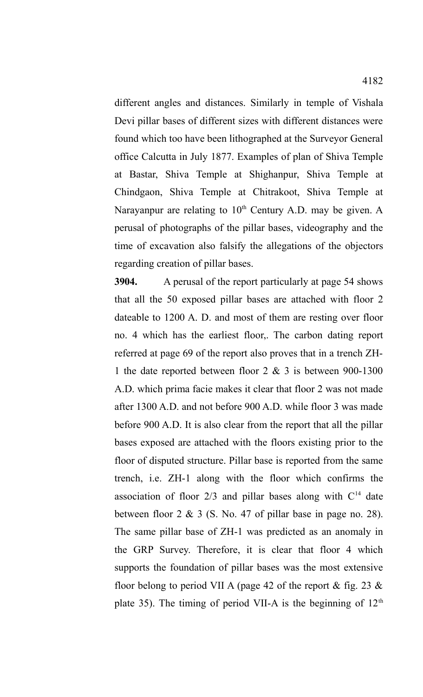different angles and distances. Similarly in temple of Vishala Devi pillar bases of different sizes with different distances were found which too have been lithographed at the Surveyor General office Calcutta in July 1877. Examples of plan of Shiva Temple at Bastar, Shiva Temple at Shighanpur, Shiva Temple at Chindgaon, Shiva Temple at Chitrakoot, Shiva Temple at Narayanpur are relating to 10<sup>th</sup> Century A.D. may be given. A perusal of photographs of the pillar bases, videography and the time of excavation also falsify the allegations of the objectors regarding creation of pillar bases.

**3904.** A perusal of the report particularly at page 54 shows that all the 50 exposed pillar bases are attached with floor 2 dateable to 1200 A. D. and most of them are resting over floor no. 4 which has the earliest floor,. The carbon dating report referred at page 69 of the report also proves that in a trench ZH-1 the date reported between floor 2 & 3 is between 900-1300 A.D. which prima facie makes it clear that floor 2 was not made after 1300 A.D. and not before 900 A.D. while floor 3 was made before 900 A.D. It is also clear from the report that all the pillar bases exposed are attached with the floors existing prior to the floor of disputed structure. Pillar base is reported from the same trench, i.e. ZH-1 along with the floor which confirms the association of floor  $2/3$  and pillar bases along with  $C<sup>14</sup>$  date between floor  $2 \& 3$  (S. No. 47 of pillar base in page no. 28). The same pillar base of ZH-1 was predicted as an anomaly in the GRP Survey. Therefore, it is clear that floor 4 which supports the foundation of pillar bases was the most extensive floor belong to period VII A (page 42 of the report  $\&$  fig. 23  $\&$ plate 35). The timing of period VII-A is the beginning of  $12<sup>th</sup>$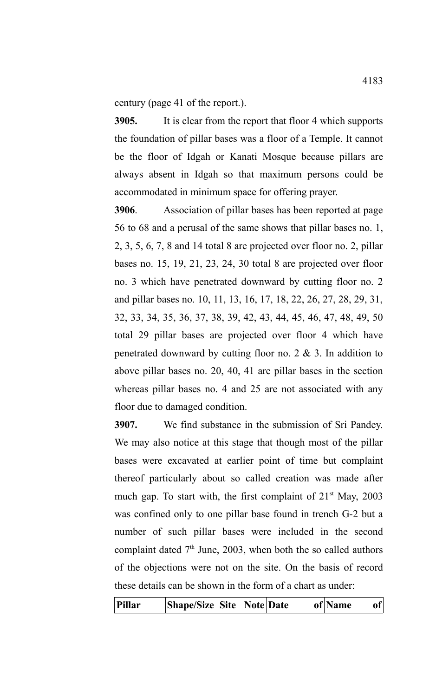century (page 41 of the report.).

**3905.** It is clear from the report that floor 4 which supports the foundation of pillar bases was a floor of a Temple. It cannot be the floor of Idgah or Kanati Mosque because pillars are always absent in Idgah so that maximum persons could be accommodated in minimum space for offering prayer.

**3906**. Association of pillar bases has been reported at page 56 to 68 and a perusal of the same shows that pillar bases no. 1, 2, 3, 5, 6, 7, 8 and 14 total 8 are projected over floor no. 2, pillar bases no. 15, 19, 21, 23, 24, 30 total 8 are projected over floor no. 3 which have penetrated downward by cutting floor no. 2 and pillar bases no. 10, 11, 13, 16, 17, 18, 22, 26, 27, 28, 29, 31, 32, 33, 34, 35, 36, 37, 38, 39, 42, 43, 44, 45, 46, 47, 48, 49, 50 total 29 pillar bases are projected over floor 4 which have penetrated downward by cutting floor no.  $2 \& 3$ . In addition to above pillar bases no. 20, 40, 41 are pillar bases in the section whereas pillar bases no. 4 and 25 are not associated with any floor due to damaged condition.

**3907.** We find substance in the submission of Sri Pandey. We may also notice at this stage that though most of the pillar bases were excavated at earlier point of time but complaint thereof particularly about so called creation was made after much gap. To start with, the first complaint of  $21<sup>st</sup>$  May,  $2003$ was confined only to one pillar base found in trench G-2 but a number of such pillar bases were included in the second complaint dated  $7<sup>th</sup>$  June, 2003, when both the so called authors of the objections were not on the site. On the basis of record these details can be shown in the form of a chart as under: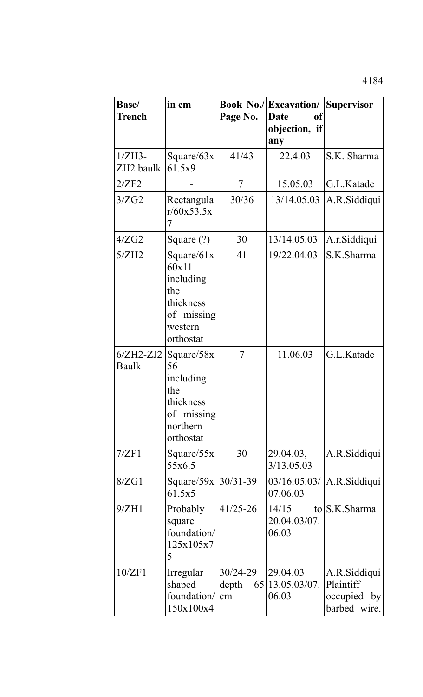| <b>Base</b> /<br><b>Trench</b> | in cm                                                                                         | Page No.                          | <b>Book No./ Excavation/</b><br>Date<br>of<br>objection, if<br>any | <b>Supervisor</b>                                        |
|--------------------------------|-----------------------------------------------------------------------------------------------|-----------------------------------|--------------------------------------------------------------------|----------------------------------------------------------|
| $1/ZH3-$<br>ZH2 baulk          | Square/ $63x$<br>61.5x9                                                                       | 41/43                             | 22.4.03                                                            | S.K. Sharma                                              |
| 2/ZF2                          |                                                                                               | 7                                 | 15.05.03                                                           | G.L.Katade                                               |
| 3/ZG2                          | Rectangula<br>r/60x53.5x<br>7                                                                 | 30/36                             | 13/14.05.03                                                        | A.R.Siddiqui                                             |
| 4/ZG2                          | Square $(?)$                                                                                  | 30                                | 13/14.05.03                                                        | A.r.Siddiqui                                             |
| 5/ZH2                          | Square/ $61x$<br>60x11<br>including<br>the<br>thickness<br>of missing<br>western<br>orthostat | 41                                | 19/22.04.03                                                        | S.K.Sharma                                               |
| $6/ZH2-ZJ2$<br>Baulk           | Square/ $58x$<br>56<br>including<br>the<br>thickness<br>of missing<br>northern<br>orthostat   | $\overline{7}$                    | 11.06.03                                                           | G.L.Katade                                               |
| 7/ZF1                          | Square $/55x$<br>55x6.5                                                                       | 30                                | 29.04.03,<br>3/13.05.03                                            | A.R.Siddiqui                                             |
| 8/ZG1                          | Square/59x   30/31-39<br>61.5x5                                                               |                                   | 07.06.03                                                           | 03/16.05.03/   A.R. Siddiqui                             |
| 9/ZH1                          | <b>Probably</b><br>square<br>foundation/<br>125x105x7<br>5                                    | $41/25 - 26$                      | 14/15<br>20.04.03/07.<br>06.03                                     | to S.K. Sharma                                           |
| 10/ZF1                         | Irregular<br>shaped<br>foundation/<br>150x100x4                                               | $30/24 - 29$<br>depth<br>65<br>cm | 29.04.03<br>13.05.03/07.<br>06.03                                  | A.R.Siddiqui<br>Plaintiff<br>occupied by<br>barbed wire. |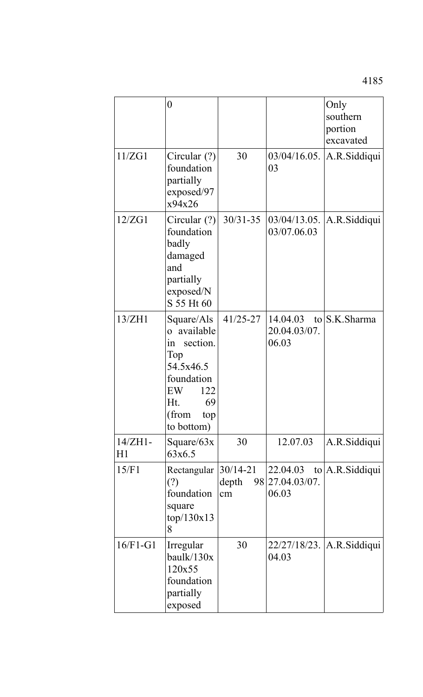|                 | $\boldsymbol{0}$                                                                                                                                       |                             |                                                    | Only<br>southern<br>portion<br>excavated |
|-----------------|--------------------------------------------------------------------------------------------------------------------------------------------------------|-----------------------------|----------------------------------------------------|------------------------------------------|
| 11/ZG1          | Circular $(?)$<br>foundation<br>partially<br>exposed/97<br>x94x26                                                                                      | 30                          | $03/04/16.05$ .<br>03                              | A.R.Siddiqui                             |
| 12/ZG1          | Circular $(?)$<br>foundation<br>badly<br>damaged<br>and<br>partially<br>exposed/N<br>S 55 Ht 60                                                        | $30/31 - 35$                | 03/07.06.03                                        | $03/04/13.05$ . A.R.Siddiqui             |
| 13/ZH1          | Square/Als<br>o available<br>$\operatorname{in}$<br>section.<br>Top<br>54.5x46.5<br>foundation<br>122<br>EW<br>69<br>Ht.<br>(from<br>top<br>to bottom) | $41/25 - 27$                | $14.04.03$ to S.K. Sharma<br>20.04.03/07.<br>06.03 |                                          |
| $14/ZH1-$<br>H1 | Square/ $63x$<br>63x6.5                                                                                                                                | 30                          | 12.07.03                                           | A.R.Siddiqui                             |
| 15/F1           | Rectangular<br>(?)<br>foundation<br>square<br>top/130x13<br>8                                                                                          | $30/14 - 21$<br>depth<br>cm | 22.04.03<br>98 27.04.03/07.<br>06.03               | $\{to   A.R.Siddiqui\}$                  |
| $16/F1-G1$      | Irregular<br>baulk/130x<br>120x55<br>foundation<br>partially<br>exposed                                                                                | 30                          | 04.03                                              | 22/27/18/23. A.R.Siddiqui                |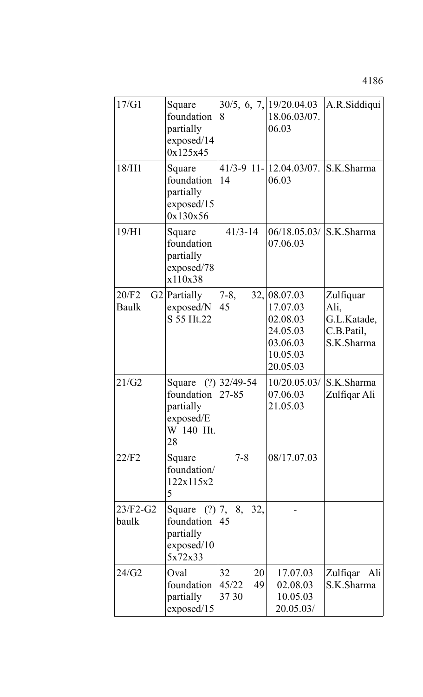4186

| 17/G1                 | Square<br>foundation<br>partially<br>exposed/14<br>0x125x45                      | 8                                | 30/5, 6, 7, 19/20.04.03<br>18.06.03/07.<br>06.03                                      | A.R.Siddiqui                                                 |
|-----------------------|----------------------------------------------------------------------------------|----------------------------------|---------------------------------------------------------------------------------------|--------------------------------------------------------------|
| 18/H1                 | Square<br>foundation<br>partially<br>exposed/15<br>0x130x56                      | 14                               | 41/3-9 11-12.04.03/07. S.K.Sharma<br>06.03                                            |                                                              |
| 19/H1                 | Square<br>foundation<br>partially<br>exposed/78<br>x110x38                       | $41/3 - 14$                      | 06/18.05.03/ S.K.Sharma<br>07.06.03                                                   |                                                              |
| 20/F2<br><b>Baulk</b> | $G2$ Partially<br>exposed/N<br>S 55 Ht.22                                        | $7 - 8$ ,<br>45                  | 32,  08.07.03<br>17.07.03<br>02.08.03<br>24.05.03<br>03.06.03<br>10.05.03<br>20.05.03 | Zulfiquar<br>Ali,<br>G.L.Katade,<br>C.B.Patil,<br>S.K.Sharma |
| 21/G2                 | Square $(?) 32/49-54$<br>foundation<br>partially<br>exposed/E<br>W 140 Ht.<br>28 | 27-85                            | 10/20.05.03/<br>07.06.03<br>21.05.03                                                  | S.K.Sharma<br>Zulfiqar Ali                                   |
| 22/F2                 | Square<br>foundation/<br>122x115x2<br>5                                          | $7 - 8$                          | 08/17.07.03                                                                           |                                                              |
| $23/F2-G2$<br>baulk   | Square (?) 7, 8, 32,<br>foundation<br>partially<br>exposed/10<br>5x72x33         | 45                               |                                                                                       |                                                              |
| 24/G2                 | Oval<br>foundation<br>partially<br>exposed/15                                    | 32<br>20<br>45/22<br>49<br>37 30 | 17.07.03<br>02.08.03<br>10.05.03<br>20.05.03/                                         | Zulfiqar<br>Ali<br>S.K.Sharma                                |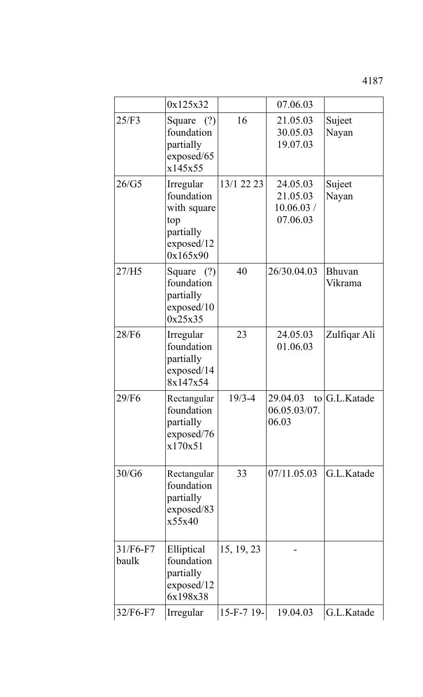4187

|                     | 0x125x32                                                                             |            | 07.06.03                                       |                          |
|---------------------|--------------------------------------------------------------------------------------|------------|------------------------------------------------|--------------------------|
| 25/F3               | Square $(?)$<br>foundation<br>partially<br>exposed/65<br>x145x55                     | 16         | 21.05.03<br>30.05.03<br>19.07.03               | Sujeet<br>Nayan          |
| 26/G5               | Irregular<br>foundation<br>with square<br>top<br>partially<br>exposed/12<br>0x165x90 | 13/1 22 23 | 24.05.03<br>21.05.03<br>10.06.03 /<br>07.06.03 | Sujeet<br>Nayan          |
| 27/H5               | Square $(?)$<br>foundation<br>partially<br>exposed/10<br>0x25x35                     | 40         | 26/30.04.03                                    | <b>Bhuvan</b><br>Vikrama |
| 28/F6               | Irregular<br>foundation<br>partially<br>exposed/14<br>8x147x54                       | 23         | 24.05.03<br>01.06.03                           | Zulfiqar Ali             |
| 29/F6               | Rectangular<br>foundation<br>partially<br>exposed/76<br>x170x51                      | $19/3 - 4$ | 29.04.03<br>06.05.03/07.<br>06.03              | to G.L.Katade            |
| 30/G6               | Rectangular<br>foundation<br>partially<br>exposed/83<br>x55x40                       | 33         | 07/11.05.03                                    | G.L.Katade               |
| $31/F6-F7$<br>baulk | Elliptical<br>foundation<br>partially<br>exposed/12<br>6x198x38                      | 15, 19, 23 |                                                |                          |
| $32/F6-F7$          | Irregular                                                                            | 15-F-7 19- | 19.04.03                                       | G.L.Katade               |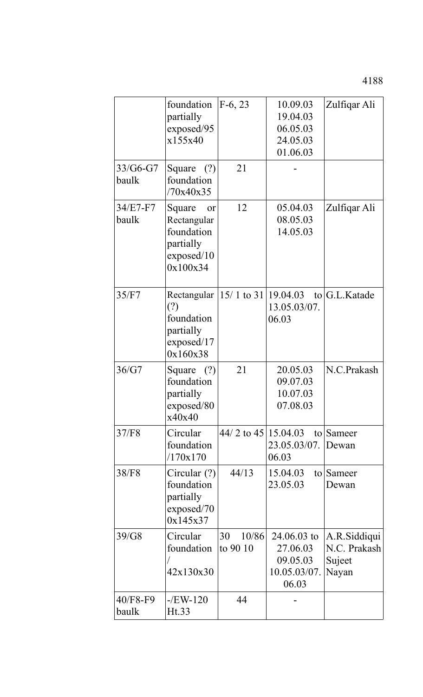|                   | foundation<br>partially<br>exposed/95<br>x155x40                                 | $F-6, 23$               | 10.09.03<br>19.04.03<br>06.05.03<br>24.05.03<br>01.06.03       | Zulfiqar Ali                                    |
|-------------------|----------------------------------------------------------------------------------|-------------------------|----------------------------------------------------------------|-------------------------------------------------|
| 33/G6-G7<br>baulk | Square $(?)$<br>foundation<br>/70x40x35                                          | 21                      |                                                                |                                                 |
| 34/E7-F7<br>baulk | Square<br>or<br>Rectangular<br>foundation<br>partially<br>exposed/10<br>0x100x34 | 12                      | 05.04.03<br>08.05.03<br>14.05.03                               | Zulfiqar Ali                                    |
| 35/F7             | Rectangular<br>(?)<br>foundation<br>partially<br>exposed/17<br>0x160x38          |                         | $15/1$ to 31 19.04.03 to G.L. Katade<br>13.05.03/07.<br>06.03  |                                                 |
| 36/G7             | Square $(?)$<br>foundation<br>partially<br>exposed/80<br>x40x40                  | 21                      | 20.05.03<br>09.07.03<br>10.07.03<br>07.08.03                   | N.C.Prakash                                     |
| 37/F8             | Circular<br>foundation<br>/170x170                                               | $44/2$ to $45 15.04.03$ | 23.05.03/07.<br>06.03                                          | to Sameer<br>Dewan                              |
| 38/F8             | Circular $(?)$<br>foundation<br>partially<br>exposed/70<br>0x145x37              | 44/13                   | 15.04.03<br>$\overline{t}$<br>23.05.03                         | Sameer<br>Dewan                                 |
| 39/G8             | Circular<br>foundation<br>42x130x30                                              | 30<br>10/86<br>to 90 10 | $24.06.03$ to<br>27.06.03<br>09.05.03<br>10.05.03/07.<br>06.03 | A.R.Siddiqui<br>N.C. Prakash<br>Sujeet<br>Nayan |
| 40/F8-F9<br>baulk | $-$ /EW-120<br>Ht.33                                                             | 44                      |                                                                |                                                 |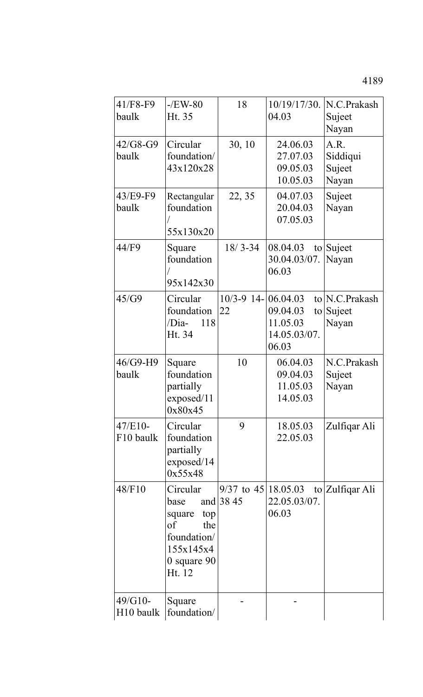4189

| $41/F8-F9$<br>baulk              | $-$ /EW-80<br>Ht. 35                                                                                    | 18                                    | 10/19/17/30.<br>04.03                                           | N.C.Prakash<br>Sujeet<br>Nayan      |
|----------------------------------|---------------------------------------------------------------------------------------------------------|---------------------------------------|-----------------------------------------------------------------|-------------------------------------|
| $42/G8-G9$<br>baulk              | Circular<br>foundation/<br>43x120x28                                                                    | 30, 10                                | 24.06.03<br>27.07.03<br>09.05.03<br>10.05.03                    | A.R.<br>Siddiqui<br>Sujeet<br>Nayan |
| 43/E9-F9<br>baulk                | Rectangular<br>foundation<br>55x130x20                                                                  | 22, 35                                | 04.07.03<br>20.04.03<br>07.05.03                                | Suject<br>Nayan                     |
| 44/F9                            | Square<br>foundation<br>95x142x30                                                                       | $18/3 - 34$                           | 08.04.03<br>to<br>30.04.03/07.<br>06.03                         | Suject<br>Nayan                     |
| 45/G9                            | Circular<br>foundation<br>/Dia-<br>118<br>Ht. 34                                                        | $10/3 - 9$ 14-<br>22                  | 06.04.03<br>09.04.03<br>to<br>11.05.03<br>14.05.03/07.<br>06.03 | to N.C.Prakash<br>Suject<br>Nayan   |
| $46/G9-H9$<br>baulk              | Square<br>foundation<br>partially<br>exposed/11<br>0x80x45                                              | 10                                    | 06.04.03<br>09.04.03<br>11.05.03<br>14.05.03                    | N.C.Prakash<br>Sujeet<br>Nayan      |
| $47/E10-$<br>F10 baulk           | Circular<br>foundation<br>partially<br>exposed/14<br>0x55x48                                            | 9                                     | 18.05.03<br>22.05.03                                            | Zulfiqar Ali                        |
| 48/F10                           | Circular<br>base<br>top<br>square<br>the<br>of<br>foundation/<br>155x145x4<br>$0$ square $90$<br>Ht. 12 | $9/37$ to $45 18.05.03$<br>and $3845$ | 22.05.03/07.<br>06.03                                           | to Zulfiqar Ali                     |
| 49/G10-<br>H <sub>10</sub> baulk | Square<br>foundation/                                                                                   |                                       |                                                                 |                                     |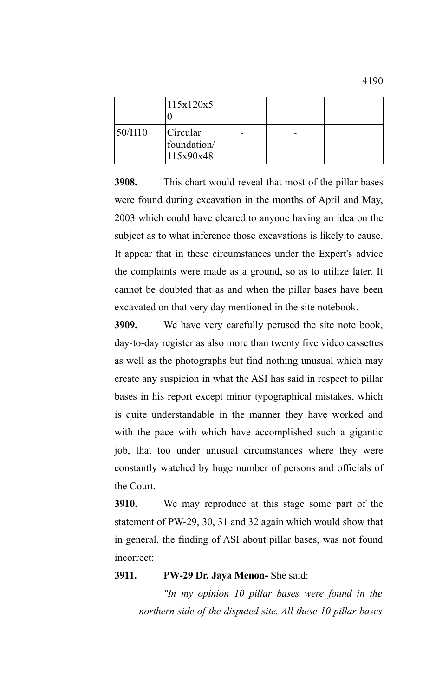|        | 115x120x5                            |   |  |
|--------|--------------------------------------|---|--|
| 50/H10 | Circular<br>foundation/<br>115x90x48 | - |  |

**3908.** This chart would reveal that most of the pillar bases were found during excavation in the months of April and May, 2003 which could have cleared to anyone having an idea on the subject as to what inference those excavations is likely to cause. It appear that in these circumstances under the Expert's advice the complaints were made as a ground, so as to utilize later. It cannot be doubted that as and when the pillar bases have been excavated on that very day mentioned in the site notebook.

**3909.** We have very carefully perused the site note book, day-to-day register as also more than twenty five video cassettes as well as the photographs but find nothing unusual which may create any suspicion in what the ASI has said in respect to pillar bases in his report except minor typographical mistakes, which is quite understandable in the manner they have worked and with the pace with which have accomplished such a gigantic job, that too under unusual circumstances where they were constantly watched by huge number of persons and officials of the Court.

**3910.** We may reproduce at this stage some part of the statement of PW-29, 30, 31 and 32 again which would show that in general, the finding of ASI about pillar bases, was not found incorrect:

## **3911. PW-29 Dr. Jaya Menon-** She said:

*"In my opinion 10 pillar bases were found in the northern side of the disputed site. All these 10 pillar bases*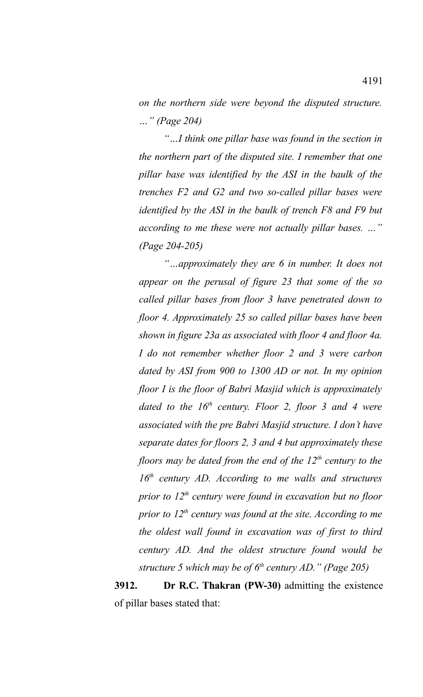*on the northern side were beyond the disputed structure. …" (Page 204)*

*"…I think one pillar base was found in the section in the northern part of the disputed site. I remember that one pillar base was identified by the ASI in the baulk of the trenches F2 and G2 and two so-called pillar bases were identified by the ASI in the baulk of trench F8 and F9 but according to me these were not actually pillar bases. …" (Page 204-205)* 

*"…approximately they are 6 in number. It does not appear on the perusal of figure 23 that some of the so called pillar bases from floor 3 have penetrated down to floor 4. Approximately 25 so called pillar bases have been shown in figure 23a as associated with floor 4 and floor 4a. I do not remember whether floor 2 and 3 were carbon dated by ASI from 900 to 1300 AD or not. In my opinion floor I is the floor of Babri Masjid which is approximately dated to the 16th century. Floor 2, floor 3 and 4 were associated with the pre Babri Masjid structure. I don't have separate dates for floors 2, 3 and 4 but approximately these floors may be dated from the end of the 12th century to the 16th century AD. According to me walls and structures prior to 12th century were found in excavation but no floor prior to 12th century was found at the site. According to me the oldest wall found in excavation was of first to third century AD. And the oldest structure found would be structure 5 which may be of 6th century AD." (Page 205)* 

**3912. Dr R.C. Thakran (PW-30)** admitting the existence of pillar bases stated that: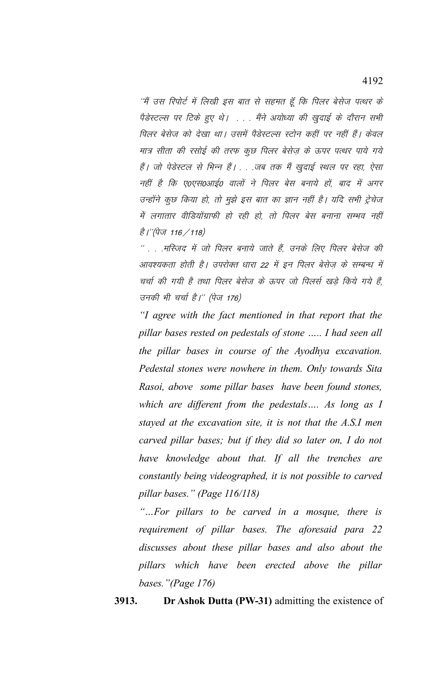´´मैं उस रिपोर्ट में लिखी इस बात से सहमत हूँ कि पिलर बेसेज पत्थर के पैडेस्टल्स पर टिके हुए थे। . . . मैंने अयोध्या की खुदाई के दौरान सभी पिलर बेसेज को देखा था। उसमें पैडेस्टल्स स्टोन कहीं पर नहीं हैं। केवल मात्र सीता की रसोई की तरफ कुछ पिलर बेसेज़ के ऊपर पत्थर पाये गये हैं। जो पेडेस्टल से भिन्न हैं। . . .जब तक मैं खुदाई स्थल पर रहा, ऐसा नहीं है कि ए0एस0आई0 वालों ने पिलर बेस बनाये हों, बाद में अगर उन्होंने कुछ किया हो, तो मुझे इस बात का ज्ञान नहीं है। यदि सभी ट्रेचेज में लगातार वीडियोंग्राफी हो रही हो, तो पिलर बेस बनाना सम्भव नहीं है।''(पेज 116 / 118)

 $^{\prime\prime}$  . . .मस्जिद में जो पिलर बनाये जाते हैं, उनके लिए पिलर बेसेज की आवश्यकता होती है। उपरोक्त धारा 22 में इन पिलर बेसेज के सम्बन्ध में चर्चा की गयी है तथा पिलर बेसेज के ऊपर जो पिलर्स खड़े किये गये हैं. उनकी भी चर्चा है।'' (पेज 176)

*"I agree with the fact mentioned in that report that the pillar bases rested on pedestals of stone ….. I had seen all the pillar bases in course of the Ayodhya excavation. Pedestal stones were nowhere in them. Only towards Sita Rasoi, above some pillar bases have been found stones, which are different from the pedestals…. As long as I stayed at the excavation site, it is not that the A.S.I men carved pillar bases; but if they did so later on, I do not have knowledge about that. If all the trenches are constantly being videographed, it is not possible to carved pillar bases." (Page 116/118)*

*"…For pillars to be carved in a mosque, there is requirement of pillar bases. The aforesaid para 22 discusses about these pillar bases and also about the pillars which have been erected above the pillar bases."(Page 176)*

**3913. Dr Ashok Dutta (PW-31)** admitting the existence of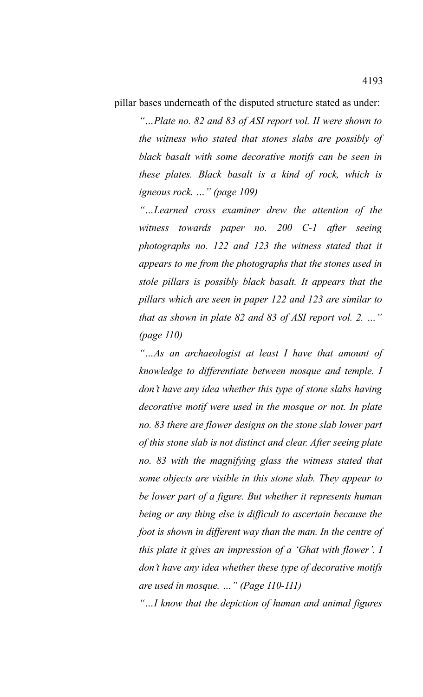pillar bases underneath of the disputed structure stated as under:

*"…Plate no. 82 and 83 of ASI report vol. II were shown to the witness who stated that stones slabs are possibly of black basalt with some decorative motifs can be seen in these plates. Black basalt is a kind of rock, which is igneous rock. …" (page 109)*

*"…Learned cross examiner drew the attention of the witness towards paper no. 200 C-1 after seeing photographs no. 122 and 123 the witness stated that it appears to me from the photographs that the stones used in stole pillars is possibly black basalt. It appears that the pillars which are seen in paper 122 and 123 are similar to that as shown in plate 82 and 83 of ASI report vol. 2. …" (page 110)*

*"…As an archaeologist at least I have that amount of knowledge to differentiate between mosque and temple. I don't have any idea whether this type of stone slabs having decorative motif were used in the mosque or not. In plate no. 83 there are flower designs on the stone slab lower part of this stone slab is not distinct and clear. After seeing plate no. 83 with the magnifying glass the witness stated that some objects are visible in this stone slab. They appear to be lower part of a figure. But whether it represents human being or any thing else is difficult to ascertain because the foot is shown in different way than the man. In the centre of this plate it gives an impression of a 'Ghat with flower'. I don't have any idea whether these type of decorative motifs are used in mosque. …" (Page 110-111)*

*"…I know that the depiction of human and animal figures*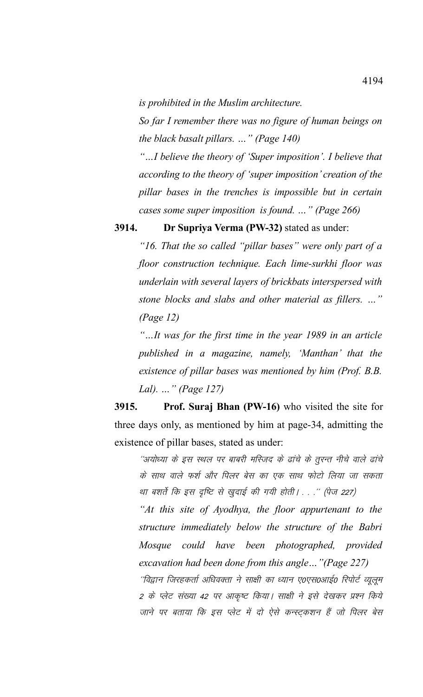*is prohibited in the Muslim architecture.* 

*So far I remember there was no figure of human beings on the black basalt pillars. …" (Page 140)*

*"…I believe the theory of 'Super imposition'. I believe that according to the theory of 'super imposition' creation of the pillar bases in the trenches is impossible but in certain cases some super imposition is found. …" (Page 266)*

## **3914. Dr Supriya Verma (PW-32)** stated as under:

*"16. That the so called "pillar bases" were only part of a floor construction technique. Each lime-surkhi floor was underlain with several layers of brickbats interspersed with stone blocks and slabs and other material as fillers. …" (Page 12)*

*"…It was for the first time in the year 1989 in an article published in a magazine, namely, 'Manthan' that the existence of pillar bases was mentioned by him (Prof. B.B. Lal). …" (Page 127)*

**3915. Prof. Suraj Bhan (PW-16)** who visited the site for three days only, as mentioned by him at page-34, admitting the existence of pillar bases, stated as under:

''अयोध्या के इस स्थल पर बाबरी मस्जिद के ढांचे के तुरन्त नीचे वाले ढांचे के साथ वाले फर्श और पिलर बेस का एक साथ फोटो लिया जा सकता था बशर्ते कि इस दृष्टि से खुदाई की गयी होती। . . .'' (पेज 227)

*"At this site of Ayodhya, the floor appurtenant to the structure immediately below the structure of the Babri Mosque could have been photographed, provided excavation had been done from this angle…"(Page 227)*

''विद्वान जिरहकर्ता अधिवक्ता ने साक्षी का ध्यान ए०एस०आई० रिपोर्ट व्युलुम 2 के प्लेट संख्या 42 पर आकृष्ट किया। साक्षी ने इसे देखकर प्रश्न किये जाने पर बताया कि इस प्लेट में दो ऐसे कन्स्ट्कशन हैं जो पिलर बेस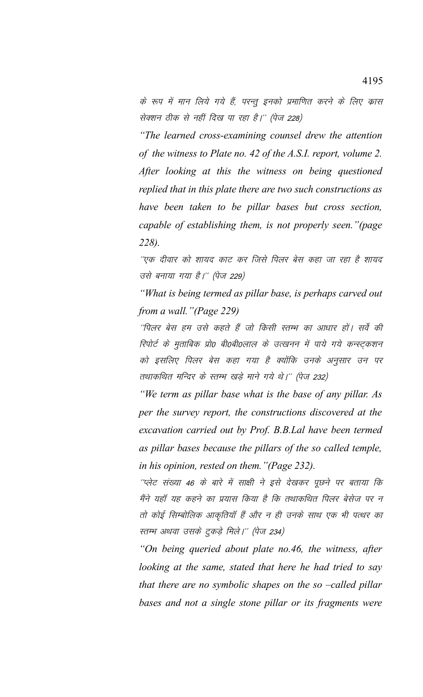के रूप में मान लिये गये हैं, परन्तु इनको प्रमाणित करने के लिए क्रास सेक्शन ठीक से नहीं दिख पा रहा है।'' (पेज 228)

*"The learned cross-examining counsel drew the attention of the witness to Plate no. 42 of the A.S.I. report, volume 2. After looking at this the witness on being questioned replied that in this plate there are two such constructions as have been taken to be pillar bases but cross section, capable of establishing them, is not properly seen."(page 228).*

''एक दीवार को शायद काट कर जिसे पिलर बेस कहा जा रहा है शायद उसे बनाया गया है।'' (पेज 229)

*"What is being termed as pillar base, is perhaps carved out from a wall."(Page 229)*

''पिलर बेस हम उसे कहते हैं जो किसी स्तम्भ का आधार हों। सर्वे की रिपोर्ट के मुताबिक प्रो0 बी0बी0लाल के उत्खनन में पाये गये कन्स्ट्कशन को इसलिए पिलर बेस कहा गया है क्योंकि उनके अनुसार उन पर तथाकथित मन्दिर के स्तम्भ खड़े माने गये थे।'' (पेज 232)

*"We term as pillar base what is the base of any pillar. As per the survey report, the constructions discovered at the excavation carried out by Prof. B.B.Lal have been termed as pillar bases because the pillars of the so called temple, in his opinion, rested on them."(Page 232).*

''प्लेट संख्या 46 के बारे में साक्षी ने इसे देखकर पूछने पर बताया कि मैंने यहाँ यह कहने का प्रयास किया है कि तथाकथित पिलर बेसेज पर न तो कोई सिम्बोलिक आकृतियाँ हैं और न ही उनके साथ एक भी पत्थर का स्तम्भ अथवा उसके टुकड़े मिले।'' (पेज 234)

*"On being queried about plate no.46, the witness, after looking at the same, stated that here he had tried to say that there are no symbolic shapes on the so –called pillar bases and not a single stone pillar or its fragments were*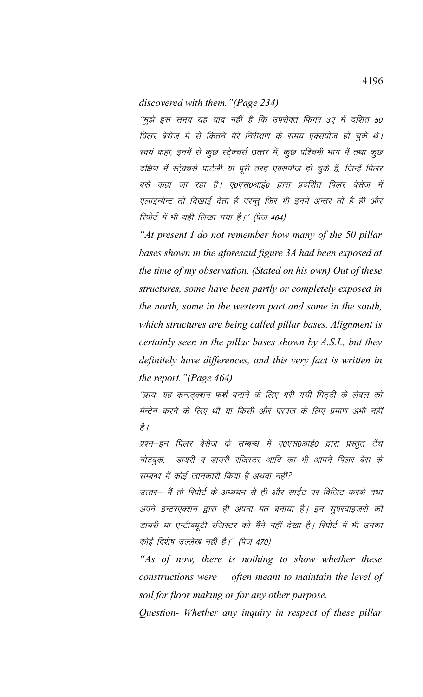## *discovered with them."(Page 234)*

''मुझे इस समय यह याद नहीं है कि उपरोक्त फिगर 3ए में दर्शित 50 पिलर बेसेज में से कितने मेरे निरीक्षण के समय एक्सपोज हो चुके थे। स्वयं कहा, इनमें से कुछ स्ट्रेक्चर्स उत्तर में, कुछ पश्चिमी भाग में तथा कुछ दक्षिण में स्ट्रेक्चर्स पार्टली या पूरी तरह एक्सपोज हो चुके हैं, जिन्हें पिलर बसे कहा जा रहा है। ए०एस०आई० द्वारा प्रदर्शित पिलर बेसेज में एलाइन्मेन्ट तो दिखाई देता है परन्तु फिर भी इनमें अन्तर तो है ही और रिपोर्ट में भी यही लिखा गया है।'' (पेज 464)

*"At present I do not remember how many of the 50 pillar bases shown in the aforesaid figure 3A had been exposed at the time of my observation. (Stated on his own) Out of these structures, some have been partly or completely exposed in the north, some in the western part and some in the south, which structures are being called pillar bases. Alignment is certainly seen in the pillar bases shown by A.S.I., but they definitely have differences, and this very fact is written in the report."(Page 464)*

''प्रायः यह कन्स्ट्क्शन फर्श बनाने के लिए भरी गयी मिट्टी के लेबल को मेन्टेन करने के लिए थी या किसी और परपज के लिए प्रमाण अभी नहीं है /

प्रश्न–इन पिलर बेसेज के सम्बन्ध में ए०एस०आई० द्वारा प्रस्तुत टेंच नोटबुक, डायरी व डायरी रजिस्टर आदि का भी आपने पिलर बेस के सम्बन्ध में कोई जानकारी किया है अथवा नहीं?

उत्तर– मैं तो रिपोर्ट के अध्ययन से ही और साईट पर विजिट करके तथा अपने इन्टरएक्शन द्वारा ही अपना मत बनाया है। इन सुपरवाइजरो की डायरी या एन्टीक्यूटी रजिस्टर को मैंने नहीं देखा है। रिपोर्ट में भी उनका कोई विशेष उल्लेख नहीं है।'' (पेज 470)

*"As of now, there is nothing to show whether these constructions were often meant to maintain the level of soil for floor making or for any other purpose.* 

*Question- Whether any inquiry in respect of these pillar*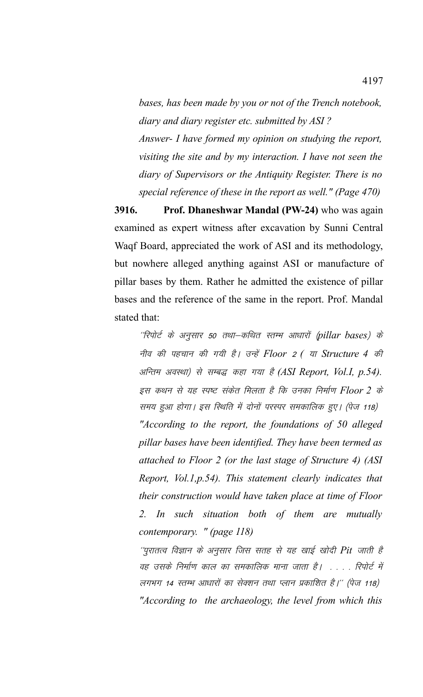*bases, has been made by you or not of the Trench notebook, diary and diary register etc. submitted by ASI ? Answer- I have formed my opinion on studying the report,*

*visiting the site and by my interaction. I have not seen the diary of Supervisors or the Antiquity Register. There is no special reference of these in the report as well." (Page 470)*

**3916. Prof. Dhaneshwar Mandal (PW-24)** who was again examined as expert witness after excavation by Sunni Central Waqf Board, appreciated the work of ASI and its methodology, but nowhere alleged anything against ASI or manufacture of pillar bases by them. Rather he admitted the existence of pillar bases and the reference of the same in the report. Prof. Mandal stated that:

''रिपोर्ट के अनुसार 50 तथा–कथित स्तम्भ आधारों (pillar bases) के uho dh igpku dh x;h gSA mUgsa *Floor* 2 *(* ;k *Structure 4* dh अन्तिम अवस्था) से सम्बद्ध कहा गया है (ASI Report, Vol.I, p.54). इस कथन से यह स्पष्ट संकेत मिलता है कि उनका निर्माण Floor 2 के समय हुआ होगा। इस स्थिति में दोनों परस्पर समकालिक हुए। (पेज 118) *"According to the report, the foundations of 50 alleged pillar bases have been identified. They have been termed as attached to Floor 2 (or the last stage of Structure 4) (ASI Report, Vol.1,p.54). This statement clearly indicates that their construction would have taken place at time of Floor 2. In such situation both of them are mutually contemporary. " (page 118)*

 $^\prime$ पुरातत्व विज्ञान के अनुसार जिस सतह से यह खाई खोदी Pit जाती है वह उसके निर्माण काल का समकालिक माना जाता है। .... रिपोर्ट में लगभग 14 स्तम्भ आधारों का सेक्शन तथा प्लान प्रकाशित है।'' (पेज 118) *"According to the archaeology, the level from which this*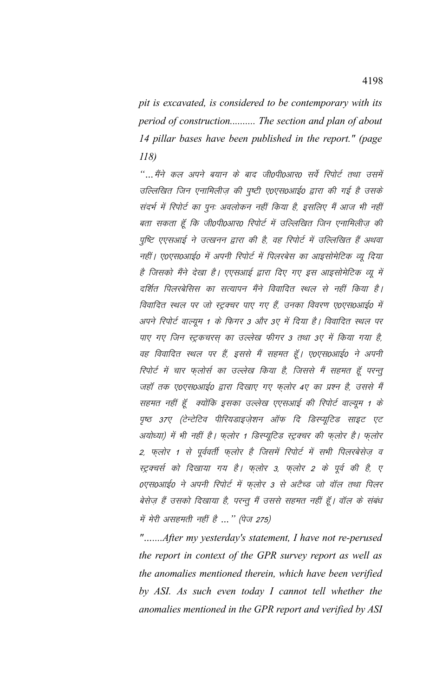*pit is excavated, is considered to be contemporary with its period of construction.......... The section and plan of about 14 pillar bases have been published in the report." (page 118)*

"… मैंने कल अपने बयान के बाद जी0पी0आर0 सर्वे रिपोर्ट तथा उसमें उल्लिखित जिन एनामिलीज़ की पृष्टी ए०एस०आई० द्वारा की गई है उसके संदर्भ में रिपोर्ट का पुनः अवलोकन नहीं किया है, इसलिए मैं आज भी नहीं बता सकता हूँ कि जी0पी0आर0 रिपोर्ट में उल्लिखित जिन एनामिलीज़ की पुष्टि एएसआई ने उत्खनन द्वारा की है, वह रिपोर्ट में उल्लिखित हैं अथवा नहीं। ए०एस०आई० में अपनी रिपोर्ट में पिलरबेस का आइसोमेटिक व्यू दिया है जिसको मैंने देखा है। एएसआई द्वारा दिए गए इस आइसोमेटिक व्यू में दर्शित पिलरबेसिस का सत्यापन मैंने विवादित स्थल से नहीं किया है। विवादित स्थल पर जो स्ट्रक्चर पाए गए हैं, उनका विवरण ए०एस०आई० में अपने रिपोर्ट वाल्यूम 1 के फिगर 3 और 3ए में दिया है। विवादित स्थल पर पाए गए जिन स्ट्रकचरस का उल्लेख फीगर 3 तथा 3ए में किया गया है, वह विवादित स्थल पर हैं, इससे मैं सहमत हूँ। ए०एस०आई० ने अपनी रिपोर्ट में चार फ़लोर्स का उल्लेख किया है, जिससे मैं सहमत हूँ परन्तू जहाँ तक ए०एस०आई० द्वारा दिखाए गए फलोर 4ए का प्रश्न है, उससे मैं सहमत नहीं हूँ क्योंकि इसका उल्लेख एएसआई की रिपोर्ट वाल्यूम 1 के पृष्ठ 37ए (टेन्टेटिव पीरियडाइज़ेशन ऑफ दि डिस्प्यूटिड साइट एट अयोध्या) में भी नहीं है। फ़लोर 1 डिस्प्यूटिड स्ट्रक्चर की फ़लोर है। फ़लोर 2, फ़लोर 1 से पूर्ववर्ती फ़लोर है जिसमें रिपोर्ट में सभी पिलरबेसेज़ व स्ट्रक्चर्स को दिखाया गय है। फ़लोर 3, फ़लोर 2 के पूर्व की है, ए 0एस0आई0 ने अपनी रिपोर्ट में फ़लोर 3 से अटैच्ड जो वॉल तथा पिलर बेसेज़ हैं उसको दिखाया है, परन्तु मैं उससे सहमत नहीं हूँ। वॉल के संबंध में मेरी असहमती नहीं है ... " (पेज 275)

*"…....After my yesterday's statement, I have not re-perused the report in context of the GPR survey report as well as the anomalies mentioned therein, which have been verified by ASI. As such even today I cannot tell whether the anomalies mentioned in the GPR report and verified by ASI*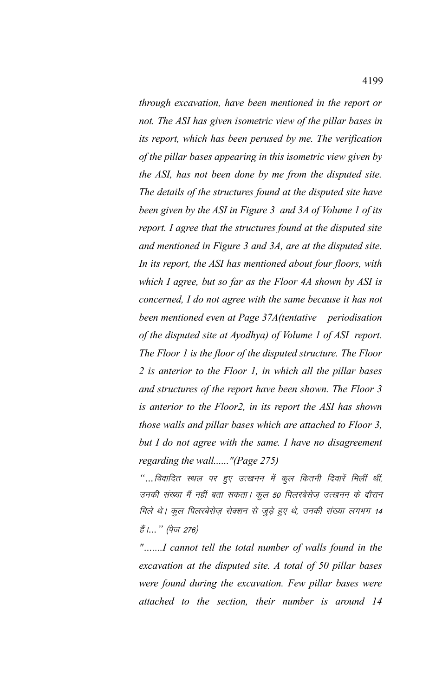*through excavation, have been mentioned in the report or not. The ASI has given isometric view of the pillar bases in its report, which has been perused by me. The verification of the pillar bases appearing in this isometric view given by the ASI, has not been done by me from the disputed site. The details of the structures found at the disputed site have been given by the ASI in Figure 3 and 3A of Volume 1 of its report. I agree that the structures found at the disputed site and mentioned in Figure 3 and 3A, are at the disputed site. In its report, the ASI has mentioned about four floors, with which I agree, but so far as the Floor 4A shown by ASI is concerned, I do not agree with the same because it has not been mentioned even at Page 37A(tentative periodisation of the disputed site at Ayodhya) of Volume 1 of ASI report. The Floor 1 is the floor of the disputed structure. The Floor 2 is anterior to the Floor 1, in which all the pillar bases and structures of the report have been shown. The Floor 3 is anterior to the Floor2, in its report the ASI has shown those walls and pillar bases which are attached to Floor 3, but I do not agree with the same. I have no disagreement regarding the wall......"(Page 275)*

"…*विवादित स्थल पर हुए उत्खनन में कुल कितनी दिवारें मिलीं थीं,* उनकी संख्या मैं नहीं बता सकता। कुल 50 पिलरबेसेज़ उत्खनन के दौरान मिले थे। कुल पिलरबेसेज़ सेक्शन से जुड़े हुए थे, उनकी संख्या लगभग 14 हैं।... " (पेज 276)

*"…....I cannot tell the total number of walls found in the excavation at the disputed site. A total of 50 pillar bases were found during the excavation. Few pillar bases were attached to the section, their number is around 14*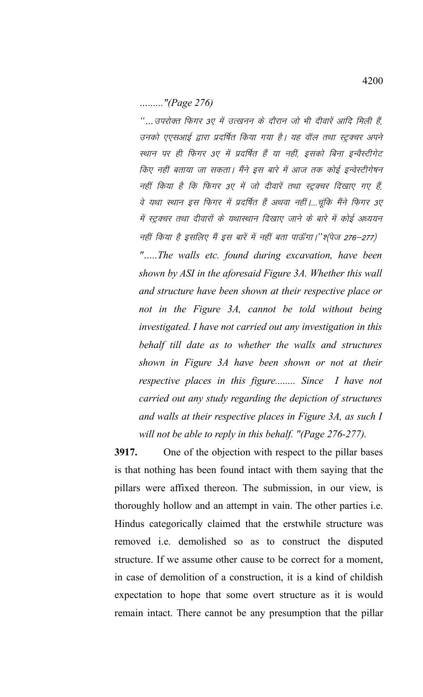*…......"(Page 276)*

"… उपरोक्त फिगर 3ए में उत्खनन के दौरान जो भी दीवारें आदि मिली हैं, उनको एएसआई द्वारा प्रदर्षित किया गया है। यह वॉल तथा स्ट्रक्चर अपने स्थान पर ही फिगर 3ए में प्रदर्षित हैं या नहीं, इसको बिना इन्वैस्टीगेट किए नहीं बताया जा सकता। मैंने इस बारे में आज तक कोई इन्वेस्टीगेषन नहीं किया है कि फिगर 3ए में जो दीवारें तथा स्ट्रक्चर दिखाए गए हैं, वे यथा स्थान इस फिगर में प्रदर्षित हैं अथवा नहीं।....चूंकि मैंने फिगर 3ए में स्ट्रक्चर तथा दीवारों के यथास्थान दिखाए जाने के बारे में कोई अध्ययन नहीं किया है इसलिए मैं इस बारें में नहीं बता पाऊँगा।''श्(पेज 276–277) *"…..The walls etc. found during excavation, have been shown by ASI in the aforesaid Figure 3A. Whether this wall and structure have been shown at their respective place or not in the Figure 3A, cannot be told without being investigated. I have not carried out any investigation in this behalf till date as to whether the walls and structures shown in Figure 3A have been shown or not at their respective places in this figure........ Since I have not carried out any study regarding the depiction of structures and walls at their respective places in Figure 3A, as such I will not be able to reply in this behalf. "(Page 276-277).*

**3917.** One of the objection with respect to the pillar bases is that nothing has been found intact with them saying that the pillars were affixed thereon. The submission, in our view, is thoroughly hollow and an attempt in vain. The other parties i.e. Hindus categorically claimed that the erstwhile structure was removed i.e. demolished so as to construct the disputed structure. If we assume other cause to be correct for a moment, in case of demolition of a construction, it is a kind of childish expectation to hope that some overt structure as it is would remain intact. There cannot be any presumption that the pillar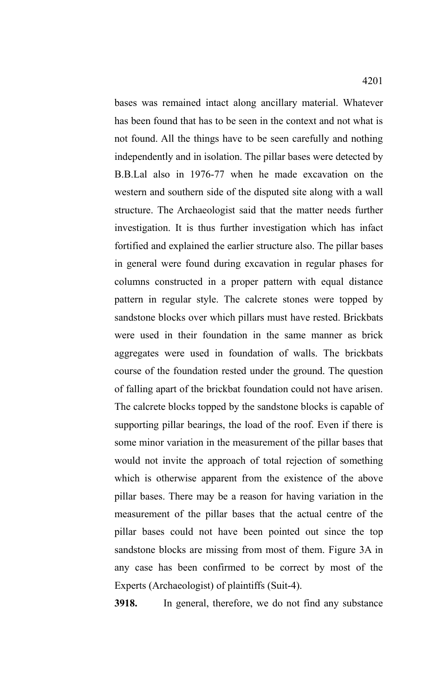bases was remained intact along ancillary material. Whatever has been found that has to be seen in the context and not what is not found. All the things have to be seen carefully and nothing independently and in isolation. The pillar bases were detected by B.B.Lal also in 1976-77 when he made excavation on the western and southern side of the disputed site along with a wall structure. The Archaeologist said that the matter needs further investigation. It is thus further investigation which has infact fortified and explained the earlier structure also. The pillar bases in general were found during excavation in regular phases for columns constructed in a proper pattern with equal distance pattern in regular style. The calcrete stones were topped by sandstone blocks over which pillars must have rested. Brickbats were used in their foundation in the same manner as brick aggregates were used in foundation of walls. The brickbats course of the foundation rested under the ground. The question of falling apart of the brickbat foundation could not have arisen. The calcrete blocks topped by the sandstone blocks is capable of supporting pillar bearings, the load of the roof. Even if there is some minor variation in the measurement of the pillar bases that would not invite the approach of total rejection of something which is otherwise apparent from the existence of the above pillar bases. There may be a reason for having variation in the measurement of the pillar bases that the actual centre of the pillar bases could not have been pointed out since the top sandstone blocks are missing from most of them. Figure 3A in any case has been confirmed to be correct by most of the Experts (Archaeologist) of plaintiffs (Suit-4).

**3918.** In general, therefore, we do not find any substance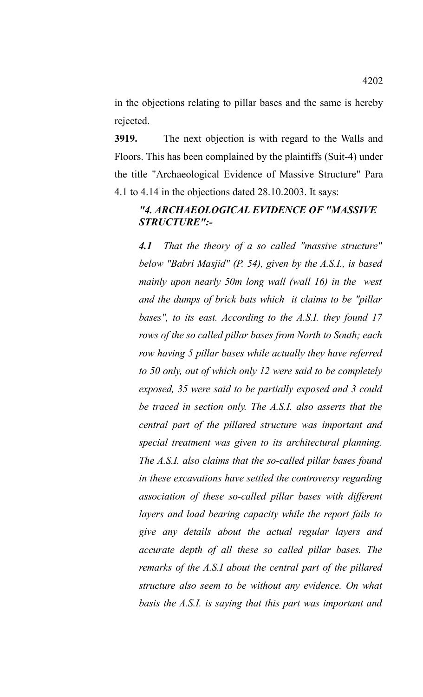in the objections relating to pillar bases and the same is hereby rejected.

**3919.** The next objection is with regard to the Walls and Floors. This has been complained by the plaintiffs (Suit-4) under the title "Archaeological Evidence of Massive Structure" Para 4.1 to 4.14 in the objections dated 28.10.2003. It says:

## *"4. ARCHAEOLOGICAL EVIDENCE OF "MASSIVE STRUCTURE":-*

*4.1 That the theory of a so called "massive structure" below "Babri Masjid" (P. 54), given by the A.S.I., is based mainly upon nearly 50m long wall (wall 16) in the west and the dumps of brick bats which it claims to be "pillar bases", to its east. According to the A.S.I. they found 17 rows of the so called pillar bases from North to South; each row having 5 pillar bases while actually they have referred to 50 only, out of which only 12 were said to be completely exposed, 35 were said to be partially exposed and 3 could be traced in section only. The A.S.I. also asserts that the central part of the pillared structure was important and special treatment was given to its architectural planning. The A.S.I. also claims that the so-called pillar bases found in these excavations have settled the controversy regarding association of these so-called pillar bases with different layers and load bearing capacity while the report fails to give any details about the actual regular layers and accurate depth of all these so called pillar bases. The remarks of the A.S.I about the central part of the pillared structure also seem to be without any evidence. On what basis the A.S.I. is saying that this part was important and*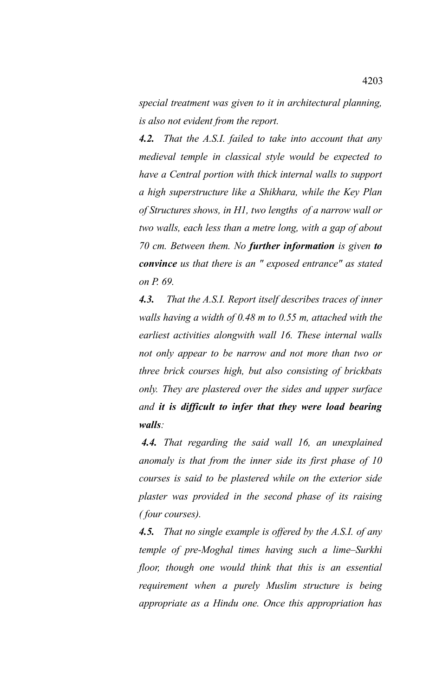*special treatment was given to it in architectural planning, is also not evident from the report.*

*4.2. That the A.S.I. failed to take into account that any medieval temple in classical style would be expected to have a Central portion with thick internal walls to support a high superstructure like a Shikhara, while the Key Plan of Structures shows, in H1, two lengths of a narrow wall or two walls, each less than a metre long, with a gap of about 70 cm. Between them. No further information is given to convince us that there is an " exposed entrance" as stated on P. 69.*

*4.3. That the A.S.I. Report itself describes traces of inner walls having a width of 0.48 m to 0.55 m, attached with the earliest activities alongwith wall 16. These internal walls not only appear to be narrow and not more than two or three brick courses high, but also consisting of brickbats only. They are plastered over the sides and upper surface and it is difficult to infer that they were load bearing walls:*

*4.4. That regarding the said wall 16, an unexplained anomaly is that from the inner side its first phase of 10 courses is said to be plastered while on the exterior side plaster was provided in the second phase of its raising ( four courses).*

*4.5. That no single example is offered by the A.S.I. of any temple of pre-Moghal times having such a lime–Surkhi floor, though one would think that this is an essential requirement when a purely Muslim structure is being appropriate as a Hindu one. Once this appropriation has*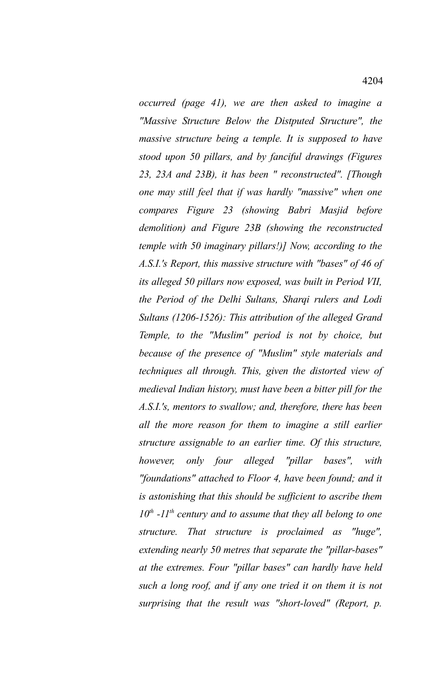*occurred (page 41), we are then asked to imagine a "Massive Structure Below the Distputed Structure", the massive structure being a temple. It is supposed to have stood upon 50 pillars, and by fanciful drawings (Figures 23, 23A and 23B), it has been " reconstructed". [Though one may still feel that if was hardly "massive" when one compares Figure 23 (showing Babri Masjid before demolition) and Figure 23B (showing the reconstructed temple with 50 imaginary pillars!)] Now, according to the A.S.I.'s Report, this massive structure with "bases" of 46 of its alleged 50 pillars now exposed, was built in Period VII, the Period of the Delhi Sultans, Sharqi rulers and Lodi Sultans (1206-1526): This attribution of the alleged Grand Temple, to the "Muslim" period is not by choice, but because of the presence of "Muslim" style materials and techniques all through. This, given the distorted view of medieval Indian history, must have been a bitter pill for the A.S.I.'s, mentors to swallow; and, therefore, there has been all the more reason for them to imagine a still earlier structure assignable to an earlier time. Of this structure, however, only four alleged "pillar bases", with "foundations" attached to Floor 4, have been found; and it is astonishing that this should be sufficient to ascribe them 10th -11th century and to assume that they all belong to one structure. That structure is proclaimed as "huge", extending nearly 50 metres that separate the "pillar-bases" at the extremes. Four "pillar bases" can hardly have held such a long roof, and if any one tried it on them it is not surprising that the result was "short-loved" (Report, p.*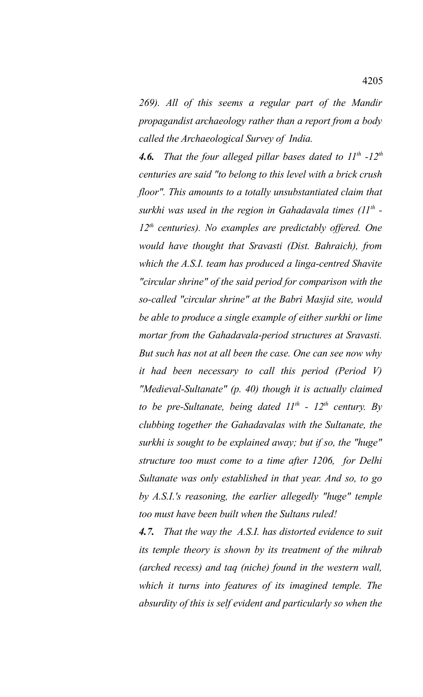*269). All of this seems a regular part of the Mandir propagandist archaeology rather than a report from a body called the Archaeological Survey of India.* 

*4.6. That the four alleged pillar bases dated to 11th -12th centuries are said "to belong to this level with a brick crush floor". This amounts to a totally unsubstantiated claim that surkhi was used in the region in Gahadavala times (11th - 12th centuries). No examples are predictably offered. One would have thought that Sravasti (Dist. Bahraich), from which the A.S.I. team has produced a linga-centred Shavite "circular shrine" of the said period for comparison with the so-called "circular shrine" at the Babri Masjid site, would be able to produce a single example of either surkhi or lime mortar from the Gahadavala-period structures at Sravasti. But such has not at all been the case. One can see now why it had been necessary to call this period (Period V) "Medieval-Sultanate" (p. 40) though it is actually claimed to be pre-Sultanate, being dated 11th - 12th century. By clubbing together the Gahadavalas with the Sultanate, the surkhi is sought to be explained away; but if so, the "huge" structure too must come to a time after 1206, for Delhi Sultanate was only established in that year. And so, to go by A.S.I.'s reasoning, the earlier allegedly "huge" temple too must have been built when the Sultans ruled!*

*4.7. That the way the A.S.I. has distorted evidence to suit its temple theory is shown by its treatment of the mihrab (arched recess) and taq (niche) found in the western wall, which it turns into features of its imagined temple. The absurdity of this is self evident and particularly so when the*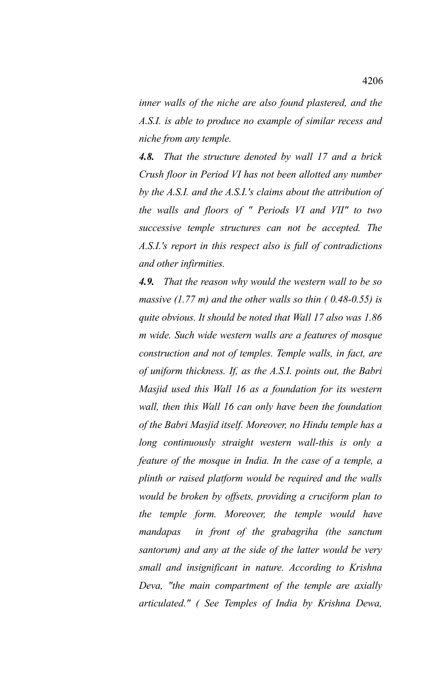*inner walls of the niche are also found plastered, and the A.S.I. is able to produce no example of similar recess and niche from any temple.* 

*4.8. That the structure denoted by wall 17 and a brick Crush floor in Period VI has not been allotted any number by the A.S.I. and the A.S.I.'s claims about the attribution of the walls and floors of " Periods VI and VII" to two successive temple structures can not be accepted. The A.S.I.'s report in this respect also is full of contradictions and other infirmities.* 

*4.9. That the reason why would the western wall to be so massive (1.77 m) and the other walls so thin ( 0.48-0.55) is quite obvious. It should be noted that Wall 17 also was 1.86 m wide. Such wide western walls are a features of mosque construction and not of temples. Temple walls, in fact, are of uniform thickness. If, as the A.S.I. points out, the Babri Masjid used this Wall 16 as a foundation for its western wall, then this Wall 16 can only have been the foundation of the Babri Masjid itself. Moreover, no Hindu temple has a long continuously straight western wall-this is only a feature of the mosque in India. In the case of a temple, a plinth or raised platform would be required and the walls would be broken by offsets, providing a cruciform plan to the temple form. Moreover, the temple would have mandapas in front of the grabagriha (the sanctum santorum) and any at the side of the latter would be very small and insignificant in nature. According to Krishna Deva, "the main compartment of the temple are axially articulated." ( See Temples of India by Krishna Dewa,*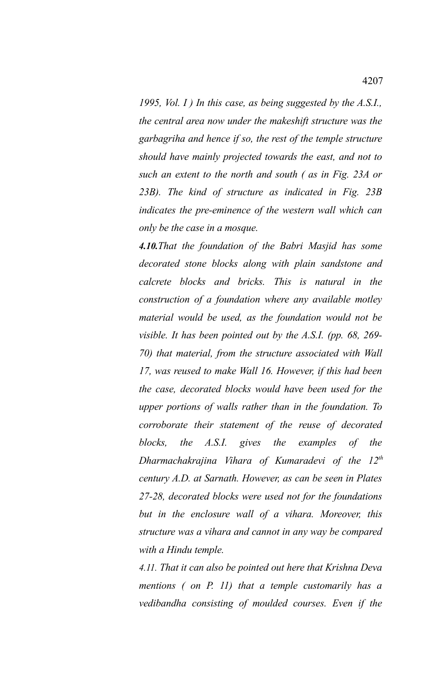*1995, Vol. I ) In this case, as being suggested by the A.S.I., the central area now under the makeshift structure was the garbagriha and hence if so, the rest of the temple structure should have mainly projected towards the east, and not to such an extent to the north and south ( as in Fig. 23A or 23B). The kind of structure as indicated in Fig. 23B indicates the pre-eminence of the western wall which can only be the case in a mosque.* 

*4.10.That the foundation of the Babri Masjid has some decorated stone blocks along with plain sandstone and calcrete blocks and bricks. This is natural in the construction of a foundation where any available motley material would be used, as the foundation would not be visible. It has been pointed out by the A.S.I. (pp. 68, 269- 70) that material, from the structure associated with Wall 17, was reused to make Wall 16. However, if this had been the case, decorated blocks would have been used for the upper portions of walls rather than in the foundation. To corroborate their statement of the reuse of decorated blocks, the A.S.I. gives the examples of the Dharmachakrajina Vihara of Kumaradevi of the 12th century A.D. at Sarnath. However, as can be seen in Plates 27-28, decorated blocks were used not for the foundations but in the enclosure wall of a vihara. Moreover, this structure was a vihara and cannot in any way be compared with a Hindu temple.*

*4.11. That it can also be pointed out here that Krishna Deva mentions ( on P. 11) that a temple customarily has a vedibandha consisting of moulded courses. Even if the*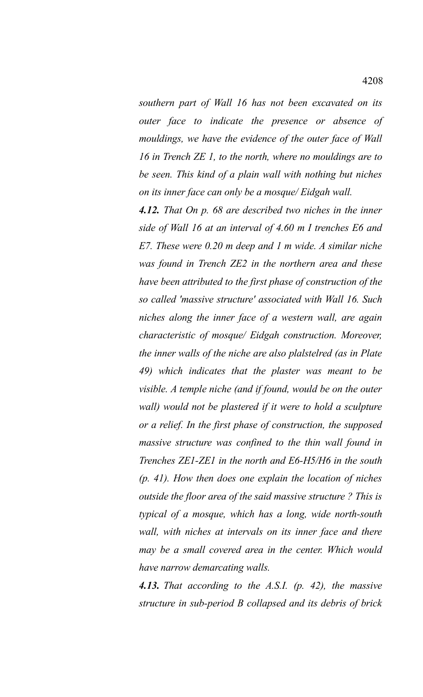*southern part of Wall 16 has not been excavated on its outer face to indicate the presence or absence of mouldings, we have the evidence of the outer face of Wall 16 in Trench ZE 1, to the north, where no mouldings are to be seen. This kind of a plain wall with nothing but niches on its inner face can only be a mosque/ Eidgah wall.* 

*4.12. That On p. 68 are described two niches in the inner side of Wall 16 at an interval of 4.60 m I trenches E6 and E7. These were 0.20 m deep and 1 m wide. A similar niche was found in Trench ZE2 in the northern area and these have been attributed to the first phase of construction of the so called 'massive structure' associated with Wall 16. Such niches along the inner face of a western wall, are again characteristic of mosque/ Eidgah construction. Moreover, the inner walls of the niche are also plalstelred (as in Plate 49) which indicates that the plaster was meant to be visible. A temple niche (and if found, would be on the outer wall) would not be plastered if it were to hold a sculpture or a relief. In the first phase of construction, the supposed massive structure was confined to the thin wall found in Trenches ZE1-ZE1 in the north and E6-H5/H6 in the south (p. 41). How then does one explain the location of niches outside the floor area of the said massive structure ? This is typical of a mosque, which has a long, wide north-south wall, with niches at intervals on its inner face and there may be a small covered area in the center. Which would have narrow demarcating walls.* 

*4.13. That according to the A.S.I. (p. 42), the massive structure in sub-period B collapsed and its debris of brick*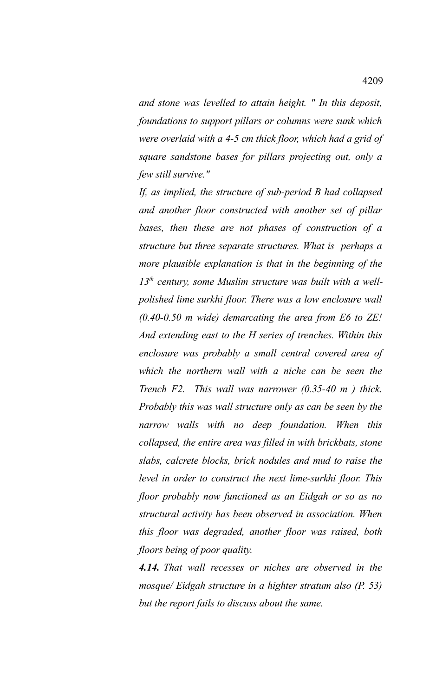*and stone was levelled to attain height. " In this deposit, foundations to support pillars or columns were sunk which were overlaid with a 4-5 cm thick floor, which had a grid of square sandstone bases for pillars projecting out, only a few still survive."*

*If, as implied, the structure of sub-period B had collapsed and another floor constructed with another set of pillar bases, then these are not phases of construction of a structure but three separate structures. What is perhaps a more plausible explanation is that in the beginning of the 13th century, some Muslim structure was built with a wellpolished lime surkhi floor. There was a low enclosure wall (0.40-0.50 m wide) demarcating the area from E6 to ZE! And extending east to the H series of trenches. Within this enclosure was probably a small central covered area of which the northern wall with a niche can be seen the Trench F2. This wall was narrower (0.35-40 m ) thick. Probably this was wall structure only as can be seen by the narrow walls with no deep foundation. When this collapsed, the entire area was filled in with brickbats, stone slabs, calcrete blocks, brick nodules and mud to raise the level in order to construct the next lime-surkhi floor. This floor probably now functioned as an Eidgah or so as no structural activity has been observed in association. When this floor was degraded, another floor was raised, both floors being of poor quality.* 

*4.14. That wall recesses or niches are observed in the mosque/ Eidgah structure in a highter stratum also (P. 53) but the report fails to discuss about the same.*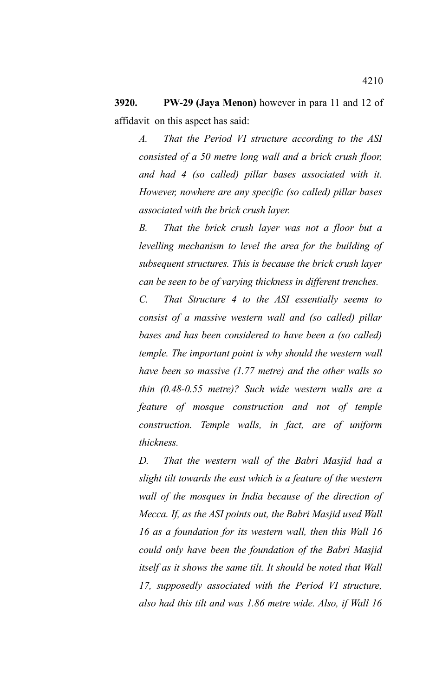**3920. PW-29 (Jaya Menon)** however in para 11 and 12 of affidavit on this aspect has said:

*A. That the Period VI structure according to the ASI consisted of a 50 metre long wall and a brick crush floor, and had 4 (so called) pillar bases associated with it. However, nowhere are any specific (so called) pillar bases associated with the brick crush layer.*

*B. That the brick crush layer was not a floor but a levelling mechanism to level the area for the building of subsequent structures. This is because the brick crush layer can be seen to be of varying thickness in different trenches.*

*C. That Structure 4 to the ASI essentially seems to consist of a massive western wall and (so called) pillar bases and has been considered to have been a (so called) temple. The important point is why should the western wall have been so massive (1.77 metre) and the other walls so thin (0.48-0.55 metre)? Such wide western walls are a feature of mosque construction and not of temple construction. Temple walls, in fact, are of uniform thickness.*

*D. That the western wall of the Babri Masjid had a slight tilt towards the east which is a feature of the western wall of the mosques in India because of the direction of Mecca. If, as the ASI points out, the Babri Masjid used Wall 16 as a foundation for its western wall, then this Wall 16 could only have been the foundation of the Babri Masjid itself as it shows the same tilt. It should be noted that Wall 17, supposedly associated with the Period VI structure, also had this tilt and was 1.86 metre wide. Also, if Wall 16*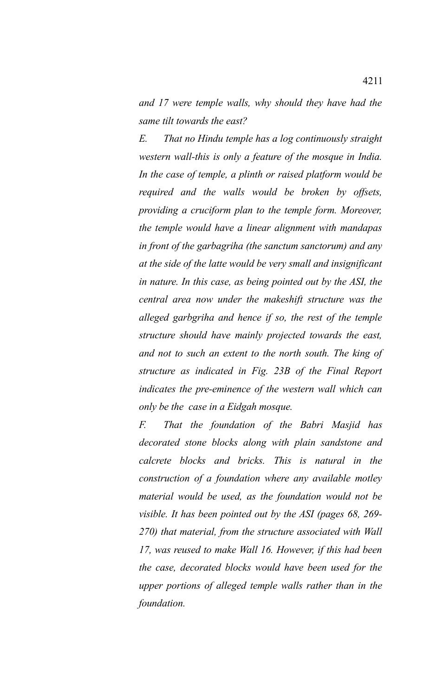*and 17 were temple walls, why should they have had the same tilt towards the east?*

*E. That no Hindu temple has a log continuously straight western wall-this is only a feature of the mosque in India. In the case of temple, a plinth or raised platform would be required and the walls would be broken by offsets, providing a cruciform plan to the temple form. Moreover, the temple would have a linear alignment with mandapas in front of the garbagriha (the sanctum sanctorum) and any at the side of the latte would be very small and insignificant in nature. In this case, as being pointed out by the ASI, the central area now under the makeshift structure was the alleged garbgriha and hence if so, the rest of the temple structure should have mainly projected towards the east, and not to such an extent to the north south. The king of structure as indicated in Fig. 23B of the Final Report indicates the pre-eminence of the western wall which can only be the case in a Eidgah mosque.*

*F. That the foundation of the Babri Masjid has decorated stone blocks along with plain sandstone and calcrete blocks and bricks. This is natural in the construction of a foundation where any available motley material would be used, as the foundation would not be visible. It has been pointed out by the ASI (pages 68, 269- 270) that material, from the structure associated with Wall 17, was reused to make Wall 16. However, if this had been the case, decorated blocks would have been used for the upper portions of alleged temple walls rather than in the foundation.*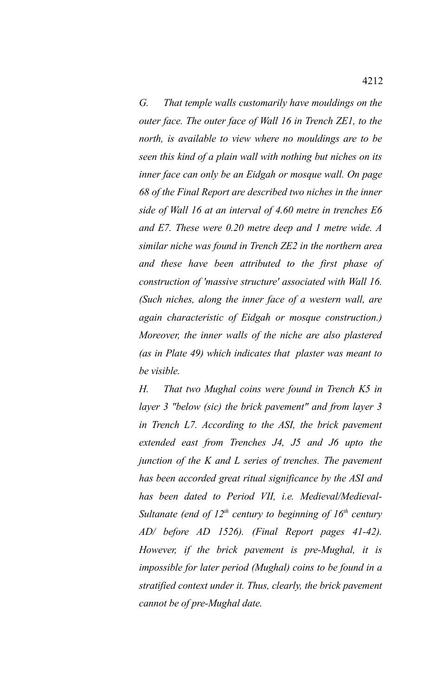*G. That temple walls customarily have mouldings on the outer face. The outer face of Wall 16 in Trench ZE1, to the north, is available to view where no mouldings are to be seen this kind of a plain wall with nothing but niches on its inner face can only be an Eidgah or mosque wall. On page 68 of the Final Report are described two niches in the inner side of Wall 16 at an interval of 4.60 metre in trenches E6 and E7. These were 0.20 metre deep and 1 metre wide. A similar niche was found in Trench ZE2 in the northern area and these have been attributed to the first phase of construction of 'massive structure' associated with Wall 16. (Such niches, along the inner face of a western wall, are again characteristic of Eidgah or mosque construction.) Moreover, the inner walls of the niche are also plastered (as in Plate 49) which indicates that plaster was meant to be visible.*

*H. That two Mughal coins were found in Trench K5 in layer 3 "below (sic) the brick pavement" and from layer 3 in Trench L7. According to the ASI, the brick pavement extended east from Trenches J4, J5 and J6 upto the junction of the K and L series of trenches. The pavement has been accorded great ritual significance by the ASI and has been dated to Period VII, i.e. Medieval/Medieval-Sultanate (end of 12th century to beginning of 16th century AD/ before AD 1526). (Final Report pages 41-42). However, if the brick pavement is pre-Mughal, it is impossible for later period (Mughal) coins to be found in a stratified context under it. Thus, clearly, the brick pavement cannot be of pre-Mughal date.*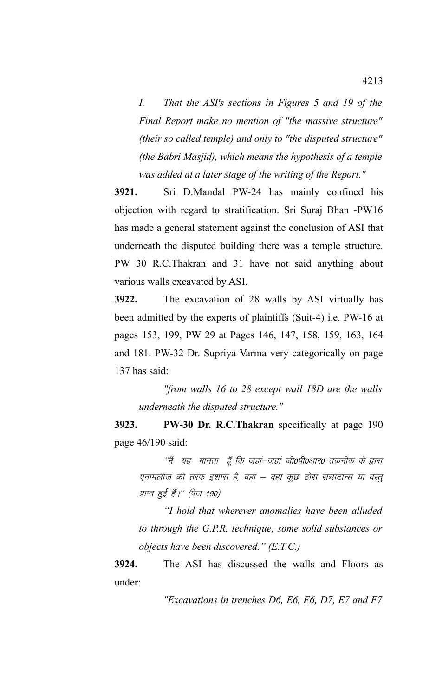*I. That the ASI's sections in Figures 5 and 19 of the Final Report make no mention of "the massive structure" (their so called temple) and only to "the disputed structure" (the Babri Masjid), which means the hypothesis of a temple was added at a later stage of the writing of the Report."*

**3921.** Sri D.Mandal PW-24 has mainly confined his objection with regard to stratification. Sri Suraj Bhan -PW16 has made a general statement against the conclusion of ASI that underneath the disputed building there was a temple structure. PW 30 R.C.Thakran and 31 have not said anything about various walls excavated by ASI.

**3922.** The excavation of 28 walls by ASI virtually has been admitted by the experts of plaintiffs (Suit-4) i.e. PW-16 at pages 153, 199, PW 29 at Pages 146, 147, 158, 159, 163, 164 and 181. PW-32 Dr. Supriya Varma very categorically on page 137 has said:

*"from walls 16 to 28 except wall 18D are the walls underneath the disputed structure."*

**3923. PW-30 Dr. R.C.Thakran** specifically at page 190 page 46/190 said:

''मैं यह मानता हूँ कि जहां–जहां जी0पी0आर0 तकनीक के द्वारा एनामलीज की तरफ इशारा है, वहां – वहां कुछ ठोस सब्सटान्स या वस्तु प्राप्त हुई हैं।'' (पेज 190)

*"I hold that wherever anomalies have been alluded to through the G.P.R. technique, some solid substances or objects have been discovered." (E.T.C.)*

**3924.** The ASI has discussed the walls and Floors as under:

*"Excavations in trenches D6, E6, F6, D7, E7 and F7*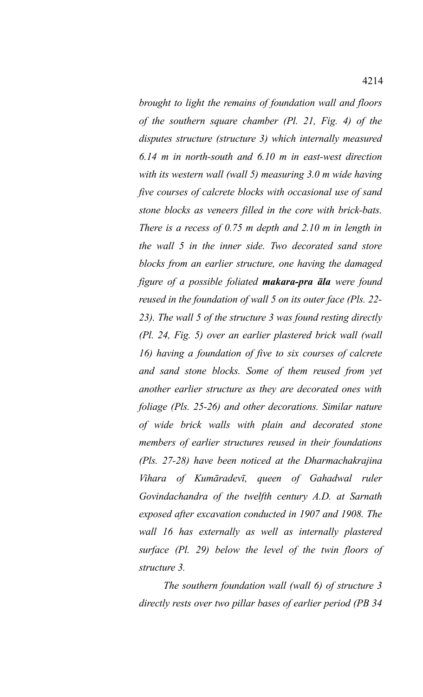*brought to light the remains of foundation wall and floors of the southern square chamber (Pl. 21, Fig. 4) of the disputes structure (structure 3) which internally measured 6.14 m in north-south and 6.10 m in east-west direction with its western wall (wall 5) measuring 3.0 m wide having five courses of calcrete blocks with occasional use of sand stone blocks as veneers filled in the core with brick-bats. There is a recess of 0.75 m depth and 2.10 m in length in the wall 5 in the inner side. Two decorated sand store blocks from an earlier structure, one having the damaged figure of a possible foliated makara-pra āla were found reused in the foundation of wall 5 on its outer face (Pls. 22- 23). The wall 5 of the structure 3 was found resting directly (Pl. 24, Fig. 5) over an earlier plastered brick wall (wall 16) having a foundation of five to six courses of calcrete and sand stone blocks. Some of them reused from yet another earlier structure as they are decorated ones with foliage (Pls. 25-26) and other decorations. Similar nature of wide brick walls with plain and decorated stone members of earlier structures reused in their foundations (Pls. 27-28) have been noticed at the Dharmachakrajina Vihara of Kumāradevī, queen of Gahadwal ruler Govindachandra of the twelfth century A.D. at Sarnath exposed after excavation conducted in 1907 and 1908. The wall 16 has externally as well as internally plastered surface (Pl. 29) below the level of the twin floors of structure 3.* 

*The southern foundation wall (wall 6) of structure 3 directly rests over two pillar bases of earlier period (PB 34*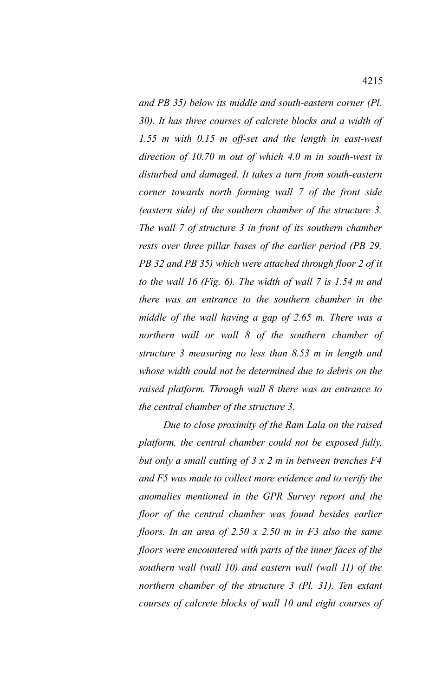*and PB 35) below its middle and south-eastern corner (Pl. 30). It has three courses of calcrete blocks and a width of 1.55 m with 0.15 m off-set and the length in east-west direction of 10.70 m out of which 4.0 m in south-west is*

*disturbed and damaged. It takes a turn from south-eastern corner towards north forming wall 7 of the front side (eastern side) of the southern chamber of the structure 3. The wall 7 of structure 3 in front of its southern chamber rests over three pillar bases of the earlier period (PB 29, PB 32 and PB 35) which were attached through floor 2 of it to the wall 16 (Fig. 6). The width of wall 7 is 1.54 m and there was an entrance to the southern chamber in the middle of the wall having a gap of 2.65 m. There was a northern wall or wall 8 of the southern chamber of structure 3 measuring no less than 8.53 m in length and whose width could not be determined due to debris on the raised platform. Through wall 8 there was an entrance to the central chamber of the structure 3.* 

*Due to close proximity of the Ram Lala on the raised platform, the central chamber could not be exposed fully, but only a small cutting of 3 x 2 m in between trenches F4 and F5 was made to collect more evidence and to verify the anomalies mentioned in the GPR Survey report and the floor of the central chamber was found besides earlier floors. In an area of 2.50 x 2.50 m in F3 also the same floors were encountered with parts of the inner faces of the southern wall (wall 10) and eastern wall (wall 11) of the northern chamber of the structure 3 (Pl. 31). Ten extant courses of calcrete blocks of wall 10 and eight courses of*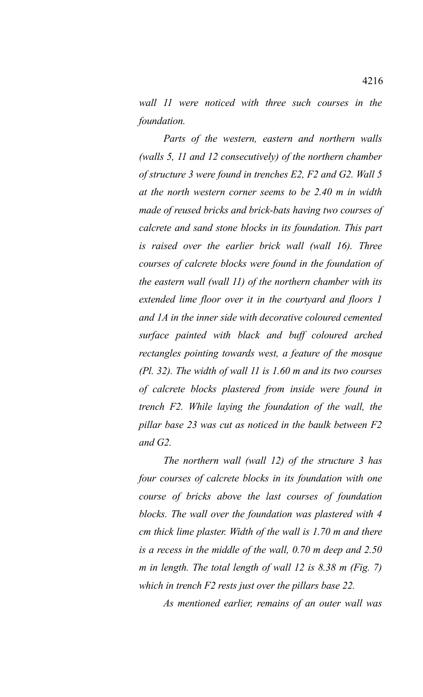*wall 11 were noticed with three such courses in the foundation.* 

*Parts of the western, eastern and northern walls (walls 5, 11 and 12 consecutively) of the northern chamber of structure 3 were found in trenches E2, F2 and G2. Wall 5 at the north western corner seems to be 2.40 m in width made of reused bricks and brick-bats having two courses of calcrete and sand stone blocks in its foundation. This part is raised over the earlier brick wall (wall 16). Three courses of calcrete blocks were found in the foundation of the eastern wall (wall 11) of the northern chamber with its extended lime floor over it in the courtyard and floors 1 and 1A in the inner side with decorative coloured cemented surface painted with black and buff coloured arched rectangles pointing towards west, a feature of the mosque (Pl. 32). The width of wall 11 is 1.60 m and its two courses of calcrete blocks plastered from inside were found in trench F2. While laying the foundation of the wall, the pillar base 23 was cut as noticed in the baulk between F2 and G2.* 

*The northern wall (wall 12) of the structure 3 has four courses of calcrete blocks in its foundation with one course of bricks above the last courses of foundation blocks. The wall over the foundation was plastered with 4 cm thick lime plaster. Width of the wall is 1.70 m and there is a recess in the middle of the wall, 0.70 m deep and 2.50 m in length. The total length of wall 12 is 8.38 m (Fig. 7) which in trench F2 rests just over the pillars base 22.*

*As mentioned earlier, remains of an outer wall was*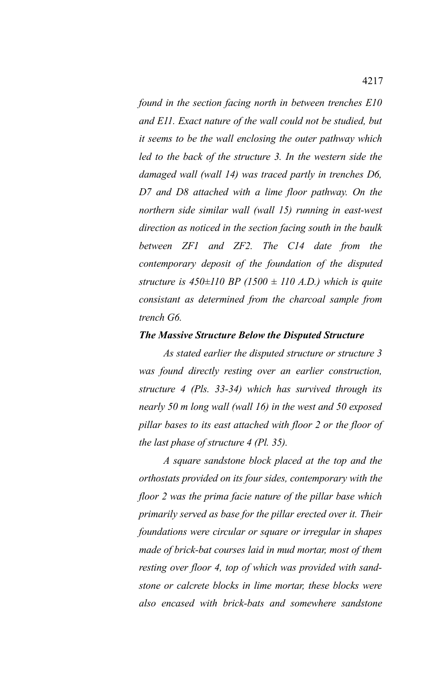*found in the section facing north in between trenches E10 and E11. Exact nature of the wall could not be studied, but it seems to be the wall enclosing the outer pathway which led to the back of the structure 3. In the western side the damaged wall (wall 14) was traced partly in trenches D6, D7 and D8 attached with a lime floor pathway. On the northern side similar wall (wall 15) running in east-west direction as noticed in the section facing south in the baulk between ZF1 and ZF2. The C14 date from the contemporary deposit of the foundation of the disputed structure is 450±110 BP (1500 ± 110 A.D.) which is quite consistant as determined from the charcoal sample from trench G6.* 

## *The Massive Structure Below the Disputed Structure*

*As stated earlier the disputed structure or structure 3 was found directly resting over an earlier construction, structure 4 (Pls. 33-34) which has survived through its nearly 50 m long wall (wall 16) in the west and 50 exposed pillar bases to its east attached with floor 2 or the floor of the last phase of structure 4 (Pl. 35).* 

*A square sandstone block placed at the top and the orthostats provided on its four sides, contemporary with the floor 2 was the prima facie nature of the pillar base which primarily served as base for the pillar erected over it. Their foundations were circular or square or irregular in shapes made of brick-bat courses laid in mud mortar, most of them resting over floor 4, top of which was provided with sandstone or calcrete blocks in lime mortar, these blocks were also encased with brick-bats and somewhere sandstone*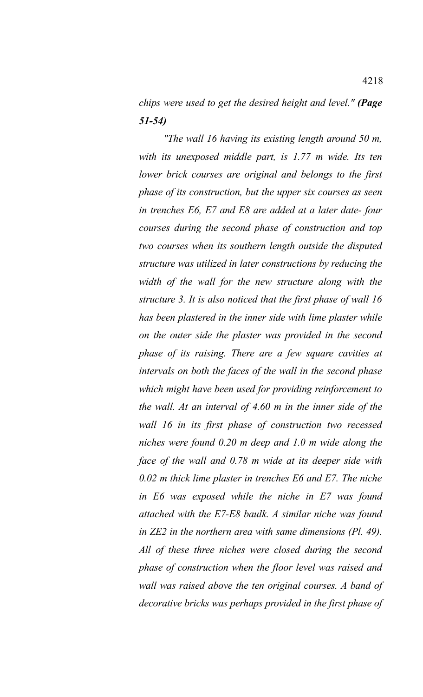*chips were used to get the desired height and level." (Page 51-54)*

*"The wall 16 having its existing length around 50 m, with its unexposed middle part, is 1.77 m wide. Its ten lower brick courses are original and belongs to the first phase of its construction, but the upper six courses as seen in trenches E6, E7 and E8 are added at a later date- four courses during the second phase of construction and top two courses when its southern length outside the disputed structure was utilized in later constructions by reducing the width of the wall for the new structure along with the structure 3. It is also noticed that the first phase of wall 16 has been plastered in the inner side with lime plaster while on the outer side the plaster was provided in the second phase of its raising. There are a few square cavities at intervals on both the faces of the wall in the second phase which might have been used for providing reinforcement to the wall. At an interval of 4.60 m in the inner side of the wall 16 in its first phase of construction two recessed niches were found 0.20 m deep and 1.0 m wide along the face of the wall and 0.78 m wide at its deeper side with 0.02 m thick lime plaster in trenches E6 and E7. The niche in E6 was exposed while the niche in E7 was found attached with the E7-E8 baulk. A similar niche was found in ZE2 in the northern area with same dimensions (Pl. 49). All of these three niches were closed during the second phase of construction when the floor level was raised and wall was raised above the ten original courses. A band of decorative bricks was perhaps provided in the first phase of*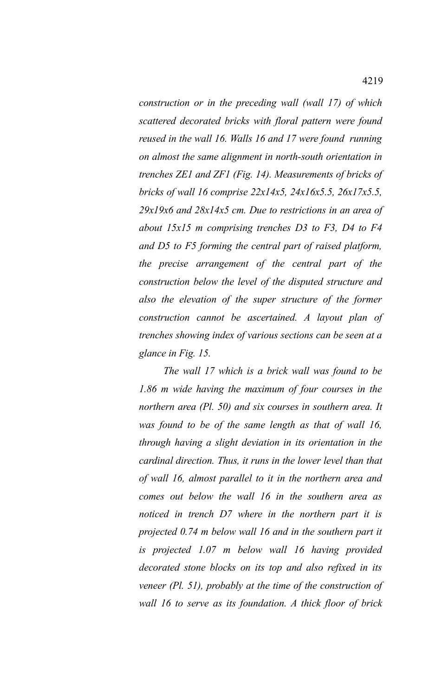*construction or in the preceding wall (wall 17) of which scattered decorated bricks with floral pattern were found reused in the wall 16. Walls 16 and 17 were found running on almost the same alignment in north-south orientation in trenches ZE1 and ZF1 (Fig. 14). Measurements of bricks of bricks of wall 16 comprise 22x14x5, 24x16x5.5, 26x17x5.5, 29x19x6 and 28x14x5 cm. Due to restrictions in an area of about 15x15 m comprising trenches D3 to F3, D4 to F4 and D5 to F5 forming the central part of raised platform, the precise arrangement of the central part of the construction below the level of the disputed structure and also the elevation of the super structure of the former construction cannot be ascertained. A layout plan of trenches showing index of various sections can be seen at a glance in Fig. 15.*

*The wall 17 which is a brick wall was found to be 1.86 m wide having the maximum of four courses in the northern area (Pl. 50) and six courses in southern area. It was found to be of the same length as that of wall 16, through having a slight deviation in its orientation in the cardinal direction. Thus, it runs in the lower level than that of wall 16, almost parallel to it in the northern area and comes out below the wall 16 in the southern area as noticed in trench D7 where in the northern part it is projected 0.74 m below wall 16 and in the southern part it is projected 1.07 m below wall 16 having provided decorated stone blocks on its top and also refixed in its veneer (Pl. 51), probably at the time of the construction of wall 16 to serve as its foundation. A thick floor of brick*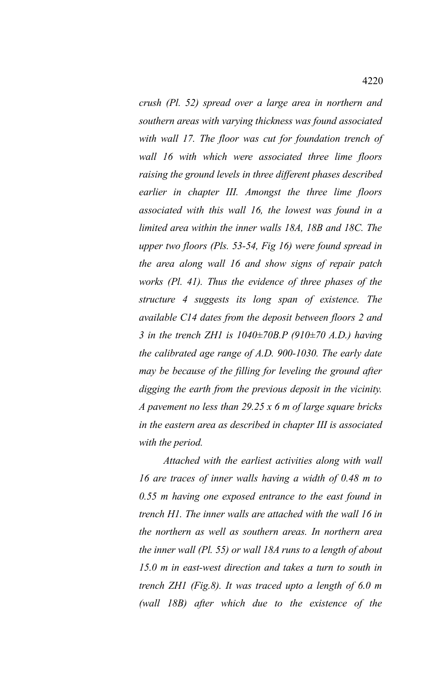*crush (Pl. 52) spread over a large area in northern and southern areas with varying thickness was found associated with wall 17. The floor was cut for foundation trench of wall 16 with which were associated three lime floors raising the ground levels in three different phases described earlier in chapter III. Amongst the three lime floors associated with this wall 16, the lowest was found in a limited area within the inner walls 18A, 18B and 18C. The upper two floors (Pls. 53-54, Fig 16) were found spread in the area along wall 16 and show signs of repair patch works (Pl. 41). Thus the evidence of three phases of the structure 4 suggests its long span of existence. The available C14 dates from the deposit between floors 2 and 3 in the trench ZH1 is 1040±70B.P (910±70 A.D.) having the calibrated age range of A.D. 900-1030. The early date may be because of the filling for leveling the ground after digging the earth from the previous deposit in the vicinity. A pavement no less than 29.25 x 6 m of large square bricks in the eastern area as described in chapter III is associated with the period.*

*Attached with the earliest activities along with wall 16 are traces of inner walls having a width of 0.48 m to 0.55 m having one exposed entrance to the east found in trench H1. The inner walls are attached with the wall 16 in the northern as well as southern areas. In northern area the inner wall (Pl. 55) or wall 18A runs to a length of about 15.0 m in east-west direction and takes a turn to south in trench ZH1 (Fig.8). It was traced upto a length of 6.0 m (wall 18B) after which due to the existence of the*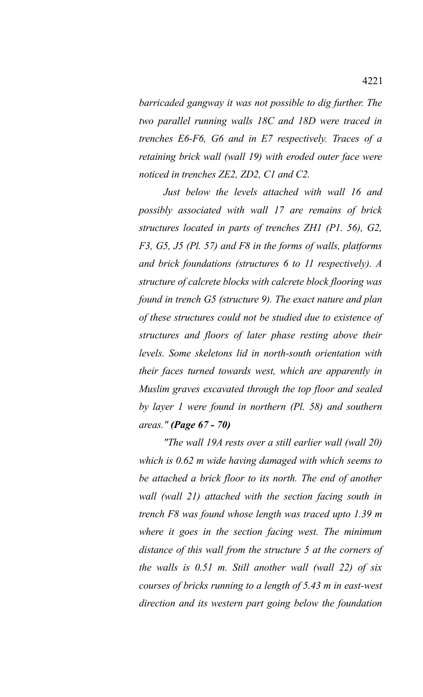*barricaded gangway it was not possible to dig further. The two parallel running walls 18C and 18D were traced in trenches E6-F6, G6 and in E7 respectively. Traces of a retaining brick wall (wall 19) with eroded outer face were noticed in trenches ZE2, ZD2, C1 and C2.*

*Just below the levels attached with wall 16 and possibly associated with wall 17 are remains of brick structures located in parts of trenches ZH1 (P1. 56), G2, F3, G5, J5 (Pl. 57) and F8 in the forms of walls, platforms and brick foundations (structures 6 to 11 respectively). A structure of calcrete blocks with calcrete block flooring was found in trench G5 (structure 9). The exact nature and plan of these structures could not be studied due to existence of structures and floors of later phase resting above their levels. Some skeletons lid in north-south orientation with their faces turned towards west, which are apparently in Muslim graves excavated through the top floor and sealed by layer 1 were found in northern (Pl. 58) and southern areas." (Page 67 - 70)*

*"The wall 19A rests over a still earlier wall (wall 20) which is 0.62 m wide having damaged with which seems to be attached a brick floor to its north. The end of another wall (wall 21) attached with the section facing south in trench F8 was found whose length was traced upto 1.39 m where it goes in the section facing west. The minimum distance of this wall from the structure 5 at the corners of the walls is 0.51 m. Still another wall (wall 22) of six courses of bricks running to a length of 5.43 m in east-west direction and its western part going below the foundation*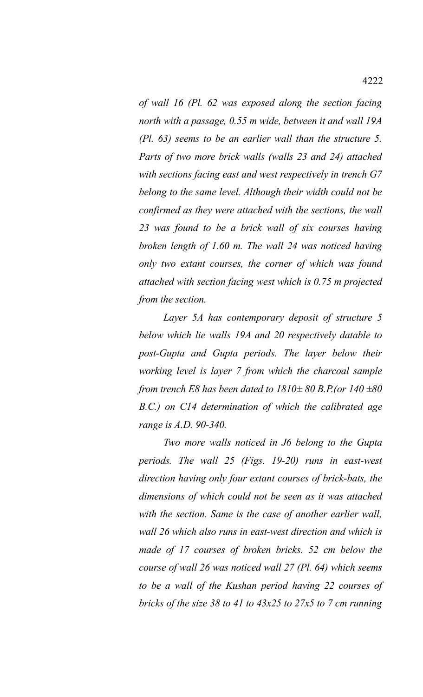*of wall 16 (Pl. 62 was exposed along the section facing north with a passage, 0.55 m wide, between it and wall 19A (Pl. 63) seems to be an earlier wall than the structure 5. Parts of two more brick walls (walls 23 and 24) attached with sections facing east and west respectively in trench G7 belong to the same level. Although their width could not be confirmed as they were attached with the sections, the wall 23 was found to be a brick wall of six courses having broken length of 1.60 m. The wall 24 was noticed having only two extant courses, the corner of which was found attached with section facing west which is 0.75 m projected from the section.*

*Layer 5A has contemporary deposit of structure 5 below which lie walls 19A and 20 respectively datable to post-Gupta and Gupta periods. The layer below their working level is layer 7 from which the charcoal sample from trench E8 has been dated to 1810± 80 B.P.(or 140 ±80 B.C.) on C14 determination of which the calibrated age range is A.D. 90-340.*

*Two more walls noticed in J6 belong to the Gupta periods. The wall 25 (Figs. 19-20) runs in east-west direction having only four extant courses of brick-bats, the dimensions of which could not be seen as it was attached with the section. Same is the case of another earlier wall, wall 26 which also runs in east-west direction and which is made of 17 courses of broken bricks. 52 cm below the course of wall 26 was noticed wall 27 (Pl. 64) which seems to be a wall of the Kushan period having 22 courses of bricks of the size 38 to 41 to 43x25 to 27x5 to 7 cm running*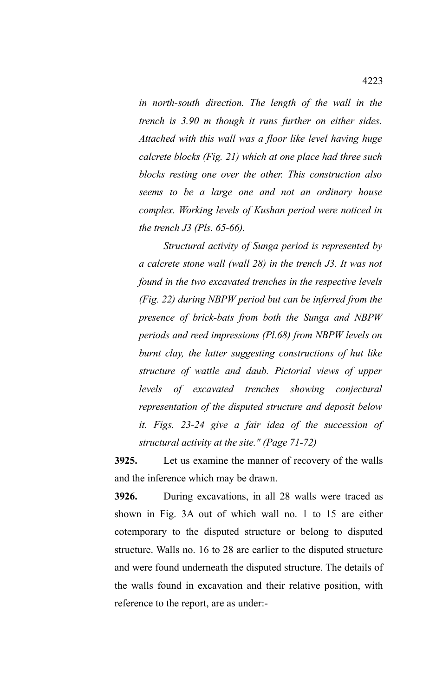*in north-south direction. The length of the wall in the trench is 3.90 m though it runs further on either sides. Attached with this wall was a floor like level having huge calcrete blocks (Fig. 21) which at one place had three such blocks resting one over the other. This construction also seems to be a large one and not an ordinary house complex. Working levels of Kushan period were noticed in the trench J3 (Pls. 65-66).*

*Structural activity of Sunga period is represented by a calcrete stone wall (wall 28) in the trench J3. It was not found in the two excavated trenches in the respective levels (Fig. 22) during NBPW period but can be inferred from the presence of brick-bats from both the Sunga and NBPW periods and reed impressions (Pl.68) from NBPW levels on burnt clay, the latter suggesting constructions of hut like structure of wattle and daub. Pictorial views of upper levels of excavated trenches showing conjectural representation of the disputed structure and deposit below it. Figs. 23-24 give a fair idea of the succession of structural activity at the site." (Page 71-72)*

**3925.** Let us examine the manner of recovery of the walls and the inference which may be drawn.

**3926.** During excavations, in all 28 walls were traced as shown in Fig. 3A out of which wall no. 1 to 15 are either cotemporary to the disputed structure or belong to disputed structure. Walls no. 16 to 28 are earlier to the disputed structure and were found underneath the disputed structure. The details of the walls found in excavation and their relative position, with reference to the report, are as under:-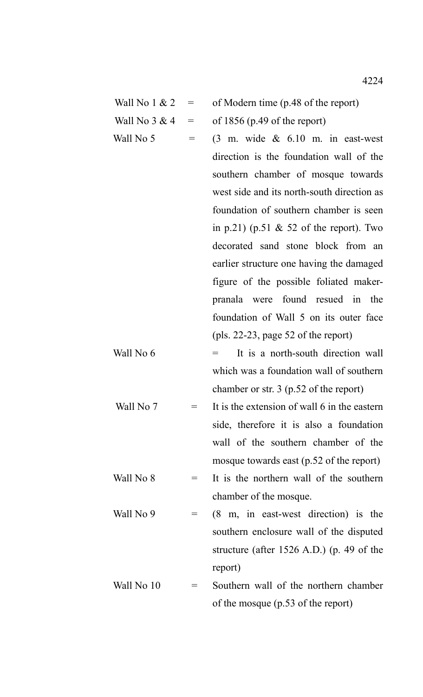| Wall No 1 & 2 | of Modern time (p.48 of the report) |
|---------------|-------------------------------------|
|               |                                     |

- Wall No  $3 \& 4 = \text{of } 1856 \text{ (p.49 of the report)}$
- 
- Wall No 5 =  $(3 \text{ m. wide } \& 6.10 \text{ m. in east-west})$ direction is the foundation wall of the southern chamber of mosque towards west side and its north-south direction as foundation of southern chamber is seen in p.21) (p.51  $&$  52 of the report). Two decorated sand stone block from an earlier structure one having the damaged figure of the possible foliated makerpranala were found resued in the foundation of Wall 5 on its outer face (pls. 22-23, page 52 of the report)
- Wall No  $6 =$  It is a north-south direction wall which was a foundation wall of southern chamber or str. 3 (p.52 of the report)
- Wall No 7  $=$  It is the extension of wall 6 in the eastern side, therefore it is also a foundation wall of the southern chamber of the mosque towards east (p.52 of the report) Wall No  $8 =$  It is the northern wall of the southern chamber of the mosque.
- Wall No 9  $=$  (8 m, in east-west direction) is the southern enclosure wall of the disputed structure (after 1526 A.D.) (p. 49 of the report)
- Wall No  $10 =$  Southern wall of the northern chamber of the mosque (p.53 of the report)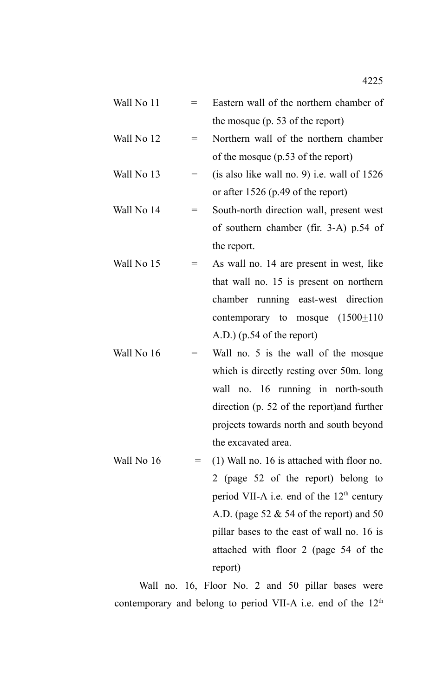- Wall No  $11$  = Eastern wall of the northern chamber of the mosque (p. 53 of the report)
- Wall No  $12$  = Northern wall of the northern chamber of the mosque (p.53 of the report)
- Wall No 13  $=$  (is also like wall no. 9) i.e. wall of 1526 or after 1526 (p.49 of the report)
- Wall No  $14$  = South-north direction wall, present west of southern chamber (fir. 3-A) p.54 of the report.
- Wall No  $15$  = As wall no. 14 are present in west, like that wall no. 15 is present on northern chamber running east-west direction contemporary to mosque  $(1500 \pm 110)$ A.D.) (p.54 of the report)
- Wall No  $16$  = Wall no. 5 is the wall of the mosque which is directly resting over 50m. long wall no. 16 running in north-south direction (p. 52 of the report)and further projects towards north and south beyond the excavated area.
- Wall No  $16 = (1)$  Wall no. 16 is attached with floor no. 2 (page 52 of the report) belong to period VII-A i.e. end of the  $12<sup>th</sup>$  century A.D. (page  $52 \& 54$  of the report) and  $50$ pillar bases to the east of wall no. 16 is attached with floor 2 (page 54 of the report)

Wall no. 16, Floor No. 2 and 50 pillar bases were contemporary and belong to period VII-A i.e. end of the  $12<sup>th</sup>$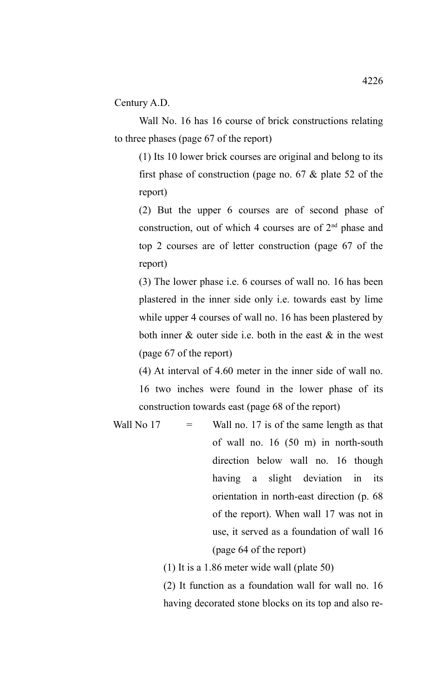Century A.D.

Wall No. 16 has 16 course of brick constructions relating to three phases (page 67 of the report)

(1) Its 10 lower brick courses are original and belong to its first phase of construction (page no. 67 & plate 52 of the report)

(2) But the upper 6 courses are of second phase of construction, out of which 4 courses are of  $2<sup>nd</sup>$  phase and top 2 courses are of letter construction (page 67 of the report)

(3) The lower phase i.e. 6 courses of wall no. 16 has been plastered in the inner side only i.e. towards east by lime while upper 4 courses of wall no. 16 has been plastered by both inner  $\&$  outer side i.e. both in the east  $\&$  in the west (page 67 of the report)

(4) At interval of 4.60 meter in the inner side of wall no. 16 two inches were found in the lower phase of its construction towards east (page 68 of the report)

Wall No  $17 =$  Wall no. 17 is of the same length as that of wall no. 16 (50 m) in north-south direction below wall no. 16 though having a slight deviation in its orientation in north-east direction (p. 68 of the report). When wall 17 was not in use, it served as a foundation of wall 16 (page 64 of the report)

(1) It is a 1.86 meter wide wall (plate 50)

(2) It function as a foundation wall for wall no. 16 having decorated stone blocks on its top and also re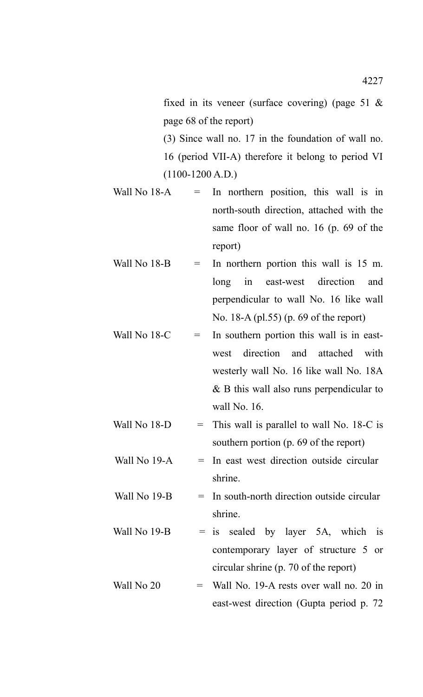fixed in its veneer (surface covering) (page 51  $\&$ page 68 of the report)

(3) Since wall no. 17 in the foundation of wall no. 16 (period VII-A) therefore it belong to period VI  $(1100-1200$  A.D.)

- Wall No  $18-A$  = In northern position, this wall is in north-south direction, attached with the same floor of wall no. 16 (p. 69 of the report)
- Wall No  $18-B$  = In northern portion this wall is  $15 \text{ m}$ . long in east-west direction and perpendicular to wall No. 16 like wall No. 18-A (pl.55) (p. 69 of the report)
- Wall No  $18-C$  = In southern portion this wall is in eastwest direction and attached with westerly wall No. 16 like wall No. 18A & B this wall also runs perpendicular to wall No. 16.
- Wall No  $18-D =$  This wall is parallel to wall No.  $18-C$  is southern portion (p. 69 of the report)
- Wall No  $19-A$  = In east west direction outside circular shrine.
- Wall No  $19-B$  = In south-north direction outside circular shrine.
- Wall No 19-B  $=$  is sealed by layer 5A, which is contemporary layer of structure 5 or circular shrine (p. 70 of the report)
- Wall No  $20 =$  Wall No. 19-A rests over wall no. 20 in east-west direction (Gupta period p. 72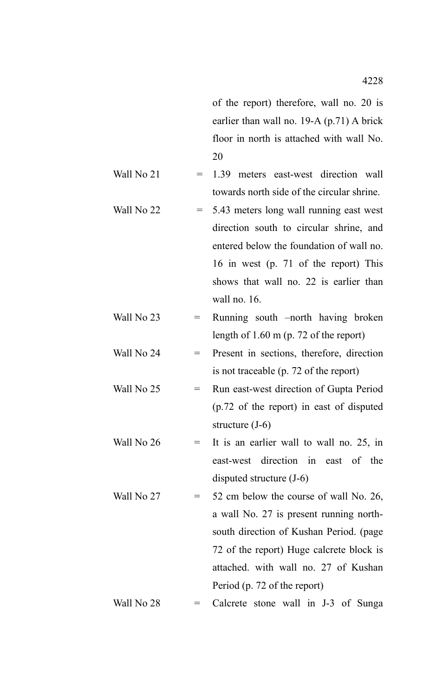of the report) therefore, wall no. 20 is earlier than wall no. 19-A (p.71) A brick floor in north is attached with wall No. 20

- Wall No 21  $= 1.39$  meters east-west direction wall towards north side of the circular shrine.
- Wall No  $22 = 5.43$  meters long wall running east west direction south to circular shrine, and entered below the foundation of wall no. 16 in west (p. 71 of the report) This shows that wall no. 22 is earlier than wall no. 16.
- Wall No  $23$  = Running south –north having broken length of 1.60 m (p. 72 of the report)
- Wall No  $24$  = Present in sections, therefore, direction is not traceable (p. 72 of the report)
- Wall No  $25$  = Run east-west direction of Gupta Period (p.72 of the report) in east of disputed structure (J-6)
- Wall No  $26$  = It is an earlier wall to wall no. 25, in east-west direction in east of the disputed structure (J-6)
- Wall No  $27 = 52$  cm below the course of wall No. 26, a wall No. 27 is present running northsouth direction of Kushan Period. (page 72 of the report) Huge calcrete block is attached. with wall no. 27 of Kushan Period (p. 72 of the report)

Wall No  $28$  = Calcrete stone wall in J-3 of Sunga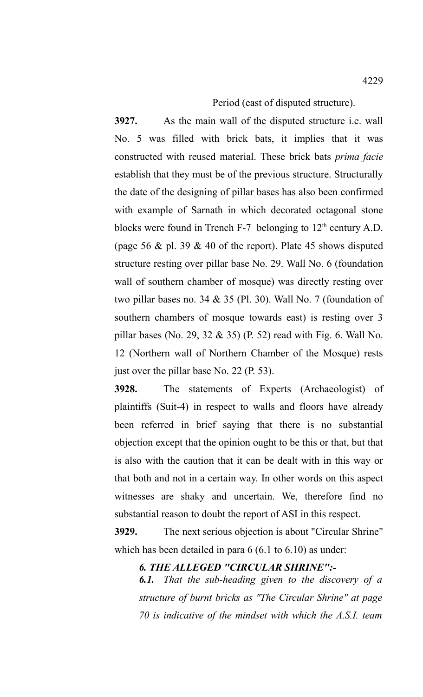Period (east of disputed structure).

**3927.** As the main wall of the disputed structure i.e. wall No. 5 was filled with brick bats, it implies that it was constructed with reused material. These brick bats *prima facie* establish that they must be of the previous structure. Structurally the date of the designing of pillar bases has also been confirmed with example of Sarnath in which decorated octagonal stone blocks were found in Trench F-7 belonging to  $12<sup>th</sup>$  century A.D. (page 56  $\&$  pl. 39  $\&$  40 of the report). Plate 45 shows disputed structure resting over pillar base No. 29. Wall No. 6 (foundation wall of southern chamber of mosque) was directly resting over two pillar bases no. 34 & 35 (Pl. 30). Wall No. 7 (foundation of southern chambers of mosque towards east) is resting over 3 pillar bases (No. 29, 32 & 35) (P. 52) read with Fig. 6. Wall No. 12 (Northern wall of Northern Chamber of the Mosque) rests just over the pillar base No. 22 (P. 53).

**3928.** The statements of Experts (Archaeologist) of plaintiffs (Suit-4) in respect to walls and floors have already been referred in brief saying that there is no substantial objection except that the opinion ought to be this or that, but that is also with the caution that it can be dealt with in this way or that both and not in a certain way. In other words on this aspect witnesses are shaky and uncertain. We, therefore find no substantial reason to doubt the report of ASI in this respect.

**3929.** The next serious objection is about "Circular Shrine" which has been detailed in para 6 (6.1 to 6.10) as under:

*6. THE ALLEGED "CIRCULAR SHRINE":-*

*6.1. That the sub-heading given to the discovery of a structure of burnt bricks as "The Circular Shrine" at page 70 is indicative of the mindset with which the A.S.I. team*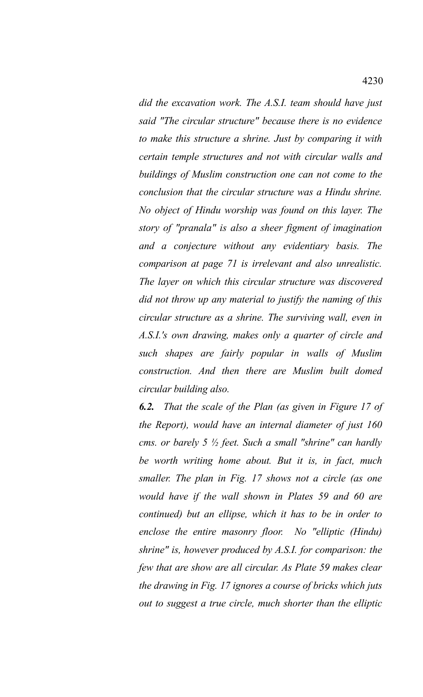*did the excavation work. The A.S.I. team should have just said "The circular structure" because there is no evidence to make this structure a shrine. Just by comparing it with certain temple structures and not with circular walls and buildings of Muslim construction one can not come to the conclusion that the circular structure was a Hindu shrine. No object of Hindu worship was found on this layer. The story of "pranala" is also a sheer figment of imagination and a conjecture without any evidentiary basis. The comparison at page 71 is irrelevant and also unrealistic. The layer on which this circular structure was discovered did not throw up any material to justify the naming of this circular structure as a shrine. The surviving wall, even in A.S.I.'s own drawing, makes only a quarter of circle and such shapes are fairly popular in walls of Muslim construction. And then there are Muslim built domed circular building also.* 

*6.2. That the scale of the Plan (as given in Figure 17 of the Report), would have an internal diameter of just 160 cms. or barely 5 ½ feet. Such a small "shrine" can hardly be worth writing home about. But it is, in fact, much smaller. The plan in Fig. 17 shows not a circle (as one would have if the wall shown in Plates 59 and 60 are continued) but an ellipse, which it has to be in order to enclose the entire masonry floor. No "elliptic (Hindu) shrine" is, however produced by A.S.I. for comparison: the few that are show are all circular. As Plate 59 makes clear the drawing in Fig. 17 ignores a course of bricks which juts out to suggest a true circle, much shorter than the elliptic*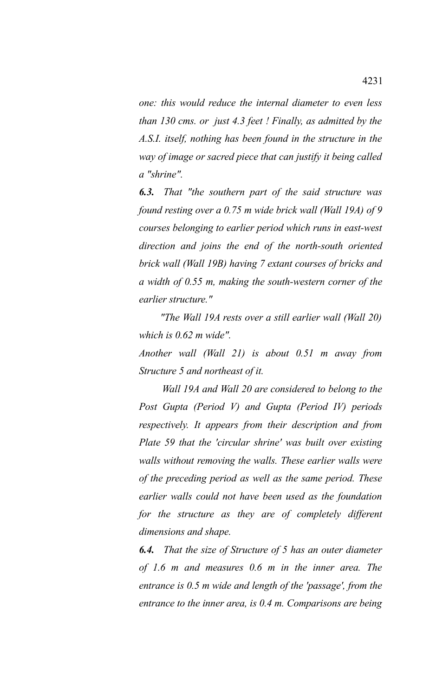*one: this would reduce the internal diameter to even less than 130 cms. or just 4.3 feet ! Finally, as admitted by the A.S.I. itself, nothing has been found in the structure in the way of image or sacred piece that can justify it being called a "shrine".*

*6.3. That "the southern part of the said structure was found resting over a 0.75 m wide brick wall (Wall 19A) of 9 courses belonging to earlier period which runs in east-west direction and joins the end of the north-south oriented brick wall (Wall 19B) having 7 extant courses of bricks and a width of 0.55 m, making the south-western corner of the earlier structure."*

 *"The Wall 19A rests over a still earlier wall (Wall 20) which is 0.62 m wide".*

*Another wall (Wall 21) is about 0.51 m away from Structure 5 and northeast of it.* 

 *Wall 19A and Wall 20 are considered to belong to the Post Gupta (Period V) and Gupta (Period IV) periods respectively. It appears from their description and from Plate 59 that the 'circular shrine' was built over existing walls without removing the walls. These earlier walls were of the preceding period as well as the same period. These earlier walls could not have been used as the foundation for the structure as they are of completely different dimensions and shape.* 

*6.4. That the size of Structure of 5 has an outer diameter of 1.6 m and measures 0.6 m in the inner area. The entrance is 0.5 m wide and length of the 'passage', from the entrance to the inner area, is 0.4 m. Comparisons are being*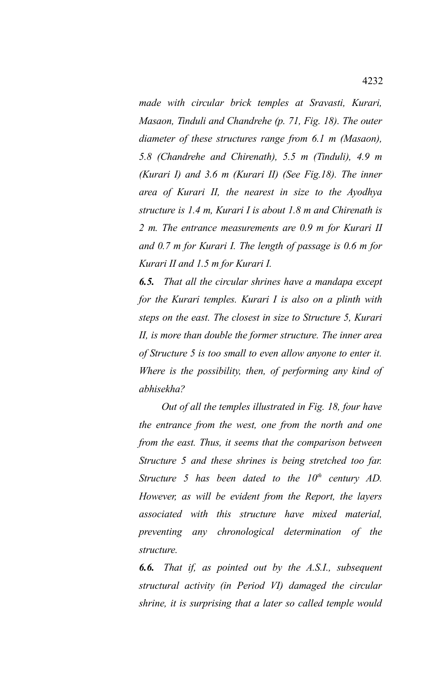*made with circular brick temples at Sravasti, Kurari, Masaon, Tinduli and Chandrehe (p. 71, Fig. 18). The outer diameter of these structures range from 6.1 m (Masaon), 5.8 (Chandrehe and Chirenath), 5.5 m (Tinduli), 4.9 m (Kurari I) and 3.6 m (Kurari II) (See Fig.18). The inner area of Kurari II, the nearest in size to the Ayodhya structure is 1.4 m, Kurari I is about 1.8 m and Chirenath is 2 m. The entrance measurements are 0.9 m for Kurari II and 0.7 m for Kurari I. The length of passage is 0.6 m for Kurari II and 1.5 m for Kurari I.* 

*6.5. That all the circular shrines have a mandapa except for the Kurari temples. Kurari I is also on a plinth with steps on the east. The closest in size to Structure 5, Kurari II, is more than double the former structure. The inner area of Structure 5 is too small to even allow anyone to enter it. Where is the possibility, then, of performing any kind of abhisekha?*

 *Out of all the temples illustrated in Fig. 18, four have the entrance from the west, one from the north and one from the east. Thus, it seems that the comparison between Structure 5 and these shrines is being stretched too far. Structure 5 has been dated to the 10th century AD. However, as will be evident from the Report, the layers associated with this structure have mixed material, preventing any chronological determination of the structure.* 

*6.6. That if, as pointed out by the A.S.I., subsequent structural activity (in Period VI) damaged the circular shrine, it is surprising that a later so called temple would*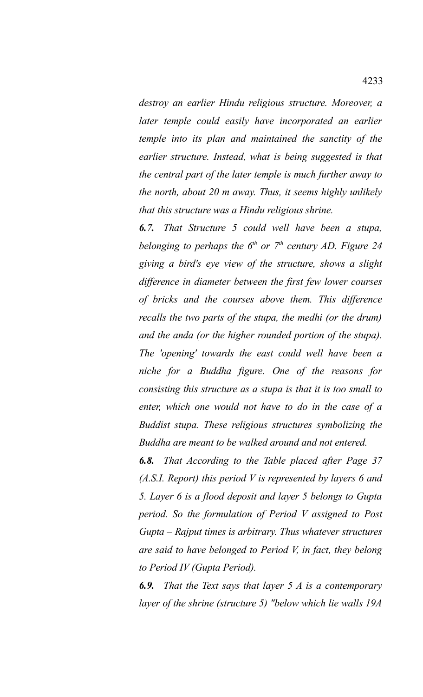*destroy an earlier Hindu religious structure. Moreover, a later temple could easily have incorporated an earlier temple into its plan and maintained the sanctity of the earlier structure. Instead, what is being suggested is that the central part of the later temple is much further away to the north, about 20 m away. Thus, it seems highly unlikely that this structure was a Hindu religious shrine.* 

*6.7. That Structure 5 could well have been a stupa, belonging to perhaps the 6th or 7th century AD. Figure 24 giving a bird's eye view of the structure, shows a slight difference in diameter between the first few lower courses of bricks and the courses above them. This difference recalls the two parts of the stupa, the medhi (or the drum) and the anda (or the higher rounded portion of the stupa). The 'opening' towards the east could well have been a niche for a Buddha figure. One of the reasons for consisting this structure as a stupa is that it is too small to enter, which one would not have to do in the case of a Buddist stupa. These religious structures symbolizing the Buddha are meant to be walked around and not entered.* 

*6.8. That According to the Table placed after Page 37 (A.S.I. Report) this period V is represented by layers 6 and 5. Layer 6 is a flood deposit and layer 5 belongs to Gupta period. So the formulation of Period V assigned to Post Gupta – Rajput times is arbitrary. Thus whatever structures are said to have belonged to Period V, in fact, they belong to Period IV (Gupta Period).*

*6.9. That the Text says that layer 5 A is a contemporary layer of the shrine (structure 5) "below which lie walls 19A*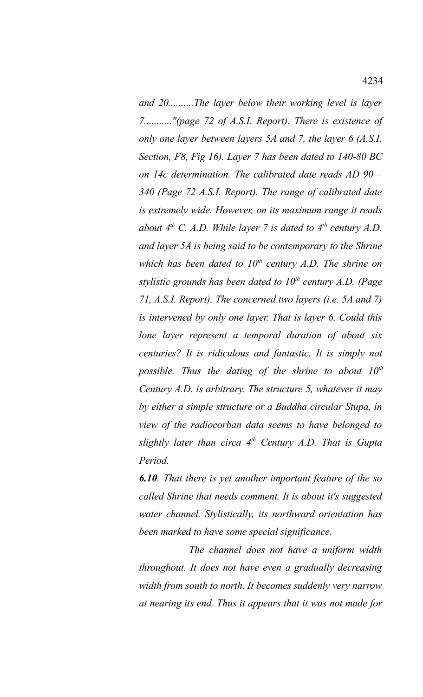*and 20..........The layer below their working level is layer 7..........."(page 72 of A.S.I. Report). There is existence of only one layer between layers 5A and 7, the layer 6 (A.S.I. Section, F8, Fig 16). Layer 7 has been dated to 140-80 BC on 14c determination. The calibrated date reads AD 90 – 340 (Page 72 A.S.I. Report). The range of calibrated date is extremely wide. However, on its maximum range it reads about 4th C. A.D. While layer 7 is dated to 4th century A.D. and layer 5A is being said to be contemporary to the Shrine which has been dated to 10th century A.D. The shrine on stylistic grounds has been dated to 10th century A.D. (Page 71, A.S.I. Report). The concerned two layers (i.e. 5A and 7) is intervened by only one layer. That is layer 6. Could this lone layer represent a temporal duration of about six centuries? It is ridiculous and fantastic. It is simply not possible. Thus the dating of the shrine to about 10th Century A.D. is arbitrary. The structure 5, whatever it may by either a simple structure or a Buddha circular Stupa, in view of the radiocorban data seems to have belonged to slightly later than circa 4th Century A.D. That is Gupta Period.* 

*6.10. That there is yet another important feature of the so called Shrine that needs comment. It is about it's suggested water channel. Stylistically, its northward orientation has been marked to have some special significance.* 

 *The channel does not have a uniform width throughout. It does not have even a gradually decreasing width from south to north. It becomes suddenly very narrow at nearing its end. Thus it appears that it was not made for*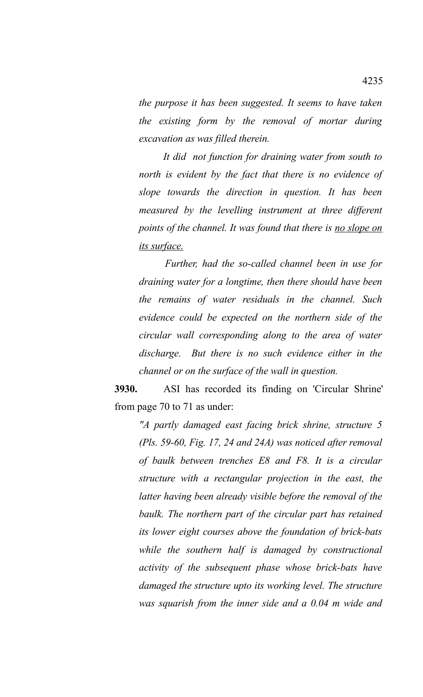*the purpose it has been suggested. It seems to have taken the existing form by the removal of mortar during excavation as was filled therein.* 

 *It did not function for draining water from south to north is evident by the fact that there is no evidence of slope towards the direction in question. It has been measured by the levelling instrument at three different points of the channel. It was found that there is no slope on its surface.*

 *Further, had the so-called channel been in use for draining water for a longtime, then there should have been the remains of water residuals in the channel. Such evidence could be expected on the northern side of the circular wall corresponding along to the area of water discharge. But there is no such evidence either in the channel or on the surface of the wall in question.* 

**3930.** ASI has recorded its finding on 'Circular Shrine' from page 70 to 71 as under:

*"A partly damaged east facing brick shrine, structure 5 (Pls. 59-60, Fig. 17, 24 and 24A) was noticed after removal of baulk between trenches E8 and F8. It is a circular structure with a rectangular projection in the east, the latter having been already visible before the removal of the baulk. The northern part of the circular part has retained its lower eight courses above the foundation of brick-bats while the southern half is damaged by constructional activity of the subsequent phase whose brick-bats have damaged the structure upto its working level. The structure was squarish from the inner side and a 0.04 m wide and*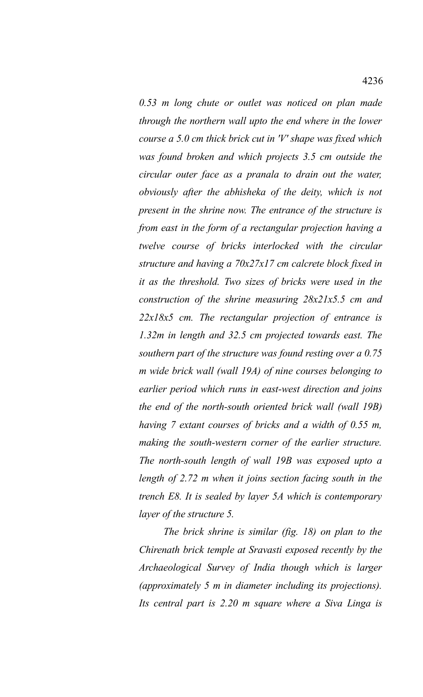*0.53 m long chute or outlet was noticed on plan made through the northern wall upto the end where in the lower course a 5.0 cm thick brick cut in 'V' shape was fixed which was found broken and which projects 3.5 cm outside the circular outer face as a pranala to drain out the water, obviously after the abhisheka of the deity, which is not present in the shrine now. The entrance of the structure is from east in the form of a rectangular projection having a twelve course of bricks interlocked with the circular structure and having a 70x27x17 cm calcrete block fixed in it as the threshold. Two sizes of bricks were used in the construction of the shrine measuring 28x21x5.5 cm and 22x18x5 cm. The rectangular projection of entrance is 1.32m in length and 32.5 cm projected towards east. The southern part of the structure was found resting over a 0.75 m wide brick wall (wall 19A) of nine courses belonging to earlier period which runs in east-west direction and joins the end of the north-south oriented brick wall (wall 19B) having 7 extant courses of bricks and a width of 0.55 m, making the south-western corner of the earlier structure. The north-south length of wall 19B was exposed upto a length of 2.72 m when it joins section facing south in the trench E8. It is sealed by layer 5A which is contemporary layer of the structure 5.*

*The brick shrine is similar (fig. 18) on plan to the Chirenath brick temple at Sravasti exposed recently by the Archaeological Survey of India though which is larger (approximately 5 m in diameter including its projections). Its central part is 2.20 m square where a Siva Linga is*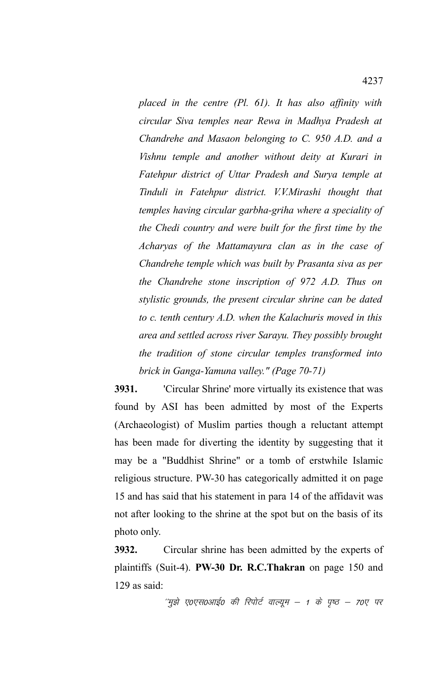*placed in the centre (Pl. 61). It has also affinity with circular Siva temples near Rewa in Madhya Pradesh at Chandrehe and Masaon belonging to C. 950 A.D. and a Vishnu temple and another without deity at Kurari in Fatehpur district of Uttar Pradesh and Surya temple at Tinduli in Fatehpur district. V.V.Mirashi thought that temples having circular garbha-griha where a speciality of the Chedi country and were built for the first time by the Acharyas of the Mattamayura clan as in the case of Chandrehe temple which was built by Prasanta siva as per the Chandrehe stone inscription of 972 A.D. Thus on stylistic grounds, the present circular shrine can be dated to c. tenth century A.D. when the Kalachuris moved in this area and settled across river Sarayu. They possibly brought the tradition of stone circular temples transformed into brick in Ganga-Yamuna valley." (Page 70-71)*

**3931.** 'Circular Shrine' more virtually its existence that was found by ASI has been admitted by most of the Experts (Archaeologist) of Muslim parties though a reluctant attempt has been made for diverting the identity by suggesting that it may be a "Buddhist Shrine" or a tomb of erstwhile Islamic religious structure. PW-30 has categorically admitted it on page 15 and has said that his statement in para 14 of the affidavit was not after looking to the shrine at the spot but on the basis of its photo only.

**3932.** Circular shrine has been admitted by the experts of plaintiffs (Suit-4). **PW-30 Dr. R.C.Thakran** on page 150 and 129 as said:

 $^{\prime\prime}$ मुझे ए०एस०आई० की रिपोर्ट वाल्यूम – 1 के पृष्ठ – 70ए पर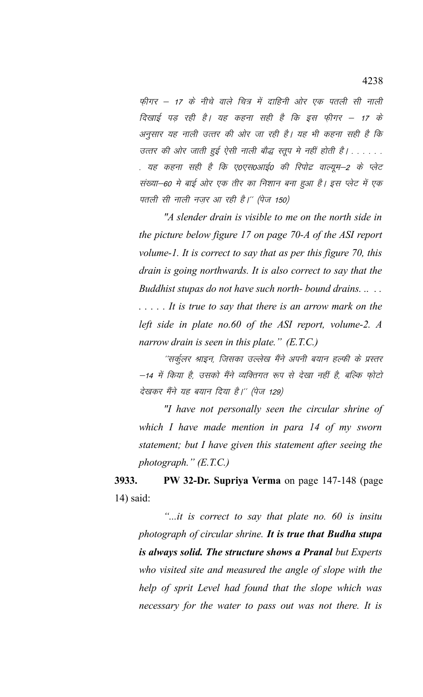फीगर – 17 के नीचे वाले चित्र में दाहिनी ओर एक पतली सी नाली दिखाई पड़ रही है। यह कहना सही है कि इस फ़ीगर – 17 के अनुसार यह नाली उत्तर की ओर जा रही है। यह भी कहना सही है कि उत्तर की ओर जाती हुई ऐसी नाली बौद्ध स्तूप मे नहीं होती है। . . . . . . . यह कहना सही है कि ए०एस०आई० की रिपोद्र वाल्यूम–2 के प्लेट संख्या–60 मे बाई ओर एक तीर का निशान बना हुआ है। इस प्लेट में एक पतली सी नाली नज़र आ रही है।'' (पेज 150)

*"A slender drain is visible to me on the north side in the picture below figure 17 on page 70-A of the ASI report volume-1. It is correct to say that as per this figure 70, this drain is going northwards. It is also correct to say that the Buddhist stupas do not have such north- bound drains. .. . . . . . . . It is true to say that there is an arrow mark on the left side in plate no.60 of the ASI report, volume-2. A narrow drain is seen in this plate." (E.T.C.)*

''सर्कूलर श्राइन, जिसका उल्लेख मैंने अपनी बयान हल्फी के प्रस्तर –14 में किया है, उसको मैंने व्यक्तिगत रूप से देखा नहीं है, बल्कि फोटो देखकर मैंने यह बयान दिया है।'' (पेज 129)

*"I have not personally seen the circular shrine of which I have made mention in para 14 of my sworn statement; but I have given this statement after seeing the photograph." (E.T.C.)*

**3933. PW 32-Dr. Supriya Verma** on page 147-148 (page 14) said:

*"...it is correct to say that plate no. 60 is insitu photograph of circular shrine. It is true that Budha stupa is always solid. The structure shows a Pranal but Experts who visited site and measured the angle of slope with the help of sprit Level had found that the slope which was necessary for the water to pass out was not there. It is*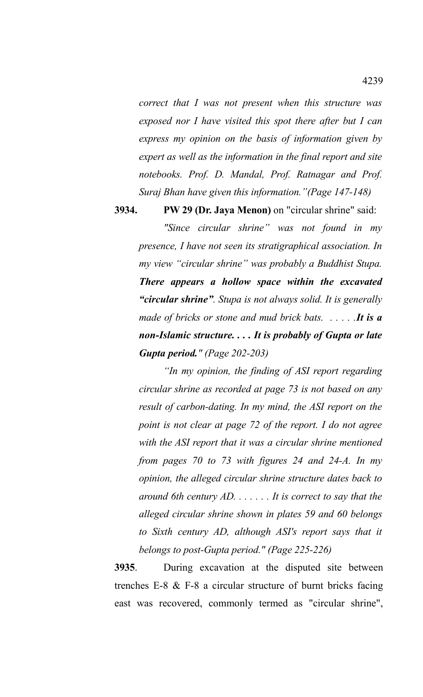*correct that I was not present when this structure was exposed nor I have visited this spot there after but I can express my opinion on the basis of information given by expert as well as the information in the final report and site notebooks. Prof. D. Mandal, Prof. Ratnagar and Prof. Suraj Bhan have given this information."(Page 147-148)*

**3934. PW 29 (Dr. Jaya Menon)** on "circular shrine" said:

*"Since circular shrine" was not found in my presence, I have not seen its stratigraphical association. In my view "circular shrine" was probably a Buddhist Stupa. There appears a hollow space within the excavated "circular shrine". Stupa is not always solid. It is generally made of bricks or stone and mud brick bats. . . . . .It is a non-Islamic structure. . . . It is probably of Gupta or late Gupta period." (Page 202-203)*

*"In my opinion, the finding of ASI report regarding circular shrine as recorded at page 73 is not based on any result of carbon-dating. In my mind, the ASI report on the point is not clear at page 72 of the report. I do not agree with the ASI report that it was a circular shrine mentioned from pages 70 to 73 with figures 24 and 24-A. In my opinion, the alleged circular shrine structure dates back to around 6th century AD. . . . . . . It is correct to say that the alleged circular shrine shown in plates 59 and 60 belongs to Sixth century AD, although ASI's report says that it belongs to post-Gupta period." (Page 225-226)*

**3935**. During excavation at the disputed site between trenches E-8 & F-8 a circular structure of burnt bricks facing east was recovered, commonly termed as "circular shrine",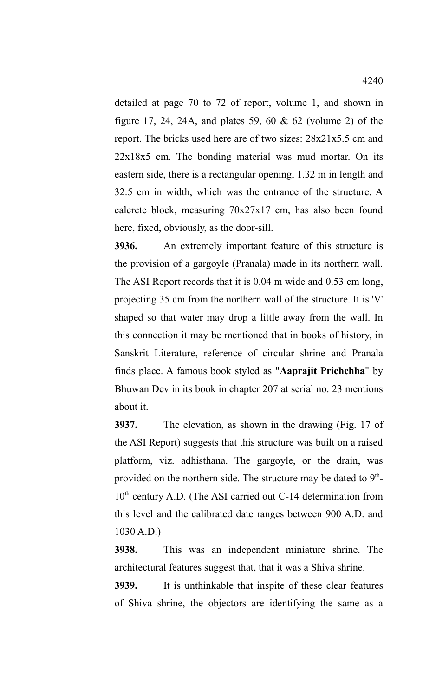detailed at page 70 to 72 of report, volume 1, and shown in figure 17, 24, 24A, and plates 59, 60 & 62 (volume 2) of the report. The bricks used here are of two sizes: 28x21x5.5 cm and 22x18x5 cm. The bonding material was mud mortar. On its eastern side, there is a rectangular opening, 1.32 m in length and 32.5 cm in width, which was the entrance of the structure. A calcrete block, measuring 70x27x17 cm, has also been found here, fixed, obviously, as the door-sill.

**3936.** An extremely important feature of this structure is the provision of a gargoyle (Pranala) made in its northern wall. The ASI Report records that it is 0.04 m wide and 0.53 cm long, projecting 35 cm from the northern wall of the structure. It is 'V' shaped so that water may drop a little away from the wall. In this connection it may be mentioned that in books of history, in Sanskrit Literature, reference of circular shrine and Pranala finds place. A famous book styled as "**Aaprajit Prichchha**" by Bhuwan Dev in its book in chapter 207 at serial no. 23 mentions about it.

**3937.** The elevation, as shown in the drawing (Fig. 17 of the ASI Report) suggests that this structure was built on a raised platform, viz. adhisthana. The gargoyle, or the drain, was provided on the northern side. The structure may be dated to  $9<sup>th</sup>$ - $10<sup>th</sup>$  century A.D. (The ASI carried out C-14 determination from this level and the calibrated date ranges between 900 A.D. and 1030 A.D.)

**3938.** This was an independent miniature shrine. The architectural features suggest that, that it was a Shiva shrine.

**3939.** It is unthinkable that inspite of these clear features of Shiva shrine, the objectors are identifying the same as a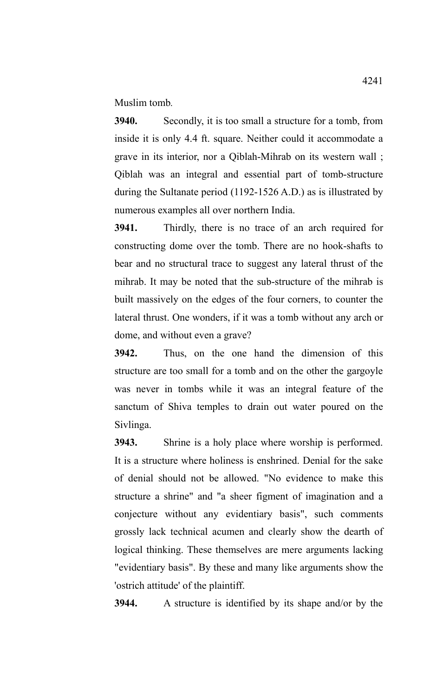Muslim tomb*.*

**3940.** Secondly, it is too small a structure for a tomb, from inside it is only 4.4 ft. square. Neither could it accommodate a grave in its interior, nor a Qiblah-Mihrab on its western wall ; Qiblah was an integral and essential part of tomb-structure during the Sultanate period (1192-1526 A.D.) as is illustrated by numerous examples all over northern India.

**3941.** Thirdly, there is no trace of an arch required for constructing dome over the tomb. There are no hook-shafts to bear and no structural trace to suggest any lateral thrust of the mihrab. It may be noted that the sub-structure of the mihrab is built massively on the edges of the four corners, to counter the lateral thrust. One wonders, if it was a tomb without any arch or dome, and without even a grave?

**3942.** Thus, on the one hand the dimension of this structure are too small for a tomb and on the other the gargoyle was never in tombs while it was an integral feature of the sanctum of Shiva temples to drain out water poured on the Sivlinga.

**3943.** Shrine is a holy place where worship is performed. It is a structure where holiness is enshrined. Denial for the sake of denial should not be allowed. "No evidence to make this structure a shrine" and "a sheer figment of imagination and a conjecture without any evidentiary basis", such comments grossly lack technical acumen and clearly show the dearth of logical thinking. These themselves are mere arguments lacking "evidentiary basis". By these and many like arguments show the 'ostrich attitude' of the plaintiff.

**3944.** A structure is identified by its shape and/or by the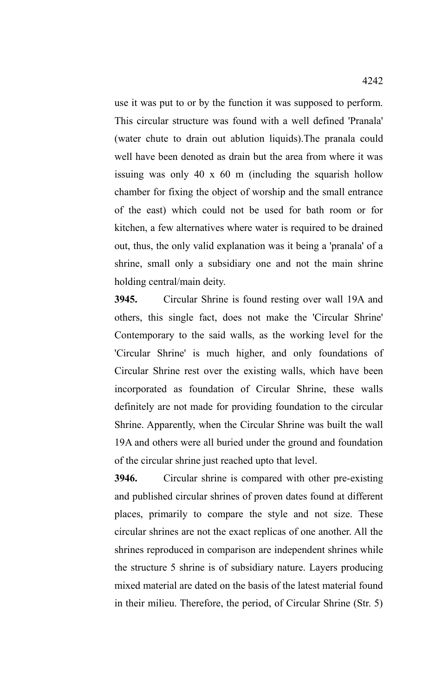use it was put to or by the function it was supposed to perform. This circular structure was found with a well defined 'Pranala' (water chute to drain out ablution liquids).The pranala could well have been denoted as drain but the area from where it was issuing was only 40 x 60 m (including the squarish hollow chamber for fixing the object of worship and the small entrance of the east) which could not be used for bath room or for kitchen, a few alternatives where water is required to be drained out, thus, the only valid explanation was it being a 'pranala' of a shrine, small only a subsidiary one and not the main shrine holding central/main deity.

**3945.** Circular Shrine is found resting over wall 19A and others, this single fact, does not make the 'Circular Shrine' Contemporary to the said walls, as the working level for the 'Circular Shrine' is much higher, and only foundations of Circular Shrine rest over the existing walls, which have been incorporated as foundation of Circular Shrine, these walls definitely are not made for providing foundation to the circular Shrine. Apparently, when the Circular Shrine was built the wall 19A and others were all buried under the ground and foundation of the circular shrine just reached upto that level.

**3946.** Circular shrine is compared with other pre-existing and published circular shrines of proven dates found at different places, primarily to compare the style and not size. These circular shrines are not the exact replicas of one another. All the shrines reproduced in comparison are independent shrines while the structure 5 shrine is of subsidiary nature. Layers producing mixed material are dated on the basis of the latest material found in their milieu. Therefore, the period, of Circular Shrine (Str. 5)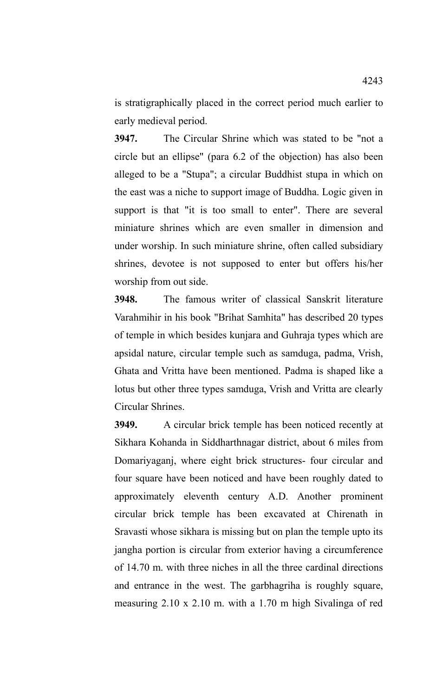is stratigraphically placed in the correct period much earlier to early medieval period.

**3947.** The Circular Shrine which was stated to be "not a circle but an ellipse" (para 6.2 of the objection) has also been alleged to be a "Stupa"; a circular Buddhist stupa in which on the east was a niche to support image of Buddha. Logic given in support is that "it is too small to enter". There are several miniature shrines which are even smaller in dimension and under worship. In such miniature shrine, often called subsidiary shrines, devotee is not supposed to enter but offers his/her worship from out side.

**3948.** The famous writer of classical Sanskrit literature Varahmihir in his book "Brihat Samhita" has described 20 types of temple in which besides kunjara and Guhraja types which are apsidal nature, circular temple such as samduga, padma, Vrish, Ghata and Vritta have been mentioned. Padma is shaped like a lotus but other three types samduga, Vrish and Vritta are clearly Circular Shrines.

**3949.** A circular brick temple has been noticed recently at Sikhara Kohanda in Siddharthnagar district, about 6 miles from Domariyaganj, where eight brick structures- four circular and four square have been noticed and have been roughly dated to approximately eleventh century A.D. Another prominent circular brick temple has been excavated at Chirenath in Sravasti whose sikhara is missing but on plan the temple upto its jangha portion is circular from exterior having a circumference of 14.70 m. with three niches in all the three cardinal directions and entrance in the west. The garbhagriha is roughly square, measuring 2.10 x 2.10 m. with a 1.70 m high Sivalinga of red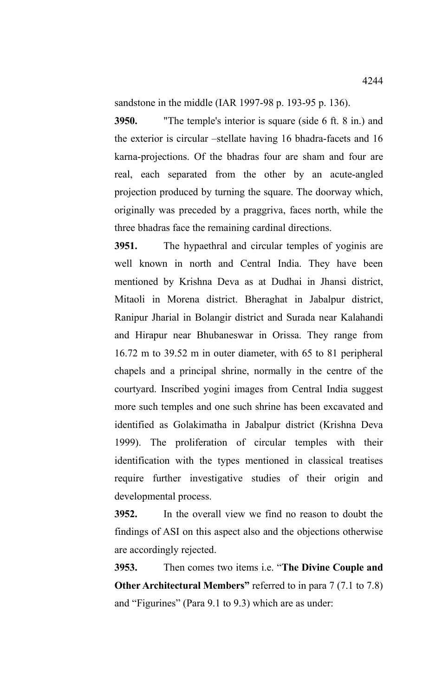sandstone in the middle (IAR 1997-98 p. 193-95 p. 136).

**3950.** "The temple's interior is square (side 6 ft. 8 in.) and the exterior is circular –stellate having 16 bhadra-facets and 16 karna-projections. Of the bhadras four are sham and four are real, each separated from the other by an acute-angled projection produced by turning the square. The doorway which, originally was preceded by a praggriva, faces north, while the three bhadras face the remaining cardinal directions.

**3951.** The hypaethral and circular temples of yoginis are well known in north and Central India. They have been mentioned by Krishna Deva as at Dudhai in Jhansi district, Mitaoli in Morena district. Bheraghat in Jabalpur district, Ranipur Jharial in Bolangir district and Surada near Kalahandi and Hirapur near Bhubaneswar in Orissa. They range from 16.72 m to 39.52 m in outer diameter, with 65 to 81 peripheral chapels and a principal shrine, normally in the centre of the courtyard. Inscribed yogini images from Central India suggest more such temples and one such shrine has been excavated and identified as Golakimatha in Jabalpur district (Krishna Deva 1999). The proliferation of circular temples with their identification with the types mentioned in classical treatises require further investigative studies of their origin and developmental process.

**3952.** In the overall view we find no reason to doubt the findings of ASI on this aspect also and the objections otherwise are accordingly rejected.

**3953.** Then comes two items i.e. "**The Divine Couple and Other Architectural Members"** referred to in para 7 (7.1 to 7.8) and "Figurines" (Para 9.1 to 9.3) which are as under: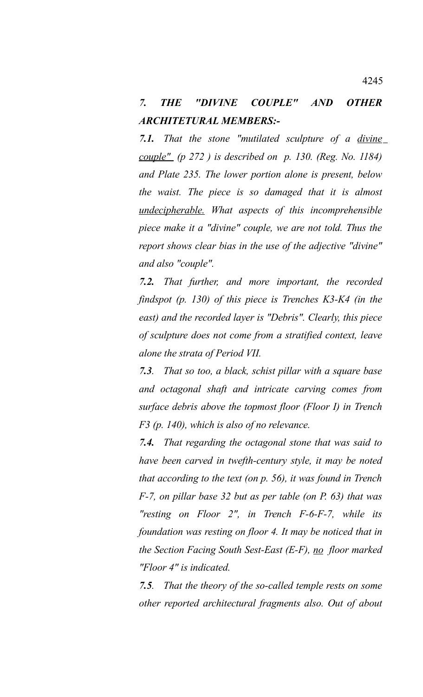## *7. THE "DIVINE COUPLE" AND OTHER ARCHITETURAL MEMBERS:-*

*7.1. That the stone "mutilated sculpture of a divine couple" (p 272 ) is described on p. 130. (Reg. No. 1184) and Plate 235. The lower portion alone is present, below the waist. The piece is so damaged that it is almost undecipherable. What aspects of this incomprehensible piece make it a "divine" couple, we are not told. Thus the report shows clear bias in the use of the adjective "divine" and also "couple".*

*7.2. That further, and more important, the recorded findspot (p. 130) of this piece is Trenches K3-K4 (in the east) and the recorded layer is "Debris". Clearly, this piece of sculpture does not come from a stratified context, leave alone the strata of Period VII.*

*7.3. That so too, a black, schist pillar with a square base and octagonal shaft and intricate carving comes from surface debris above the topmost floor (Floor I) in Trench F3 (p. 140), which is also of no relevance.* 

*7.4. That regarding the octagonal stone that was said to have been carved in twefth-century style, it may be noted that according to the text (on p. 56), it was found in Trench F-7, on pillar base 32 but as per table (on P. 63) that was "resting on Floor 2", in Trench F-6-F-7, while its foundation was resting on floor 4. It may be noticed that in the Section Facing South Sest-East (E-F), no floor marked "Floor 4" is indicated.* 

*7.5. That the theory of the so-called temple rests on some other reported architectural fragments also. Out of about*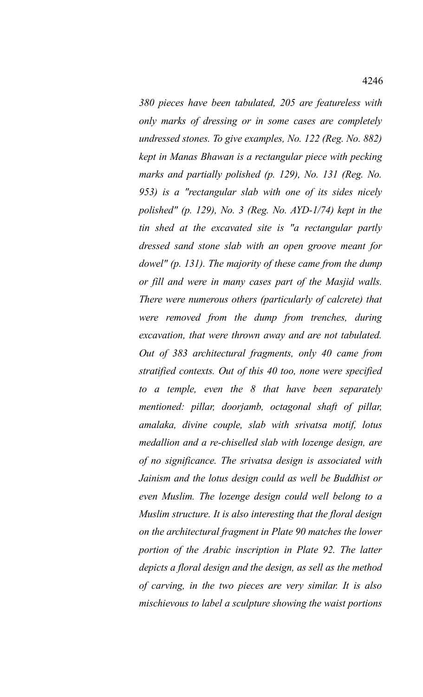*380 pieces have been tabulated, 205 are featureless with only marks of dressing or in some cases are completely undressed stones. To give examples, No. 122 (Reg. No. 882) kept in Manas Bhawan is a rectangular piece with pecking marks and partially polished (p. 129), No. 131 (Reg. No. 953) is a "rectangular slab with one of its sides nicely polished" (p. 129), No. 3 (Reg. No. AYD-1/74) kept in the tin shed at the excavated site is "a rectangular partly dressed sand stone slab with an open groove meant for dowel" (p. 131). The majority of these came from the dump or fill and were in many cases part of the Masjid walls. There were numerous others (particularly of calcrete) that were removed from the dump from trenches, during excavation, that were thrown away and are not tabulated. Out of 383 architectural fragments, only 40 came from stratified contexts. Out of this 40 too, none were specified to a temple, even the 8 that have been separately mentioned: pillar, doorjamb, octagonal shaft of pillar, amalaka, divine couple, slab with srivatsa motif, lotus medallion and a re-chiselled slab with lozenge design, are of no significance. The srivatsa design is associated with Jainism and the lotus design could as well be Buddhist or even Muslim. The lozenge design could well belong to a Muslim structure. It is also interesting that the floral design on the architectural fragment in Plate 90 matches the lower portion of the Arabic inscription in Plate 92. The latter depicts a floral design and the design, as sell as the method of carving, in the two pieces are very similar. It is also mischievous to label a sculpture showing the waist portions*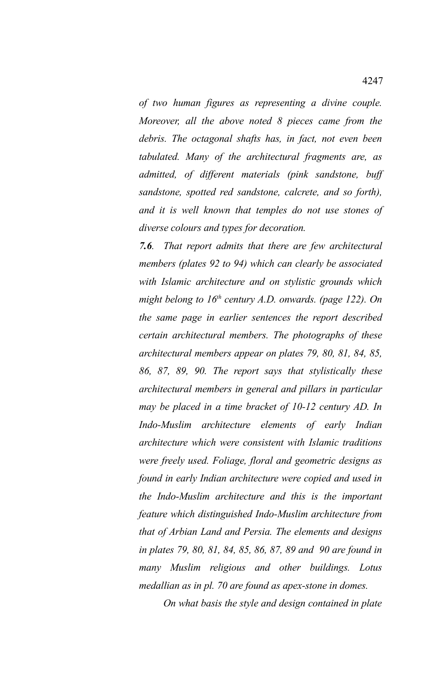*of two human figures as representing a divine couple. Moreover, all the above noted 8 pieces came from the debris. The octagonal shafts has, in fact, not even been tabulated. Many of the architectural fragments are, as admitted, of different materials (pink sandstone, buff sandstone, spotted red sandstone, calcrete, and so forth), and it is well known that temples do not use stones of diverse colours and types for decoration.* 

*7.6. That report admits that there are few architectural members (plates 92 to 94) which can clearly be associated with Islamic architecture and on stylistic grounds which might belong to 16th century A.D. onwards. (page 122). On the same page in earlier sentences the report described certain architectural members. The photographs of these architectural members appear on plates 79, 80, 81, 84, 85, 86, 87, 89, 90. The report says that stylistically these architectural members in general and pillars in particular may be placed in a time bracket of 10-12 century AD. In Indo-Muslim architecture elements of early Indian architecture which were consistent with Islamic traditions were freely used. Foliage, floral and geometric designs as found in early Indian architecture were copied and used in the Indo-Muslim architecture and this is the important feature which distinguished Indo-Muslim architecture from that of Arbian Land and Persia. The elements and designs in plates 79, 80, 81, 84, 85, 86, 87, 89 and 90 are found in many Muslim religious and other buildings. Lotus medallian as in pl. 70 are found as apex-stone in domes.* 

 *On what basis the style and design contained in plate*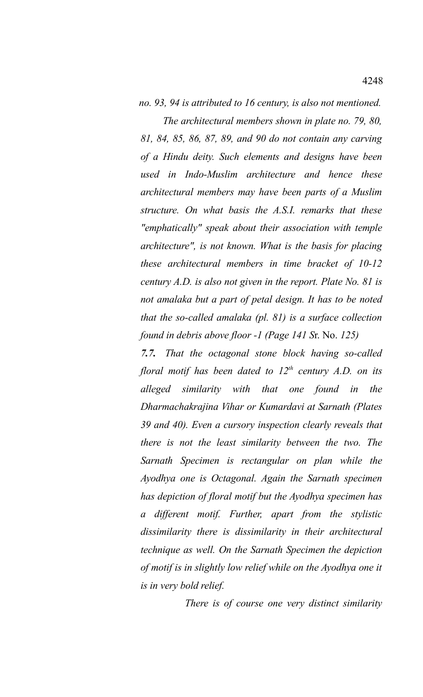*no. 93, 94 is attributed to 16 century, is also not mentioned.*

 *The architectural members shown in plate no. 79, 80, 81, 84, 85, 86, 87, 89, and 90 do not contain any carving of a Hindu deity. Such elements and designs have been used in Indo-Muslim architecture and hence these architectural members may have been parts of a Muslim structure. On what basis the A.S.I. remarks that these "emphatically" speak about their association with temple architecture", is not known. What is the basis for placing these architectural members in time bracket of 10-12 century A.D. is also not given in the report. Plate No. 81 is not amalaka but a part of petal design. It has to be noted that the so-called amalaka (pl. 81) is a surface collection found in debris above floor -1 (Page 141 S*r. No. *125)*

*7.7. That the octagonal stone block having so-called floral motif has been dated to 12th century A.D. on its alleged similarity with that one found in the Dharmachakrajina Vihar or Kumardavi at Sarnath (Plates 39 and 40). Even a cursory inspection clearly reveals that there is not the least similarity between the two. The Sarnath Specimen is rectangular on plan while the Ayodhya one is Octagonal. Again the Sarnath specimen has depiction of floral motif but the Ayodhya specimen has a different motif. Further, apart from the stylistic dissimilarity there is dissimilarity in their architectural technique as well. On the Sarnath Specimen the depiction of motif is in slightly low relief while on the Ayodhya one it is in very bold relief.*

 *There is of course one very distinct similarity*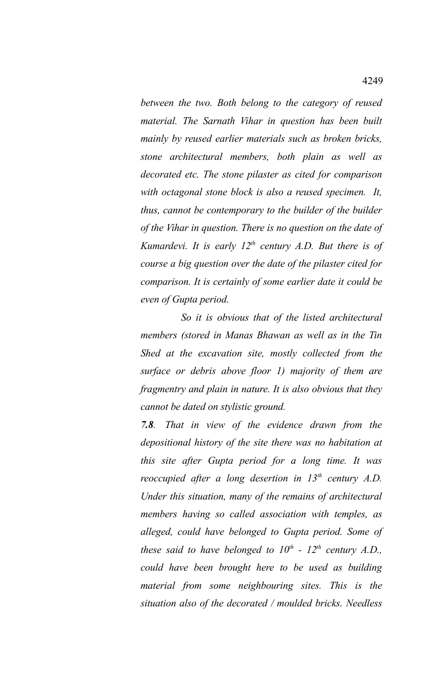*between the two. Both belong to the category of reused material. The Sarnath Vihar in question has been built mainly by reused earlier materials such as broken bricks, stone architectural members, both plain as well as decorated etc. The stone pilaster as cited for comparison with octagonal stone block is also a reused specimen. It, thus, cannot be contemporary to the builder of the builder of the Vihar in question. There is no question on the date of Kumardevi. It is early 12th century A.D. But there is of course a big question over the date of the pilaster cited for comparison. It is certainly of some earlier date it could be even of Gupta period.* 

 *So it is obvious that of the listed architectural members (stored in Manas Bhawan as well as in the Tin Shed at the excavation site, mostly collected from the surface or debris above floor 1) majority of them are fragmentry and plain in nature. It is also obvious that they cannot be dated on stylistic ground.* 

*7.8. That in view of the evidence drawn from the depositional history of the site there was no habitation at this site after Gupta period for a long time. It was reoccupied after a long desertion in 13th century A.D. Under this situation, many of the remains of architectural members having so called association with temples, as alleged, could have belonged to Gupta period. Some of these said to have belonged to*  $10^{th}$  *-*  $12^{th}$  *century A.D., could have been brought here to be used as building material from some neighbouring sites. This is the situation also of the decorated / moulded bricks. Needless*